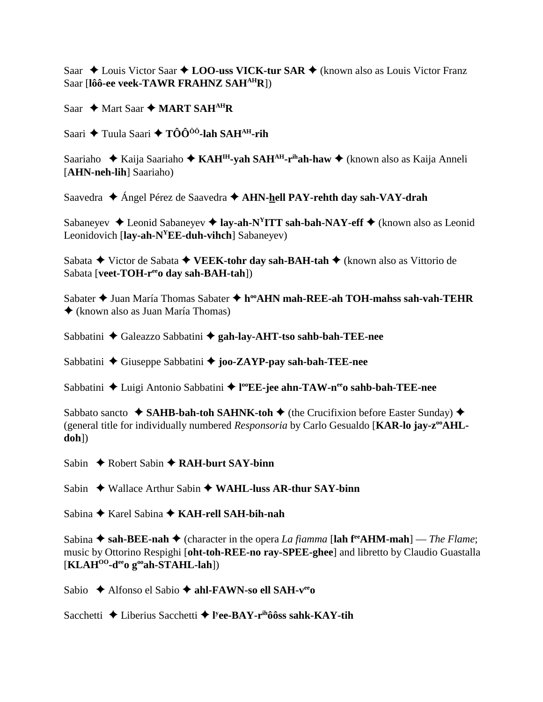Saar ◆ Louis Victor Saar ◆ LOO-uss VICK-tur SAR ◆ (known also as Louis Victor Franz Saar [**lôô-ee veek-TAWR FRAHNZ SAHAHR**])

Saar  $\rightarrow$  Mart Saar  $\rightarrow$  **MART SAH<sup>AH</sup>R** 

Saari **→** Tuula Saari → TÔÔ<sup>ôô</sup>-lah SAH<sup>AH</sup>-rih

Saariaho Kaija Saariaho **KAHIH-yah SAHAH-rihah-haw** (known also as Kaija Anneli [**AHN-neh-lih**] Saariaho)

Saavedra Ángel Pérez de Saavedra **AHN-hell PAY-rehth day sah-VAY-drah**

Sabaneyev **→** Leonid Sabaneyev → lay-ah-N<sup>Y</sup>ITT sah-bah-NAY-eff → (known also as Leonid Leonidovich [**lay-ah-NYEE-duh-vihch**] Sabaneyev)

Sabata **→** Victor de Sabata **→ VEEK-tohr day sah-BAH-tah →** (known also as Vittorio de Sabata [**veet-TOH-r<sup>ee</sup>o day sah-BAH-tah**])

Sabater **→** Juan María Thomas Sabater ◆ h<sup>oo</sup>AHN mah-REE-ah TOH-mahss sah-vah-TEHR (known also as Juan María Thomas)

Sabbatini ◆ Galeazzo Sabbatini ◆ gah-lay-AHT-tso sahb-bah-TEE-nee

Sabbatini **←** Giuseppe Sabbatini ← joo-ZAYP-pay sah-bah-TEE-nee

Sabbatini ◆ Luigi Antonio Sabbatini ◆ l<sup>oo</sup>EE-jee ahn-TAW-n<sup>ee</sup>o sahb-bah-TEE-nee

Sabbato sancto  $\triangle$  **SAHB-bah-toh SAHNK-toh**  $\triangle$  (the Crucifixion before Easter Sunday)  $\triangle$ (general title for individually numbered *Responsoria* by Carlo Gesualdo [KAR-lo jay-z<sup>oo</sup>AHL**doh**])

Sabin **→** Robert Sabin **→ RAH-burt SAY-binn** 

Sabin ◆ Wallace Arthur Sabin ◆ WAHL-luss AR-thur SAY-binn

Sabina Karel Sabina **KAH-rell SAH-bih-nah**

Sabina  $\triangle$  sah-BEE-nah  $\triangle$  (character in the opera *La fiamma* [lah f<sup>re</sup>AHM-mah] — *The Flame*; music by Ottorino Respighi [**oht-toh-REE-no ray-SPEE-ghee**] and libretto by Claudio Guastalla [**KLAHOO-deeo gooah-STAHL-lah**])

Sabio **→** Alfonso el Sabio → **ahl-FAWN-so ell SAH-v<sup>ee</sup>O** 

Sacchetti Liberius Sacchetti **l y ee-BAY-rihôôss sahk-KAY-tih**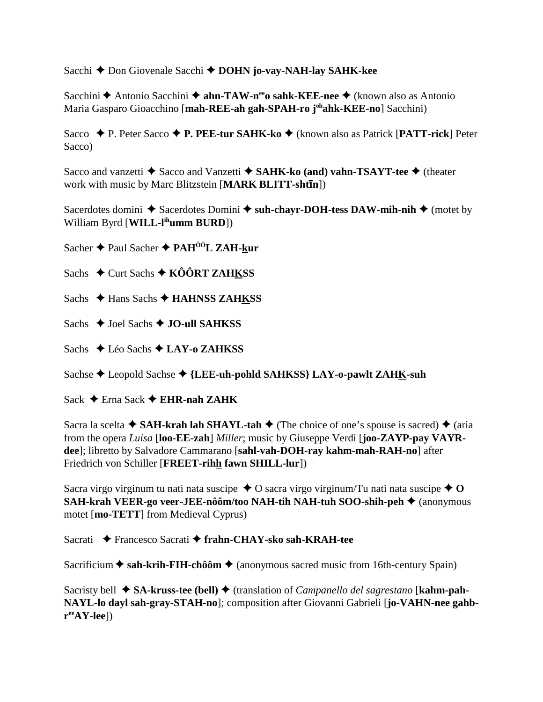Sacchi **←** Don Giovenale Sacchi ← DOHN jo-vay-NAH-lay SAHK-kee

Sacchini ◆ Antonio Sacchini ◆ ahn-TAW-n<sup>ee</sup>o sahk-KEE-nee ◆ (known also as Antonio Maria Gasparo Gioacchino [**mah-REE-ah gah-SPAH-ro johahk-KEE-no**] Sacchini)

Sacco ◆ P. Peter Sacco ◆ P. PEE-tur SAHK-ko ◆ (known also as Patrick [PATT-rick] Peter Sacco)

Sacco and vanzetti **◆** Sacco and Vanzetti ◆ SAHK-ko (and) vahn-TSAYT-tee ◆ (theater work with music by Marc Blitzstein [**MARK BLITT-shtn**])

Sacerdotes domini  $\triangle$  Sacerdotes Domini  $\triangle$  suh-chayr-DOH-tess DAW-mih-nih  $\triangle$  (motet by William Byrd [**WILL-lihumm BURD**])

Sacher **←** Paul Sacher ← PAH<sup>ôô</sup>L ZAH-kur

Sachs  $\div$  Curt Sachs  $\div$  KÔÔRT ZAHKSS

Sachs **← Hans Sachs ← HAHNSS ZAHKSS** 

Sachs **→ Joel Sachs → JO-ull SAHKSS** 

Sachs **← Léo Sachs ← LAY-o ZAHKSS** 

Sachse **←** Leopold Sachse ← {LEE-uh-pohld SAHKSS} LAY-o-pawlt ZAHK-suh

Sack **←** Erna Sack ← **EHR-nah ZAHK** 

Sacra la scelta  $\triangle$  **SAH-krah lah SHAYL-tah**  $\triangle$  (The choice of one's spouse is sacred)  $\triangle$  (aria from the opera *Luisa* [**loo-EE-zah**] *Miller*; music by Giuseppe Verdi [**joo-ZAYP-pay VAYRdee**]; libretto by Salvadore Cammarano [**sahl-vah-DOH-ray kahm-mah-RAH-no**] after Friedrich von Schiller [**FREET-rihh fawn SHILL-lur**])

Sacra virgo virginum tu nati nata suscipe  $\triangle$  O sacra virgo virginum/Tu nati nata suscipe  $\triangle$  O **SAH-krah VEER-go veer-JEE-nôôm/too NAH-tih NAH-tuh SOO-shih-peh ◆** (anonymous motet [**mo-TETT**] from Medieval Cyprus)

Sacrati **←** Francesco Sacrati ← frahn-CHAY-sko sah-KRAH-tee

Sacrificium **→ sah-krih-FIH-chôôm** → (anonymous sacred music from 16th-century Spain)

Sacristy bell **→ SA-kruss-tee (bell) ←** (translation of *Campanello del sagrestano* [**kahm-pah-NAYL-lo dayl sah-gray-STAH-no**]; composition after Giovanni Gabrieli [**jo-VAHN-nee gahbreeAY-lee**])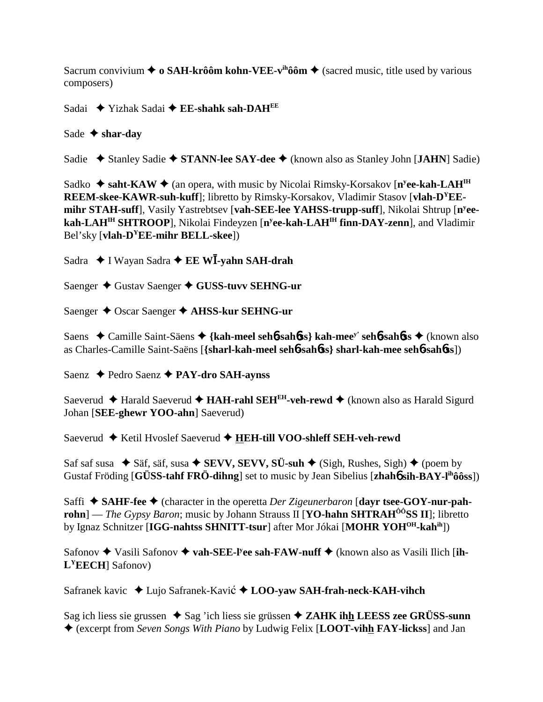Sacrum convivium  $\triangleq$  o SAH-krôôm kohn-VEE-v<sup>ih</sup>ôôm  $\triangleq$  (sacred music, title used by various composers)

Sadai Yizhak Sadai **EE-shahk sah-DAHEE**

Sade  $\triangle$  shar-day

Sadie ◆ Stanley Sadie ◆ STANN-lee SAY-dee ◆ (known also as Stanley John [JAHN] Sadie)

Sadko ◆ saht-KAW ◆ (an opera, with music by Nicolai Rimsky-Korsakov [n<sup>y</sup>ee-kah-LAH<sup>IH</sup> **REEM-skee-KAWR-suh-kuff**]; libretto by Rimsky-Korsakov, Vladimir Stasov [**vlah-DYEEmihr STAH-suff**], Vasily Yastrebtsev [**vah-SEE-lee YAHSS-trupp-suff**], Nikolai Shtrup [**ny eekah-LAHIH SHTROOP**], Nikolai Findeyzen [**ny ee-kah-LAHIH finn-DAY-zenn**], and Vladimir Bel'sky [**vlah-DYEE-mihr BELL-skee**])

Sadra ◆ I Wayan Sadra ◆ **EE W<sup>T</sup>-yahn SAH-drah** 

Saenger ◆ Gustav Saenger ◆ GUSS-tuvv SEHNG-ur

Saenger ◆ Oscar Saenger ◆ AHSS-kur SEHNG-ur

Saens Camille Saint-Säens **{kah-meel seh**6**-sah**6**ss} kah-meey' seh**6**-sah**6**ss** (known also as Charles-Camille Saint-Saëns [**{sharl-kah-meel seh**6**-sah**6**ss} sharl-kah-mee seh**6**-sah**6**ss**])

Saenz **← Pedro Saenz ← PAY-dro SAH-aynss** 

Saeverud **← Harald Saeverud ← HAH-rahl SEH<sup>EH</sup>-veh-rewd ←** (known also as Harald Sigurd Johan [**SEE-ghewr YOO-ahn**] Saeverud)

Saeverud ◆ Ketil Hvoslef Saeverud ◆ HEH-till VOO-shleff SEH-veh-rewd

Saf saf susa  $\blacklozenge$  Säf, säf, susa  $\blacklozenge$  **SEVV, SEVV, SÜ-suh**  $\blacklozenge$  (Sigh, Rushes, Sigh)  $\blacklozenge$  (poem by Gustaf Fröding [**GÜSS-tahf FRÖ-dihng**] set to music by Jean Sibelius [**zhah**6 **sih-BAY-lihôôss**])

Saffi **→ SAHF-fee →** (character in the operetta *Der Zigeunerbaron* [dayr tsee-GOY-nur-pah**rohn**] — *The Gypsy Baron*; music by Johann Strauss II [**YO-hahn SHTRAH<sup>ÔÔ</sup>SS II**]; libretto by Ignaz Schnitzer [**IGG-nahtss SHNITT-tsur**] after Mor Jókai [**MOHR YOHOH-kahih**])

Safonov  $\triangle$  Vasili Safonov  $\triangle$  vah-SEE-l<sup>y</sup>ee sah-FAW-nuff  $\triangle$  (known also as Vasili Ilich [ih-**LYEECH**] Safonov)

Safranek kavic ◆ Lujo Safranek-Kavić ◆ LOO-**vaw SAH-frah-neck-KAH-vihch** 

Sag ich liess sie grussen  $\triangle$  Sag 'ich liess sie grüssen  $\triangle$  **ZAHK ihh LEESS zee GRÜSS-sunn** (excerpt from *Seven Songs With Piano* by Ludwig Felix [**LOOT-vihh FAY-lickss**] and Jan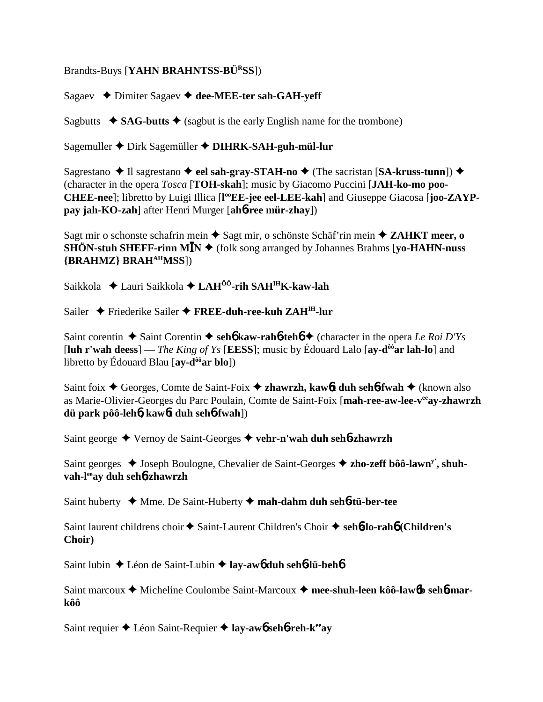Brandts-Buys [**YAHN BRAHNTSS-BÜRSS**])

Sagaev Dimiter Sagaev **dee-MEE-ter sah-GAH-yeff**

Sagbutts  $\triangleleft$  **SAG-butts**  $\triangleleft$  (sagbut is the early English name for the trombone)

Sagemuller Dirk Sagemüller **DIHRK-SAH-guh-mül-lur**

Sagrestano  $\triangle$  Il sagrestano  $\triangle$  eel sah-gray-STAH-no  $\triangle$  (The sacristan [SA-kruss-tunn])  $\triangle$ (character in the opera *Tosca* [**TOH-skah**]; music by Giacomo Puccini [**JAH-ko-mo poo-**CHEE-nee]; libretto by Luigi Illica [l<sup>oo</sup>EE-jee eel-LEE-kah] and Giuseppe Giacosa [joo-ZAYP**pay jah-KO-zah**] after Henri Murger [**ah**6**-ree mür-zhay**])

Sagt mir o schonste schafrin mein **→** Sagt mir, o schönste Schäf'rin mein ◆ **ZAHKT meer, o**  $\widetilde{\text{SHON-stuh SHEFF-rinn MIN}}$  (folk song arranged by Johannes Brahms [yo-HAHN-nuss **{BRAHMZ} BRAHAHMSS**])

Saikkola Lauri Saikkola **LAHÔÔ-rih SAHIHK-kaw-lah**

Sailer ◆ Friederike Sailer ◆ FREE-duh-ree-kuh ZAH<sup>IH</sup>-lur

Saint corentin  $\triangle$  Saint Corentin  $\triangle$  seh**6** kaw-rah**6**-teh**6**  $\triangle$  (character in the opera *Le Roi D'Ys* [**luh r'wah deess**] — *The King of Ys* [**EESS**]; music by Édouard Lalo [**ay-dôôar lah-lo**] and libretto by Édouard Blau [**ay-dôôar blo**])

Saint foix **←** Georges, Comte de Saint-Foix ← zhawrzh, kaw6**t duh seh6-fwah** ← (known also as Marie-Olivier-Georges du Parc Poulain, Comte de Saint-Foix [**mah-ree-aw-lee-veeay-zhawrzh dü park pôô-leh**6**, kaw**6**t duh seh**6**-fwah**])

Saint george Vernoy de Saint-Georges **vehr-n'wah duh seh**6**-zhawrzh**

Saint georges **→** Joseph Boulogne, Chevalier de Saint-Georges → zho-zeff bôô-lawn<sup>y</sup>, shuh**vah-leeay duh seh**6**-zhawrzh**

Saint huberty Mme. De Saint-Huberty **mah-dahm duh seh**6**-tü-ber-tee**

Saint laurent childrens choir  $\triangle$  Saint-Laurent Children's Choir  $\triangle$  seh**6-lo-rahb** (Children's **Choir)**

Saint lubin Léon de Saint-Lubin **lay-aw**6 **duh seh**6**-lü-beh**6

Saint marcoux ◆ Micheline Coulombe Saint-Marcoux ◆ mee-shuh-leen kôô-law6b seh6-mar**kôô**

Saint requier Léon Saint-Requier **lay-aw**6 **seh**6**-reh-keeay**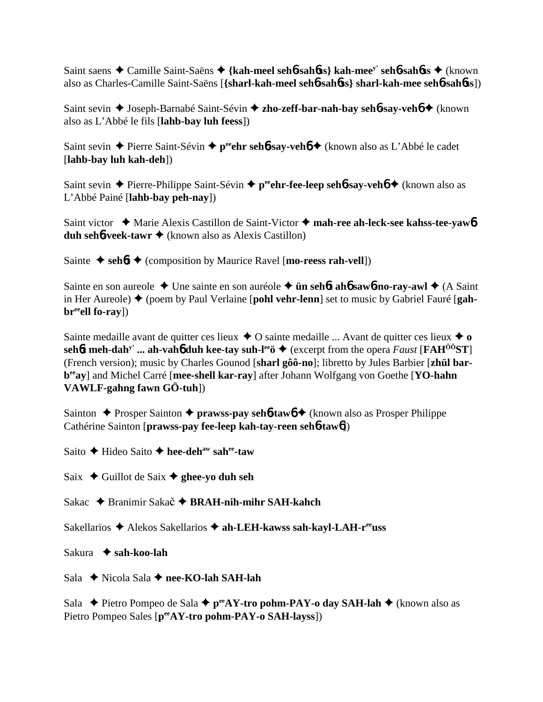Saint saens Camille Saint-Saëns **{kah-meel seh**6**-sah**6**ss} kah-meey' seh**6**-sah**6**ss** (known also as Charles-Camille Saint-Saëns [**{sharl-kah-meel seh**6**-sah**6**ss} sharl-kah-mee seh**6**-sah**6**ss**])

Saint sevin **→** Joseph-Barnabé Saint-Sévin **→ zho-zeff-bar-nah-bay seh6-say-veh6 →** (known also as L'Abbé le fils [**lahb-bay luh feess**])

Saint sevin **→** Pierre Saint-Sévin → p<sup>ee</sup>ehr sehb-say-vehb → (known also as L'Abbé le cadet [**lahb-bay luh kah-deh**])

Saint sevin **→** Pierre-Philippe Saint-Sévin → p<sup>ee</sup>ehr-fee-leep seh**6-say-veh6 →** (known also as L'Abbé Painé [**lahb-bay peh-nay**])

Saint victor ◆ Marie Alexis Castillon de Saint-Victor ◆ mah-ree ah-leck-see kahss-tee-yaw**6 duh seh<sup>6</sup>-veek-tawr ◆** (known also as Alexis Castillon)

Sainte  $\triangle$  seh**6t**  $\triangle$  (composition by Maurice Ravel [**mo-reess rah-vell**])

Sainte en son aureole Une sainte en son auréole **ün seh**6**t ah**6 **saw**6**-no-ray-awl** (A Saint in Her Aureole) (poem by Paul Verlaine [**pohl vehr-lenn**] set to music by Gabriel Fauré [**gahbr**<sup>ee</sup>ell fo-ray])

Sainte medaille avant de quitter ces lieux  $\triangle$  O sainte medaille ... Avant de quitter ces lieux  $\triangle$  o  $\text{seh\'ot}$  meh-dah<sup>y</sup> ... ah-vah<sub>0</sub><sup>6</sup> duh kee-tay suh-l<sup>ee</sup>ö  $\blacklozenge$  (excerpt from the opera *Faust* [**FAH**<sup>00</sup>**ST**] (French version); music by Charles Gounod [**sharl gôô-no**]; libretto by Jules Barbier [**zhül barbeeay**] and Michel Carré [**mee-shell kar-ray**] after Johann Wolfgang von Goethe [**YO-hahn VAWLF-gahng fawn GÖ-tuh**])

Sainton **←** Prosper Sainton ← **prawss-pay seh6-taw6** ← (known also as Prosper Philippe Cathérine Sainton [**prawss-pay fee-leep kah-tay-reen seh**6**-taw**6])

Saito **→** Hideo Saito **→ hee-deh<sup>aw</sup> sah<sup>ee</sup>-taw** 

Saix  $\triangle$  Guillot de Saix  $\triangle$  ghee-yo duh seh

Sakac ◆ Branimir Sakač ◆ BRAH-nih-mihr SAH-kahch

Sakellarios Alekos Sakellarios **ah-LEH-kawss sah-kayl-LAH-reeuss**

Sakura **sah-koo-lah**

Sala **→** Nicola Sala → nee-KO-lah SAH-lah

Sala  **→** Pietro Pompeo de Sala → p<sup>ee</sup>AY-tro pohm-PAY-o day SAH-lah → (known also as Pietro Pompeo Sales [p<sup>ee</sup>AY-tro pohm-PAY-o SAH-layss])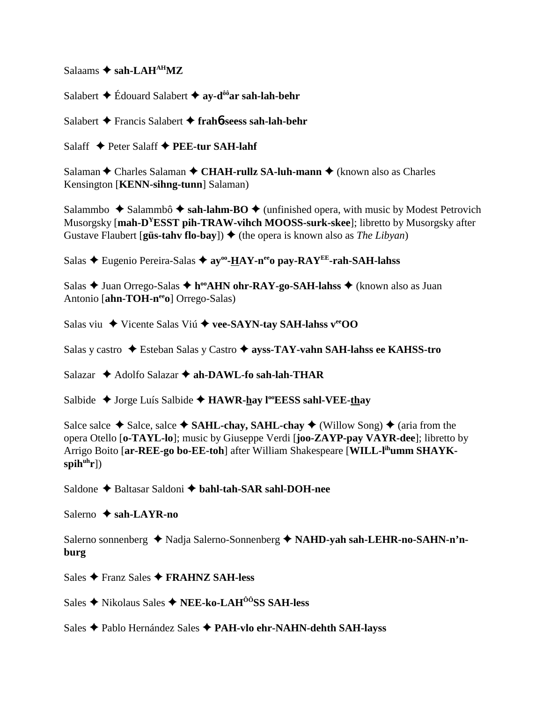$Salaams \triangleq sah-LAH<sup>AH</sup>MZ$ 

Salabert **→** Édouard Salabert **→ av-d<sup>ôô</sup>ar sah-lah-behr** 

Salabert Francis Salabert **frah**6**-seess sah-lah-behr**

Salaff **↓** Peter Salaff **◆ PEE-tur SAH-lahf** 

Salaman **←** Charles Salaman ← CHAH-rullz SA-luh-mann ← (known also as Charles Kensington [**KENN-sihng-tunn**] Salaman)

Salammbo  $\triangle$  Salammbô  $\triangle$  sah-lahm-BO  $\triangle$  (unfinished opera, with music by Modest Petrovich Musorgsky [**mah-DYESST pih-TRAW-vihch MOOSS-surk-skee**]; libretto by Musorgsky after Gustave Flaubert [**güs-tahv flo-bay**])  $\triangle$  (the opera is known also as *The Libyan*)

Salas **→** Eugenio Pereira-Salas →  $av<sup>oo</sup> - HAY-n<sup>ee</sup>o$  pay-RAY<sup>EE</sup>-rah-SAH-lahss

Salas **→** Juan Orrego-Salas ◆ h<sup>oo</sup>AHN ohr-RAY-go-SAH-lahss ◆ (known also as Juan Antonio [ahn-TOH-ne<sup>e</sup>o] Orrego-Salas)

Salas viu **→** Vicente Salas Viú ◆ vee-SAYN-tay SAH-lahss v<sup>ee</sup>OO

Salas y castro Esteban Salas y Castro **ayss-TAY-vahn SAH-lahss ee KAHSS-tro**

Salazar **→** Adolfo Salazar → ah-DAWL-fo sah-lah-THAR

Salbide **→** Jorge Luís Salbide → **HAWR-hay l<sup>oo</sup>EESS sahl-VEE-thay** 

Salce salce  $\triangle$  Salce, salce  $\triangle$  **SAHL-chay, SAHL-chay**  $\triangle$  (Willow Song)  $\triangle$  (aria from the opera Otello [**o-TAYL-lo**]; music by Giuseppe Verdi [**joo-ZAYP-pay VAYR-dee**]; libretto by Arrigo Boito [**ar-REE-go bo-EE-toh**] after William Shakespeare [**WILL-lihumm SHAYK**spih<sup>uh</sup>r])

Saldone ◆ Baltasar Saldoni ◆ bahl-tah-SAR sahl-DOH-nee

Salerno **← sah-LAYR-no** 

Salerno sonnenberg ◆ Nadja Salerno-Sonnenberg ◆ NAHD-yah sah-LEHR-no-SAHN-n'n**burg**

Sales Franz Sales **FRAHNZ SAH-less**

Sales **→** Nikolaus Sales ◆ NEE-ko-LAH<sup>ôô</sup>SS SAH-less

Sales Pablo Hernández Sales **PAH-vlo ehr-NAHN-dehth SAH-layss**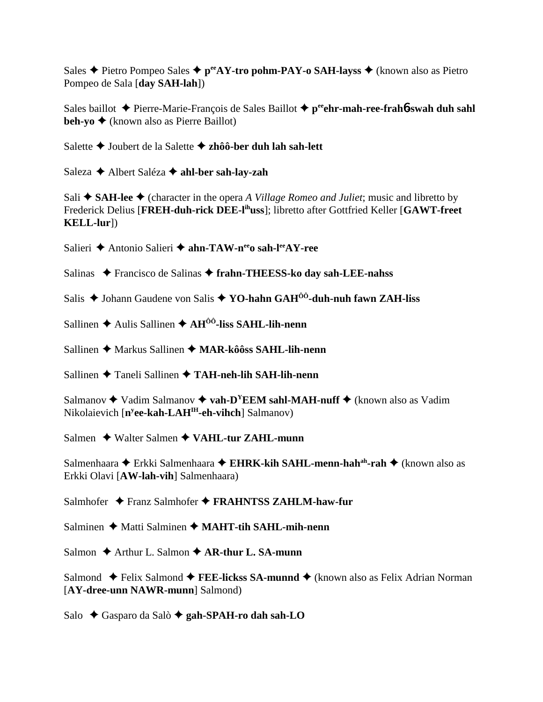Sales **←** Pietro Pompeo Sales ← p<sup>ee</sup>AY-tro pohm-PAY-o SAH-layss ← (known also as Pietro Pompeo de Sala [**day SAH-lah**])

Sales baillot **←** Pierre-Marie-François de Sales Baillot ← p<sup>ee</sup>ehr-mah-ree-frah**6**-swah duh sahl **beh-yo ♦** (known also as Pierre Baillot)

Salette Joubert de la Salette **zhôô-ber duh lah sah-lett**

Saleza Albert Saléza **ahl-ber sah-lay-zah**

Sali  $\triangle$  **SAH-lee**  $\triangle$  (character in the opera *A Village Romeo and Juliet*; music and libretto by Frederick Delius [**FREH-duh-rick DEE-lihuss**]; libretto after Gottfried Keller [**GAWT-freet KELL-lur**])

Salieri **←** Antonio Salieri ← ahn-TAW-n<sup>ee</sup>o sah-l<sup>ee</sup>AY-ree

Salinas ◆ Francisco de Salinas ◆ frahn-THEESS-ko day sah-LEE-nahss

- Salis **→** Johann Gaudene von Salis → YO-hahn GAH<sup>ôô</sup>-duh-nuh fawn ZAH-liss
- Sallinen **→** Aulis Sallinen **→ AH<sup>ôô</sup>-liss SAHL-lih-nenn**

Sallinen **←** Markus Sallinen ← MAR-kôôss SAHL-lih-nenn

Sallinen Taneli Sallinen **TAH-neh-lih SAH-lih-nenn**

Salmanov  $\triangle$  Vadim Salmanov  $\triangle$  vah-D<sup>Y</sup>EEM sahl-MAH-nuff  $\triangle$  (known also as Vadim Nikolaievich [**ny ee-kah-LAHIH-eh-vihch**] Salmanov)

Salmen **→** Walter Salmen ◆ VAHL-tur ZAHL-munn

Salmenhaara ◆ Erkki Salmenhaara ◆ EHRK-kih SAHL-menn-hah<sup>ah</sup>-rah ◆ (known also as Erkki Olavi [**AW-lah-vih**] Salmenhaara)

Salmhofer ◆ Franz Salmhofer ◆ FRAHNTSS ZAHLM-haw-fur

Salminen **→** Matti Salminen → MAHT-tih SAHL-mih-nenn

Salmon  $\triangle$  Arthur L. Salmon  $\triangle$  AR-thur L. SA-munn

Salmond ◆ Felix Salmond ◆ **FEE-lickss SA-munnd** ◆ (known also as Felix Adrian Norman [**AY-dree-unn NAWR-munn**] Salmond)

Salo **→** Gasparo da Salò → gah-SPAH-ro dah sah-LO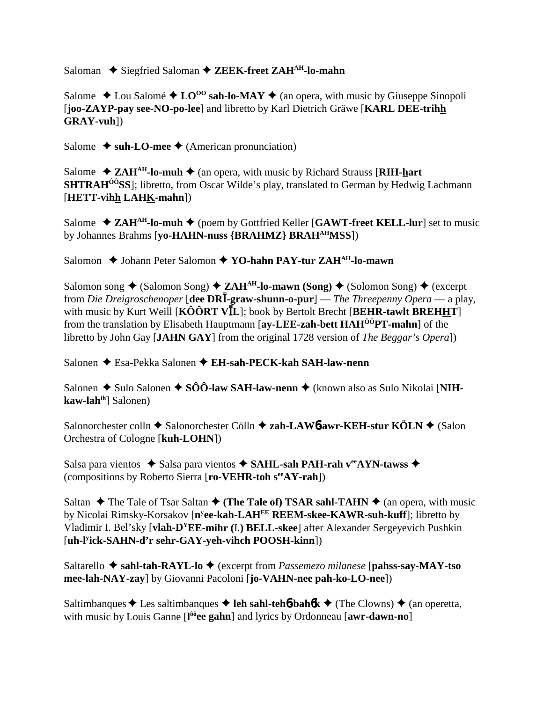Saloman ◆ Siegfried Saloman ◆ ZEEK-freet ZAH<sup>AH</sup>-lo-mahn

Salome  $\triangle$  Lou Salomé  $\triangle$  LO<sup>oo</sup> sah-lo-MAY  $\triangle$  (an opera, with music by Giuseppe Sinopoli [**joo-ZAYP-pay see-NO-po-lee**] and libretto by Karl Dietrich Gräwe [**KARL DEE-trihh GRAY-vuh**])

Salome  $\triangle$  suh-LO-mee  $\triangle$  (American pronunciation)

Salome  $\triangle$  **ZAH<sup>AH</sup>-lo-muh**  $\triangle$  (an opera, with music by Richard Strauss [**RIH-hart SHTRAH<sup>ôô</sup>SS**]; libretto, from Oscar Wilde's play, translated to German by Hedwig Lachmann [**HETT-vihh LAHK-mahn**])

Salome  $\triangle$  **ZAH<sup>AH</sup>-lo-muh**  $\triangle$  (poem by Gottfried Keller [GAWT-freet KELL-lur] set to music by Johannes Brahms [**yo-HAHN-nuss {BRAHMZ} BRAHAHMSS**])

Salomon **→** Johann Peter Salomon ◆ YO-hahn PAY-tur ZAH<sup>AH</sup>-lo-mawn

Salomon song  $\triangle$  (Salomon Song)  $\triangle$  **ZAH<sup>AH</sup>-lo-mawn (Song)**  $\triangle$  (Solomon Song)  $\triangle$  (excerpt from *Die Dreigroschenoper* [**dee DR**-**-graw-shunn-o-pur**] — *The Threepenny Opera* — a play, with music by Kurt Weill [KÔÔRT VIL]; book by Bertolt Brecht [BEHR-tawlt BREHHT] from the translation by Elisabeth Hauptmann [**ay-LEE-zah-bett HAHÔÔPT-mahn**] of the libretto by John Gay [**JAHN GAY**] from the original 1728 version of *The Beggar's Opera*])

Salonen Esa-Pekka Salonen **EH-sah-PECK-kah SAH-law-nenn**

Salonen ◆ Sulo Salonen ◆ SÔÔ-law SAH-law-nenn ◆ (known also as Sulo Nikolai [NIH**kaw-lahih**] Salonen)

Salonorchester colln **→** Salonorchester Cölln **→ zah-LAW6-awr-KEH-stur KÖLN →** (Salon Orchestra of Cologne [**kuh-LOHN**])

Salsa para vientos ◆ Salsa para vientos ◆ SAHL-sah PAH-rah veeAYN-tawss ◆ (compositions by Roberto Sierra [**ro-VEHR-toh seeAY-rah**])

Saltan  $\triangle$  The Tale of Tsar Saltan  $\triangle$  (The Tale of) TSAR sahl-TAHN  $\triangle$  (an opera, with music by Nicolai Rimsky-Korsakov [**ny ee-kah-LAHEE REEM-skee-KAWR-suh-kuff**]; libretto by Vladimir I. Bel'sky [**vlah-DYEE-mihr (**I.**) BELL-skee**] after Alexander Sergeyevich Pushkin [**uh-ly ick-SAHN-d'r sehr-GAY-yeh-vihch POOSH-kinn**])

Saltarello **sahl-tah-RAYL-lo** (excerpt from *Passemezo milanese* [**pahss-say-MAY-tso mee-lah-NAY-zay**] by Giovanni Pacoloni [**jo-VAHN-nee pah-ko-LO-nee**])

Saltimbanques  $\triangle$  Les saltimbanques  $\triangle$  leh sahl-teh**6**-bah**6** $k \triangle$  (The Clowns)  $\triangle$  (an operetta, with music by Louis Ganne [**l ôôee gahn**] and lyrics by Ordonneau [**awr-dawn-no**]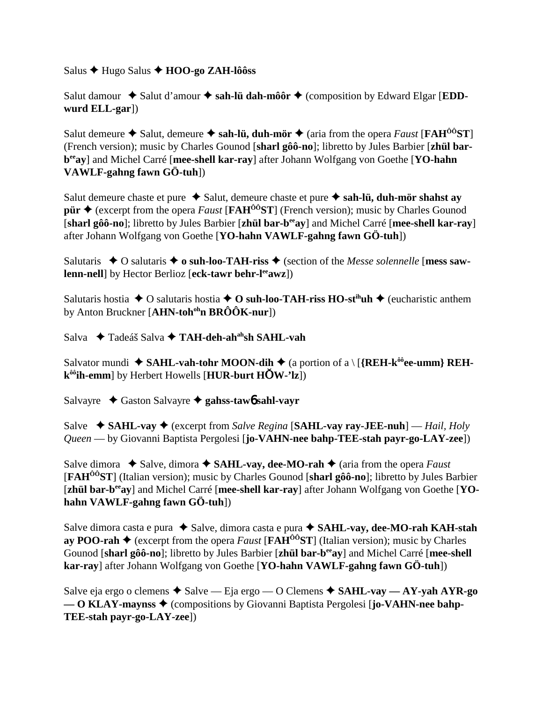Salus Hugo Salus **HOO-go ZAH-lôôss**

Salut damour  $\triangle$  Salut d'amour  $\triangle$  sah-lü dah-môôr  $\triangle$  (composition by Edward Elgar [**EDDwurd ELL-gar**])

Salut demeure  $\triangle$  Salut, demeure  $\triangle$  sah-lü, duh-mör  $\triangle$  (aria from the opera *Faust* [**FAH<sup>00</sup>ST**] (French version); music by Charles Gounod [**sharl gôô-no**]; libretto by Jules Barbier [**zhül barbeeay**] and Michel Carré [**mee-shell kar-ray**] after Johann Wolfgang von Goethe [**YO-hahn VAWLF-gahng fawn GÖ-tuh**])

Salut demeure chaste et pure  $\triangle$  Salut, demeure chaste et pure  $\triangle$  sah-lü, duh-mör shahst ay **pür**  $\triangle$  (excerpt from the opera *Faust* [**FAH<sup>ôô</sup>ST**] (French version); music by Charles Gounod [**sharl gôô-no**]; libretto by Jules Barbier [**zhül bar-beeay**] and Michel Carré [**mee-shell kar-ray**] after Johann Wolfgang von Goethe [**YO-hahn VAWLF-gahng fawn GÖ-tuh**])

Salutaris  $\triangle$  O salutaris  $\triangle$  o suh-loo-TAH-riss  $\triangle$  (section of the *Messe solennelle* [mess saw**lenn-nell** by Hector Berlioz [eck-tawr behr-l<sup>ee</sup>awz])

Salutaris hostia  $\triangle$  O salutaris hostia  $\triangle$  O suh-loo-TAH-riss HO-st<sup>ih</sup>uh  $\triangle$  (eucharistic anthem by Anton Bruckner [**AHN-toh<sup>oh</sup>n BRÔÔK-nur**])

Salva **→ Tadeáš Salva → TAH-deh-ah<sup>ah</sup>sh SAHL-vah** 

Salvator mundi  $\triangle$  **SAHL-vah-tohr MOON-dih**  $\triangle$  (a portion of a \ [{REH-k<sup>ôô</sup>ee-umm} REH**kôôih-emm**] by Herbert Howells [**HUR-burt HW-'lz**])

Salvayre Gaston Salvayre **gahss-taw**6 **sahl-vayr**

Salve  $\rightarrow$  **SAHL-vay**  $\rightarrow$  (excerpt from *Salve Regina* [**SAHL-vay ray-JEE-nuh**] — *Hail, Holy Queen* — by Giovanni Baptista Pergolesi [**jo-VAHN-nee bahp-TEE-stah payr-go-LAY-zee**])

Salve dimora  $\triangle$  Salve, dimora  $\triangle$  SAHL-vay, dee-MO-rah  $\triangle$  (aria from the opera *Faust* [**FAHÔÔST**] (Italian version); music by Charles Gounod [**sharl gôô-no**]; libretto by Jules Barbier [zhül bar-b<sup>ee</sup>ay] and Michel Carré [mee-shell kar-ray] after Johann Wolfgang von Goethe [YO**hahn VAWLF-gahng fawn GÖ-tuh**])

Salve dimora casta e pura ◆ Salve, dimora casta e pura ◆ SAHL-vay, dee-MO-rah KAH-stah **ay POO-rah**  $\blacklozenge$  (excerpt from the opera *Faust* [**FAH**<sup>00</sup>**ST**] (Italian version); music by Charles Gounod [**sharl gôô-no**]; libretto by Jules Barbier [**zhül bar-beeay**] and Michel Carré [**mee-shell kar-ray**] after Johann Wolfgang von Goethe [**YO-hahn VAWLF-gahng fawn GÖ-tuh**])

Salve eja ergo o clemens  $\triangle$  Salve — Eja ergo — O Clemens  $\triangle$  SAHL-vay — AY-yah AYR-go **— O KLAY-maynss ♦** (compositions by Giovanni Baptista Pergolesi [**jo-VAHN-nee bahp-TEE-stah payr-go-LAY-zee**])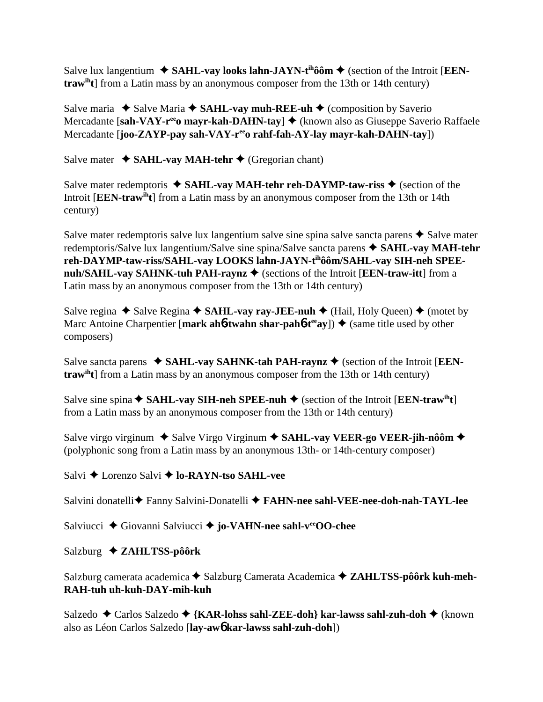Salve lux langentium  $\blacklozenge$  **SAHL-vay looks lahn-JAYN-t<sup>ih</sup>ôôm**  $\blacklozenge$  (section of the Introit [**EENtrawiht**] from a Latin mass by an anonymous composer from the 13th or 14th century)

Salve maria  $\triangle$  Salve Maria  $\triangle$  **SAHL-vay** muh-REE-uh  $\triangle$  (composition by Saverio Mercadante [sah-VAY-r<sup>ee</sup>o mayr-kah-DAHN-tay] ♦ (known also as Giuseppe Saverio Raffaele Mercadante [**joo-ZAYP-pay sah-VAY-reeo rahf-fah-AY-lay mayr-kah-DAHN-tay**])

Salve mater  $\triangle$  **SAHL-vay MAH-tehr**  $\triangle$  (Gregorian chant)

Salve mater redemptoris  $\triangle$  **SAHL-vay MAH-tehr reh-DAYMP-taw-riss**  $\triangle$  (section of the Introit [**EEN-trawiht**] from a Latin mass by an anonymous composer from the 13th or 14th century)

Salve mater redemptoris salve lux langentium salve sine spina salve sancta parens  $\triangle$  Salve mater redemptoris/Salve lux langentium/Salve sine spina/Salve sancta parens **SAHL-vay MAH-tehr reh-DAYMP-taw-riss/SAHL-vay LOOKS lahn-JAYN-tihôôm/SAHL-vay SIH-neh SPEEnuh/SAHL-vay SAHNK-tuh PAH-raynz ♦** (sections of the Introit [**EEN-traw-itt**] from a Latin mass by an anonymous composer from the 13th or 14th century)

Salve regina  $\triangle$  Salve Regina  $\triangle$  SAHL-vay ray-JEE-nuh  $\triangle$  (Hail, Holy Queen)  $\triangle$  (motet by Marc Antoine Charpentier [mark ah**6-twahn shar-pah6-t<sup>ee</sup>ay**])  $\triangleq$  (same title used by other composers)

Salve sancta parens  $\triangle$  **SAHL-vay SAHNK-tah PAH-raynz**  $\triangle$  (section of the Introit [**EENtrawiht**] from a Latin mass by an anonymous composer from the 13th or 14th century)

Salve sine spina  $\triangle$  **SAHL-vay SIH-neh SPEE-nuh**  $\triangle$  (section of the Introit [**EEN-traw**<sup>th</sup>**t**] from a Latin mass by an anonymous composer from the 13th or 14th century)

Salve virgo virginum  $\triangle$  Salve Virgo Virginum  $\triangle$  SAHL-vay VEER-go VEER-jih-nôôm  $\triangle$ (polyphonic song from a Latin mass by an anonymous 13th- or 14th-century composer)

Salvi **→** Lorenzo Salvi **→ lo-RAYN-tso SAHL-vee** 

Salvini donatelli Fanny Salvini-Donatelli **FAHN-nee sahl-VEE-nee-doh-nah-TAYL-lee**

Salviucci **↓** Giovanni Salviucci **→ jo-VAHN-nee sahl-v<sup>ee</sup>OO-chee** 

Salzburg **ZAHLTSS-pôôrk**

Salzburg camerata academica ◆ Salzburg Camerata Academica ◆ ZAHLTSS-pôôrk kuh-meh-**RAH-tuh uh-kuh-DAY-mih-kuh**

Salzedo Carlos Salzedo **{KAR-lohss sahl-ZEE-doh} kar-lawss sahl-zuh-doh** (known also as Léon Carlos Salzedo [**lay-aw**6 **kar-lawss sahl-zuh-doh**])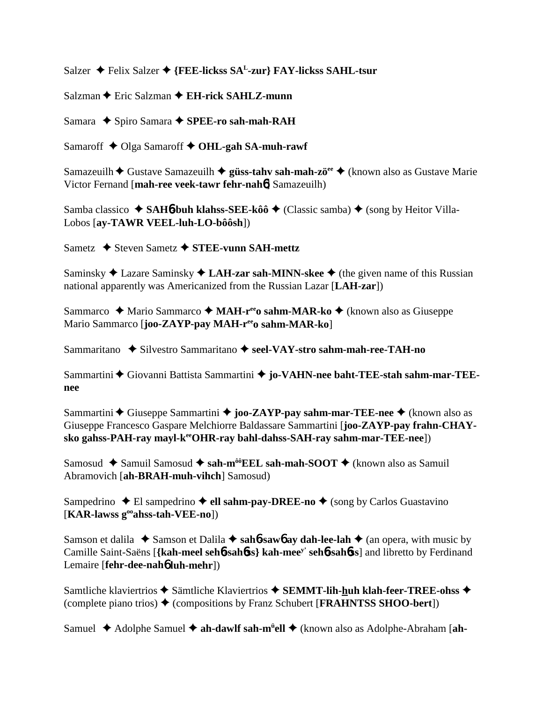Salzer **→** Felix Salzer **→** {FEE-lickss SA<sup>L</sup>-zur} FAY-lickss SAHL-tsur

Salzman **←** Eric Salzman ← **EH-rick SAHLZ-munn** 

Samara ◆ Spiro Samara ◆ SPEE-ro sah-mah-RAH

Samaroff **↓** Olga Samaroff **✦ OHL-gah SA-muh-rawf** 

Samazeuilh **→** Gustave Samazeuilh **→ güss-tahv sah-mah-zö<sup>ee</sup> →** (known also as Gustave Marie Victor Fernand [**mah-ree veek-tawr fehr-nah**6] Samazeuilh)

Samba classico **→ SAH<sub>0</sub><sup>-</sup>buh klahss-SEE-kôô** → (Classic samba) → (song by Heitor Villa-Lobos [**ay-TAWR VEEL-luh-LO-bôôsh**])

Sametz **→** Steven Sametz → STEE-vunn SAH-mettz

Saminsky **→** Lazare Saminsky → LAH-zar sah-MINN-skee → (the given name of this Russian national apparently was Americanized from the Russian Lazar [**LAH-zar**])

Sammarco **→** Mario Sammarco → MAH-r<sup>ee</sup>o sahm-MAR-ko → (known also as Giuseppe Mario Sammarco [**joo-ZAYP-pay MAH-r<sup>ee</sup>o sahm-MAR-ko**]

Sammaritano **→** Silvestro Sammaritano ◆ seel-VAY-stro sahm-mah-ree-TAH-no

Sammartini ◆ Giovanni Battista Sammartini ◆ jo-VAHN-nee baht-TEE-stah sahm-mar-TEE**nee**

Sammartini **←** Giuseppe Sammartini ← joo-ZAYP-pay sahm-mar-TEE-nee ← (known also as Giuseppe Francesco Gaspare Melchiorre Baldassare Sammartini [**joo-ZAYP-pay frahn-CHAY**sko gahss-PAH-ray mayl-k<sup>ee</sup>OHR-ray bahl-dahss-SAH-ray sahm-mar-TEE-nee])

Samosud ◆ Samuil Samosud ◆ sah-m<sup>ôô</sup>EEL sah-mah-SOOT ◆ (known also as Samuil Abramovich [**ah-BRAH-muh-vihch**] Samosud)

Sampedrino ◆ El sampedrino ◆ ell sahm-pay-DREE-no ◆ (song by Carlos Guastavino [**KAR-lawss gooahss-tah-VEE-no**])

Samson et dalila  $\triangle$  Samson et Dalila  $\triangle$  sah**6**-saw**6** ay dah-lee-lah  $\triangle$  (an opera, with music by Camille Saint-Saëns [**{kah-meel seh**6**-sah**6**ss} kah-meey' seh**6**-sah**6**ss**] and libretto by Ferdinand Lemaire [**fehr-dee-nah**6 **luh-mehr**])

Samtliche klaviertrios **→** Sämtliche Klaviertrios → SEMMT-lih-huh klah-feer-TREE-ohss → (complete piano trios)  $\triangle$  (compositions by Franz Schubert [**FRAHNTSS SHOO-bert**])

Samuel ◆ Adolphe Samuel ◆ ah-dawlf sah-m<sup>ü</sup>ell ◆ (known also as Adolphe-Abraham [ah-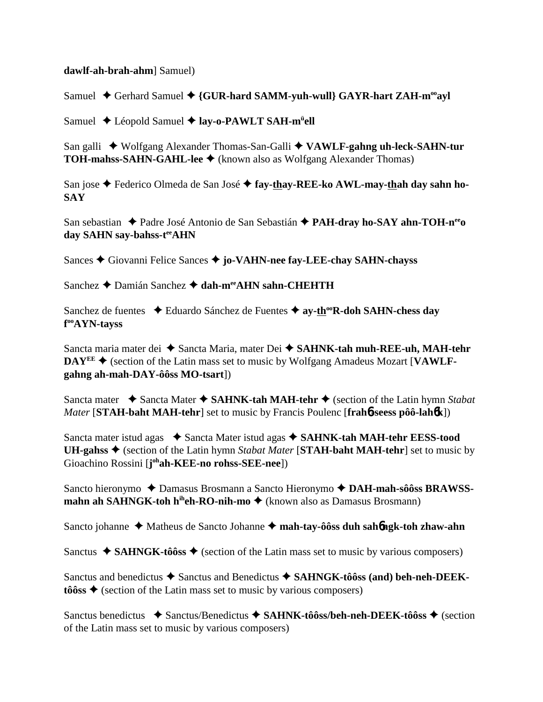## **dawlf-ah-brah-ahm**] Samuel)

Samuel ◆ Gerhard Samuel ◆ {GUR-hard SAMM-yuh-wull} GAYR-hart ZAH-m<sup>oo</sup>ayl

Samuel ◆ Léopold Samuel ◆ lay-o-PAWLT SAH-m<sup>ü</sup>ell

San galli ◆ Wolfgang Alexander Thomas-San-Galli ◆ VAWLF-gahng uh-leck-SAHN-tur **TOH-mahss-SAHN-GAHL-lee ♦** (known also as Wolfgang Alexander Thomas)

San jose ◆ Federico Olmeda de San José ◆ fay-thay-REE-ko AWL-may-thah day sahn ho-**SAY**

San sebastian ◆ Padre José Antonio de San Sebastián ◆ PAH-dray ho-SAY ahn-TOH-n<sup>ee</sup>o day SAHN say-bahss-tee<sub>AHN</sub>

Sances Giovanni Felice Sances **jo-VAHN-nee fay-LEE-chay SAHN-chayss**

Sanchez **←** Damián Sanchez ← dah-m<sup>ee</sup>AHN sahn-CHEHTH

Sanchez de fuentes **→** Eduardo Sánchez de Fuentes → ay-th<sup>oo</sup>R-doh SAHN-chess day **f ooAYN-tayss**

Sancta maria mater dei ◆ Sancta Maria, mater Dei ◆ SAHNK-tah muh-REE-uh, MAH-tehr DAY<sup>EE</sup> ♦ (section of the Latin mass set to music by Wolfgang Amadeus Mozart [VAWLF**gahng ah-mah-DAY-ôôss MO-tsart**])

Sancta mater **→** Sancta Mater ◆ SAHNK-tah MAH-tehr ◆ (section of the Latin hymn *Stabat Mater* [**STAH-baht MAH-tehr**] set to music by Francis Poulenc [**frah**6**-seess pôô-lah**6**k**])

Sancta mater istud agas ◆ Sancta Mater istud agas ◆ SAHNK-tah MAH-tehr EESS-tood **UH-gahss** (section of the Latin hymn *Stabat Mater* [**STAH-baht MAH-tehr**] set to music by Gioachino Rossini [**j**<sup>oh</sup>**ah-KEE-no rohss-SEE-nee**])

Sancto hieronymo ◆ Damasus Brosmann a Sancto Hieronymo ◆ DAH-mah-sôôss BRAWSS**mahn ah SAHNGK-toh h<sup>ih</sup>eh-RO-nih-mo ♦** (known also as Damasus Brosmann)

Sancto johanne ◆ Matheus de Sancto Johanne ◆ mah-tay-ôôss duh sah**6ngk-toh zhaw-ahn** 

Sanctus  $\triangle$  **SAHNGK-tôôss**  $\triangle$  (section of the Latin mass set to music by various composers)

Sanctus and benedictus ◆ Sanctus and Benedictus ◆ SAHNGK-tôôss (and) beh-neh-DEEK $t\hat{o}$ **ss**  $\triangleleft$  (section of the Latin mass set to music by various composers)

Sanctus benedictus **→** Sanctus/Benedictus → SAHNK-tôôss/beh-neh-DEEK-tôôss → (section of the Latin mass set to music by various composers)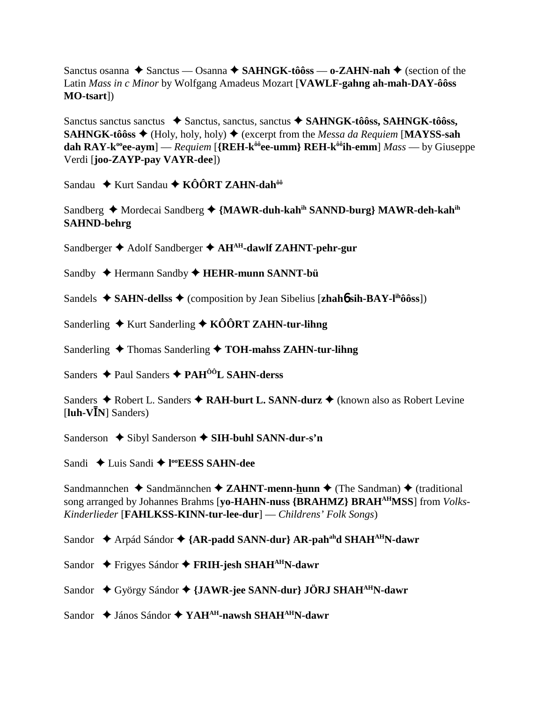Sanctus osanna ◆ Sanctus — Osanna ◆ SAHNGK-tôôss — o-ZAHN-nah ◆ (section of the Latin *Mass in c Minor* by Wolfgang Amadeus Mozart [VAWLF-gahng ah-mah-DAY-ôôss **MO-tsart**])

Sanctus sanctus sanctus → Sanctus, sanctus, sanctus → SAHNGK-tôôss, SAHNGK-tôôss, **SAHNGK-tôôss**  $\blacklozenge$  (Holy, holy, holy)  $\blacklozenge$  (excerpt from the *Messa da Requiem* [**MAYSS-sah**] **dah RAY-k<sup>oo</sup>ee-aym**] — Requiem [{REH-k<sup> $\hat{\theta}^0$ </sup>ee-umm} REH-k $\hat{\theta}^0$ <sup>th</sup>-emm] Mass — by Giuseppe Verdi [joo-ZAYP-pay VAYR-dee])

Sandau ◆ Kurt Sandau ◆ KÔÔRT ZAHN-dah<sup>ôô</sup>

Sandberg ◆ Mordecai Sandberg ◆ {MAWR-duh-kah<sup>ih</sup> SANND-burg} MAWR-deh-kah<sup>ih</sup> **SAHND-behrg** 

Sandberger ◆ Adolf Sandberger ◆ AH<sup>AH</sup>-dawlf ZAHNT-pehr-gur

Sandby ← Hermann Sandby ← HEHR-munn SANNT-bü

Sandels ◆ SAHN-dellss ◆ (composition by Jean Sibelius [zhaho sih-BAY-l<sup>ih</sup>ôôss])

Sanderling  $\bigstar$  Kurt Sanderling  $\bigstar$  KÔÔRT ZAHN-tur-lihng

Sanderling  $\triangle$  Thomas Sanderling  $\triangle$  TOH-mahss ZAHN-tur-lihng

Sanders ◆ Paul Sanders ◆ PAH<sup>ÔÔ</sup>L SAHN-derss

Sanders ◆ Robert L. Sanders ◆ RAH-burt L. SANN-durz ◆ (known also as Robert Levine [ $luh-V\bar{I}N$ ] Sanders)

Sanderson  $\bigstar$  Sibyl Sanderson  $\bigstar$  SIH-buhl SANN-dur-s'n

Sandi  $\triangle$  Luis Sandi  $\triangle$  l<sup>oo</sup>EESS SAHN-dee

Sandmannchen ◆ Sandmännchen ◆ ZAHNT-menn-hunn ◆ (The Sandman) ◆ (traditional song arranged by Johannes Brahms [yo-HAHN-nuss {BRAHMZ} BRAH<sup>AH</sup>MSS] from *Volks*-Kinderlieder [FAHLKSS-KINN-tur-lee-dur] — Childrens' Folk Songs)

Sandor ◆ Arpád Sándor ◆ {AR-padd SANN-dur} AR-pah<sup>ah</sup>d SHAH<sup>AH</sup>N-dawr

- Sandor ← Frigyes Sándor ← FRIH-jesh SHAH<sup>AH</sup>N-dawr
- Sandor ◆ György Sándor ◆ {JAWR-jee SANN-dur} JÖRJ SHAH<sup>AH</sup>N-dawr

Sandor ◆ János Sándor ◆ YAH<sup>AH</sup>-nawsh SHAH<sup>AH</sup>N-dawr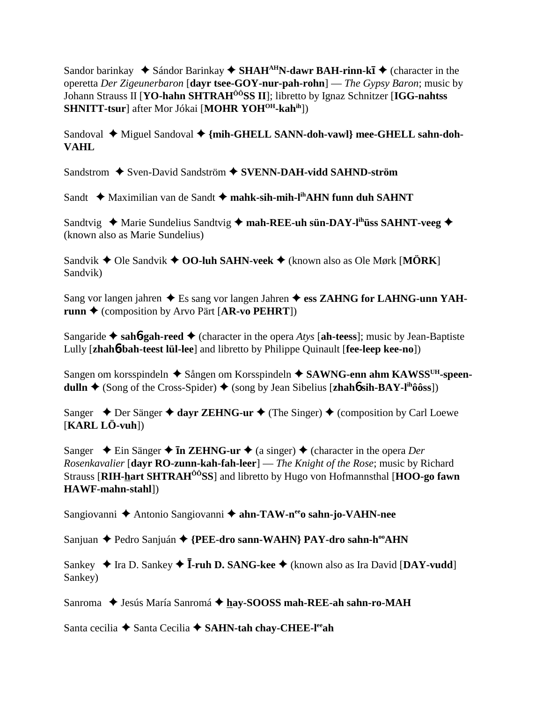Sandor barinkay  $\blacklozenge$  Sándor Barinkay  $\blacklozenge$  SHAH<sup>AH</sup>N-dawr BAH-rinn-kī  $\blacklozenge$  (character in the operetta *Der Zigeunerbaron* [**dayr tsee-GOY-nur-pah-rohn**] — *The Gypsy Baron*; music by Johann Strauss II [**YO-hahn SHTRAHÔÔSS II**]; libretto by Ignaz Schnitzer [**IGG-nahtss SHNITT-tsur**] after Mor Jókai [MOHR YOH<sup>OH</sup>-kahih])

Sandoval ◆ Miguel Sandoval ◆ {mih-GHELL SANN-doh-vawl} mee-GHELL sahn-doh-**VAHL**

Sandstrom **→** Sven-David Sandström → **SVENN-DAH-vidd SAHND-ström** 

Sandt **→** Maximilian van de Sandt → mahk-sih-mih-l<sup>ih</sup>AHN funn duh SAHNT

Sandtvig ◆ Marie Sundelius Sandtvig ◆ mah-REE-uh sün-DAY-l<sup>ih</sup>üss SAHNT-veeg ◆ (known also as Marie Sundelius)

Sandvik ◆ Ole Sandvik ◆ OO-luh SAHN-veek ◆ (known also as Ole Mørk [MÖRK] Sandvik)

Sang vor langen jahren ◆ Es sang vor langen Jahren ◆ ess ZAHNG for LAHNG-unn YAH**runn ♦** (composition by Arvo Pärt [**AR-vo PEHRT**])

Sangaride  $\triangle$  sah**6**-gah-reed  $\triangle$  (character in the opera *Atys* [ah-teess]; music by Jean-Baptiste Lully [**zhah**6**-bah-teest lül-lee**] and libretto by Philippe Quinault [**fee-leep kee-no**])

Sangen om korsspindeln ◆ Sången om Korsspindeln ◆ SAWNG-enn ahm KAWSS<sup>UH</sup>-speen**dulln**  $\triangle$  (Song of the Cross-Spider)  $\triangle$  (song by Jean Sibelius [**zhah**6 **sih-BAY-l<sup>ih</sup>ôôss**])

Sanger  $\triangle$  Der Sänger  $\triangle$  dayr ZEHNG-ur  $\triangle$  (The Singer)  $\triangle$  (composition by Carl Loewe [**KARL LÖ-vuh**])

Sanger  $\triangle$  Ein Sänger  $\triangle$  **In ZEHNG-ur**  $\triangle$  (a singer)  $\triangle$  (character in the opera *Der Rosenkavalier* [**dayr RO-zunn-kah-fah-leer**] — *The Knight of the Rose*; music by Richard Strauss [**RIH-hart SHTRAHÔÔSS**] and libretto by Hugo von Hofmannsthal [**HOO-go fawn HAWF-mahn-stahl**])

Sangiovanni ◆ Antonio Sangiovanni ◆ ahn-TAW-n<sup>ee</sup>o sahn-jo-VAHN-nee

Sanjuan ◆ Pedro Sanjuán ◆ {PEE-dro sann-WAHN} PAY-dro sahn-h<sup>oo</sup>AHN

Sankey ◆ Ira D. Sankey ◆ **I-ruh D. SANG-kee** ◆ (known also as Ira David [**DAY-vudd**] Sankey)

Sanroma  $\blacklozenge$  Jesús María Sanromá  $\blacklozenge$  hay-SOOSS mah-REE-ah sahn-ro-MAH

Santa cecilia **→** Santa Cecilia → SAHN-tah chay-CHEE-l<sup>ee</sup>ah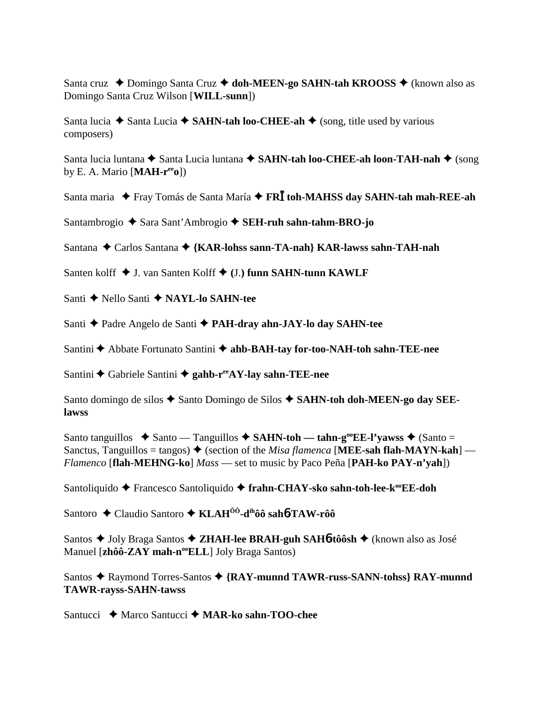Santa cruz ◆ Domingo Santa Cruz ◆ doh-MEEN-go SAHN-tah KROOSS ◆ (known also as Domingo Santa Cruz Wilson [**WILL-sunn**])

Santa lucia  $\blacklozenge$  Santa Lucia  $\blacklozenge$  **SAHN-tah loo-CHEE-ah**  $\blacklozenge$  (song, title used by various composers)

Santa lucia luntana **→** Santa Lucia luntana → SAHN-tah loo-CHEE-ah loon-TAH-nah → (song by E. A. Mario [**MAH-reeo**])

Santa maria  $\triangle$  Fray Tomás de Santa María  $\triangle$  FRI toh-MAHSS day SAHN-tah mah-REE-ah

Santambrogio ◆ Sara Sant'Ambrogio ◆ SEH-ruh sahn-tahm-BRO-jo

Santana ◆ Carlos Santana ◆ {KAR-lohss sann-TA-nah} KAR-lawss sahn-TAH-nah

Santen kolff **↓** J. van Santen Kolff ◆ (J.) funn SAHN-tunn KAWLF

Santi **←** Nello Santi ← NAYL-lo SAHN-tee

Santi **←** Padre Angelo de Santi ← PAH-dray ahn-JAY-lo day SAHN-tee

Santini ← Abbate Fortunato Santini ← ahb-BAH-tay for-too-NAH-toh sahn-TEE-nee

Santini **←** Gabriele Santini ← gahb-r<sup>ee</sup>AY-lay sahn-TEE-nee

Santo domingo de silos ◆ Santo Domingo de Silos ◆ SAHN-toh doh-MEEN-go day SEE**lawss**

Santo tanguillos  $\triangle$  Santo — Tanguillos  $\triangle$  **SAHN-toh — tahn-g<sup>oo</sup>EE-l'yawss**  $\triangle$  (Santo = Sanctus, Tanguillos = tangos)  $\blacklozenge$  (section of the *Misa flamenca* [MEE-sah flah-MAYN-kah] — *Flamenco* [**flah-MEHNG-ko**] *Mass* — set to music by Paco Peña [**PAH-ko PAY-n'yah**])

Santoliquido **←** Francesco Santoliquido ← frahn-CHAY-sko sahn-toh-lee-k<sup>oo</sup>EE-doh

Santoro Claudio Santoro **KLAHÔÔ-dihôô sah**6**-TAW-rôô**

Santos ◆ Joly Braga Santos ◆ ZHAH-lee BRAH-guh SAH6-tôôsh ◆ (known also as José Manuel [zhôô-ZAY mah-n<sup>oo</sup>ELL] Joly Braga Santos)

Santos ◆ Raymond Torres-Santos ◆ {RAY-munnd TAWR-russ-SANN-tohss} RAY-munnd **TAWR-rayss-SAHN-tawss**

Santucci **→** Marco Santucci → MAR-ko sahn-TOO-chee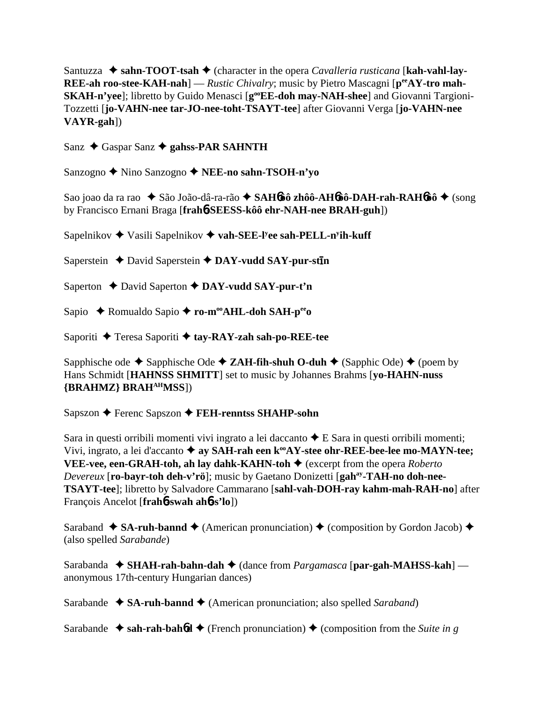Santuzza  $\triangle$  sahn-TOOT-tsah  $\triangle$  (character in the opera *Cavalleria rusticana* [kah-vahl-lay-**REE-ah roo-stee-KAH-nah**] — *Rustic Chivalry*; music by Pietro Mascagni [ $p^{ee}AY$ -tro mah-**SKAH-n'yee**]; libretto by Guido Menasci [g<sup>oo</sup>EE-doh may-NAH-shee] and Giovanni Targioni-Tozzetti [**jo-VAHN-nee tar-JO-nee-toht-TSAYT-tee**] after Giovanni Verga [**jo-VAHN-nee VAYR-gah**])

Sanz ◆ Gaspar Sanz **◆ gahss-PAR SAHNTH** 

Sanzogno Nino Sanzogno **NEE-no sahn-TSOH-n'yo**

Sao joao da ra rao ◆ São João-dâ-ra-rão ◆ SAH6ôô zhôô-AH6ôô-DAH-rah-RAH6ôô ◆ (song by Francisco Ernani Braga [**frah**6**-SEESS-kôô ehr-NAH-nee BRAH-guh**])

Sapelnikov ◆ Vasili Sapelnikov ◆ vah-SEE-l<sup>y</sup>ee sah-PELL-n<sup>y</sup>ih-kuff

Saperstein **↓** David Saperstein **◆ DAY-vudd SAY-pur-stln** 

Saperton **←** David Saperton ← DAY-vudd SAY-pur-t'n

Sapio **→** Romualdo Sapio → ro-m<sup>oo</sup>AHL-doh SAH-p<sup>ee</sup>o

Saporiti **→** Teresa Saporiti → tay-RAY-zah sah-po-REE-tee

Sapphische ode  $\blacklozenge$  Sapphische Ode  $\blacklozenge$  **ZAH-fih-shuh O-duh**  $\blacklozenge$  (Sapphic Ode)  $\blacklozenge$  (poem by Hans Schmidt [**HAHNSS SHMITT**] set to music by Johannes Brahms [**yo-HAHN-nuss {BRAHMZ} BRAHAHMSS**])

Sapszon **←** Ferenc Sapszon ← FEH-renntss SHAHP-sohn

Sara in questi orribili momenti vivi ingrato a lei daccanto  $\triangle E$  Sara in questi orribili momenti; Vivi, ingrato, a lei d'accanto  $\triangleq$  ay SAH-rah een k<sup>oo</sup>AY-stee ohr-REE-bee-lee mo-MAYN-tee; **VEE-vee, een-GRAH-toh, ah lay dahk-KAHN-toh ♦** (excerpt from the opera *Roberto Devereux* [**ro-bayr-toh deh-v'rö**]; music by Gaetano Donizetti [**gahay-TAH-no doh-nee-TSAYT-tee**]; libretto by Salvadore Cammarano [**sahl-vah-DOH-ray kahm-mah-RAH-no**] after François Ancelot [**frah**6**-swah ah**6**-s'lo**])

Saraband  $\triangleq$  **SA-ruh-bannd**  $\triangleq$  (American pronunciation)  $\triangleq$  (composition by Gordon Jacob)  $\triangleq$ (also spelled *Sarabande*)

Sarabanda ◆ SHAH-rah-bahn-dah ◆ (dance from *Pargamasca* [par-gah-MAHSS-kah] anonymous 17th-century Hungarian dances)

Sarabande **→ SA-ruh-bannd →** (American pronunciation; also spelled *Saraband*)

Sarabande  $\rightarrow$  sah-rah-bah6d  $\rightarrow$  (French pronunciation)  $\rightarrow$  (composition from the *Suite in g*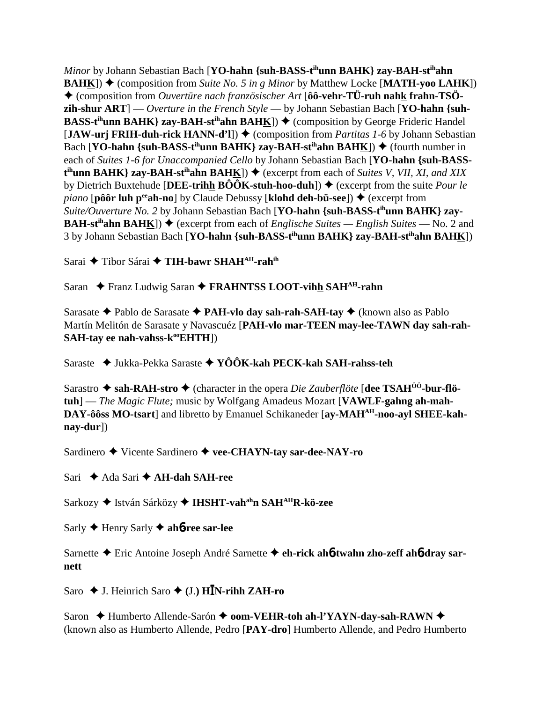*Minor* by Johann Sebastian Bach [**YO-hahn** {suh-BASS-t<sup>ih</sup>unn BAHK} zay-BAH-st<sup>ih</sup>ahn **BAHK**)  $\blacklozenge$  (composition from *Suite No. 5 in g Minor* by Matthew Locke [MATH-yoo LAHK]) (composition from *Ouvertüre nach französischer Art* [**ôô-vehr-TÜ-ruh nahk frahn-TSÖzih-shur ART**] — *Overture in the French Style* — by Johann Sebastian Bach [**YO-hahn {suh-BASS-t<sup>ih</sup>unn BAHK} zay-BAH-st<sup>ih</sup>ahn BAH<u>K</u>])**  $\blacklozenge$  **(composition by George Frideric Handel)** [**JAW-urj FRIH-duh-rick HANN-d'l**]) ♦ (composition from *Partitas 1-6* by Johann Sebastian Bach  $[YO\text{-}hahn \{sub-BASS\text{-}t^i\text{-}unn BAHK}\$  zay-BAH-st<sup>ih</sup>ahn BAHK])  $\blacklozenge$  (fourth number in each of *Suites 1-6 for Unaccompanied Cello* by Johann Sebastian Bach [**YO-hahn {suh-BASSt<sup>ih</sup>unn BAHK} zay-BAH-st<sup>ih</sup>ahn BAH<u>K</u>]) → (excerpt from each of** *Suites V, VII, XI, and XIX* by Dietrich Buxtehude [DEE-trihh  $\angle B\hat{O}\hat{O}K$ -stuh-hoo-duh])  $\blacklozenge$  (excerpt from the suite *Pour le piano* [pôôr luh p<sup>ee</sup>ah-no] by Claude Debussy [klohd deh-bü-see])  $\triangleq$  (excerpt from *Suite/Ouverture No. 2 by Johann Sebastian Bach* [YO-hahn {suh-BASS-t<sup>ih</sup>unn BAHK} zay-**BAH-st<sup>ih</sup>ahn BAH<u>K</u>**])  $\blacklozenge$  (excerpt from each of *Englische Suites — English Suites —* No. 2 and 3 by Johann Sebastian Bach [**YO-hahn {suh-BASS-tihunn BAHK} zay-BAH-stihahn BAHK**])

Sarai ◆ Tibor Sárai ◆ TIH-bawr SHAH<sup>AH</sup>-rah<sup>ih</sup>

Saran ◆ Franz Ludwig Saran ◆ FRAHNTSS LOOT-vihh SAH<sup>AH</sup>-rahn

Sarasate Pablo de Sarasate **PAH-vlo day sah-rah-SAH-tay** (known also as Pablo Martín Melitón de Sarasate y Navascuéz [**PAH-vlo mar-TEEN may-lee-TAWN day sah-rah-SAH-tay ee nah-vahss-k<sup>oo</sup>EHTH**])

Saraste Jukka-Pekka Saraste **YÔÔK-kah PECK-kah SAH-rahss-teh**

Sarastro  $\triangle$  sah-RAH-stro  $\triangle$  (character in the opera *Die Zauberflöte* [dee TSAH<sup>00</sup>-bur-flö**tuh**] — *The Magic Flute;* music by Wolfgang Amadeus Mozart [**VAWLF-gahng ah-mah-**DAY-ôôss MO-tsart] and libretto by Emanuel Schikaneder [ay-MAH<sup>AH</sup>-noo-ayl SHEE-kah**nay-dur**])

Sardinero **→** Vicente Sardinero → vee-CHAYN-tay sar-dee-NAY-ro

Sari **←** Ada Sari ← **AH-dah SAH-ree** 

Sarkozy ◆ István Sárközy ◆ **IHSHT-vah<sup>ah</sup>n SAH<sup>AH</sup>R-kö-zee** 

Sarly Henry Sarly **ah**6**-ree sar-lee**

Sarnette Eric Antoine Joseph André Sarnette **eh-rick ah**6**-twahn zho-zeff ah**6**-dray sarnett**

Saro ◆ J. Heinrich Saro ◆ (J.) H**IN-rih<u>h</u> ZAH-ro** 

Saron  **→ Humberto Allende-Sarón → oom-VEHR-toh ah-l'YAYN-day-sah-RAWN →** (known also as Humberto Allende, Pedro [**PAY-dro**] Humberto Allende, and Pedro Humberto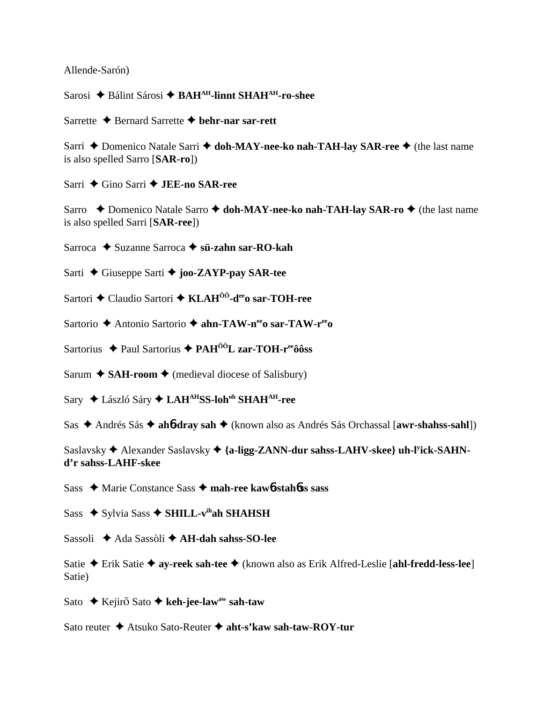Allende-Sarón)

Sarosi ◆ Bálint Sárosi ◆ BAH<sup>AH</sup>-linnt SHAH<sup>AH</sup>-ro-shee

Sarrette **←** Bernard Sarrette ← behr-nar sar-rett

Sarri **←** Domenico Natale Sarri ← doh-MAY-nee-ko nah-TAH-lay SAR-ree ← (the last name is also spelled Sarro [**SAR-ro**])

Sarri ◆ Gino Sarri ◆ **JEE-no SAR-ree** 

Sarro **←** Domenico Natale Sarro ← doh-MAY-nee-ko nah-TAH-lay SAR-ro ← (the last name is also spelled Sarri [**SAR-ree**])

Sarroca **→** Suzanne Sarroca → s**ü-zahn sar-RO-kah** 

Sarti Giuseppe Sarti **joo-ZAYP-pay SAR-tee**

Sartori ◆ Claudio Sartori ◆ KLAH<sup>ôô</sup>-d<sup>ee</sup>o sar-TOH-ree

Sartorio ◆ Antonio Sartorio ◆ ahn-TAW-nee<sub>o</sub> sar-TAW-ree<sub>o</sub>

Sartorius ◆ Paul Sartorius ◆ PAH<sup>ÔÔ</sup>L zar-TOH-r<sup>ee</sup>ôôss

Sarum  $\triangle$  **SAH-room**  $\triangle$  (medieval diocese of Salisbury)

Sary László Sáry **LAHAHSS-lohoh SHAHAH-ree**

Sas ◆ Andrés Sás ◆ ah**6-dray sah** ◆ (known also as Andrés Sás Orchassal [**awr-shahss-sahl**])

Saslavsky ◆ Alexander Saslavsky ◆ {a-ligg-ZANN-dur sahss-LAHV-skee} uh-l<sup>y</sup>ick-SAHN**d'r sahss-LAHF-skee**

Sass ◆ Marie Constance Sass ◆ mah-ree kaw6-stah6ss sass

Sass ◆ Sylvia Sass ◆ SHILL-v<sup>ih</sup>ah SHAHSH

Sassoli **←** Ada Sassòli ← **AH-dah sahss-SO-lee** 

Satie Erik Satie **ay-reek sah-tee** (known also as Erik Alfred-Leslie [**ahl-fredd-less-lee**] Satie)

Sato ◆ Kejirō Sato ◆ keh-jee-law<sup>aw</sup> sah-taw

Sato reuter **→** Atsuko Sato-Reuter → aht-s'kaw sah-taw-ROY-tur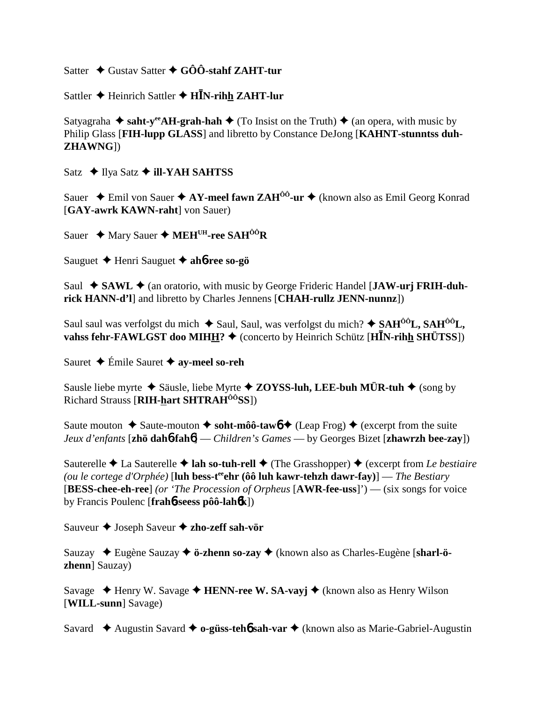Satter  $\triangle$  Gustav Satter  $\triangle$  GÔÔ-stahf ZAHT-tur

Sattler  $\triangle$  Heinrich Sattler  $\triangle$  H<sup>I</sup>N-rihh ZAHT-lur

Satyagraha  $\triangle$  saht-y<sup>ee</sup> AH-grah-hah  $\triangle$  (To Insist on the Truth)  $\triangle$  (an opera, with music by Philip Glass [FIH-lupp GLASS] and libretto by Constance DeJong [KAHNT-stunntss duh-**ZHAWNG])** 

Satz ◆ Ilya Satz ◆ ill-YAH SAHTSS

Sauer ◆ Emil von Sauer ◆ AY-meel fawn ZAH<sup>00</sup>-ur ◆ (known also as Emil Georg Konrad [GAY-awrk KAWN-raht] von Sauer)

Sauer ◆ Mary Sauer ◆ MEH<sup>UH</sup>-ree SAH<sup>ÔÔ</sup>R

Sauguet ← Henri Sauguet ← ah6-ree so-gö

Saul ◆ SAWL ◆ (an oratorio, with music by George Frideric Handel [JAW-urj FRIH-duhrick HANN-d'l| and libretto by Charles Jennens [CHAH-rullz JENN-nunnz])

Saul saul was verfolgst du mich  $\triangle$  Saul, Saul, was verfolgst du mich?  $\triangle$  SAH<sup> $00$ </sup>L, SAH<sup> $00$ </sup>L, vahss fehr-FAWLGST doo MIHH?  $\blacklozenge$  (concerto by Heinrich Schütz [HIN-rihh SHÜTSS])

Sauret ◆ Émile Sauret ◆ av-meel so-reh

Sausle liebe myrte  $\triangle$  Säusle, liebe Myrte  $\triangle$  ZOYSS-luh, LEE-buh MÜR-tuh  $\triangle$  (song by Richard Strauss [RIH-hart SHTRAH<sup>00</sup>SS])

Saute mouton  $\triangle$  Saute-mouton  $\triangle$  soht-môô-tawo  $\triangle$  (Leap Frog)  $\triangle$  (excerpt from the suite Jeux d'enfants [zhö dahb-fahb] — Children's Games — by Georges Bizet [zhawrzh bee-zay])

Sauterelle ♦ La Sauterelle ♦ lah so-tuh-rell ♦ (The Grasshopper) ♦ (excerpt from Le bestiaire (ou le cortege d'Orphée) [luh bess-t<sup>ee</sup>ehr ( $\hat{\mathbf{0}}\hat{\mathbf{0}}$  luh kawr-tehzh dawr-fay)] — The Bestiary [BESS-chee-eh-ree] (or 'The Procession of Orpheus  $[AWR-free-uss]$ ') — (six songs for voice by Francis Poulenc [frahb-seess pôô-lahbk])

Sauveur  $\triangle$  Joseph Saveur  $\triangle$  zho-zeff sah-vör

Sauzay ◆ Eugène Sauzay ◆ ö-zhenn so-zay ◆ (known also as Charles-Eugène [sharl-ö**zhenn**] Sauzay)

Savage  $\triangle$  Henry W. Savage  $\triangle$  HENN-ree W. SA-vayj  $\triangle$  (known also as Henry Wilson [WILL-sunn] Savage)

Savard  $\triangle$  Augustin Savard  $\triangle$  o-güss-teho sah-var  $\triangle$  (known also as Marie-Gabriel-Augustin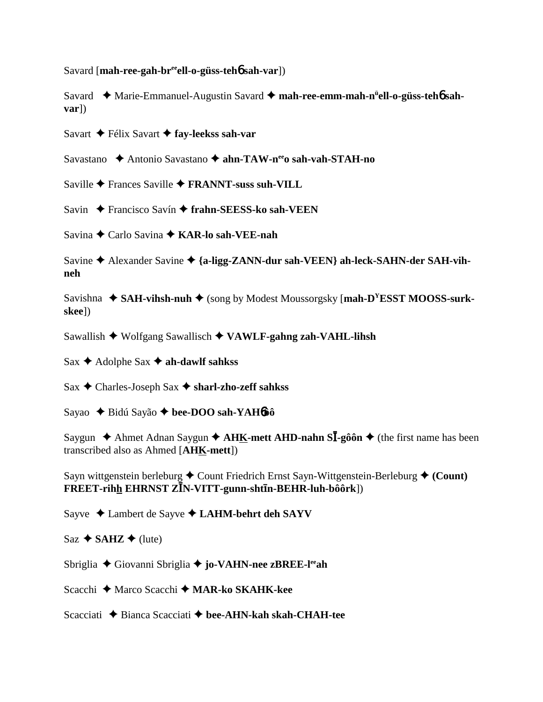Savard [**mah-ree-gah-breeell-o-güss-teh**6 **sah-var**])

Savard ◆ Marie-Emmanuel-Augustin Savard ◆ mah-ree-emm-mah-n<sup>ü</sup>ell-o-güss-teh**6** sah**var**])

Savart **←** Félix Savart ← fay-leekss sah-var

Savastano **→** Antonio Savastano → **ahn-TAW-n<sup>ee</sup>o sah-vah-STAH-no** 

Saville **→** Frances Saville **→ FRANNT-suss suh-VILL** 

Savin **←** Francisco Savín ← frahn-SEESS-ko sah-VEEN

Savina Carlo Savina **KAR-lo sah-VEE-nah**

Savine ◆ Alexander Savine ◆ {a-ligg-ZANN-dur sah-VEEN} ah-leck-SAHN-der SAH-vih**neh**

Savishna ◆ SAH-vihsh-nuh ◆ (song by Modest Moussorgsky [**mah-D<sup>Y</sup>ESST MOOSS-surkskee**])

Sawallish Wolfgang Sawallisch **VAWLF-gahng zah-VAHL-lihsh**

 $Sax \triangleleft$  Adolphe Sax  $\triangleleft$  ah-dawlf sahkss

Sax Charles-Joseph Sax **sharl-zho-zeff sahkss**

Sayao Bidú Sayão **bee-DOO sah-YAH**6**ôô**

Saygun ◆ Ahmet Adnan Saygun ◆ AHK-mett AHD-nahn SI-gôôn ◆ (the first name has been transcribed also as Ahmed [**AHK-mett**])

Sayn wittgenstein berleburg  $\triangle$  Count Friedrich Ernst Sayn-Wittgenstein-Berleburg  $\triangle$  (Count)  $\widetilde{\textbf{F}}$ REET-rih<u>h</u> EHRNST ZĪN-VITT-gunn-shtīn-BEHR-luh-bôôrk])

Sayve Lambert de Sayve  **LAHM-behrt deh SAYV**

 $Saz \triangleleft$  **SAHZ**  $\triangleleft$  (lute)

Sbriglia Giovanni Sbriglia **jo-VAHN-nee zBREE-leeah**

Scacchi **←** Marco Scacchi ← **MAR-ko SKAHK-kee** 

Scacciati **→** Bianca Scacciati → bee-AHN-kah skah-CHAH-tee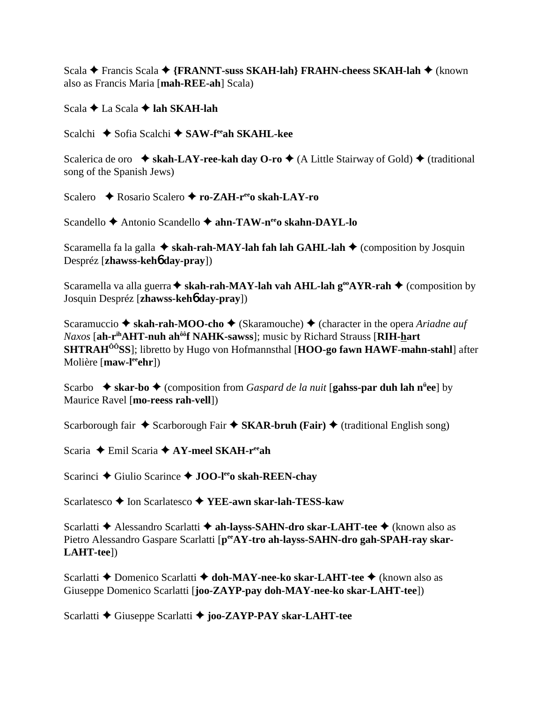Scala **←** Francis Scala ← {FRANNT-suss SKAH-lah} FRAHN-cheess SKAH-lah ← (known also as Francis Maria [**mah-REE-ah**] Scala)

Scala **←** La Scala ← lah SKAH-lah

Scalchi **→** Sofia Scalchi → SAW-f<sup>ee</sup>ah SKAHL-kee

Scalerica de oro  $\bullet$  **skah-LAY-ree-kah day O-ro**  $\bullet$  (A Little Stairway of Gold)  $\bullet$  (traditional song of the Spanish Jews)

Scalero **←** Rosario Scalero ← ro-ZAH-r<sup>ee</sup>o skah-LAY-ro

Scandello **→** Antonio Scandello → ahn-TAW-n<sup>ee</sup>o skahn-DAYL-lo

Scaramella fa la galla **↓ skah-rah-MAY-lah fah lah GAHL-lah ↓** (composition by Josquin Despréz [**zhawss-keh**6 **day-pray**])

Scaramella va alla guerra **↓ skah-rah-MAY-lah vah AHL-lah g<sup>oo</sup>AYR-rah ◆** (composition by Josquin Despréz [**zhawss-keh**6 **day-pray**])

Scaramuccio **→ skah-rah-MOO-cho** → (Skaramouche) → (character in the opera *Ariadne auf Naxos* [ah-r<sup>ih</sup>AHT-nuh ah<sup>ôô</sup>f NAHK-sawss]; music by Richard Strauss [RIH-hart **SHTRAHÔÔSS**]; libretto by Hugo von Hofmannsthal [**HOO-go fawn HAWF-mahn-stahl**] after Molière [**maw-leeehr**])

Scarbo **→ skar-bo** ◆ (composition from *Gaspard de la nuit* [**gahss-par duh lah n<sup>ü</sup>ee**] by Maurice Ravel [**mo-reess rah-vell**])

Scarborough fair  $\triangle$  Scarborough Fair  $\triangle$  SKAR-bruh (Fair)  $\triangle$  (traditional English song)

Scaria **←** Emil Scaria **← AY-meel SKAH-r<sup>ee</sup>ah** 

Scarinci ◆ Giulio Scarince ◆ **JOO-l<sup>ee</sup>o skah-REEN-chay** 

Scarlatesco **←** Ion Scarlatesco ← **YEE-awn skar-lah-TESS-kaw** 

Scarlatti **←** Alessandro Scarlatti ← ah-layss-SAHN-dro skar-LAHT-tee ← (known also as Pietro Alessandro Gaspare Scarlatti [p<sup>ee</sup>AY-tro ah-layss-SAHN-dro gah-SPAH-ray skar-**LAHT-tee**])

Scarlatti **←** Domenico Scarlatti ← doh-MAY-nee-ko skar-LAHT-tee ← (known also as Giuseppe Domenico Scarlatti [**joo-ZAYP-pay doh-MAY-nee-ko skar-LAHT-tee**])

Scarlatti Giuseppe Scarlatti **joo-ZAYP-PAY skar-LAHT-tee**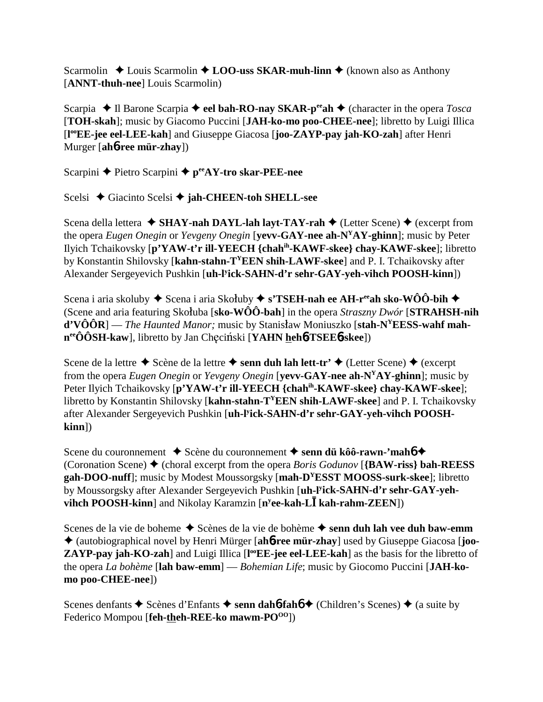Scarmolin **↓** Louis Scarmolin **↓ LOO-uss SKAR-muh-linn ◆** (known also as Anthony [**ANNT-thuh-nee**] Louis Scarmolin)

Scarpia **→ Il Barone Scarpia → eel bah-RO-nay SKAR-p<sup>ee</sup>ah → (character in the opera** *Tosca* [**TOH-skah**]; music by Giacomo Puccini [**JAH-ko-mo poo-CHEE-nee**]; libretto by Luigi Illica [**l ooEE-jee eel-LEE-kah**] and Giuseppe Giacosa [**joo-ZAYP-pay jah-KO-zah**] after Henri Murger [**ah**6**-ree mür-zhay**])

Scarpini **←** Pietro Scarpini ← peeAY-tro skar-PEE-nee

Scelsi **←** Giacinto Scelsi ← **jah-CHEEN-toh SHELL-see** 

Scena della lettera **◆ SHAY-nah DAYL-lah layt-TAY-rah ◆** (Letter Scene) ◆ (excerpt from the opera *Eugen Onegin* or *Yevgeny Onegin* [**yevv-GAY-nee ah-NYAY-ghinn**]; music by Peter Ilyich Tchaikovsky [**p'YAW-t'r ill-YEECH {chahih-KAWF-skee} chay-KAWF-skee**]; libretto by Konstantin Shilovsky [**kahn-stahn-TYEEN shih-LAWF-skee**] and P. I. Tchaikovsky after Alexander Sergeyevich Pushkin [**uh-ly ick-SAHN-d'r sehr-GAY-yeh-vihch POOSH-kinn**])

Scena i aria skoluby ◆ Scena i aria Skołuby ◆ s'TSEH-nah ee AH-r<sup>ee</sup>ah sko-WÔÔ-bih ◆ (Scene and aria featuring Skoluba [sko-WÔÔ-bah] in the opera *Straszny Dwór* [STRAHSH-nih] **d'VÔÔR**] — *The Haunted Manor*; music by Stanisław Moniuszko [stah-N<sup>Y</sup>EESS-wahf mah**n**eeÔÔSH-kaw], libretto by Jan Checiński [**YAHN heh6**-TSEE**6**-skee])

Scene de la lettre **→** Scène de la lettre **→ senn duh lah lett-tr'** ◆ (Letter Scene) ◆ (excerpt from the opera *Eugen Onegin* or *Yevgeny Onegin* [**yevv-GAY-nee ah-NYAY-ghinn**]; music by Peter Ilyich Tchaikovsky [**p'YAW-t'r ill-YEECH {chahih-KAWF-skee} chay-KAWF-skee**]; libretto by Konstantin Shilovsky [**kahn-stahn-TYEEN shih-LAWF-skee**] and P. I. Tchaikovsky after Alexander Sergeyevich Pushkin [**uh-ly ick-SAHN-d'r sehr-GAY-yeh-vihch POOSHkinn**])

Scene du couronnement **→** Scène du couronnement → senn dü kôô-rawn-'mah**<sup>6</sup>** (Coronation Scene) (choral excerpt from the opera *Boris Godunov* [**{BAW-riss} bah-REESS gah-DOO-nuff**]; music by Modest Moussorgsky [**mah-DYESST MOOSS-surk-skee**]; libretto by Moussorgsky after Alexander Sergeyevich Pushkin [**uh-ly ick-SAHN-d'r sehr-GAY-yehvihch POOSH-kinn**] and Nikolay Karamzin [n<sup>y</sup>ee-kah-L**I** kah-rahm-ZEEN])

Scenes de la vie de boheme  $\triangle$  Scènes de la vie de bohème  $\triangle$  senn duh lah vee duh baw-emm (autobiographical novel by Henri Mürger [**ah**6**-ree mür-zhay**] used by Giuseppe Giacosa [**joo-**ZAYP-pay jah-KO-zah] and Luigi Illica [l<sup>oo</sup>EE-jee eel-LEE-kah] as the basis for the libretto of the opera *La bohème* [**lah baw-emm**] — *Bohemian Life*; music by Giocomo Puccini [**JAH-komo poo-CHEE-nee**])

Scenes denfants  $\blacklozenge$  Scènes d'Enfants  $\blacklozenge$  **senn dah<sup>6</sup>-fah<sup>6</sup>**  $\blacklozenge$  (Children's Scenes)  $\blacklozenge$  (a suite by Federico Mompou [**feh-theh-REE-ko mawm-PO**<sup>00</sup>])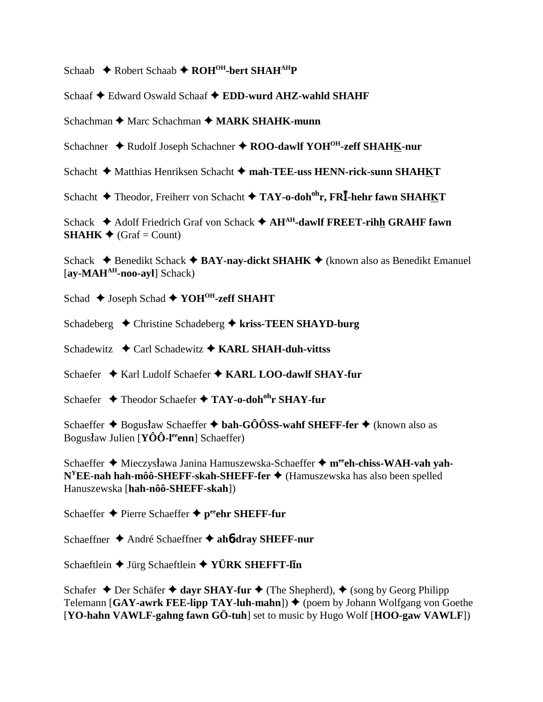Schaab **→** Robert Schaab → ROH<sup>OH</sup>-bert SHAH<sup>AH</sup>P

Schaaf Edward Oswald Schaaf **EDD-wurd AHZ-wahld SHAHF**

Schachman **→** Marc Schachman ◆ MARK SHAHK-munn

Schachner ◆ Rudolf Joseph Schachner ◆ ROO-dawlf YOH<sup>OH</sup>-zeff SHAHK-nur

Schacht ◆ Matthias Henriksen Schacht ◆ mah-TEE-uss HENN-rick-sunn SHAHKT

Schacht ◆ Theodor, Freiherr von Schacht ◆ TAY-o-doh<sup>oh</sup>r, FRĪ-hehr fawn SHAHKT

Schack **→** Adolf Friedrich Graf von Schack → AH<sup>AH</sup>-dawlf FREET-rihh GRAHF fawn **SHAHK**  $\triangleleft$  (Graf = Count)

Schack  $\triangle$  Benedikt Schack  $\triangle$  **BAY-nay-dickt SHAHK**  $\triangle$  (known also as Benedikt Emanuel [**ay-MAHAH-noo-ayl**] Schack)

Schad  $\triangle$  Joseph Schad  $\triangle$  YOH<sup>OH</sup>-zeff SHAHT

Schadeberg Christine Schadeberg **kriss-TEEN SHAYD-burg**

Schadewitz **←** Carl Schadewitz ← KARL SHAH-duh-vittss

Schaefer ◆ Karl Ludolf Schaefer ◆ KARL LOO-dawlf SHAY-fur

Schaefer **↓** Theodor Schaefer ◆ TAY-o-doh<sup>oh</sup>r SHAY-fur

Schaeffer **→** Bogus*law* Schaeffer **→ bah-GÔÔSS-wahf SHEFF-fer** → (known also as Bogus*law Julien* [**YÔÔ-l<sup>ee</sup>enn**] Schaeffer)

Schaeffer  $\triangle$  Mieczysława Janina Hamuszewska-Schaeffer  $\triangle$  m<sup>ee</sup>eh-chiss-WAH-vah yah-**N<sup>Y</sup>EE-nah hah-môô-SHEFF-skah-SHEFF-fer ♦** (Hamuszewska has also been spelled Hanuszewska [**hah-nôô-SHEFF-skah**])

Schaeffer **←** Pierre Schaeffer ← peehr SHEFF-fur

Schaeffner **→** André Schaeffner **→ ah6-dray SHEFF-nur** 

Schaeftlein **◆** Jürg Schaeftlein ◆ YÜRK SHEFFT-l**In** 

Schafer  $\triangle$  Der Schäfer  $\triangle$  dayr SHAY-fur  $\triangle$  (The Shepherd),  $\triangle$  (song by Georg Philipp) Telemann  $[GAY-awrk FEE-lipp TAY-luh-mahn]$   $\blacklozenge$  (poem by Johann Wolfgang von Goethe [**YO-hahn VAWLF-gahng fawn GÖ-tuh**] set to music by Hugo Wolf [**HOO-gaw VAWLF**])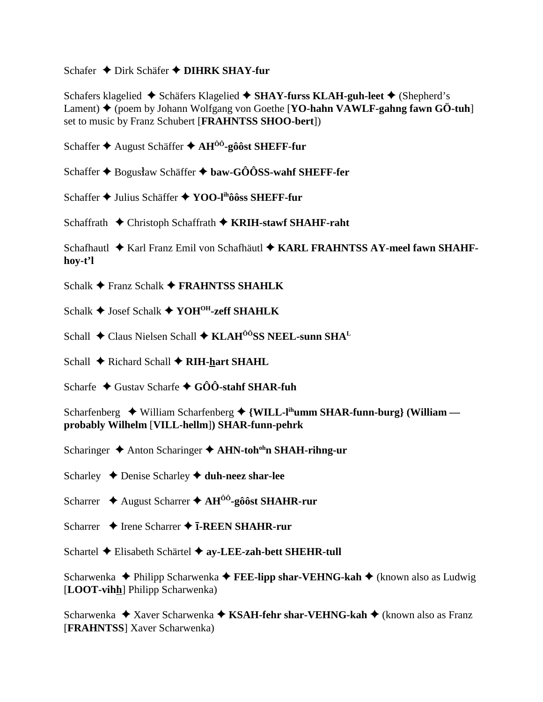## Schafer ◆ Dirk Schäfer ◆ DIHRK SHAY-fur

Schafers klagelied ◆ Schäfers Klagelied ◆ SHAY-furss KLAH-guh-leet ◆ (Shepherd's Lament)  $\blacklozenge$  (poem by Johann Wolfgang von Goethe [YO-hahn VAWLF-gahng fawn GÖ-tuh] set to music by Franz Schubert [FRAHNTSS SHOO-bert])

Schaffer ♦ August Schäffer ♦  $AH^{00}$ -gôôst SHEFF-fur

Schaffer ♦ Bogusław Schäffer ♦ baw-GÔÔSS-wahf SHEFF-fer

Schaffer ◆ Julius Schäffer ◆ YOO-lihôôss SHEFF-fur

Schaffrath  $\triangle$  Christoph Schaffrath  $\triangle$  KRIH-stawf SHAHF-raht

Schafhautl ◆ Karl Franz Emil von Schafhäutl ◆ KARL FRAHNTSS AY-meel fawn SHAHFhov-t'l

Schalk  $\triangle$  Franz Schalk  $\triangle$  FRAHNTSS SHAHLK

Schalk  $\triangle$  Josef Schalk  $\triangle$  YOH<sup>OH</sup>-zeff SHAHLK

Schall ◆ Claus Nielsen Schall ◆ KLAH<sup>ôô</sup>SS NEEL-sunn SHA<sup>L</sup>

Schall  $\triangle$  Richard Schall  $\triangle$  RIH-hart SHAHL

Scharfe  $\triangle$  Gustav Scharfe  $\triangle$  GOO-stahf SHAR-fuh

Scharfenberg  $\rightarrow$  William Scharfenberg  $\rightarrow$  {WILL-I<sup>th</sup>umm SHAR-funn-burg} (William probably Wilhelm [VILL-hellm]) SHAR-funn-pehrk

Scharinger  $\triangle$  Anton Scharinger  $\triangle$  AHN-toh<sup>oh</sup>n SHAH-rihng-ur

Scharley  $\triangle$  Denise Scharley  $\triangle$  duh-neez shar-lee

Scharrer  $\triangle$  August Scharrer  $\triangle$  AH<sup>00</sup>-gôôst SHAHR-rur

Scharrer  $\triangle$  Irene Scharrer  $\triangle$  **I-REEN SHAHR-rur** 

Schartel ♦ Elisabeth Schärtel ♦ av-LEE-zah-bett SHEHR-tull

Scharwenka  $\triangle$  Philipp Scharwenka  $\triangle$  FEE-lipp shar-VEHNG-kah  $\triangle$  (known also as Ludwig [LOOT-vihh] Philipp Scharwenka)

Scharwenka  $\triangle$  Xaver Scharwenka  $\triangle$  KSAH-fehr shar-VEHNG-kah  $\triangle$  (known also as Franz [**FRAHNTSS**] Xaver Scharwenka)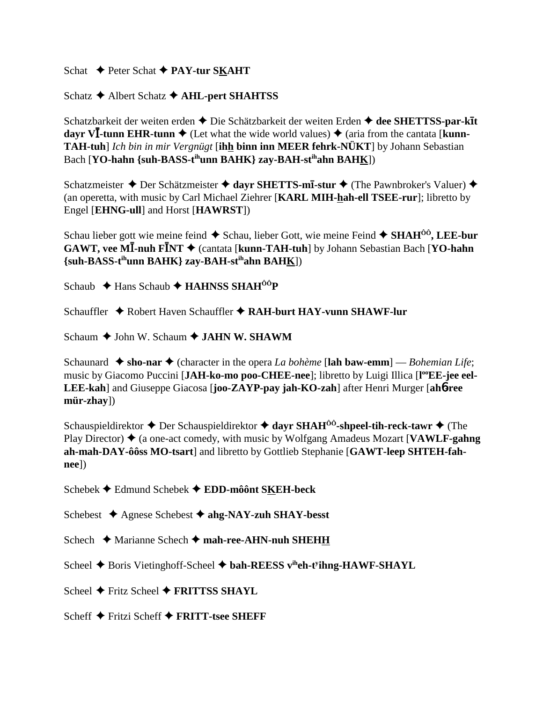Schat **→** Peter Schat **→ PAY-tur SKAHT** 

Schatz **←** Albert Schatz **← AHL-pert SHAHTSS** 

Schatzbarkeit der weiten erden Die Schätzbarkeit der weiten Erden **dee SHETTSS-par-kt dayr VI-tunn EHR-tunn**  $\triangle$  (Let what the wide world values)  $\triangle$  (aria from the cantata [**kunn**-**TAH-tuh**] *Ich bin in mir Vergnügt* [**ihh binn inn MEER fehrk-NÜKT**] by Johann Sebastian Bach [**YO-hahn {suh-BASS-t<sup>ih</sup>unn BAHK} zay-BAH-st<sup>ih</sup>ahn BAH<u>K</u>])** 

Schatzmeister **→** Der Schätzmeister **→ dayr SHETTS-mī-stur** → (The Pawnbroker's Valuer) → (an operetta, with music by Carl Michael Ziehrer [**KARL MIH-hah-ell TSEE-rur**]; libretto by Engel [**EHNG-ull**] and Horst [**HAWRST**])

Schau lieber gott wie meine feind **→** Schau, lieber Gott, wie meine Feind ◆ SHAH<sup>ÔÔ</sup>, LEE-bur **GAWT, vee MĪ-nuh FĪNT →** (cantata [kunn-TAH-tuh] by Johann Sebastian Bach [YO-hahn **{suh-BASS-tihunn BAHK} zay-BAH-stihahn BAHK**])

Schaub **← Hans Schaub ← HAHNSS SHAH<sup>ÔÔ</sup>P** 

Schauffler Robert Haven Schauffler **RAH-burt HAY-vunn SHAWF-lur**

Schaum **→** John W. Schaum → **JAHN W. SHAWM** 

Schaunard  $\triangle$  sho-nar  $\triangle$  (character in the opera *La bohème* [lah baw-emm] — *Bohemian Life*; music by Giacomo Puccini [JAH-ko-mo poo-CHEE-nee]; libretto by Luigi Illica [l<sup>oo</sup>EE-jee eel-**LEE-kah**] and Giuseppe Giacosa [**joo-ZAYP-pay jah-KO-zah**] after Henri Murger [**ah**6**-ree mür-zhay**])

Schauspieldirektor **→** Der Schauspieldirektor **→ dayr SHAH<sup>ôô</sup>-shpeel-tih-reck-tawr →** (The Play Director)  $\triangle$  (a one-act comedy, with music by Wolfgang Amadeus Mozart [**VAWLF-gahng**] **ah-mah-DAY-ôôss MO-tsart**] and libretto by Gottlieb Stephanie [**GAWT-leep SHTEH-fahnee**])

Schebek Edmund Schebek **EDD-môônt SKEH-beck**

Schebest Agnese Schebest **ahg-NAY-zuh SHAY-besst**

Schech **→** Marianne Schech → mah-ree-AHN-nuh SHEHH

Scheel **→** Boris Vietinghoff-Scheel ◆ bah-REESS v<sup>ih</sup>eh-t<sup>y</sup>ihng-HAWF-SHAYL

Scheel **←** Fritz Scheel ← FRITTSS SHAYL

Scheff **→** Fritzi Scheff **→ FRITT-tsee SHEFF**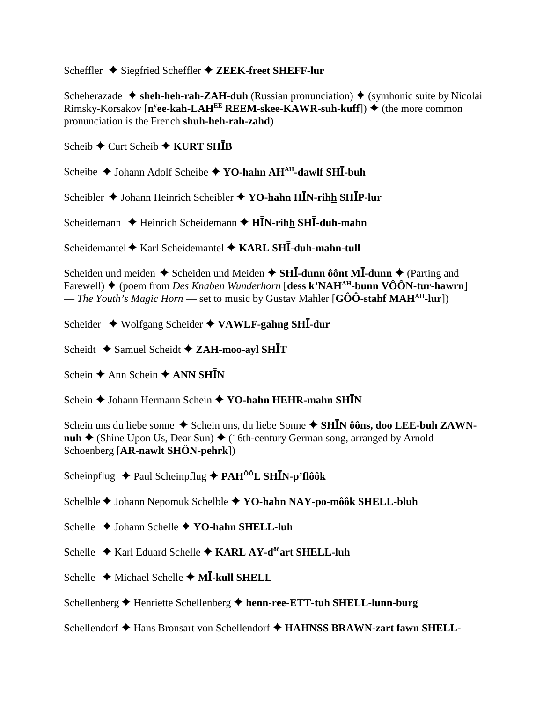Scheffler  $\triangle$  Siegfried Scheffler  $\triangle$  ZEEK-freet SHEFF-lur

Scheherazade  $\triangle$  sheh-heh-rah-ZAH-duh (Russian pronunciation)  $\triangle$  (symbonic suite by Nicolai Rimsky-Korsakov [n<sup>y</sup>ee-kah-LAH<sup>EE</sup> REEM-skee-KAWR-suh-kuff])  $\blacklozenge$  (the more common pronunciation is the French shuh-heh-rah-zahd)

Scheib  $\bigstar$  Curt Scheib  $\bigstar$  KURT SHIB

Scheibe  $\triangle$  Johann Adolf Scheibe  $\triangle$  YO-hahn AH<sup>AH</sup>-dawlf SHI-buh

Scheibler ♦ Johann Heinrich Scheibler ♦ YO-hahn HĪN-rihh SHĪP-lur

Scheidemann  $\triangle$  Heinrich Scheidemann  $\triangle$  H $\overline{IN}$ -rihh SH $\overline{I}$ -duh-mahn

Scheidemantel  $\blacklozenge$  Karl Scheidemantel  $\blacklozenge$  KARL SHI-duh-mahn-tull

Scheiden und meiden  $\triangle$  Scheiden und Meiden  $\triangle$  SHI-dunn ô ont MI-dunn  $\triangle$  (Parting and Farewell)  $\blacklozenge$  (poem from *Des Knaben Wunderhorn* [dess k'NAH<sup>AH</sup>-bunn VÔÔN-tur-hawrn] — The Youth's Magic Horn — set to music by Gustav Mahler [GOO-stahf MAH<sup>AH</sup>-lur])

Scheider  $\triangleleft$  Wolfgang Scheider  $\triangleleft$  VAWLF-gahng SHI-dur

Scheidt  $\triangle$  Samuel Scheidt  $\triangle$  ZAH-moo-ayl SHIT

Schein  $\triangle$  Ann Schein  $\triangle$  ANN SHIN

Schein ♦ Johann Hermann Schein ♦ YO-hahn HEHR-mahn SHĪN

Schein uns du liebe sonne → Schein uns, du liebe Sonne → SHĪN ôôns, doo LEE-buh ZAWN**nuh**  $\triangle$  (Shine Upon Us, Dear Sun)  $\triangle$  (16th-century German song, arranged by Arnold Schoenberg [AR-nawlt SHÖN-pehrk])

Scheinpflug  $\triangle$  Paul Scheinpflug  $\triangle$  PAH<sup>00</sup>L SHIN-p'flôôk

Schelble → Johann Nepomuk Schelble → YO-hahn NAY-po-môôk SHELL-bluh

Schelle  $\rightarrow$  Johann Schelle  $\rightarrow$  YO-hahn SHELL-luh

Schelle ♦ Karl Eduard Schelle ♦ KARL AY-d<sup>ôô</sup>art SHELL-luh

Schelle  $\triangleleft$  Michael Schelle  $\triangleleft$  MI-kull SHELL

Schellenberg ← Henriette Schellenberg ← henn-ree-ETT-tuh SHELL-lunn-burg

Schellendorf  $\triangle$  Hans Bronsart von Schellendorf  $\triangle$  HAHNSS BRAWN-zart fawn SHELL-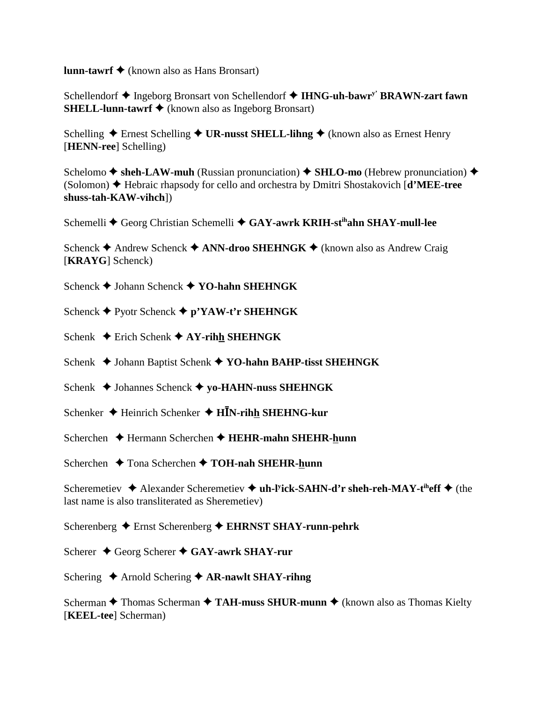**lunn-tawrf ◆** (known also as Hans Bronsart)

Schellendorf ◆ Ingeborg Bronsart von Schellendorf ◆ IHNG-uh-bawr<sup>y'</sup> BRAWN-zart fawn **SHELL-lunn-tawrf ◆** (known also as Ingeborg Bronsart)

Schelling ◆ Ernest Schelling ◆ UR-nusst SHELL-lihng ◆ (known also as Ernest Henry [**HENN-ree**] Schelling)

Schelomo  $\triangle$  sheh-LAW-muh (Russian pronunciation)  $\triangle$  SHLO-mo (Hebrew pronunciation)  $\triangle$ (Solomon) Hebraic rhapsody for cello and orchestra by Dmitri Shostakovich [**d'MEE-tree shuss-tah-KAW-vihch**])

Schemelli ◆ Georg Christian Schemelli ◆ GAY-awrk KRIH-st<sup>ih</sup>ahn SHAY-mull-lee

Schenck **←** Andrew Schenck ← ANN-droo SHEHNGK ← (known also as Andrew Craig [**KRAYG**] Schenck)

Schenck Johann Schenck **YO-hahn SHEHNGK**

- Schenck **←** Pyotr Schenck ← p'YAW-t'r SHEHNGK
- Schenk **←** Erich Schenk ← AY-rihh SHEHNGK
- Schenk **→** Johann Baptist Schenk → YO-hahn BAHP-tisst SHEHNGK
- Schenk **→** Johannes Schenck **→ yo-HAHN-nuss SHEHNGK**
- Schenker ◆ Heinrich Schenker ◆ H**IN-rihh SHEHNG-kur**
- Scherchen Hermann Scherchen **HEHR-mahn SHEHR-hunn**
- Scherchen **↓** Tona Scherchen **◆ TOH-nah SHEHR-hunn**

Scheremetiev ◆ Alexander Scheremetiev ◆ uh-l<sup>y</sup>ick-SAHN-d'r sheh-reh-MAY-t<sup>ih</sup>eff ◆ (the last name is also transliterated as Sheremetiev)

Scherenberg Ernst Scherenberg **EHRNST SHAY-runn-pehrk**

- Scherer **↓** Georg Scherer **◆ GAY-awrk SHAY-rur**
- Schering ◆ Arnold Schering ◆ AR-nawlt SHAY-rihng

Scherman **←** Thomas Scherman ← TAH-muss SHUR-munn ← (known also as Thomas Kielty [**KEEL-tee**] Scherman)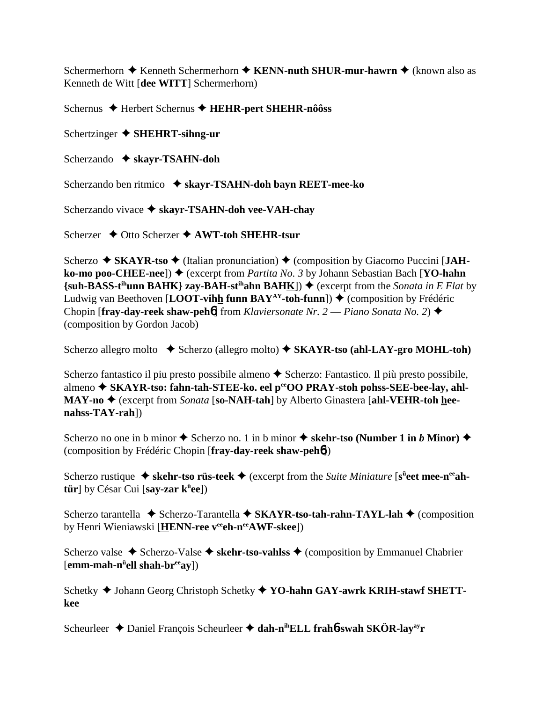Schermerhorn  $\triangle$  Kenneth Schermerhorn  $\triangle$  KENN-nuth SHUR-mur-hawrn  $\triangle$  (known also as Kenneth de Witt [dee WITT] Schermerhorn)

Schernus ♦ Herbert Schernus ♦ HEHR-pert SHEHR-nôôss

Schertzinger  $\triangle$  SHEHRT-sihng-ur

Scherzando  $\triangleleft$  skayr-TSAHN-doh

Scherzando ben ritmico ◆ skayr-TSAHN-doh bayn REET-mee-ko

Scherzando vivace ◆ skayr-TSAHN-doh vee-VAH-chay

Scherzer  $\rightarrow$  Otto Scherzer  $\rightarrow$  AWT-toh SHEHR-tsur

Scherzo  $\blacklozenge$  SKAYR-tso  $\blacklozenge$  (Italian pronunciation)  $\blacklozenge$  (composition by Giacomo Puccini [JAHko-mo poo-CHEE-nee])  $\blacklozenge$  (excerpt from *Partita No. 3* by Johann Sebastian Bach [YO-hahn]  $\{\text{sub-BASE-t<sup>th</sup>unn BAHK}\}\$ zay-BAH-st<sup>ih</sup>ahn BAHK])  $\blacklozenge$  (excerpt from the Sonata in E Flat by Ludwig van Beethoven [LOOT-vihh funn BAY<sup>AY</sup>-toh-funn])  $\blacklozenge$  (composition by Frédéric Chopin [fray-day-reek shaw-pehb] from Klaviersonate Nr. 2 — Piano Sonata No. 2)  $\blacklozenge$ (composition by Gordon Jacob)

Scherzo allegro molto  $\bullet$  Scherzo (allegro molto)  $\bullet$  SKAYR-tso (ahl-LAY-gro MOHL-toh)

Scherzo fantastico il piu presto possibile almeno ◆ Scherzo: Fantastico. Il più presto possibile, almeno ◆ SKAYR-tso: fahn-tah-STEE-ko. eel perOO PRAY-stoh pohss-SEE-bee-lay, ahl-MAY-no ♦ (excerpt from Sonata [so-NAH-tah] by Alberto Ginastera [ahl-VEHR-toh hee $nahss-TAY-rah$ ])

Scherzo no one in b minor  $\triangle$  Scherzo no. 1 in b minor  $\triangle$  skehr-tso (Number 1 in b Minor)  $\triangle$ (composition by Frédéric Chopin [fray-day-reek shaw-peh**ó**])

Scherzo rustique  $\blacklozenge$  skehr-tso rüs-teek  $\blacklozenge$  (excerpt from the Suite Miniature [s<sup>ü</sup>eet mee-n<sup>ee</sup>ahtür] by César Cui [say-zar  $k^{\ddot{u}}ee$ ])

Scherzo tarantella  $\triangle$  Scherzo-Tarantella  $\triangle$  SKAYR-tso-tah-rahn-TAYL-lah  $\triangle$  (composition by Henri Wieniawski [HENN-ree veeh-nee AWF-skee])

Scherzo valse ◆ Scherzo-Valse ◆ skehr-tso-valiss ◆ (composition by Emmanuel Chabrier  $[emm\text{-}mah\text{-}n^{\text{ii}}ell shah\text{-}br^{\text{ee}}ay]$ 

Schetky  $\blacklozenge$  Johann Georg Christoph Schetky  $\blacklozenge$  YO-hahn GAY-awrk KRIH-stawf SHETTkee

Scheurleer  $\triangle$  Daniel François Scheurleer  $\triangle$  dah-n<sup>ih</sup>ELL frahb-swah SKÖR-lay<sup>ay</sup>r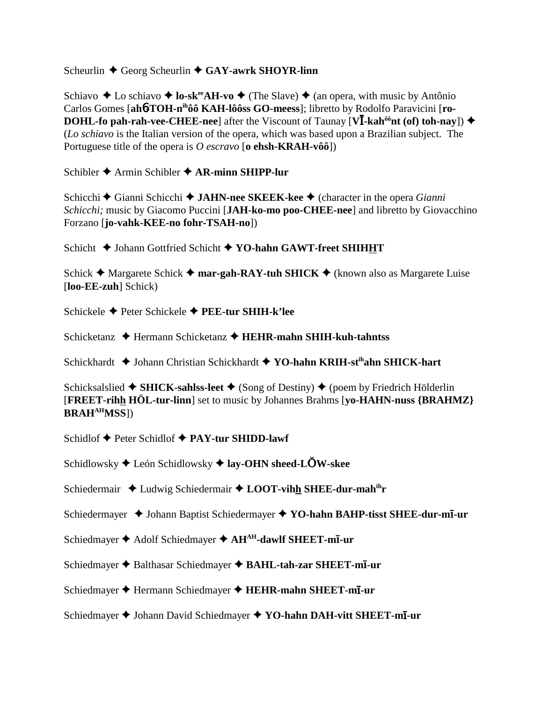## Scheurlin **←** Georg Scheurlin ← GAY-awrk SHOYR-linn

Schiavo  $\triangle$  Lo schiavo  $\triangle$  **lo-sk<sup>ee</sup>AH-vo**  $\triangle$  (The Slave)  $\triangle$  (an opera, with music by Antônio Carlos Gomes [ah**6-TOH-n<sup>ih</sup>ôô KAH-lôôss GO-meess**]; libretto by Rodolfo Paravicini [ro-**DOHL-fo pah-rah-vee-CHEE-nee**] after the Viscount of Taunay  $[\mathbf{V}\bar{I}\cdot\mathbf{k}$ ah<sup>ôô</sup>nt (of) toh-nay])  $\blacklozenge$ (*Lo schiavo* is the Italian version of the opera, which was based upon a Brazilian subject. The Portuguese title of the opera is *O escravo* [**o ehsh-KRAH-vôô**])

Schibler **→** Armin Schibler **→ AR-minn SHIPP-lur** 

Schicchi **→** Gianni Schicchi → **JAHN-nee SKEEK-kee** → (character in the opera *Gianni Schicchi;* music by Giacomo Puccini [**JAH-ko-mo poo-CHEE-nee**] and libretto by Giovacchino Forzano [**jo-vahk-KEE-no fohr-TSAH-no**])

Schicht  $\blacklozenge$  Johann Gottfried Schicht  $\blacklozenge$  YO-hahn GAWT-freet SHIHHT

Schick  $\triangle$  Margarete Schick  $\triangle$  **mar-gah-RAY-tuh SHICK**  $\triangle$  (known also as Margarete Luise [**loo-EE-zuh**] Schick)

Schickele Peter Schickele **PEE-tur SHIH-k'lee**

Schicketanz **→** Hermann Schicketanz → **HEHR-mahn SHIH-kuh-tahntss** 

Schickhardt ◆ Johann Christian Schickhardt ◆ YO-hahn KRIH-st<sup>ih</sup>ahn SHICK-hart

Schicksalslied  $\triangle$  **SHICK-sahlss-leet**  $\triangle$  (Song of Destiny)  $\triangle$  (poem by Friedrich Hölderlin [**FREET-rihh HÖL-tur-linn**] set to music by Johannes Brahms [**yo-HAHN-nuss {BRAHMZ} BRAHAHMSS**])

Schidlof **◆ Peter Schidlof ◆ PAY-tur SHIDD-lawf** 

Schidlowsky León Schidlowsky **lay-OHN sheed-LW-skee**

Schiedermair ◆ Ludwig Schiedermair ◆ LOOT-vihh SHEE-dur-mah<sup>ih</sup>r

Schiedermayer ◆ Johann Baptist Schiedermayer ◆ YO-hahn BAHP-tisst SHEE-dur-m**ī**-ur

- Schiedmayer **→** Adolf Schiedmayer **→ AH<sup>AH</sup>-dawlf SHEET-mī-ur**
- Schiedmayer ◆ Balthasar Schiedmayer ◆ BAHL-tah-zar SHEET-m**ī**-ur
- Schiedmayer Hermann Schiedmayer **HEHR-mahn SHEET-m-ur**

Schiedmayer Johann David Schiedmayer **YO-hahn DAH-vitt SHEET-m-ur**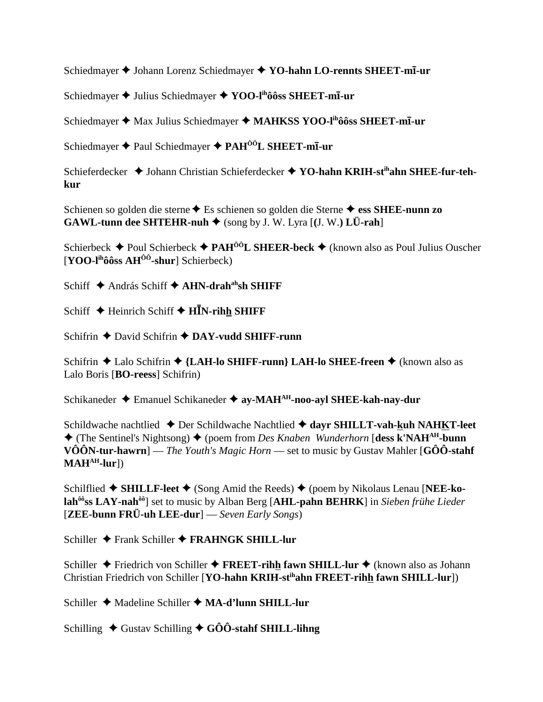Schiedmayer ♦ Johann Lorenz Schiedmayer ♦ YO-hahn LO-rennts SHEET-mī-ur

Schiedmayer ♦ Julius Schiedmayer ♦ YOO-I<sup>ih</sup>ôôss SHEET-m**ī**-ur

Schiedmayer ♦ Max Julius Schiedmayer ♦ MAHKSS YOO-I<sup>ih</sup>ôôss SHEET-m**ī**-ur

Schiedmayer  $\triangle$  Paul Schiedmayer  $\triangle$  PAH<sup> $00$ </sup>L SHEET-mI-ur

Schieferdecker ◆ Johann Christian Schieferdecker ◆ YO-hahn KRIH-st<sup>ih</sup>ahn SHEE-fur-tehkur

Schienen so golden die sterne  $\triangle$  Es schienen so golden die Sterne  $\triangle$  ess SHEE-nunn zo GAWL-tunn dee SHTEHR-nuh ♦ (song by J. W. Lyra [(J. W.) LÜ-rah]

Schierbeck  $\triangle$  Poul Schierbeck  $\triangle$  PAH<sup>00</sup>L SHEER-beck  $\triangle$  (known also as Poul Julius Ouscher  $[YOO-I<sup>ih</sup>ôôss AH<sup>ôô</sup>-shur] Schierbeck)$ 

Schiff ◆ András Schiff ◆ AHN-drah<sup>ah</sup>sh SHIFF

Schiff ◆ Heinrich Schiff ◆ HĪN-rihh SHIFF

Schifrin  $\triangle$  David Schifrin  $\triangle$  DAY-vudd SHIFF-runn

Schifrin ◆ Lalo Schifrin ◆ {LAH-lo SHIFF-runn} LAH-lo SHEE-freen ◆ (known also as Lalo Boris [BO-reess] Schifrin)

Schikaneder ◆ Emanuel Schikaneder ◆ ay-MAH<sup>AH</sup>-noo-ayl SHEE-kah-nay-dur

Schildwache nachtlied ◆ Der Schildwache Nachtlied ◆ dayr SHILLT-vah-kuh NAHKT-leet  $\blacklozenge$  (The Sentinel's Nightsong)  $\blacklozenge$  (poem from *Des Knaben Wunderhorn* [dess k'NAH<sup>AH</sup>-bunn **VÔÔN-tur-hawrn**] — The Youth's Magic Horn — set to music by Gustav Mahler [GÔÔ-stahf]  $MAH<sup>AH</sup>$ -lur])

Schilflied  $\blacklozenge$  SHILLE-leet  $\blacklozenge$  (Song Amid the Reeds)  $\blacklozenge$  (poem by Nikolaus Lenau [NEE-kolah<sup>ôô</sup>ss LAY-nah<sup>ôô</sup>] set to music by Alban Berg [AHL-pahn BEHRK] in Sieben frühe Lieder  $[{\bf ZEE}$ -bunn  $\bf FR\ddot{U}$ -uh  $\bf LEE$ -dur $]-$  Seven Early Songs)

Schiller  $\bigstar$  Frank Schiller  $\bigstar$  FRAHNGK SHILL-lur

Schiller ◆ Friedrich von Schiller ◆ FREET-rihh fawn SHILL-lur ◆ (known also as Johann Christian Friedrich von Schiller [YO-hahn KRIH-st<sup>ih</sup>ahn FREET-rihh fawn SHILL-lur])

Schiller ◆ Madeline Schiller ◆ MA-d'lunn SHILL-lur

Schilling  $\triangle$  Gustav Schilling  $\triangle$  GÔÔ-stahf SHILL-lihng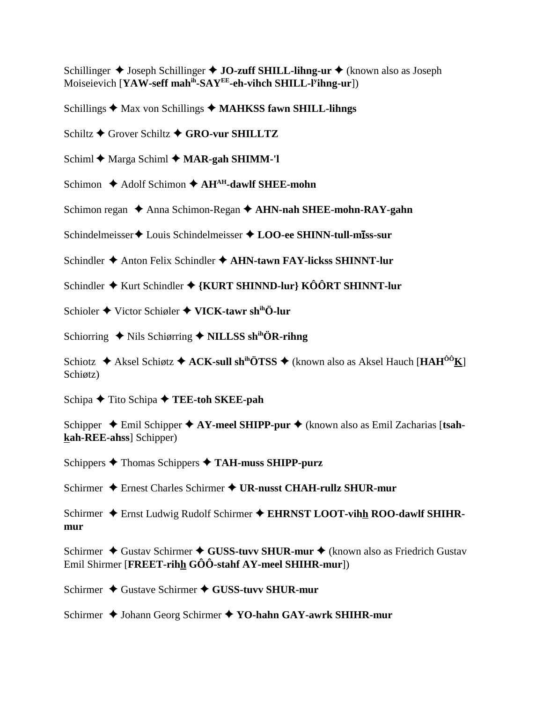Schillinger  $\triangle$  Joseph Schillinger  $\triangle$  JO-zuff SHILL-lihng-ur  $\triangle$  (known also as Joseph Moiseievich [YAW-seff mah<sup>ih</sup>-SAY<sup>EE</sup>-eh-vihch SHILL-l<sup>y</sup>ihng-ur])

Schillings  $\triangleleft$  Max von Schillings  $\triangleleft$  MAHKSS fawn SHILL-lihngs

Schiltz ◆ Grover Schiltz ◆ GRO-vur SHILLTZ

Schiml  $\triangle$  Marga Schiml  $\triangle$  MAR-gah SHIMM-'l

Schimon  $\triangle$  Adolf Schimon  $\triangle$  AH<sup>AH</sup>-dawlf SHEE-mohn

Schimon regan  $\triangle$  Anna Schimon-Regan  $\triangle$  AHN-nah SHEE-mohn-RAY-gahn

Schindelmeisser ♦ Louis Schindelmeisser ♦ LOO-ee SHINN-tull-miss-sur

Schindler  $\triangle$  Anton Felix Schindler  $\triangle$  AHN-tawn FAY-lickss SHINNT-lur

Schindler ♦ Kurt Schindler ♦ {KURT SHINND-lur} KÔÔRT SHINNT-lur

Schioler  $\blacklozenge$  Victor Schiøler  $\blacklozenge$  VICK-tawr sh<sup>ih</sup>Ö-lur

Schiorring  $\blacklozenge$  Nils Schiørring  $\blacklozenge$  NILLSS sh<sup>ih</sup>ÖR-rihng

Schiotz  $\triangle$  Aksel Schiøtz  $\triangle$  ACK-sull sh<sup>ih</sup>ÖTSS  $\triangle$  (known also as Aksel Hauch [HAH<sup>00</sup>K] Schiøtz)

Schipa  $\blacklozenge$  Tito Schipa  $\blacklozenge$  TEE-toh SKEE-pah

Schipper  $\triangle$  Emil Schipper  $\triangle$  AY-meel SHIPP-pur  $\triangle$  (known also as Emil Zacharias [tsahkah-REE-ahss] Schipper)

Schippers ◆ Thomas Schippers ◆ TAH-muss SHIPP-purz

Schirmer → Ernest Charles Schirmer → UR-nusst CHAH-rullz SHUR-mur

Schirmer ♦ Ernst Ludwig Rudolf Schirmer ♦ EHRNST LOOT-vihh ROO-dawlf SHIHRmur

Schirmer ♦ Gustav Schirmer ♦ GUSS-tuvv SHUR-mur ♦ (known also as Friedrich Gustav Emil Shirmer [FREET-rihh  $G\hat{O}\hat{O}$ -stahf AY-meel SHIHR-mur])

Schirmer ◆ Gustave Schirmer ◆ GUSS-tuvv SHUR-mur

Schirmer ♦ Johann Georg Schirmer ♦ YO-hahn GAY-awrk SHIHR-mur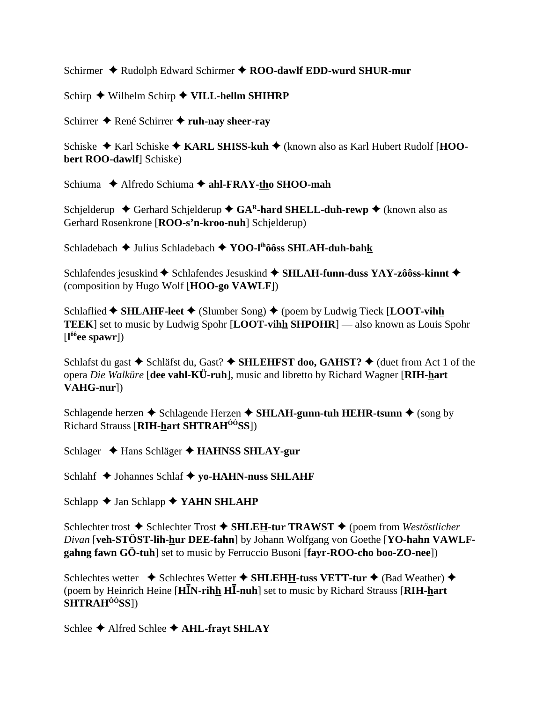Schirmer ♦ Rudolph Edward Schirmer ♦ ROO-dawlf EDD-wurd SHUR-mur

Schirp  $\blacklozenge$  Wilhelm Schirp  $\blacklozenge$  VILL-hellm SHIHRP

Schirrer ◆ René Schirrer ◆ ruh-nay sheer-ray

Schiske ◆ Karl Schiske ◆ KARL SHISS-kuh ◆ (known also as Karl Hubert Rudolf [HOObert ROO-dawlf] Schiske)

Schiuma → Alfredo Schiuma → ahl-FRAY-tho SHOO-mah

Schielderup  $\triangle$  Gerhard Schielderup  $\triangle$  GA<sup>R</sup>-hard SHELL-duh-rewp  $\triangle$  (known also as Gerhard Rosenkrone [ROO-s'n-kroo-nuh] Schjelderup)

Schladebach → Julius Schladebach → YOO-I<sup>ih</sup>ôôss SHLAH-duh-bahk

Schlafendes jesuskind ◆ Schlafendes Jesuskind ◆ SHLAH-funn-duss YAY-zôôss-kinnt ◆ (composition by Hugo Wolf [HOO-go VAWLF])

Schlaflied  $\bigstar$  SHLAHF-leet  $\bigstar$  (Slumber Song)  $\bigstar$  (poem by Ludwig Tieck [LOOT-vihh **TEEK**] set to music by Ludwig Spohr [LOOT-vihh SHPOHR] — also known as Louis Spohr  $\left[\mathbf{l}^{\hat{\alpha}\hat{\beta}}$ ee spawr])

Schlafst du gast  $\blacklozenge$  Schläfst du, Gast?  $\blacklozenge$  SHLEHFST doo, GAHST?  $\blacklozenge$  (duet from Act 1 of the opera Die Walküre [dee vahl-KÜ-ruh], music and libretto by Richard Wagner [RIH-hart] VAHG-nurl)

Schlagende herzen ◆ Schlagende Herzen ◆ SHLAH-gunn-tuh HEHR-tsunn ◆ (song by Richard Strauss [RIH-hart SHTRAH<sup>00</sup>SS])

Schlager ◆ Hans Schläger ◆ HAHNSS SHLAY-gur

Schlahf ◆ Johannes Schlaf ◆ yo-HAHN-nuss SHLAHF

Schlapp  $\triangle$  Jan Schlapp  $\triangle$  YAHN SHLAHP

Schlechter trost ◆ Schlechter Trost ◆ SHLEH-tur TRAWST ◆ (poem from Westöstlicher Divan [veh-STÖST-lih-hur DEE-fahn] by Johann Wolfgang von Goethe [YO-hahn VAWLFgahng fawn GÖ-tuh] set to music by Ferruccio Busoni [favr-ROO-cho boo-ZO-nee])

Schlechtes wetter  $\rightarrow$  Schlechtes Wetter  $\rightarrow$  SHLEHH-tuss VETT-tur  $\rightarrow$  (Bad Weather)  $\rightarrow$ (poem by Heinrich Heine [HIN-rihh HI-nuh] set to music by Richard Strauss [RIH-hart] SHTRAH<sup>ôô</sup>SSl)

Schlee ◆ Alfred Schlee ◆ AHL-frayt SHLAY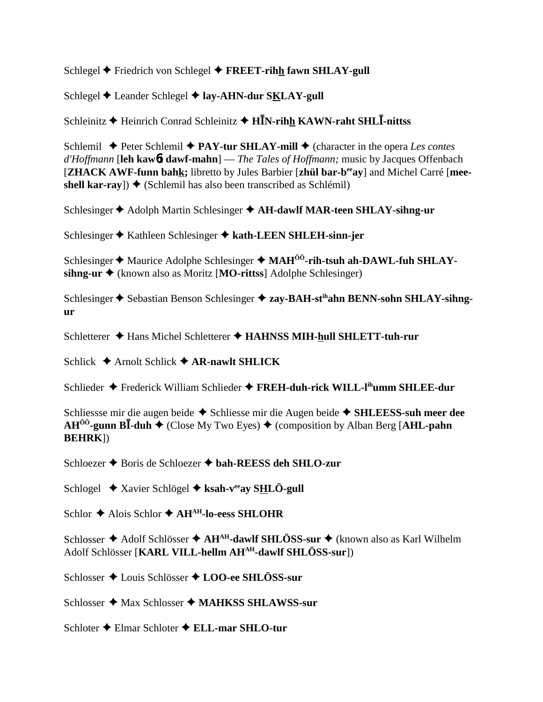Schlegel  $\blacklozenge$  Friedrich von Schlegel  $\blacklozenge$  FREET-rihh fawn SHLAY-gull

Schlegel ♦ Leander Schlegel ♦ lay-AHN-dur SKLAY-gull

Schleinitz  $\bigstar$  Heinrich Conrad Schleinitz  $\bigstar$  HIN-rihh KAWN-raht SHLI-nittss

Schlemil  $\triangle$  Peter Schlemil  $\triangle$  PAY-tur SHLAY-mill  $\triangle$  (character in the opera Les contes  $d'H$ offmann [leh kaw $\mathbf{b}$ t dawf-mahn] — The Tales of Hoffmann; music by Jacques Offenbach [ZHACK AWF-funn bahk; libretto by Jules Barbier [zhül bar-b<sup>ee</sup>ay] and Michel Carré [meeshell kar-ray])  $\triangle$  (Schlemil has also been transcribed as Schlémil)

Schlesinger  $\triangle$  Adolph Martin Schlesinger  $\triangle$  AH-dawlf MAR-teen SHLAY-sihng-ur

Schlesinger ♦ Kathleen Schlesinger ♦ kath-LEEN SHLEH-sinn-jer

Schlesinger  $\triangle$  Maurice Adolphe Schlesinger  $\triangle$  MAH<sup> $\hat{0}$ </sup>-rih-tsuh ah-DAWL-fuh SHLAY- $\sinh$   $\mathbf{u}$  + (known also as Moritz [MO-rittss] Adolphe Schlesinger)

Schlesinger ♦ Sebastian Benson Schlesinger ♦ zay-BAH-st<sup>th</sup>ahn BENN-sohn SHLAY-sihng- $\mathbf{u}$ r

Schletterer ◆ Hans Michel Schletterer ◆ HAHNSS MIH-hull SHLETT-tuh-rur

Schlick  $\triangle$  Arnolt Schlick  $\triangle$  AR-nawlt SHLICK

Schlieder ◆ Frederick William Schlieder ◆ FREH-duh-rick WILL-I<sup>th</sup>umm SHLEE-dur

Schliessse mir die augen beide ◆ Schliesse mir die Augen beide ◆ SHLEESS-suh meer dee  $AH^{00}$ -gunn BI-duh  $\blacklozenge$  (Close My Two Eyes)  $\blacklozenge$  (composition by Alban Berg [AHL-pahn **BEHRKI**)

Schloezer ♦ Boris de Schloezer ♦ bah-REESS deh SHLO-zur

Schlogel  $\triangle$  Xavier Schlögel  $\triangle$  ksah-v<sup>ee</sup>av SHLÖ-gull

Schlor ◆ Alois Schlor ◆ AH<sup>AH</sup>-lo-eess SHLOHR

Schlosser ♦ Adolf Schlösser ♦ AH<sup>AH</sup>-dawlf SHLÖSS-sur ♦ (known also as Karl Wilhelm Adolf Schlösser [KARL VILL-hellm AH<sup>AH</sup>-dawlf SHLÖSS-sur])

Schlosser ◆ Louis Schlösser ◆ LOO-ee SHLÖSS-sur

Schlosser ◆ Max Schlosser ◆ MAHKSS SHLAWSS-sur

Schloter ◆ Elmar Schloter ◆ ELL-mar SHLO-tur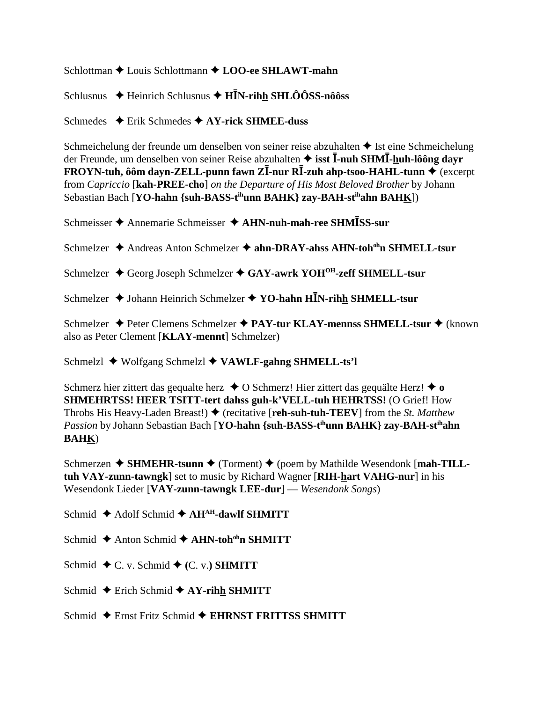Schlottman  $\triangle$  Louis Schlottmann  $\triangle$  LOO-ee SHLAWT-mahn

Schlusnus  $\triangle$  Heinrich Schlusnus  $\triangle$  H<sup>I</sup>N-rihh SHLÔÔSS-nôôss

Schmedes  $\rightarrow$  Erik Schmedes  $\rightarrow$  AY-rick SHMEE-duss

Schmeichelung der freunde um denselben von seiner reise abzuhalten  $\triangle$  Ist eine Schmeichelung der Freunde, um denselben von seiner Reise abzuhalten  $\triangle$  isst  $\overline{I}$ -nuh SHM $\overline{I}$ -huh-lôông davr FROYN-tuh, ôôm dayn-ZELL-punn fawn Z $\overline{I}$ -nur R $\overline{I}$ -zuh ahp-tsoo-HAHL-tunn  $\blacklozenge$  (excerpt from Capriccio [kah-PREE-cho] on the Departure of His Most Beloved Brother by Johann Sebastian Bach [YO-hahn {suh-BASS-t<sup>ih</sup>unn BAHK} zay-BAH-st<sup>ih</sup>ahn BAHK])

Schmeisser ♦ Annemarie Schmeisser ♦ AHN-nuh-mah-ree SHMISS-sur

Schmelzer ◆ Andreas Anton Schmelzer ◆ ahn-DRAY-ahss AHN-toh<sup>oh</sup>n SHMELL-tsur

- Schmelzer ♦ Georg Joseph Schmelzer ♦ GAY-awrk YOH<sup>OH</sup>-zeff SHMELL-tsur
- Schmelzer  $\triangle$  Johann Heinrich Schmelzer  $\triangle$  YO-hahn HIN-rihh SHMELL-tsur

Schmelzer ◆ Peter Clemens Schmelzer ◆ PAY-tur KLAY-mennss SHMELL-tsur ◆ (known also as Peter Clement [KLAY-mennt] Schmelzer)

Schmelzl ♦ Wolfgang Schmelzl ♦ VAWLF-gahng SHMELL-ts'l

Schmerz hier zittert das gequalte herz  $\triangle$  O Schmerz! Hier zittert das gequalte Herz!  $\triangle$  o **SHMEHRTSS! HEER TSITT-tert dahss guh-k'VELL-tuh HEHRTSS!** (O Grief! How Throbs His Heavy-Laden Breast!)  $\blacklozenge$  (recitative [reh-suh-tuh-TEEV] from the St. Matthew Passion by Johann Sebastian Bach [YO-hahn {suh-BASS-t<sup>ih</sup>unn BAHK} zay-BAH-st<sup>ih</sup>ahn **BAHK**)

Schmerzen  $\triangle$  SHMEHR-tsunn  $\triangle$  (Torment)  $\triangle$  (poem by Mathilde Wesendonk [mah-TILLtuh VAY-zunn-tawngk] set to music by Richard Wagner [RIH-hart VAHG-nur] in his Wesendonk Lieder [VAY-zunn-tawngk LEE-dur] — Wesendonk Songs)

Schmid  $\triangle$  Adolf Schmid  $\triangle$  AH<sup>AH</sup>-dawlf SHMITT

Schmid  $\triangle$  Anton Schmid  $\triangle$  AHN-toh<sup>oh</sup>n SHMITT

- Schmid  $\blacklozenge$  C. v. Schmid  $\blacklozenge$  (C. v.) SHMITT
- Schmid  $\triangle$  Erich Schmid  $\triangle$  AY-rihh SHMITT
- Schmid  $\triangle$  Ernst Fritz Schmid  $\triangle$  EHRNST FRITTSS SHMITT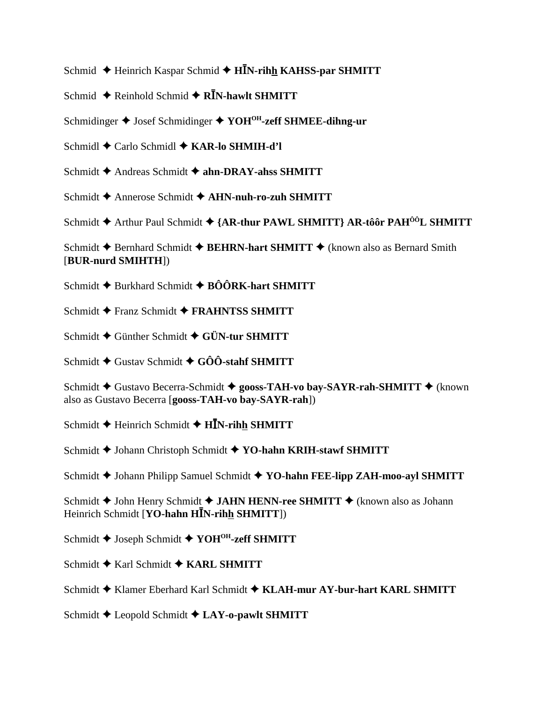Schmid ← Heinrich Kaspar Schmid ← HĪN-rihh KAHSS-par SHMITT

Schmid  $\triangle$  Reinhold Schmid  $\triangle$  R $\overline{I}$ N-hawlt SHMITT

Schmidinger ♦ Josef Schmidinger ♦ YOH<sup>OH</sup>-zeff SHMEE-dihng-ur

Schmidl ← Carlo Schmidl ← KAR-lo SHMIH-d'l

Schmidt ← Andreas Schmidt ← ahn-DRAY-ahss SHMITT

Schmidt  $\triangle$  Annerose Schmidt  $\triangle$  AHN-nuh-ro-zuh SHMITT

Schmidt ◆ Arthur Paul Schmidt ◆ {AR-thur PAWL SHMITT} AR-tôôr PAH<sup>ôô</sup>L SHMITT

Schmidt ← Bernhard Schmidt ← BEHRN-hart SHMITT ← (known also as Bernard Smith [BUR-nurd SMIHTH])

Schmidt  $\triangle$  Burkhard Schmidt  $\triangle$  BÔÔRK-hart SHMITT

- Schmidt  $\triangle$  Franz Schmidt  $\triangle$  FRAHNTSS SHMITT
- Schmidt ♦ Günther Schmidt ♦ GÜN-tur SHMITT

Schmidt  $\blacklozenge$  Gustav Schmidt  $\blacklozenge$  GÔÔ-stahf SHMITT

Schmidt ♦ Gustavo Becerra-Schmidt ♦ gooss-TAH-vo bay-SAYR-rah-SHMITT ♦ (known also as Gustavo Becerra [gooss-TAH-vo bay-SAYR-rah])

Schmidt  $\triangle$  Heinrich Schmidt  $\triangle$  H $\bar{I}$ N-rihh SHMITT

Schmidt ♦ Johann Christoph Schmidt ♦ YO-hahn KRIH-stawf SHMITT

Schmidt ♦ Johann Philipp Samuel Schmidt ♦ YO-hahn FEE-lipp ZAH-moo-ayl SHMITT

Schmidt ◆ John Henry Schmidt ◆ JAHN HENN-ree SHMITT ◆ (known also as Johann Heinrich Schmidt [YO-hahn HIN-rihh SHMITT])

Schmidt ♦ Joseph Schmidt ♦ YOH<sup>OH</sup>-zeff SHMITT

Schmidt  $\triangle$  Karl Schmidt  $\triangle$  KARL SHMITT

Schmidt ◆ Klamer Eberhard Karl Schmidt ◆ KLAH-mur AY-bur-hart KARL SHMITT

Schmidt  $\triangle$  Leopold Schmidt  $\triangle$  LAY-o-pawlt SHMITT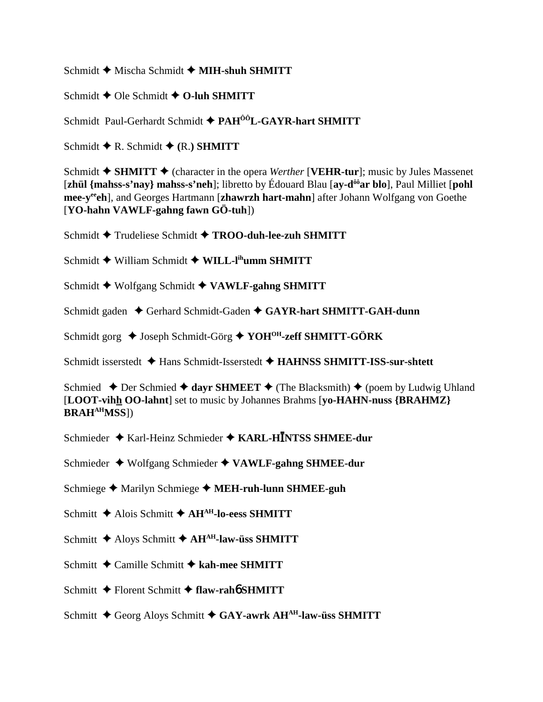Schmidt **→** Mischa Schmidt ◆ MIH-shuh SHMITT

Schmidt **←** Ole Schmidt ← O-luh SHMITT

Schmidt Paul-Gerhardt Schmidt **PAHÔÔL-GAYR-hart SHMITT**

Schmidt  $\blacklozenge$  R. Schmidt  $\blacklozenge$  (R.) **SHMITT** 

Schmidt  $\triangle$  SHMITT  $\triangle$  (character in the opera *Werther* [**VEHR-tur**]; music by Jules Massenet [**zhül {mahss-s'nay} mahss-s'neh**]; libretto by Édouard Blau [**ay-dôôar blo**], Paul Milliet [**pohl mee-yeeeh**], and Georges Hartmann [**zhawrzh hart-mahn**] after Johann Wolfgang von Goethe [**YO-hahn VAWLF-gahng fawn GÖ-tuh**])

Schmidt Trudeliese Schmidt **TROO-duh-lee-zuh SHMITT**

Schmidt ◆ William Schmidt ◆ WILL-l<sup>ih</sup>umm SHMITT

Schmidt Wolfgang Schmidt **VAWLF-gahng SHMITT**

Schmidt gaden ◆ Gerhard Schmidt-Gaden ◆ GAYR-hart SHMITT-GAH-dunn

Schmidt gorg ◆ Joseph Schmidt-Görg ◆ YOH<sup>OH</sup>-zeff SHMITT-GÖRK

Schmidt isserstedt **→** Hans Schmidt-Isserstedt → HAHNSS SHMITT-ISS-sur-shtett

Schmied  $\triangle$  Der Schmied  $\triangle$  dayr SHMEET  $\triangle$  (The Blacksmith)  $\triangle$  (poem by Ludwig Uhland [**LOOT-vihh OO-lahnt**] set to music by Johannes Brahms [**yo-HAHN-nuss {BRAHMZ} BRAHAHMSS**])

Schmieder ◆ Karl-Heinz Schmieder ◆ KARL-HĪNTSS SHMEE-dur

Schmieder Wolfgang Schmieder **VAWLF-gahng SHMEE-dur**

Schmiege ◆ Marilyn Schmiege ◆ MEH-ruh-lunn SHMEE-guh

Schmitt **←** Alois Schmitt **← AH<sup>AH</sup>-lo-eess SHMITT** 

Schmitt **←** Aloys Schmitt **← AH<sup>AH</sup>-law-üss SHMITT** 

Schmitt **←** Camille Schmitt ← kah-mee SHMITT

Schmitt Florent Schmitt **flaw-rah**6 **SHMITT**

Schmitt ◆ Georg Aloys Schmitt ◆ GAY-awrk AH<sup>AH</sup>-law-üss SHMITT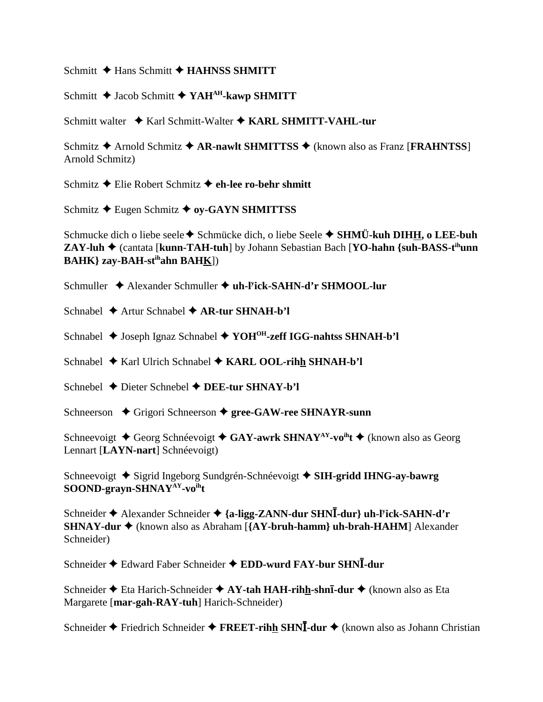Schmitt **→ Hans Schmitt → HAHNSS SHMITT** 

Schmitt **→** Jacob Schmitt **→ YAH<sup>AH</sup>-kawp SHMITT** 

Schmitt walter ◆ Karl Schmitt-Walter ◆ KARL SHMITT-VAHL-tur

Schmitz **→** Arnold Schmitz **→ AR-nawlt SHMITTSS** → (known also as Franz [**FRAHNTSS**] Arnold Schmitz)

Schmitz Elie Robert Schmitz **eh-lee ro-behr shmitt**

Schmitz **←** Eugen Schmitz **← oy-GAYN SHMITTSS** 

Schmucke dich o liebe seele **◆** Schmücke dich, o liebe Seele ◆ SHMÜ-kuh DIHH, o LEE-buh **ZAY-luh ♦** (cantata [**kunn-TAH-tuh**] by Johann Sebastian Bach [**YO-hahn** {suh-BASS-t<sup>ih</sup>unn **BAHK} zay-BAH-stihahn BAHK**])

Schmuller ◆ Alexander Schmuller ◆ uh-l<sup>y</sup>ick-SAHN-d'r SHMOOL-lur

Schnabel **→** Artur Schnabel **→ AR-tur SHNAH-b'l** 

Schnabel **→** Joseph Ignaz Schnabel → YOH<sup>OH</sup>-zeff IGG-nahtss SHNAH-b'l

Schnabel **→** Karl Ulrich Schnabel ◆ KARL OOL-rihh SHNAH-b'l

Schnebel **→** Dieter Schnebel **→ DEE-tur SHNAY-b'l** 

Schneerson ◆ Grigori Schneerson ◆ gree-GAW-ree SHNAYR-sunn

Schneevoigt **→** Georg Schnéevoigt **→ GAY-awrk SHNAY<sup>AY</sup>-vo<sup>ih</sup>t →** (known also as Georg Lennart [**LAYN-nart**] Schnéevoigt)

Schneevoigt **→** Sigrid Ingeborg Sundgrén-Schnéevoigt → SIH-gridd IHNG-ay-bawrg **SOOND-grayn-SHNAYAY-voiht**

Schneider ◆ Alexander Schneider ◆ {a-ligg-ZANN-dur SHNĪ-dur} uh-l<sup>y</sup>ick-SAHN-d'r **SHNAY-dur ♦** (known also as Abraham [**{AY-bruh-hamm} uh-brah-HAHM**] Alexander Schneider)

Schneider ◆ Edward Faber Schneider ◆ EDD-wurd FAY-bur SHNI-dur

Schneider Eta Harich-Schneider **AY-tah HAH-rihh-shn-dur** (known also as Eta Margarete [**mar-gah-RAY-tuh**] Harich-Schneider)

Schneider ◆ Friedrich Schneider ◆ FREET-rihh SHNI-dur ◆ (known also as Johann Christian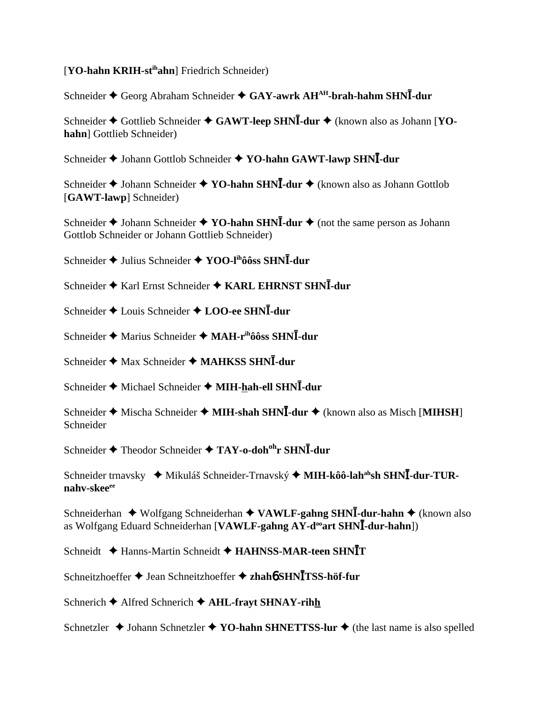## [**YO-hahn KRIH-stihahn**] Friedrich Schneider)

Schneider ◆ Georg Abraham Schneider ◆ GAY-awrk AH<sup>AH</sup>-brah-hahm SHNĪ-dur

Schneider ◆ Gottlieb Schneider ◆ GAWT-leep SHNI-dur ◆ (known also as Johann [YO**hahn**] Gottlieb Schneider)

Schneider ◆ Johann Gottlob Schneider ◆ YO-hahn GAWT-lawp SHNI-dur

Schneider ◆ Johann Schneider ◆ YO-hahn SHNĪ-dur ◆ (known also as Johann Gottlob [**GAWT-lawp**] Schneider)

Schneider ◆ Johann Schneider ◆ YO-hahn SHN**I**-dur ◆ (not the same person as Johann Gottlob Schneider or Johann Gottlieb Schneider)

Schneider ◆ Julius Schneider ◆ YOO-l<sup>ih</sup>ôôss SHNĪ-dur

Schneider ◆ Karl Ernst Schneider ◆ KARL EHRNST SHNI-dur

Schneider ◆ Louis Schneider ◆ LOO-ee SHNĪ-dur

Schneider ◆ Marius Schneider ◆ MAH-r<sup>ih</sup>ôôss SHNĪ-dur

Schneider ◆ Max Schneider ◆ MAHKSS SHNĪ-dur

Schneider ◆ Michael Schneider ◆ MIH-hah-ell SHNI-dur

Schneider ◆ Mischa Schneider ◆ MIH-shah SHNĪ-dur ◆ (known also as Misch [MIHSH] Schneider

 $\text{Schneider}$  ◆ Theodor Schneider ◆ TAY-o-doh<sup>oh</sup>r SHN**I**-dur

Schneider trnavsky  $\rightarrow$  Mikuláš Schneider-Trnavský  $\rightarrow$  MIH-kôô-lah<sup>ah</sup>sh SHNI-dur-TUR**nahv-skeeee**

Schneiderhan ◆ Wolfgang Schneiderhan ◆ VAWLF-gahng SHNI-dur-hahn ◆ (known also as Wolfgang Eduard Schneiderhan [VAWLF-gahng AY-d<sup>oo</sup>art SHNI-dur-hahn])

Schneidt  $\triangle$  Hanns-Martin Schneidt  $\triangle$  HAHNSS-MAR-teen SHNIT

Schneitzhoeffer Jean Schneitzhoeffer **zhah**6 **SHN**-**TSS-höf-fur**

Schnerich **←** Alfred Schnerich ← AHL-frayt SHNAY-rihh

Schnetzler  $\triangle$  Johann Schnetzler  $\triangle$  **YO-hahn SHNETTSS-lur**  $\triangle$  (the last name is also spelled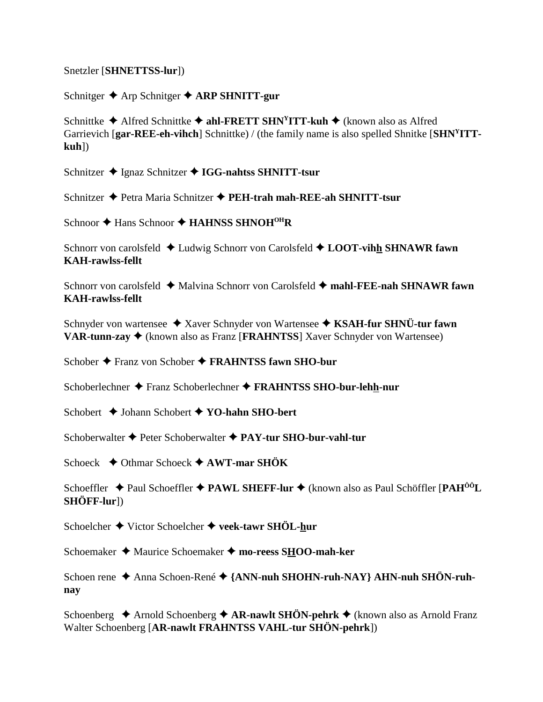Snetzler [SHNETTSS-lur])

Schnitger  $\triangle$  Arp Schnitger  $\triangle$  ARP SHNITT-gur

Schnittke  $\triangle$  Alfred Schnittke  $\triangle$  ahl-FRETT SHN<sup>Y</sup>ITT-kuh  $\triangle$  (known also as Alfred Garrievich [gar-REE-eh-vihch] Schnittke) / (the family name is also spelled Shnitke [SHN<sup>Y</sup>ITT $kuh$ ])

Schnitzer ◆ Ignaz Schnitzer ◆ IGG-nahtss SHNITT-tsur

Schnitzer → Petra Maria Schnitzer → PEH-trah mah-REE-ah SHNITT-tsur

Schnoor  $\triangle$  Hans Schnoor  $\triangle$  HAHNSS SHNOH<sup>OH</sup>R

Schnorr von carolsfeld  $\triangle$  Ludwig Schnorr von Carolsfeld  $\triangle$  LOOT-vihh SHNAWR fawn **KAH-rawlss-fellt** 

Schnorr von carolsfeld  $\triangleq$  Malvina Schnorr von Carolsfeld  $\triangleq$  mahl-FEE-nah SHNAWR fawn **KAH-rawlss-fellt** 

Schnyder von wartensee ◆ Xaver Schnyder von Wartensee ◆ KSAH-fur SHNÜ-tur fawn **VAR-tunn-zay**  $\triangleleft$  (known also as Franz [**FRAHNTSS**] Xaver Schnyder von Wartensee)

Schober ♦ Franz von Schober ♦ FRAHNTSS fawn SHO-bur

Schoberlechner ◆ Franz Schoberlechner ◆ FRAHNTSS SHO-bur-lehh-nur

Schobert ♦ Johann Schobert ♦ YO-hahn SHO-bert

Schoberwalter  $\blacklozenge$  Peter Schoberwalter  $\blacklozenge$  PAY-tur SHO-bur-vahl-tur

Schoeck  $\triangle$  Othmar Schoeck  $\triangle$  AWT-mar SHÖK

Schoeffler  $\triangle$  Paul Schoeffler  $\triangle$  PAWL SHEFF-lur  $\triangle$  (known also as Paul Schöffler [PAH<sup>00</sup>L]  $SHÖFF-lur$ ]

Schoelcher  $\blacklozenge$  Victor Schoelcher  $\blacklozenge$  veek-tawr SHÖL-hur

Schoemaker ◆ Maurice Schoemaker ◆ mo-reess SHOO-mah-ker

Schoen rene ◆ Anna Schoen-René ◆ {ANN-nuh SHOHN-ruh-NAY} AHN-nuh SHÖN-ruhnav

Schoenberg  $\triangle$  Arnold Schoenberg  $\triangle$  AR-nawlt SHÖN-pehrk  $\triangle$  (known also as Arnold Franz Walter Schoenberg [AR-nawlt FRAHNTSS VAHL-tur SHÖN-pehrk])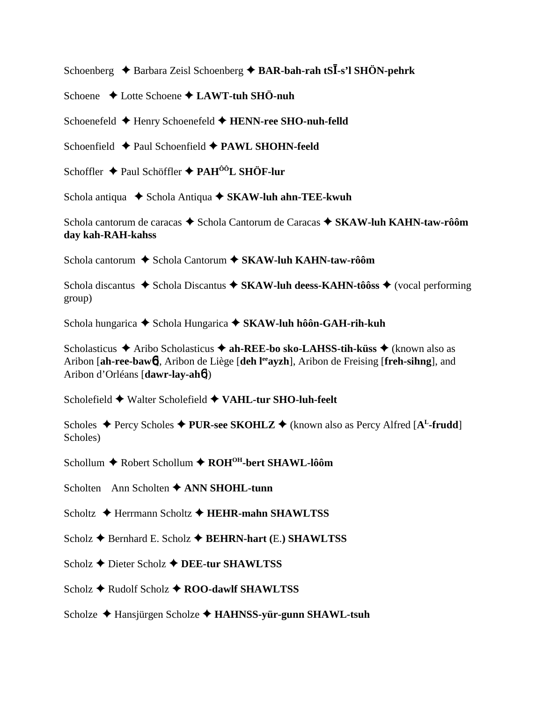Schoenberg ◆ Barbara Zeisl Schoenberg ◆ BAR-bah-rah tSI-s'l SHÖN-pehrk

Schoene Lotte Schoene **LAWT-tuh SHÖ-nuh**

Schoenefeld **←** Henry Schoenefeld ← **HENN-ree SHO-nuh-felld** 

Schoenfield **← Paul Schoenfield ← PAWL SHOHN-feeld** 

Schoffler **→** Paul Schöffler ◆ PAH<sup>ÔÔ</sup>L SHÖF-lur

Schola antiqua **→** Schola Antiqua ◆ SKAW-luh ahn-TEE-kwuh

Schola cantorum de caracas ◆ Schola Cantorum de Caracas ◆ SKAW-luh KAHN-taw-rôôm **day kah-RAH-kahss**

Schola cantorum **→** Schola Cantorum → SKAW-luh KAHN-taw-rôôm

Schola discantus **→** Schola Discantus ◆ SKAW-luh deess-KAHN-tôôss ◆ (vocal performing group)

Schola hungarica ◆ Schola Hungarica ◆ SKAW-luh hôôn-GAH-rih-kuh

Scholasticus **→** Aribo Scholasticus → ah-REE-bo sko-LAHSS-tih-küss → (known also as Aribon [ah-ree-baw<sup>6</sup>], Aribon de Liège [deh l<sup>ee</sup>ayzh], Aribon de Freising [freh-sihng], and Aribon d'Orléans [**dawr-lay-ah**6])

Scholefield ◆ Walter Scholefield ◆ VAHL-tur SHO-luh-feelt

Scholes ◆ Percy Scholes ◆ PUR-see SKOHLZ ◆ (known also as Percy Alfred [A<sup>L</sup>-frudd] Scholes)

Schollum ◆ Robert Schollum ◆ ROH<sup>OH</sup>-bert SHAWL-lôôm

Scholten Ann Scholten **↑ ANN SHOHL-tunn** 

Scholtz **→** Herrmann Scholtz **→ HEHR-mahn SHAWLTSS** 

Scholz **↑** Bernhard E. Scholz **↑** BEHRN-hart (E.) SHAWLTSS

Scholz **→** Dieter Scholz **→ DEE-tur SHAWLTSS** 

Scholz **→** Rudolf Scholz **→ ROO-dawlf SHAWLTSS** 

Scholze Hansjürgen Scholze **HAHNSS-yür-gunn SHAWL-tsuh**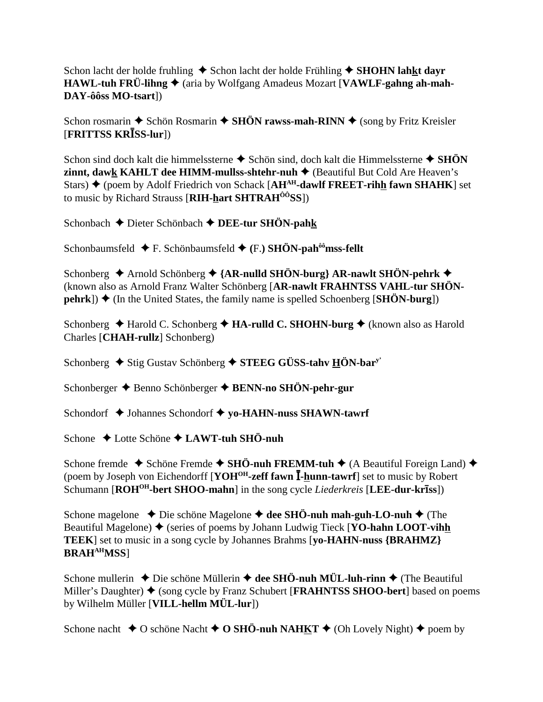Schon lacht der holde fruhling  $\triangle$  Schon lacht der holde Frühling  $\triangle$  SHOHN lahkt dayr  $HAWL-tuh FRÜ-lihng \triangleq$  (aria by Wolfgang Amadeus Mozart [VAWLF-gahng ah-mah-DAY-ôôss MO-tsart])

Schon rosmarin  $\triangle$  Schön Rosmarin  $\triangle$  SHÖN rawss-mah-RINN  $\triangle$  (song by Fritz Kreisler [FRITTSS KRISS-lur])

Schon sind doch kalt die himmelssterne  $\triangle$  Schön sind, doch kalt die Himmelssterne  $\triangle$  SHÖN **zinnt, dawk KAHLT dee HIMM-mullss-shtehr-nuh**  $\triangle$  (Beautiful But Cold Are Heaven's Stars)  $\blacklozenge$  (poem by Adolf Friedrich von Schack [AH<sup>AH</sup>-dawlf FREET-rihh fawn SHAHK] set to music by Richard Strauss [RIH-hart SHTRAH<sup>00</sup>SS])

Schonbach ← Dieter Schönbach ← DEE-tur SHÖN-pahk

Schonbaumsfeld  $\blacklozenge$  F. Schönbaumsfeld  $\blacklozenge$  (F.) SHÖN-pah<sup> $\delta \hat{\theta}$ </sup>mss-fellt

Schonberg → Arnold Schönberg → {AR-nulld SHÖN-burg} AR-nawlt SHÖN-pehrk → (known also as Arnold Franz Walter Schönberg [AR-nawlt FRAHNTSS VAHL-tur SHÖN- $\mathbf{p}$ ehrk])  $\blacklozenge$  (In the United States, the family name is spelled Schoenberg [SHÖN-burg])

Schonberg  $\triangle$  Harold C. Schonberg  $\triangle$  HA-rulld C. SHOHN-burg  $\triangle$  (known also as Harold Charles [CHAH-rullz] Schonberg)

Schonberg  $\blacklozenge$  Stig Gustav Schönberg  $\blacklozenge$  STEEG GÜSS-tahv HÖN-bar<sup>y</sup>

Schonberger → Benno Schönberger → BENN-no SHÖN-pehr-gur

Schondorf ◆ Johannes Schondorf ◆ yo-HAHN-nuss SHAWN-tawrf

Schone  $\triangle$  Lotte Schöne  $\triangle$  LAWT-tuh SHÖ-nuh

Schone fremde  $\triangle$  Schöne Fremde  $\triangle$  SHÖ-nuh FREMM-tuh  $\triangle$  (A Beautiful Foreign Land)  $\triangle$ (poem by Joseph von Eichendorff [YOH<sup>OH</sup>-zeff fawn I-hunn-tawrf] set to music by Robert Schumann [ROH<sup>OH</sup>-bert SHOO-mahn] in the song cycle *Liederkreis* [LEE-dur-kr**1**ss])

Schone magelone  $\rightarrow$  Die schöne Magelone  $\rightarrow$  dee SHO-nuh mah-guh-LO-nuh  $\rightarrow$  (The Beautiful Magelone)  $\blacklozenge$  (series of poems by Johann Ludwig Tieck [YO-hahn LOOT-vihh **TEEK**] set to music in a song cycle by Johannes Brahms [vo-HAHN-nuss {BRAHMZ}} **BRAHAHMSS]** 

Schone mullerin  $\triangle$  Die schöne Müllerin  $\triangle$  dee SHÖ-nuh MÜL-luh-rinn  $\triangle$  (The Beautiful Miller's Daughter)  $\blacklozenge$  (song cycle by Franz Schubert [**FRAHNTSS SHOO-bert**] based on poems by Wilhelm Müller [VILL-hellm MÜL-lur])

Schone nacht  $\triangle$  O schöne Nacht  $\triangle$  O SHÖ-nuh NAHKT  $\triangle$  (Oh Lovely Night)  $\triangle$  poem by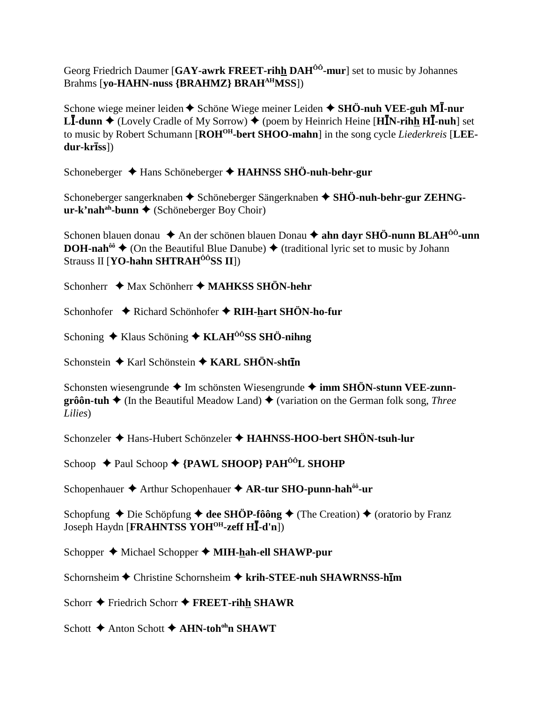Georg Friedrich Daumer [GAY-awrk FREET-rihh DAH<sup>00</sup>-mur] set to music by Johannes Brahms [yo-HAHN-nuss {BRAHMZ} BRAH<sup>AH</sup>MSS])

Schone wiege meiner leiden  $\triangle$  Schöne Wiege meiner Leiden  $\triangle$  SHÖ-nuh VEE-guh MI-nur **LI-dunn**  $\blacklozenge$  (Lovely Cradle of My Sorrow)  $\blacklozenge$  (poem by Heinrich Heine [HIN-rihh HI-nuh] set to music by Robert Schumann [ROH<sup>OH</sup>-bert SHOO-mahn] in the song cycle Liederkreis [LEE $dur-kr\bar{l}ss$ ])

Schoneberger → Hans Schöneberger → HAHNSS SHÖ-nuh-behr-gur

Schoneberger sangerknaben ◆ Schöneberger Sängerknaben ◆ SHÖ-nuh-behr-gur ZEHNG $ur-k' nah<sup>ah</sup>$ -bunn  $\blacklozenge$  (Schöneberger Boy Choir)

Schonen blauen donau  $\triangle$  An der schönen blauen Donau  $\triangle$  ahn dayr SHÖ-nunn BLAH<sup>00</sup>-unn **DOH-nah<sup>** $\hat{\omega} \triangleq$  **(On the Beautiful Blue Danube)**  $\triangleq$  **(traditional lyric set to music by Johann**</sup> Strauss II [**YO-hahn SHTRAH**<sup> $\hat{o}$ **OSS II**])</sup>

Schonherr  $\triangleleft$  Max Schönherr  $\triangleleft$  MAHKSS SHÖN-hehr

Schonhofer ♦ Richard Schönhofer ♦ RIH-hart SHÖN-ho-fur

Schoning  $\triangle$  Klaus Schöning  $\triangle$  KLAH<sup> $\hat{O}^{\hat{O}}$ </sup>SS SH $\hat{O}$ -nihng

Schonstein ♦ Karl Schönstein ♦ KARL SHÖN-shtin

Schonsten wiesengrunde  $\triangleq$  Im schönsten Wiesengrunde  $\triangleq$  imm SHÖN-stunn VEE-zunn $gr\hat{o}\hat{o}$ n-tuh  $\blacklozenge$  (In the Beautiful Meadow Land)  $\blacklozenge$  (variation on the German folk song, *Three* Lilies)

Schonzeler ◆ Hans-Hubert Schönzeler ◆ HAHNSS-HOO-bert SHÖN-tsuh-lur

Schoop ← Paul Schoop ← {PAWL SHOOP} PAH<sup>ôô</sup>L SHOHP

Schopenhauer  $\triangle$  Arthur Schopenhauer  $\triangle$  AR-tur SHO-punn-hah<sup> $00$ </sup>-ur

Schopfung  $\triangle$  Die Schöpfung  $\triangle$  dee SHÖP-fôông  $\triangle$  (The Creation)  $\triangle$  (oratorio by Franz Joseph Haydn [FRAHNTSS YOH<sup>OH</sup>-zeff HI-d'n])

Schopper ◆ Michael Schopper ◆ MIH-hah-ell SHAWP-pur

Schornsheim ◆ Christine Schornsheim ◆ krih-STEE-nuh SHAWRNSS-him

Schorr  $\triangle$  Friedrich Schorr  $\triangle$  FREET-rihh SHAWR

Schott  $\triangle$  Anton Schott  $\triangle$  AHN-toh<sup>oh</sup>n SHAWT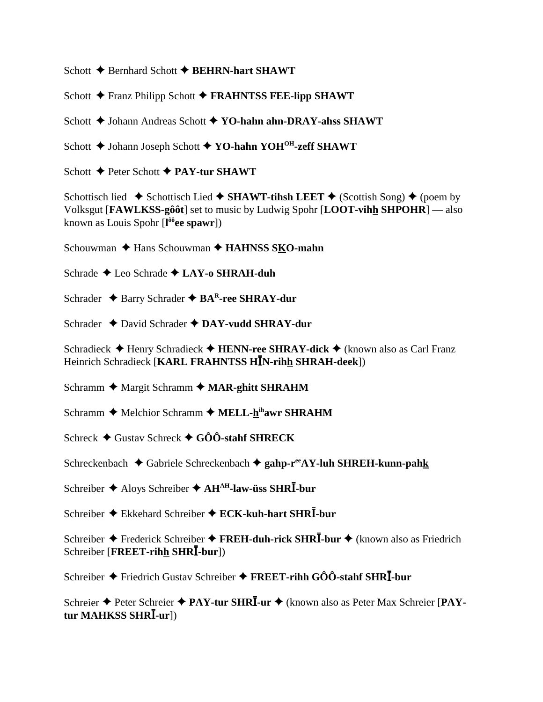Schott **→** Bernhard Schott ◆ **BEHRN-hart SHAWT** 

Schott **←** Franz Philipp Schott ← FRAHNTSS FEE-lipp SHAWT

Schott  $\blacklozenge$  Johann Andreas Schott  $\blacklozenge$  **YO-hahn ahn-DRAY-ahss SHAWT** 

Schott **→** Johann Joseph Schott **→ YO-hahn YOH<sup>OH</sup>-zeff SHAWT** 

Schott **←** Peter Schott ← PAY-tur SHAWT

Schottisch lied  $\triangle$  Schottisch Lied  $\triangle$  SHAWT-tihsh LEET  $\triangle$  (Scottish Song)  $\triangle$  (poem by Volksgut [**FAWLKSS-gôôt**] set to music by Ludwig Spohr [**LOOT-vihh SHPOHR**] — also known as Louis Spohr [**l ôôee spawr**])

Schouwman **← Hans Schouwman ← HAHNSS SKO-mahn** 

Schrade **→** Leo Schrade **→ LAY-o SHRAH-duh** 

Schrader **→** Barry Schrader **→ BA<sup>R</sup>-ree SHRAY-dur** 

Schrader **→** David Schrader → DAY-vudd SHRAY-dur

Schradieck **← Henry Schradieck ← HENN-ree SHRAY-dick ←** (known also as Carl Franz Heinrich Schradieck [KARL FRAHNTSS HĪN-rihh SHRAH-deek])

Schramm **←** Margit Schramm ← MAR-ghitt SHRAHM

Schramm **←** Melchior Schramm ← MELL-hihawr SHRAHM

Schreck Gustav Schreck **GÔÔ-stahf SHRECK**

Schreckenbach ◆ Gabriele Schreckenbach ◆ gahp-r<sup>ee</sup>AY-luh SHREH-kunn-pahk

Schreiber  $\triangle$  Aloys Schreiber  $\triangle$  AH<sup>AH</sup>-law-üss SHR<sup>T</sup>-bur

Schreiber ◆ Ekkehard Schreiber ◆ ECK-kuh-hart SHRI-bur

Schreiber ◆ Frederick Schreiber ◆ FREH-duh-rick SHR<sup>T</sup>-bur ◆ (known also as Friedrich  $\text{Schreiber}$  [FREET-rih<u>h</u> SHRI-bur])

Schreiber ◆ Friedrich Gustav Schreiber ◆ FREET-rihh GÔÔ-stahf SHRI-bur

Schreier ◆ Peter Schreier ◆ PAY-tur SHRI-ur ◆ (known also as Peter Max Schreier [PAY- $\tan MAHKSS SHR\bar{I}\textrm{-}\mathrm{ur}$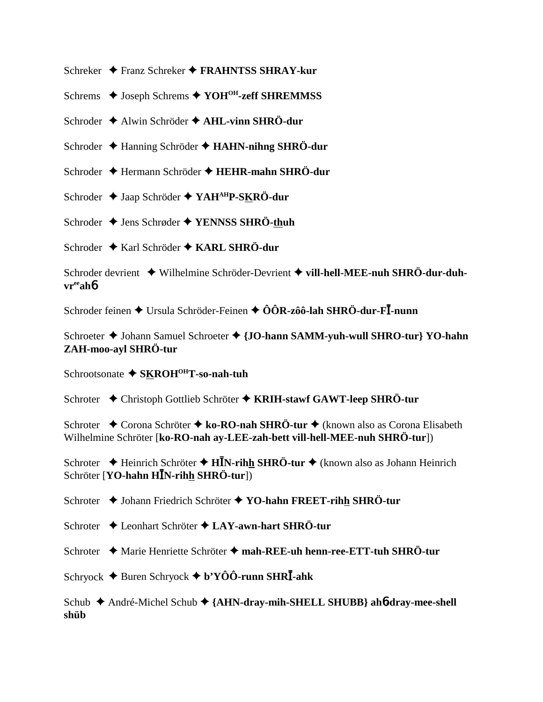Schreker  $\triangle$  Franz Schreker  $\triangle$  FRAHNTSS SHRAY-kur

Schrems  $\triangle$  Joseph Schrems  $\triangle$  YOH<sup>OH</sup>-zeff SHREMMSS

Schroder  $\triangle$  Alwin Schröder  $\triangle$  AHL-vinn SHRÖ-dur

Schroder  $\triangle$  Hanning Schröder  $\triangle$  HAHN-nihng SHRÖ-dur

Schroder ← Hermann Schröder ← HEHR-mahn SHRÖ-dur

Schroder  $\triangle$  Jaap Schröder  $\triangle$  YAH<sup>AH</sup>P-SKRÖ-dur

Schroder ◆ Jens Schrøder ◆ YENNSS SHRÖ-thuh

Schroder  $\triangle$  Karl Schröder  $\triangle$  KARL SHRÖ-dur

Schroder devrient ◆ Wilhelmine Schröder-Devrient ◆ vill-hell-MEE-nuh SHRÖ-dur-duh $vr<sup>ee</sup>ahb$ 

Schroder feinen ◆ Ursula Schröder-Feinen ◆ ÔÔR-zôô-lah SHRÖ-dur-FĪ-nunn

Schroeter ♦ Johann Samuel Schroeter ♦ {JO-hann SAMM-yuh-wull SHRO-tur} YO-hahn ZAH-moo-ayl SHRÖ-tur

Schrootsonate ◆ SKROH<sup>OH</sup>T-so-nah-tuh

Schroter ◆ Christoph Gottlieb Schröter ◆ KRIH-stawf GAWT-leep SHRÖ-tur

Schroter ◆ Corona Schröter ◆ ko-RO-nah SHRÖ-tur ◆ (known also as Corona Elisabeth Wilhelmine Schröter [ko-RO-nah av-LEE-zah-bett vill-hell-MEE-nuh SHRÖ-tur])

Schroter  $\triangle$  Heinrich Schröter  $\triangle$  HIN-rihh SHRÖ-tur  $\triangle$  (known also as Johann Heinrich Schröter [YO-hahn HIN-rihh SHRÖ-tur])

Schroter  $\triangle$  Johann Friedrich Schröter  $\triangle$  YO-hahn FREET-rihh SHRÖ-tur

Schroter  $\triangle$  Leonhart Schröter  $\triangle$  LAY-awn-hart SHRÖ-tur

Schroter ◆ Marie Henriette Schröter ◆ mah-REE-uh henn-ree-ETT-tuh SHRÖ-tur

Schryock  $\blacklozenge$  Buren Schryock  $\blacklozenge$  b'YÔÔ-runn SHRĪ-ahk

Schub ◆ André-Michel Schub ◆ {AHN-dray-mih-SHELL SHUBB} ah6-dray-mee-shell shüb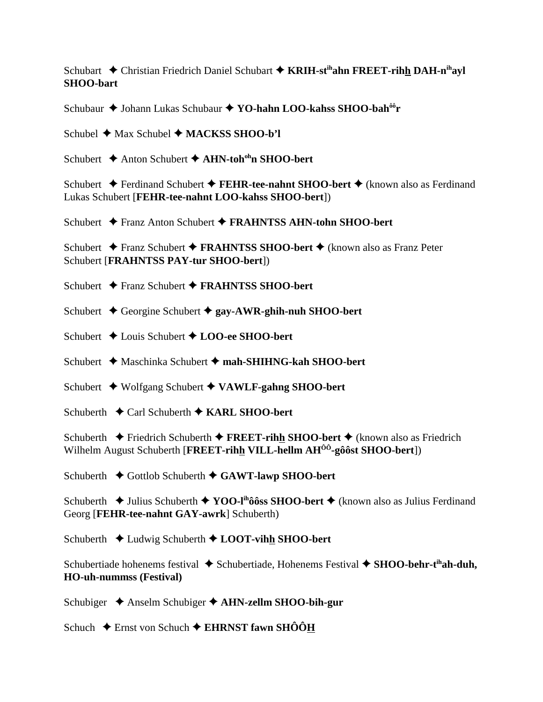Schubart **←** Christian Friedrich Daniel Schubart ← KRIH-st<sup>ih</sup>ahn FREET-rihh DAH-n<sup>ih</sup>ayl **SHOO-bart**

Schubaur **→** Johann Lukas Schubaur → **YO-hahn LOO-kahss SHOO-bah<sup>ôô</sup>r** 

Schubel **→** Max Schubel ◆ MACKSS SHOO-b'l

Schubert **→** Anton Schubert → AHN-toh<sup>oh</sup>n SHOO-bert

Schubert **←** Ferdinand Schubert ← FEHR-tee-nahnt SHOO-bert ← (known also as Ferdinand Lukas Schubert [**FEHR-tee-nahnt LOO-kahss SHOO-bert**])

Schubert Franz Anton Schubert **FRAHNTSS AHN-tohn SHOO-bert**

Schubert **→** Franz Schubert **→ FRAHNTSS SHOO-bert** → (known also as Franz Peter Schubert [**FRAHNTSS PAY-tur SHOO-bert**])

Schubert **→** Franz Schubert **→ FRAHNTSS SHOO-bert** 

Schubert **→** Georgine Schubert → gay-AWR-ghih-nuh SHOO-bert

Schubert **→** Louis Schubert **→ LOO-ee SHOO-bert** 

Schubert **→** Maschinka Schubert → mah-SHIHNG-kah SHOO-bert

Schubert Wolfgang Schubert **VAWLF-gahng SHOO-bert**

Schuberth **←** Carl Schuberth ← KARL SHOO-bert

Schuberth **←** Friedrich Schuberth ← **FREET-rihh SHOO-bert** ← (known also as Friedrich Wilhelm August Schuberth [**FREET-rihh VILL-hellm AHÔÔ-gôôst SHOO-bert**])

Schuberth **←** Gottlob Schuberth ← GAWT-lawp SHOO-bert

Schuberth **◆ Julius Schuberth ◆ YOO-l<sup>ih</sup>ôôss SHOO-bert ◆** (known also as Julius Ferdinand Georg [**FEHR-tee-nahnt GAY-awrk**] Schuberth)

Schuberth **←** Ludwig Schuberth ← **LOOT-vihh SHOO-bert** 

Schubertiade hohenems festival ◆ Schubertiade, Hohenems Festival ◆ SHOO-behr-t<sup>ih</sup>ah-duh, **HO-uh-nummss (Festival)**

Schubiger **→** Anselm Schubiger → **AHN-zellm SHOO-bih-gur** 

Schuch **←** Ernst von Schuch ← EHRNST fawn SHÔÔH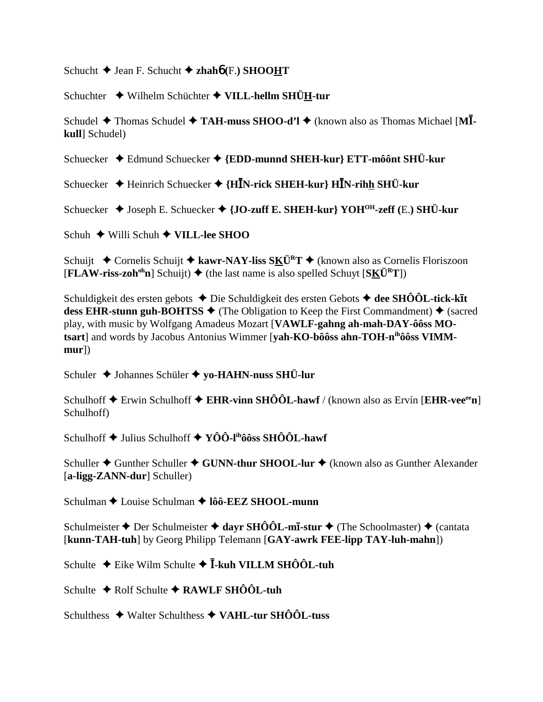Schucht  $\blacklozenge$  Jean F. Schucht  $\blacklozenge$  zhaho (F.) SHOOHT

Schuchter ◆ Wilhelm Schüchter ◆ VILL-hellm SHÜH-tur

Schudel ◆ Thomas Schudel ◆ TAH-muss SHOO-d'l ◆ (known also as Thomas Michael [MIkull Schudel)

Schuecker ◆ Edmund Schuecker ◆ {EDD-munnd SHEH-kur} ETT-môônt SHÜ-kur

Schuecker → Heinrich Schuecker → {HIN-rick SHEH-kur} HIN-rihh SHÜ-kur

Schuecker ♦ Joseph E. Schuecker ♦ {JO-zuff E. SHEH-kur} YOH<sup>OH</sup>-zeff (E.) SHÜ-kur

Schuh  $\div$  Willi Schuh  $\div$  VILL-lee SHOO

Schuijt ← Cornelis Schuijt ← kawr-NAY-liss SKÜ<sup>R</sup>T ← (known also as Cornelis Floriszoon  $[FLAW-riss-zoh<sup>oh</sup>n]$  Schuijt)  $\blacklozenge$  (the last name is also spelled Schuyt  $[SK\ddot{U}^R T]$ )

Schuldigkeit des ersten gebots  $\triangle$  Die Schuldigkeit des ersten Gebots  $\triangle$  dee SHÔÔL-tick-kīt dess EHR-stunn guh-BOHTSS  $\blacklozenge$  (The Obligation to Keep the First Commandment)  $\blacklozenge$  (sacred play, with music by Wolfgang Amadeus Mozart [VAWLF-gahng ah-mah-DAY-ôôss MOtsart] and words by Jacobus Antonius Wimmer [vah-KO-bôôss ahn-TOH-nihôôss VIMM $mur$ )

Schuler ◆ Johannes Schüler ◆ yo-HAHN-nuss SHÜ-lur

Schulhoff  $\triangle$  Erwin Schulhoff  $\triangle$  EHR-vinn SHÔÔL-hawf / (known also as Ervín [EHR-vee<sup>ee</sup>n] Schulhoff)

Schulhoff  $\triangle$  Julius Schulhoff  $\triangle$  YÔÔ-I<sup>n</sup>ôôss SHÔÔL-hawf

Schuller  $\triangle$  Gunther Schuller  $\triangle$  GUNN-thur SHOOL-lur  $\triangle$  (known also as Gunther Alexander [a-ligg-ZANN-dur] Schuller)

Schulman  $\triangle$  Louise Schulman  $\triangle$  1ôô-EEZ SHOOL-munn

Schulmeister ♦ Der Schulmeister ♦ dayr SHÔÔL-mī-stur ♦ (The Schoolmaster) ♦ (cantata [kunn-TAH-tuh] by Georg Philipp Telemann [GAY-awrk FEE-lipp TAY-luh-mahn])

Schulte ◆ Eike Wilm Schulte ◆ I-kuh VILLM SHÔÔL-tuh

Schulte  $\triangle$  Rolf Schulte  $\triangle$  RAWLF SHOOL-tuh

Schulthess  $\triangleleft$  Walter Schulthess  $\triangleleft$  VAHL-tur SHOOL-tuss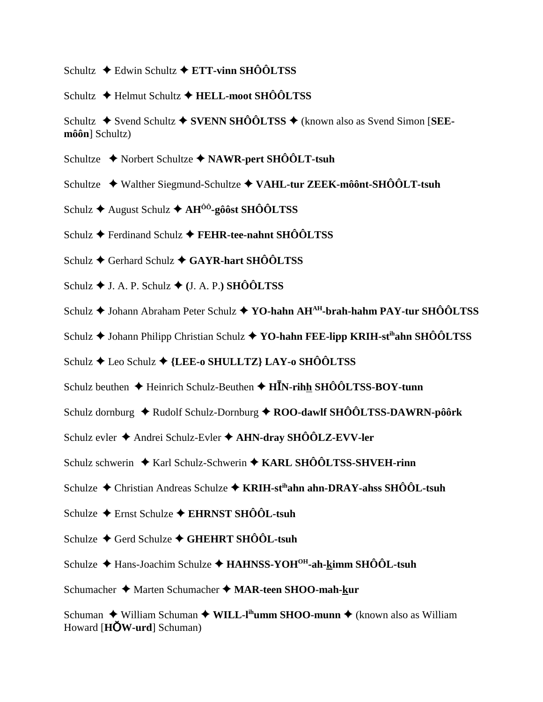- Schultz ◆ Edwin Schultz ◆ ETT-vinn SHÔÔLTSS
- Schultz  $\bigstar$  Helmut Schultz  $\bigstar$  HELL-moot SHÔÔLTSS
- Schultz  $\triangle$  Svend Schultz  $\triangle$  SVENN SHÔÔLTSS  $\triangle$  (known also as Svend Simon [SEE $m\hat{o}\hat{o}n$ ] Schultz)
- Schultze ◆ Norbert Schultze ◆ NAWR-pert SHÔÔLT-tsuh
- Schultze ◆ Walther Siegmund-Schultze ◆ VAHL-tur ZEEK-môônt-SHÔÔLT-tsuh
- Schulz ← August Schulz ← AH<sup> $\hat{o}$ ô-gôôst SHÔÔLTSS</sup>
- Schulz ← Ferdinand Schulz ← FEHR-tee-nahnt SHÔÔLTSS
- Schulz  $\triangle$  Gerhard Schulz  $\triangle$  GAYR-hart SHÔÔLTSS
- Schulz  $\blacklozenge$  J. A. P. Schulz  $\blacklozenge$  (J. A. P.) SHÔÔLTSS
- Schulz ♦ Johann Abraham Peter Schulz ♦ YO-hahn AH<sup>AH</sup>-brah-hahm PAY-tur SHÔÔLTSS
- Schulz  $\triangle$  Johann Philipp Christian Schulz  $\triangle$  YO-hahn FEE-lipp KRIH-st<sup>ih</sup>ahn SHÔÔLTSS
- Schulz  $\bigstar$  Leo Schulz  $\bigstar$  {LEE-o SHULLTZ} LAY-o SHÔÔLTSS
- Schulz beuthen  $\triangle$  Heinrich Schulz-Beuthen  $\triangle$  HIN-rihh SHÔÔLTSS-BOY-tunn
- Schulz dornburg  $\triangleq$  Rudolf Schulz-Dornburg  $\triangleq$  ROO-dawlf SHÔÔLTSS-DAWRN-pôôrk
- Schulz evler ♦ Andrei Schulz-Evler ♦ AHN-dray SHÔÔLZ-EVV-ler
- Schulz schwerin  $\triangleq$  Karl Schulz-Schwerin  $\triangleq$  KARL SHÔÔLTSS-SHVEH-rinn
- Schulze  $\triangle$  Christian Andreas Schulze  $\triangle$  KRIH-st<sup>th</sup>ahn ahn-DRAY-ahss SHÔÔL-tsuh
- Schulze ← Ernst Schulze ← EHRNST SHÔÔL-tsuh
- Schulze ← Gerd Schulze ← GHEHRT SHÔÔL-tsuh
- Schulze  $\triangle$  Hans-Joachim Schulze  $\triangle$  HAHNSS-YOH<sup>OH</sup>-ah-kimm SHÔÔL-tsuh
- Schumacher ◆ Marten Schumacher ◆ MAR-teen SHOO-mah-kur

Schuman ◆ William Schuman ◆ WILL-I<sup>th</sup>umm SHOO-munn ◆ (known also as William Howard [ $H\ddot{\text{OW-urd}}$ ] Schuman)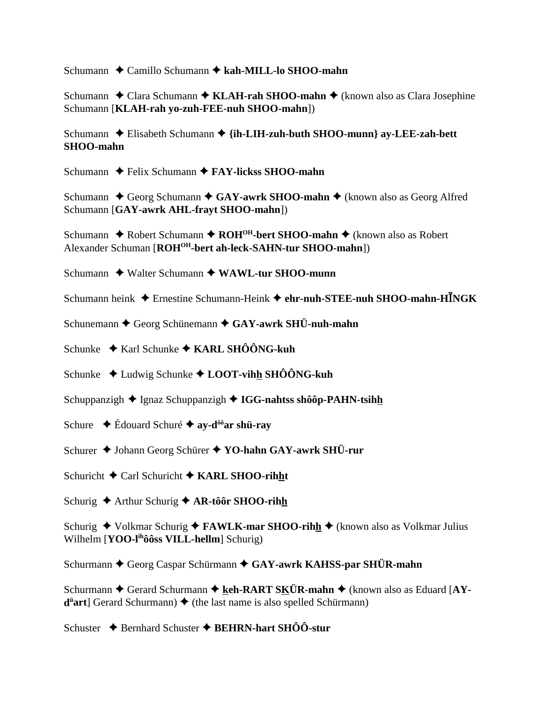Schumann Camillo Schumann **kah-MILL-lo SHOO-mahn**

Schumann **→** Clara Schumann → **KLAH-rah SHOO-mahn** → (known also as Clara Josephine Schumann [**KLAH-rah yo-zuh-FEE-nuh SHOO-mahn**])

Schumann ◆ Elisabeth Schumann ◆ {i**h-LIH-zuh-buth SHOO-munn} ay-LEE-zah-bett SHOO-mahn**

Schumann **←** Felix Schumann ← **FAY-lickss SHOO-mahn** 

Schumann ◆ Georg Schumann ◆ GAY-awrk SHOO-mahn ◆ (known also as Georg Alfred Schumann [**GAY-awrk AHL-frayt SHOO-mahn**])

Schumann **↓** Robert Schumann **→ ROH<sup>OH</sup>-bert SHOO-mahn →** (known also as Robert Alexander Schuman [**ROHOH-bert ah-leck-SAHN-tur SHOO-mahn**])

Schumann **↓** Walter Schumann **→ WAWL-tur SHOO-munn** 

- Schumann heink ◆ Ernestine Schumann-Heink ◆ ehr-nuh-STEE-nuh SHOO-mahn-HINGK
- Schunemann **←** Georg Schünemann ← GAY-awrk SHÜ-nuh-mahn
- Schunke **→ Karl Schunke → KARL SHÔÔNG-kuh**
- Schunke ◆ Ludwig Schunke ◆ LOOT-vihh SHÔÔNG-kuh
- Schuppanzigh **→** Ignaz Schuppanzigh → **IGG-nahtss shôôp-PAHN-tsihh**
- Schure Édouard Schuré **ay-dôôar shü-ray**
- Schurer **→** Johann Georg Schürer **→ YO-hahn GAY-awrk SHÜ-rur**
- Schuricht **←** Carl Schuricht ← KARL SHOO-rihht
- Schurig ◆ Arthur Schurig ◆ AR-tôôr SHOO-rihh

Schurig ◆ Volkmar Schurig ◆ **FAWLK-mar SHOO-rihh** ◆ (known also as Volkmar Julius Wilhelm [**YOO-lihôôss VILL-hellm**] Schurig)

Schurmann **←** Georg Caspar Schürmann ← GAY-awrk KAHSS-par SHÜR-mahn

Schurmann ◆ Gerard Schurmann ◆ keh-RART SKÜR-mahn ◆ (known also as Eduard [AY- $\overline{d}$  art] Gerard Schurmann)  $\leftrightarrow$  (the last name is also spelled Schürmann)

Schuster **→** Bernhard Schuster → BEHRN-hart SHÔÔ-stur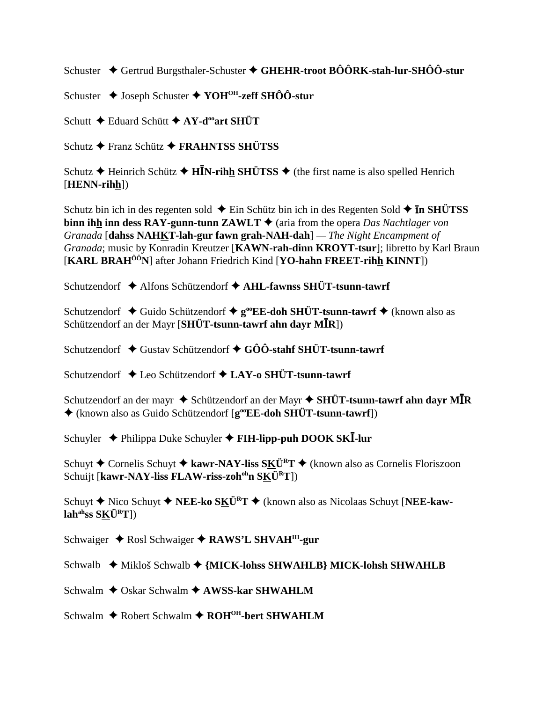Schuster ◆ Gertrud Burgsthaler-Schuster ◆ GHEHR-troot BÔÔRK-stah-lur-SHÔÔ-stur

Schuster **→** Joseph Schuster ◆ YOH<sup>OH</sup>-zeff SHÔÔ-stur

Schutt **←** Eduard Schütt **← AY-d<sup>oo</sup>art SHÜT** 

Schutz **←** Franz Schütz ← FRAHNTSS SHÜTSS

Schutz **→** Heinrich Schütz **→ HIN-rihh SHÜTSS** → (the first name is also spelled Henrich [**HENN-rihh**])

Schutz bin ich in des regenten sold  $\triangle$  Ein Schütz bin ich in des Regenten Sold  $\triangle$  **In SHÜTSS binn ihh inn dess RAY-gunn-tunn ZAWLT**  $\triangle$  (aria from the opera *Das Nachtlager von Granada* [**dahss NAHKT-lah-gur fawn grah-NAH-dah**] *— The Night Encampment of Granada*; music by Konradin Kreutzer [**KAWN-rah-dinn KROYT-tsur**]; libretto by Karl Braun [**KARL BRAHÔÔN**] after Johann Friedrich Kind [**YO-hahn FREET-rihh KINNT**])

Schutzendorf **→** Alfons Schützendorf → AHL-fawnss SHÜT-tsunn-tawrf

Schutzendorf **→** Guido Schützendorf **→ g<sup>oo</sup>EE-doh SHÜT-tsunn-tawrf →** (known also as Schützendorf an der Mayr [SHÜT-tsunn-tawrf ahn dayr M**I**R])

Schutzendorf ◆ Gustav Schützendorf ◆ GÔÔ-stahf SHÜT-tsunn-tawrf

Schutzendorf ◆ Leo Schützendorf ◆ LAY-o SHÜT-tsunn-tawrf

Schutzendorf an der mayr  $\blacklozenge$  Schützendorf an der Mayr  $\blacklozenge$  **SHÜT-tsunn-tawrf ahn dayr MĪR** (known also as Guido Schützendorf [**gooEE-doh SHÜT-tsunn-tawrf**])

Schuyler ◆ Philippa Duke Schuyler ◆ FIH-lipp-puh DOOK SKI-lur

Schuyt **←** Cornelis Schuyt **← kawr-NAY-liss SKÜ<sup>R</sup>T ← (known also as Cornelis Floriszoon** Schuijt [kawr-NAY-liss FLAW-riss-zoh<sup>oh</sup>n SKÜ<sup>R</sup>T])

Schuyt ◆ Nico Schuyt ◆ NEE-ko SKÜ<sup>R</sup>T ◆ (known also as Nicolaas Schuyt [NEE-kaw**lahahss SKÜRT**])

Schwaiger **→** Rosl Schwaiger ◆ RAWS'L SHVAH<sup>IH</sup>-gur

Schwalb **→** Mikloš Schwalb → {MICK-lohss SHWAHLB} MICK-lohsh SHWAHLB

Schwalm **←** Oskar Schwalm ← AWSS-kar SHWAHLM

Schwalm ◆ Robert Schwalm ◆ ROH<sup>OH</sup>-bert SHWAHLM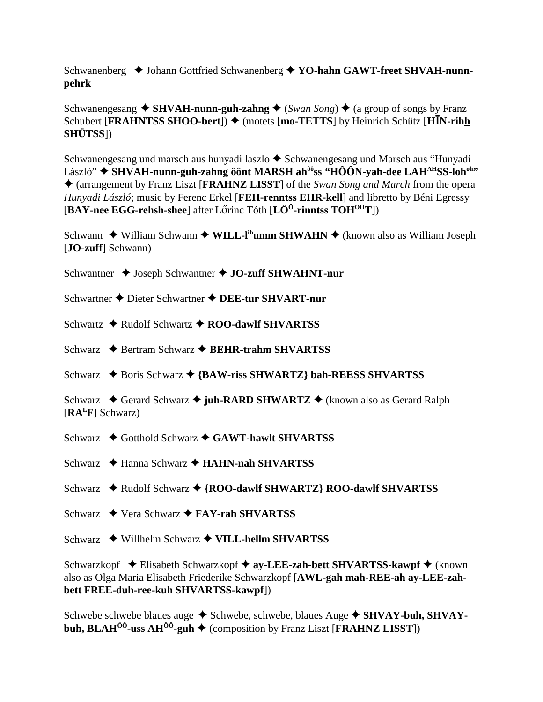Schwanenberg  $\triangle$  Johann Gottfried Schwanenberg  $\triangle$  YO-hahn GAWT-freet SHVAH-nunnpehrk

Schwanengesang  $\triangle$  SHVAH-nunn-guh-zahng  $\triangle$  (*Swan Song*)  $\triangle$  (a group of songs by Franz Schubert [FRAHNTSS SHOO-bert])  $\blacklozenge$  (motets [mo-TETTS] by Heinrich Schütz [HIN-rihh **SHÜTSS**])

Schwanengesang und marsch aus hunyadi laszlo ◆ Schwanengesang und Marsch aus "Hunyadi László" ◆ SHVAH-nunn-guh-zahng ôônt MARSH ah<sup>ôô</sup>ss "HÔÔN-yah-dee LAH<sup>AH</sup>SS-loh<sup>oh</sup>" ♦ (arrangement by Franz Liszt [FRAHNZ LISST] of the Swan Song and March from the opera Hunyadi László; music by Ferenc Erkel [FEH-renntss EHR-kell] and libretto by Béni Egressy [BAY-nee EGG-rehsh-shee] after Lőrinc Tóth  $[L\ddot{O}^0$ -rinntss TOH<sup>OH</sup>T])

Schwann ◆ William Schwann ◆ WILL-I<sup>ih</sup>umm SHWAHN ◆ (known also as William Joseph [**JO-zuff**] Schwann)

Schwantner  $\triangleleft$  Joseph Schwantner  $\triangleleft$  JO-zuff SHWAHNT-nur

Schwartner ♦ Dieter Schwartner ♦ DEE-tur SHVART-nur

Schwartz  $\triangle$  Rudolf Schwartz  $\triangle$  ROO-dawlf SHVARTSS

Schwarz  $\triangle$  Bertram Schwarz  $\triangle$  BEHR-trahm SHVARTSS

Schwarz  $\triangle$  Boris Schwarz  $\triangle$  {BAW-riss SHWARTZ} bah-REESS SHVARTSS

Schwarz  $\triangleleft$  Gerard Schwarz  $\triangleleft$  juh-RARD SHWARTZ  $\triangleleft$  (known also as Gerard Ralph  $[RA<sup>L</sup>F]$  Schwarz)

Schwarz  $\triangle$  Gotthold Schwarz  $\triangle$  GAWT-hawlt SHVARTSS

Schwarz  $\triangle$  Hanna Schwarz  $\triangle$  HAHN-nah SHVARTSS

Schwarz  $\triangleleft$  Rudolf Schwarz  $\triangleleft$  {ROO-dawlf SHWARTZ} ROO-dawlf SHVARTSS

Schwarz ◆ Vera Schwarz ◆ FAY-rah SHVARTSS

Schwarz  $\rightarrow$  Willhelm Schwarz  $\rightarrow$  VILL-hellm SHVARTSS

Schwarzkopf  $\triangle$  Elisabeth Schwarzkopf  $\triangle$  ay-LEE-zah-bett SHVARTSS-kawpf  $\triangle$  (known also as Olga Maria Elisabeth Friederike Schwarzkopf [AWL-gah mah-REE-ah ay-LEE-zahbett FREE-duh-ree-kuh SHVARTSS-kawpf])

Schwebe schwebe blaues auge ◆ Schwebe, schwebe, blaues Auge ◆ SHVAY-buh, SHVAYbuh, BLAH<sup> $00$ </sup>-uss AH<sup> $00$ </sup>-guh  $\blacklozenge$  (composition by Franz Liszt [FRAHNZ LISST])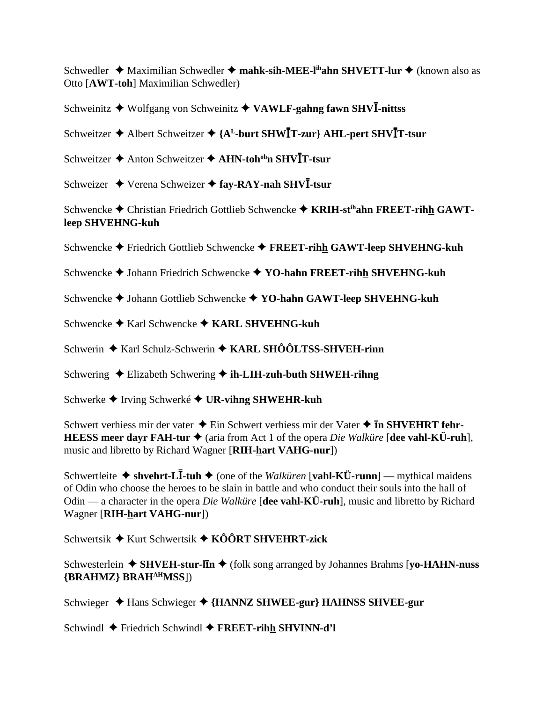Schwedler  $\triangleleft$  Maximilian Schwedler  $\triangleleft$  mahk-sih-MEE-l<sup>ih</sup>ahn SHVETT-lur  $\triangleleft$  (known also as Otto [AWT-toh] Maximilian Schwedler)

Schweinitz  $\blacklozenge$  Wolfgang von Schweinitz  $\blacklozenge$  VAWLF-gahng fawn SHVI-nittss

Schweitzer ◆ Albert Schweitzer ◆ {A<sup>L</sup>-burt SHWIT-zur} AHL-pert SHVIT-tsur

- Schweitzer  $\triangle$  Anton Schweitzer  $\triangle$  AHN-toh<sup>oh</sup>n SHV**I**T-tsur
- Schweizer ◆ Verena Schweizer ◆ fay-RAY-nah SHVI-tsur

Schwencke ◆ Christian Friedrich Gottlieb Schwencke ◆ KRIH-st<sup>ih</sup>ahn FREET-rihh GAWTleep SHVEHNG-kuh

Schwencke  $\blacklozenge$  Friedrich Gottlieb Schwencke  $\blacklozenge$  FREET-rihh GAWT-leep SHVEHNG-kuh

- Schwencke  $\blacklozenge$  Johann Friedrich Schwencke  $\blacklozenge$  YO-hahn FREET-rihh SHVEHNG-kuh
- Schwencke ♦ Johann Gottlieb Schwencke ♦ YO-hahn GAWT-leep SHVEHNG-kuh
- Schwencke  $\blacklozenge$  Karl Schwencke  $\blacklozenge$  KARL SHVEHNG-kuh

Schwerin  $\triangle$  Karl Schulz-Schwerin  $\triangle$  KARL SHÔÔLTSS-SHVEH-rinn

Schwering  $\triangle$  Elizabeth Schwering  $\triangle$  ih-LIH-zuh-buth SHWEH-rihng

Schwerke  $\blacklozenge$  Irving Schwerké  $\blacklozenge$  UR-vihng SHWEHR-kuh

Schwert verhiess mir der vater  $\triangle$  Ein Schwert verhiess mir der Vater  $\triangle$  **In SHVEHRT fehr-HEESS meer dayr FAH-tur**  $\triangleq$  (aria from Act 1 of the opera *Die Walküre* [dee vahl-KÜ-ruh], music and libretto by Richard Wagner [RIH-hart VAHG-nur])

Schwertleite ◆ shvehrt-LI-tuh ◆ (one of the *Walküren* [vahl-KÜ-runn] — mythical maidens of Odin who choose the heroes to be slain in battle and who conduct their souls into the hall of Odin — a character in the opera *Die Walküre* [dee vahl-KÜ-ruh], music and libretto by Richard Wagner [RIH-hart VAHG-nur])

Schwertsik  $\triangleq$  Kurt Schwertsik  $\triangleq$  KÔÔRT SHVEHRT-zick

Schwesterlein  $\triangle$  SHVEH-stur-lin  $\triangle$  (folk song arranged by Johannes Brahms [yo-HAHN-nuss] {BRAHMZ} BRAH<sup>AH</sup>MSS])

Schwieger ◆ Hans Schwieger ◆ {HANNZ SHWEE-gur} HAHNSS SHVEE-gur

Schwindl  $\blacklozenge$  Friedrich Schwindl  $\blacklozenge$  FREET-rihh SHVINN-d'l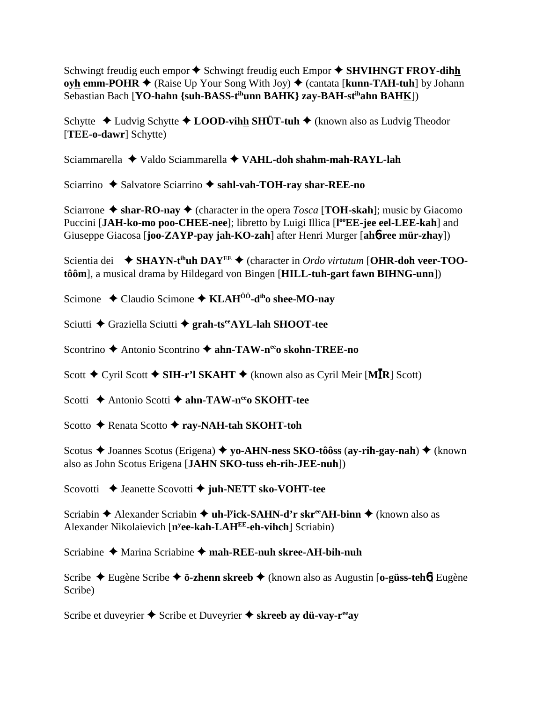Schwingt freudig euch empor  $\triangle$  Schwingt freudig euch Empor  $\triangle$  SHVIHNGT FROY-dihh **oyh emm-POHR**  $\blacklozenge$  (Raise Up Your Song With Joy)  $\blacklozenge$  (cantata [**kunn-TAH-tuh**] by Johann Sebastian Bach [**YO-hahn {suh-BASS-tihunn BAHK} zay-BAH-stihahn BAHK**])

Schytte **→** Ludvig Schytte **→ LOOD-vihh SHÜT-tuh →** (known also as Ludvig Theodor [**TEE-o-dawr**] Schytte)

Sciammarella Valdo Sciammarella **VAHL-doh shahm-mah-RAYL-lah**

Sciarrino ◆ Salvatore Sciarrino ◆ sahl-vah-TOH-ray shar-REE-no

Sciarrone  $\triangle$  shar-RO-nay  $\triangle$  (character in the opera *Tosca* [**TOH-skah**]; music by Giacomo Puccini [JAH-ko-mo poo-CHEE-nee]; libretto by Luigi Illica [l<sup>oo</sup>EE-jee eel-LEE-kah] and Giuseppe Giacosa [**joo-ZAYP-pay jah-KO-zah**] after Henri Murger [**ah**6**-ree mür-zhay**])

Scientia dei **→ SHAYN-t<sup>ih</sup>uh DAY<sup>EE</sup> →** (character in *Ordo virtutum* [**OHR-doh veer-TOOtôôm**], a musical drama by Hildegard von Bingen [**HILL-tuh-gart fawn BIHNG-unn**])

Scimone ◆ Claudio Scimone ◆ **KLAH<sup>ôô</sup>-d<sup>ih</sup>o shee-MO-nav** 

Sciutti **←** Graziella Sciutti ← grah-ts<sup>ee</sup>AYL-lah SHOOT-tee

Scontrino **→** Antonio Scontrino → ahn-TAW-n<sup>ee</sup>o skohn-TREE-no

Scott ◆ Cyril Scott ◆ SIH-r'l SKAHT ◆ (known also as Cyril Meir [MĪR] Scott)

Scotti **→** Antonio Scotti → ahn-TAW-n<sup>ee</sup>o SKOHT-tee

Scotto **←** Renata Scotto ← ray-NAH-tah SKOHT-toh

Scotus **→** Joannes Scotus (Erigena) **→** yo-AHN-ness SKO-tôôss (ay-rih-gay-nah) → (known also as John Scotus Erigena [**JAHN SKO-tuss eh-rih-JEE-nuh**])

Scovotti **→** Jeanette Scovotti → juh-NETT sko-VOHT-tee

Scriabin ◆ Alexander Scriabin ◆ **uh-l<sup>y</sup>ick-SAHN-d'r skr<sup>ee</sup>AH-binn ◆** (known also as Alexander Nikolaievich [**ny ee-kah-LAHEE-eh-vihch**] Scriabin)

Scriabine Marina Scriabine **mah-REE-nuh skree-AH-bih-nuh**

Scribe Eugène Scribe **ö-zhenn skreeb** (known also as Augustin [**o-güss-teh**6] Eugène Scribe)

Scribe et duveyrier  $\triangle$  Scribe et Duveyrier  $\triangle$  skreeb ay dü-vay-r<sup>ee</sup>ay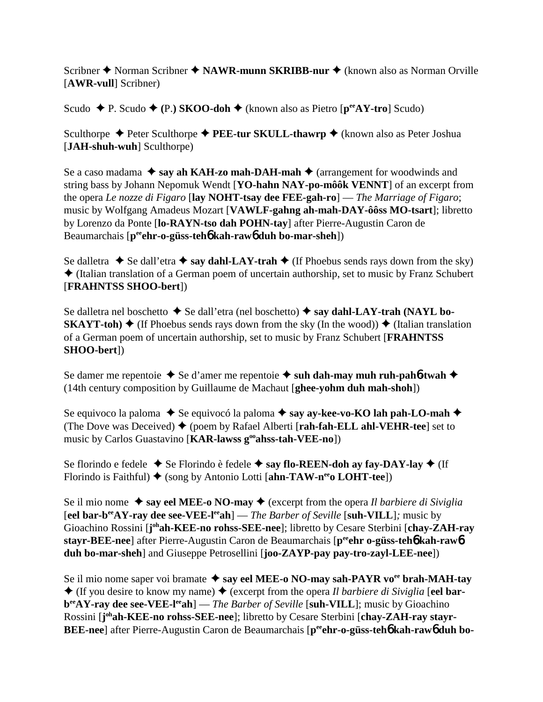Scribner ◆ Norman Scribner ◆ NAWR-munn SKRIBB-nur ◆ (known also as Norman Orville [**AWR-vull**] Scribner)

Scudo **← P.** Scudo ← (P.) SKOO-doh ← (known also as Pietro [ $p^{ee}AY$ -tro] Scudo)

Sculthorpe **←** Peter Sculthorpe ← PEE-tur SKULL-thawrp ← (known also as Peter Joshua [**JAH-shuh-wuh**] Sculthorpe)

Se a caso madama  $\triangle$  say ah KAH-zo mah-DAH-mah  $\triangle$  (arrangement for woodwinds and string bass by Johann Nepomuk Wendt [**YO-hahn NAY-po-môôk VENNT**] of an excerpt from the opera *Le nozze di Figaro* [**lay NOHT-tsay dee FEE-gah-ro**] — *The Marriage of Figaro*; music by Wolfgang Amadeus Mozart [**VAWLF-gahng ah-mah-DAY-ôôss MO-tsart**]; libretto by Lorenzo da Ponte [**lo-RAYN-tso dah POHN-tay**] after Pierre-Augustin Caron de Beaumarchais [**peeehr-o-güss-teh**6 **kah-raw**6 **duh bo-mar-sheh**])

Se dalletra  $\blacklozenge$  Se dall'etra  $\blacklozenge$  say dahl-LAY-trah  $\blacklozenge$  (If Phoebus sends rays down from the sky)  $\triangle$  (Italian translation of a German poem of uncertain authorship, set to music by Franz Schubert [**FRAHNTSS SHOO-bert**])

Se dalletra nel boschetto **→** Se dall'etra (nel boschetto) ◆ say dahl-LAY-trah (NAYL bo-**SKAYT-toh)**  $\blacklozenge$  (If Phoebus sends rays down from the sky (In the wood))  $\blacklozenge$  (Italian translation of a German poem of uncertain authorship, set to music by Franz Schubert [**FRAHNTSS SHOO-bert**])

Se damer me repentoie  $\triangle$  Se d'amer me repentoie  $\triangle$  suh dah-may muh ruh-pah**6**-twah  $\triangle$ (14th century composition by Guillaume de Machaut [**ghee-yohm duh mah-shoh**])

Se equivoco la paloma ◆ Se equivocó la paloma ◆ say ay-kee-vo-KO lah pah-LO-mah ◆ (The Dove was Deceived)  $\blacklozenge$  (poem by Rafael Alberti [**rah-fah-ELL ahl-VEHR-tee**] set to music by Carlos Guastavino [**KAR-lawss g<sup>oo</sup>ahss-tah-VEE-no**])

Se florindo e fedele  $\blacklozenge$  Se Florindo è fedele  $\blacklozenge$  say flo-REEN-doh ay fay-DAY-lay  $\blacklozenge$  (If Florindo is Faithful)  $\blacklozenge$  (song by Antonio Lotti [ahn-TAW-n<sup>ee</sup> **LOHT-tee**])

Se il mio nome  $\triangle$  say eel MEE-o NO-may  $\triangle$  (excerpt from the opera *Il barbiere di Siviglia* [eel bar-b<sup>ee</sup>AY-ray dee see-VEE-l<sup>ee</sup>ah] — *The Barber of Seville* [suh-VILL]; music by Gioachino Rossini [**j**<sup>oh</sup>ah-KEE-no rohss-SEE-nee]; libretto by Cesare Sterbini [chay-ZAH-ray **stayr-BEE-nee**] after Pierre-Augustin Caron de Beaumarchais [**peeehr o-güss-teh**6 **kah-raw**6 **duh bo-mar-sheh**] and Giuseppe Petrosellini [**joo-ZAYP-pay pay-tro-zayl-LEE-nee**])

Se il mio nome saper voi bramate ◆ say eel MEE-o NO-may sah-PAYR vo<sup>ee</sup> brah-MAH-tay  $\triangle$  (If you desire to know my name)  $\triangle$  (excerpt from the opera *Il barbiere di Siviglia* [eel bar**b**<sup>ee</sup>AY-ray dee see-VEE-l<sup>ee</sup>ah] — *The Barber of Seville* [suh-VILL]; music by Gioachino Rossini [j<sup>oh</sup>ah-KEE-no rohss-SEE-nee]; libretto by Cesare Sterbini [chay-ZAH-ray stayr-**BEE-nee**] after Pierre-Augustin Caron de Beaumarchais [p<sup>ee</sup>ehr-o-güss-teh6 kah-raw6 duh bo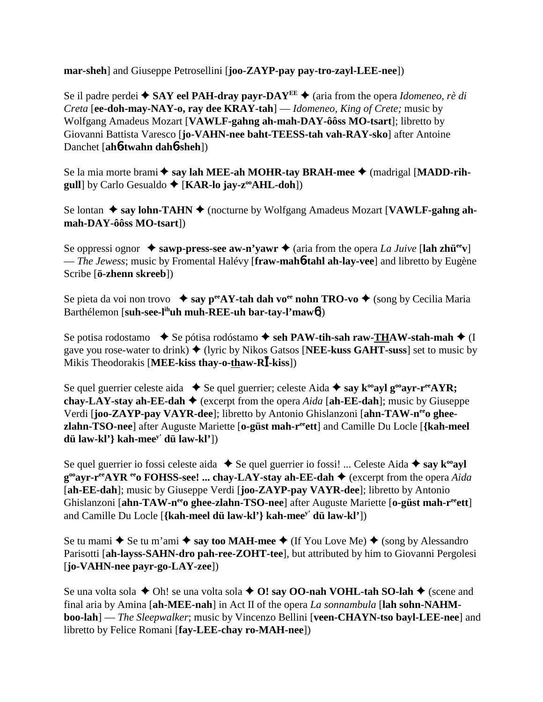**mar-sheh**] and Giuseppe Petrosellini [**joo-ZAYP-pay pay-tro-zayl-LEE-nee**])

Se il padre perdei  $\triangle$  **SAY eel PAH-dray payr-DAY<sup>EE</sup>**  $\triangle$  (aria from the opera *Idomeneo, rè di Creta* [**ee-doh-may-NAY-o, ray dee KRAY-tah**] — *Idomeneo, King of Crete;* music by Wolfgang Amadeus Mozart [**VAWLF-gahng ah-mah-DAY-ôôss MO-tsart**]; libretto by Giovanni Battista Varesco [**jo-VAHN-nee baht-TEESS-tah vah-RAY-sko**] after Antoine Danchet [**ah**6**-twahn dah**6**-sheh**])

Se la mia morte brami **→ say lah MEE-ah MOHR-tay BRAH-mee →** (madrigal [**MADD-rihgull**] by Carlo Gesualdo ♦ [**KAR-lo jay-z<sup>oo</sup>AHL-doh**])

Se lontan ◆ say lohn-TAHN ◆ (nocturne by Wolfgang Amadeus Mozart [**VAWLF-gahng ahmah-DAY-ôôss MO-tsart**])

Se oppressi ognor  $\triangle$  sawp-press-see aw-n'yawr  $\triangle$  (aria from the opera *La Juive* [lah zhü<sup>ee</sup>v] — *The Jewess*; music by Fromental Halévy [**fraw-mah**6**-tahl ah-lay-vee**] and libretto by Eugène Scribe [**ö-zhenn skreeb**])

Se pieta da voi non trovo  $\bullet$  say p<sup>ee</sup>AY-tah dah vo<sup>ee</sup> nohn TRO-vo  $\bullet$  (song by Cecilia Maria) Barthélemon [**suh-see-lihuh muh-REE-uh bar-tay-l'maw**6])

Se potisa rodostamo  $\triangle$  Se pótisa rodóstamo  $\triangle$  **seh PAW-tih-sah raw-THAW-stah-mah**  $\triangle$  (I gave you rose-water to drink)  $\blacklozenge$  (lyric by Nikos Gatsos [NEE-kuss GAHT-suss] set to music by Mikis Theodorakis [MEE-kiss thay-o-thaw-RI-kiss])

Se quel guerrier celeste aida  $\blacklozenge$  Se quel guerrier; celeste Aida  $\blacklozenge$  say  $k^{\omega}$ ayl g<sup> $\omega$ </sup>ayr-r<sup>ee</sup>AYR; **chay-LAY-stay ah-EE-dah**  $\blacklozenge$  (excerpt from the opera *Aida* [ah-EE-dah]; music by Giuseppe Verdi [**joo-ZAYP-pay VAYR-dee**]; libretto by Antonio Ghislanzoni [**ahn-TAW-neeo gheezlahn-TSO-nee**] after Auguste Mariette [**o-güst mah-reeett**] and Camille Du Locle [**{kah-meel dü law-kl'} kah-meey' dü law-kl'**])

Se quel guerrier io fossi celeste aida  $\blacklozenge$  Se quel guerrier io fossi! ... Celeste Aida  $\blacklozenge$  say  $k^{\omega}$ ayl **g<sup>oo</sup>ayr-r<sup>ee</sup>AYR <sup>ee</sup>o FOHSS-see! ... chay-LAY-stay ah-EE-dah ♦** (excerpt from the opera *Aida* [**ah-EE-dah**]; music by Giuseppe Verdi [**joo-ZAYP-pay VAYR-dee**]; libretto by Antonio Ghislanzoni [**ahn-TAW-n<sup>ee</sup>o ghee-zlahn-TSO-nee**] after Auguste Mariette [**o-güst mah-r<sup>ee</sup>ett**] and Camille Du Locle [**{kah-meel dü law-kl'} kah-meey' dü law-kl'**])

Se tu mami  $\blacklozenge$  Se tu m'ami  $\blacklozenge$  say too MAH-mee  $\blacklozenge$  (If You Love Me)  $\blacklozenge$  (song by Alessandro Parisotti [**ah-layss-SAHN-dro pah-ree-ZOHT-tee**], but attributed by him to Giovanni Pergolesi [**jo-VAHN-nee payr-go-LAY-zee**])

Se una volta sola **→** Oh! se una volta sola **→ O! say OO-nah VOHL-tah SO-lah →** (scene and final aria by Amina [**ah-MEE-nah**] in Act II of the opera *La sonnambula* [**lah sohn-NAHMboo-lah**] — *The Sleepwalker*; music by Vincenzo Bellini [**veen-CHAYN-tso bayl-LEE-nee**] and libretto by Felice Romani [**fay-LEE-chay ro-MAH-nee**])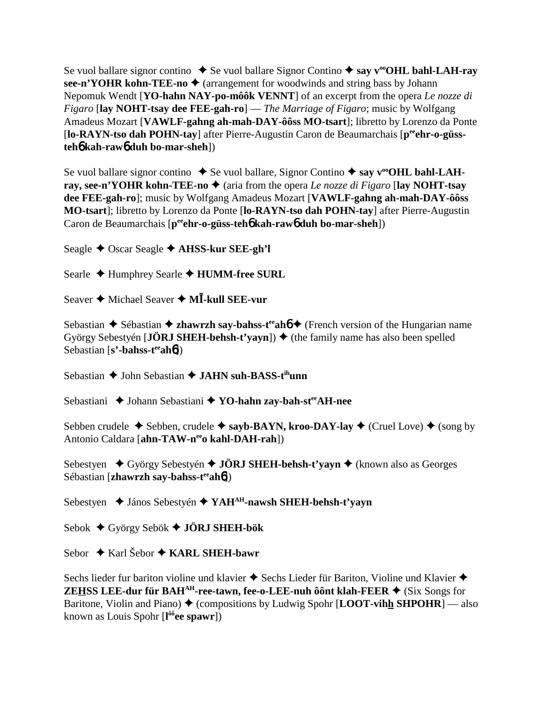Se vuol ballare signor contino  $\triangle$  Se vuol ballare Signor Contino  $\triangle$  say v<sup>oo</sup>OHL bahl-LAH-ray **see-n'YOHR kohn-TEE-no**  $\triangle$  (arrangement for woodwinds and string bass by Johann Nepomuk Wendt [**YO-hahn NAY-po-môôk VENNT**] of an excerpt from the opera *Le nozze di Figaro* [**lay NOHT-tsay dee FEE-gah-ro**] — *The Marriage of Figaro*; music by Wolfgang Amadeus Mozart [**VAWLF-gahng ah-mah-DAY-ôôss MO-tsart**]; libretto by Lorenzo da Ponte [lo-RAYN-tso dah POHN-tay] after Pierre-Augustin Caron de Beaumarchais [p<sup>ee</sup>ehr-o-güss**teh**6 **kah-raw**6 **duh bo-mar-sheh**])

Se vuol ballare signor contino ◆ Se vuol ballare, Signor Contino ◆ say v<sup>oo</sup>OHL bahl-LAH**ray, see-n'YOHR kohn-TEE-no**  $\blacklozenge$  (aria from the opera *Le nozze di Figaro* [lay NOHT-tsay **dee FEE-gah-ro**]; music by Wolfgang Amadeus Mozart [**VAWLF-gahng ah-mah-DAY-ôôss MO-tsart**]; libretto by Lorenzo da Ponte [**lo-RAYN-tso dah POHN-tay**] after Pierre-Augustin Caron de Beaumarchais [p<sup>ee</sup>ehr-o-güss-teh**o** kah-rawo duh bo-mar-sheh])

Seagle Oscar Seagle **AHSS-kur SEE-gh'l**

Searle ◆ Humphrey Searle ◆ **HUMM-free SURL** 

Seaver ◆ Michael Seaver ◆ M**I-kull SEE-vur** 

Sebastian **←** Sébastian ← zhawrzh say-bahss-t<sup>ee</sup>ah**6** ← (French version of the Hungarian name György Sebestyén [**JÖRJ SHEH-behsh-t'vayn**])  $\blacklozenge$  (the family name has also been spelled Sebastian [**s'-bahss-t<sup>ee</sup>ah6**])

Sebastian **↓** John Sebastian ◆ JAHN suh-BASS-t<sup>ih</sup>unn

Sebastiani **↓** Johann Sebastiani ◆ **YO-hahn zay-bah-st<sup>ee</sup>AH-nee** 

Sebben crudele  $\triangle$  Sebben, crudele  $\triangle$  sayb-BAYN, kroo-DAY-lay  $\triangle$  (Cruel Love)  $\triangle$  (song by Antonio Caldara [**ahn-TAW-neeo kahl-DAH-rah**])

Sebestyen ◆ György Sebestyén ◆ **JÖRJ SHEH-behsh-t'yayn ◆** (known also as Georges Sébastian [**zhawrzh say-bahss-t<sup>ee</sup>ah<sup>6</sup>]**)

Sebestyen **→** János Sebestyén ◆ YAH<sup>AH</sup>-nawsh SHEH-behsh-t'yayn

Sebok György Sebök **JÖRJ SHEH-bök**

Sebor ◆ Karl Šebor ◆ **KARL SHEH-bawr** 

Sechs lieder fur bariton violine und klavier  $\triangle$  Sechs Lieder für Bariton, Violine und Klavier  $\triangle$ **ZEHSS LEE-dur für BAH<sup>AH</sup>-ree-tawn, fee-o-LEE-nuh ôônt klah-FEER**  $\blacklozenge$  **(Six Songs for** Baritone, Violin and Piano)  $\blacklozenge$  (compositions by Ludwig Spohr [**LOOT-vihh SHPOHR**] — also known as Louis Spohr [**l ôôee spawr**])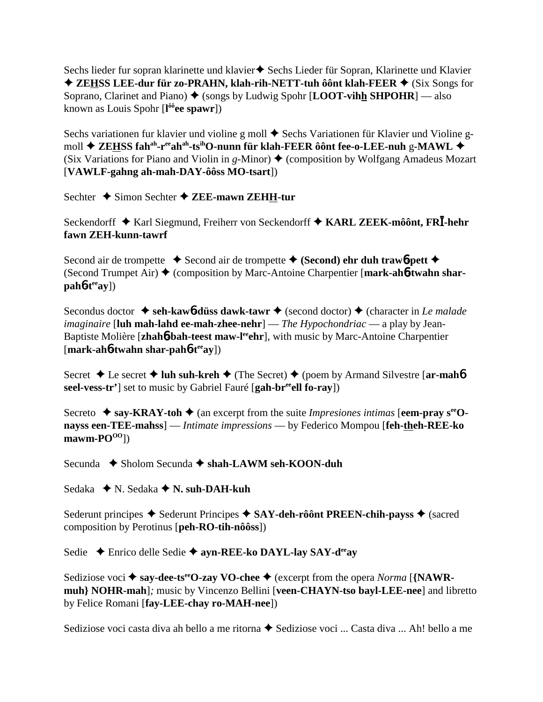Sechs lieder fur sopran klarinette und klavier  $\blacklozenge$  Sechs Lieder für Sopran, Klarinette und Klavier ◆ ZEHSS LEE-dur für zo-PRAHN, klah-rih-NETT-tuh ôônt klah-FEER ◆ (Six Songs for Soprano, Clarinet and Piano)  $\triangle$  (songs by Ludwig Spohr [**LOOT-vihh SHPOHR**] — also known as Louis Spohr [**l ôôee spawr**])

Sechs variationen fur klavier und violine g moll  $\triangle$  Sechs Variationen für Klavier und Violine gmoll **ZEHSS fahah-reeahah-tsihO-nunn für klah-FEER ôônt fee-o-LEE-nuh** g**-MAWL** (Six Variations for Piano and Violin in  $g$ -Minor)  $\blacklozenge$  (composition by Wolfgang Amadeus Mozart [**VAWLF-gahng ah-mah-DAY-ôôss MO-tsart**])

Sechter **→** Simon Sechter **→ ZEE-mawn ZEHH-tur** 

Seckendorff ◆ Karl Siegmund, Freiherr von Seckendorff ◆ KARL ZEEK-môônt, FR<sup>T</sup>-hehr **fawn ZEH-kunn-tawrf**

Second air de trompette  $\bullet$  Second air de trompette  $\bullet$  (Second) ehr duh trawb-pett  $\bullet$ (Second Trumpet Air) (composition by Marc-Antoine Charpentier [**mark-ah**6**-twahn shar-** $\text{pah6-t}^{\text{ee}}$ ay])

Secondus doctor **↓ seh-kaw<sub>6</sub>-düss dawk-tawr →** (second doctor) ◆ (character in *Le malade imaginaire* [**luh mah-lahd ee-mah-zhee-nehr**] — *The Hypochondriac* — a play by Jean-Baptiste Molière [zhah**6-bah-teest maw-l<sup>ee</sup>ehr**], with music by Marc-Antoine Charpentier [**mark-ah**6**-twahn shar-pah**6**-teeay**])

Secret **→** Le secret **→ luh suh-kreh** → (The Secret) → (poem by Armand Silvestre [**ar-mah**6 **seel-vess-tr'**] set to music by Gabriel Fauré [**gah-breeell fo-ray**])

Secreto  $\triangle$  say-KRAY-toh  $\triangle$  (an excerpt from the suite *Impresiones intimas* [eem-pray  $s^{ee}$ O**nayss een-TEE-mahss**] — *Intimate impressions* — by Federico Mompou [**feh-theh-REE-ko**  $\text{mawm-PO}^{\text{OO}}$ ])

Secunda **→** Sholom Secunda → shah-LAWM seh-KOON-duh

Sedaka **→** N. Sedaka **→ N. suh-DAH-kuh** 

Sederunt principes  $\triangle$  Sederunt Principes  $\triangle$  SAY-deh-rôônt PREEN-chih-payss  $\triangle$  (sacred composition by Perotinus [**peh-RO-tih-nôôss**])

Sedie **←** Enrico delle Sedie ← ayn-REE-ko DAYL-lay SAY-d<sup>ee</sup>ay

Sediziose voci **→ say-dee-ts<sup>ee</sup>O-zay VO-chee** → (excerpt from the opera *Norma* [**{NAWRmuh} NOHR-mah**]*;* music by Vincenzo Bellini [**veen-CHAYN-tso bayl-LEE-nee**] and libretto by Felice Romani [**fay-LEE-chay ro-MAH-nee**])

Sediziose voci casta diva ah bello a me ritorna ◆ Sediziose voci ... Casta diva ... Ah! bello a me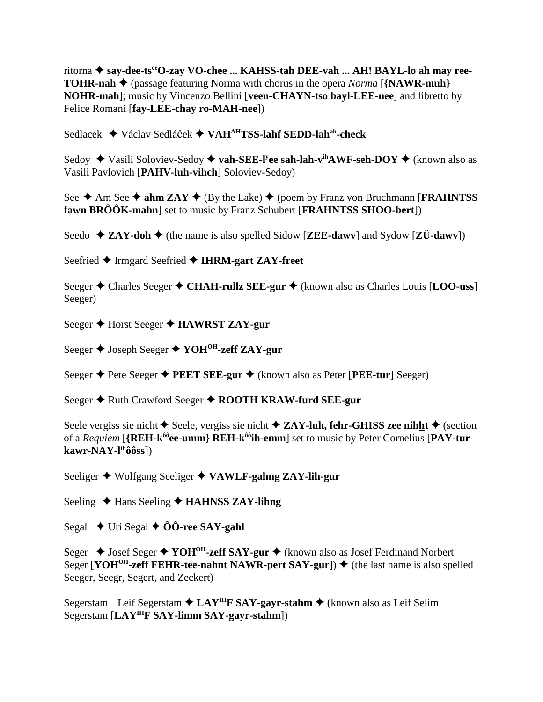ritorna ◆ say-dee-tseeO-zay VO-chee ... KAHSS-tah DEE-vah ... AH! BAYL-lo ah may ree-**TOHR-nah**  $\triangleq$  (passage featuring Norma with chorus in the opera *Norma* [{NAWR-muh} NOHR-mah]; music by Vincenzo Bellini [veen-CHAYN-tso bayl-LEE-nee] and libretto by Felice Romani [fay-LEE-chay ro-MAH-nee])

Sedlacek ◆ Václav Sedláček ◆ VAH<sup>AH</sup>TSS-lahf SEDD-lah<sup>ah</sup>-check

Sedoy ◆ Vasili Soloviev-Sedoy ◆ vah-SEE-l<sup>y</sup>ee sah-lah-v<sup>ih</sup>AWF-seh-DOY ◆ (known also as Vasili Pavlovich [PAHV-luh-vihch] Soloviev-Sedoy)

See  $\triangle$  Am See  $\triangle$  ahm ZAY  $\triangle$  (By the Lake)  $\triangle$  (poem by Franz von Bruchmann [FRAHNTSS] **fawn BRÔÔK-mahn** set to music by Franz Schubert [**FRAHNTSS SHOO-bert**])

Seedo  $\triangle$  ZAY-doh  $\triangle$  (the name is also spelled Sidow [ZEE-dawv] and Sydow [ZÜ-dawv])

Seefried ◆ Irmgard Seefried ◆ IHRM-gart ZAY-freet

Seeger  $\triangle$  Charles Seeger  $\triangle$  CHAH-rullz SEE-gur  $\triangle$  (known also as Charles Louis [LOO-uss] Seeger)

Seeger ♦ Horst Seeger ♦ HAWRST ZAY-gur

Seeger  $\triangle$  Joseph Seeger  $\triangle$  YOH<sup>OH</sup>-zeff ZAY-gur

Seeger  $\triangle$  Pete Seeger  $\triangle$  PEET SEE-gur  $\triangle$  (known also as Peter [PEE-tur] Seeger)

Seeger ♦ Ruth Crawford Seeger ♦ ROOTH KRAW-furd SEE-gur

Seele vergiss sie nicht  $\triangle$  Seele, vergiss sie nicht  $\triangle$  ZAY-luh, fehr-GHISS zee nihht  $\triangle$  (section of a Requiem [{REH-k<sup>ôô</sup>ee-umm} REH-k<sup>ôô</sup>th-emm] set to music by Peter Cornelius [PAY-tur] kawr-NAY-l<sup>ih</sup>ôôss])

Seeliger ♦ Wolfgang Seeliger ♦ VAWLF-gahng ZAY-lih-gur

Seeling  $\triangle$  Hans Seeling  $\triangle$  HAHNSS ZAY-lihng

Segal  $\rightarrow$  Uri Segal  $\rightarrow$  00-ree SAY-gahl

Seger  $\triangle$  Josef Seger  $\triangle$  YOH<sup>OH</sup>-zeff SAY-gur  $\triangle$  (known also as Josef Ferdinand Norbert Seger [YOH<sup>OH</sup>-zeff FEHR-tee-nahnt NAWR-pert SAY-gur])  $\blacklozenge$  (the last name is also spelled Seeger, Seegr, Segert, and Zeckert)

Segerstam Leif Segerstam  $\triangle$  LAY<sup>IH</sup>F SAY-gayr-stahm  $\triangle$  (known also as Leif Selim Segerstam  $[LAY<sup>IH</sup>F SAY-limm SAY-gavr-stahm])$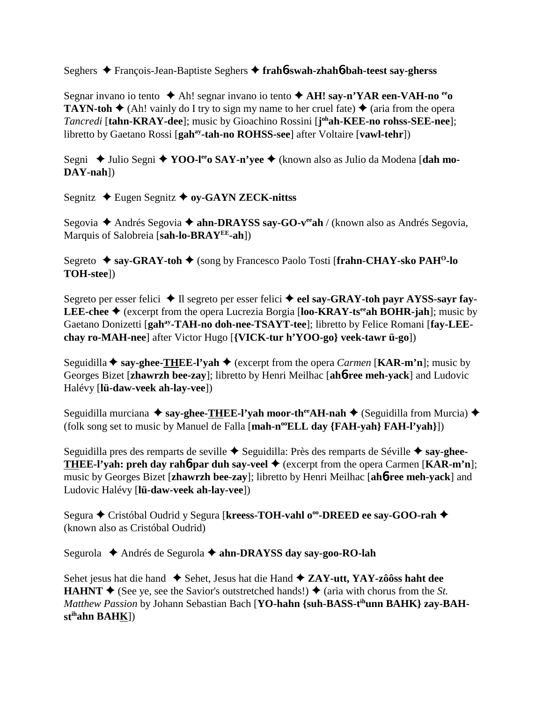Seghers François-Jean-Baptiste Seghers **frah**6**-swah-zhah**6**-bah-teest say-gherss**

Segnar invano io tento **→** Ah! segnar invano io tento **→ AH! say-n'YAR een-VAH-no** <sup>ee</sup>**o TAYN-toh**  $\blacklozenge$  (Ah! vainly do I try to sign my name to her cruel fate)  $\blacklozenge$  (aria from the opera *Tancredi* [**tahn-KRAY-dee**]; music by Gioachino Rossini [**j ohah-KEE-no rohss-SEE-nee**]; libretto by Gaetano Rossi [gah<sup>ay</sup>-tah-no ROHSS-see] after Voltaire [vawl-tehr])

Segni ◆ Julio Segni ◆ YOO-l<sup>ee</sup>o SAY-n'yee ◆ (known also as Julio da Modena [dah mo-**DAY-nah**])

Segnitz **→** Eugen Segnitz ◆ oy-GAYN ZECK-nittss

Segovia ◆ Andrés Segovia ◆ ahn-DRAYSS say-GO-veeah / (known also as Andrés Segovia, Marquis of Salobreia [**sah-lo-BRAYEE-ah**])

Segreto **→ say-GRAY-toh →** (song by Francesco Paolo Tosti [frahn-CHAY-sko PAH<sup>O</sup>-lo **TOH-stee**])

Segreto per esser felici **→** Il segreto per esser felici **→ eel say-GRAY-toh payr AYSS-sayr fay-**LEE-chee ◆ (excerpt from the opera Lucrezia Borgia [loo-KRAY-ts<sup>ee</sup>ah BOHR-jah]; music by Gaetano Donizetti [gah<sup>ay</sup>-TAH-no doh-nee-TSAYT-tee]; libretto by Felice Romani [fay-LEE**chay ro-MAH-nee**] after Victor Hugo [**{VICK-tur h'YOO-go} veek-tawr ü-go**])

Seguidilla  $\triangle$  say-ghee-THEE-l'yah  $\triangle$  (excerpt from the opera *Carmen* [KAR-m'n]; music by Georges Bizet [**zhawrzh bee-zay**]; libretto by Henri Meilhac [**ah**6**-ree meh-yack**] and Ludovic Halévy [**lü-daw-veek ah-lay-vee**])

Seguidilla murciana ◆ say-ghee-THEE-l'yah moor-th<sup>ee</sup>AH-nah ◆ (Seguidilla from Murcia) ◆ (folk song set to music by Manuel de Falla [**mah-n<sup>oo</sup>ELL day** {**FAH-yah**} **FAH-l'yah**}])

Seguidilla pres des remparts de seville ◆ Seguidilla: Près des remparts de Séville ◆ say-ghee-**THEE-l'yah: preh day rah**6**-par duh say-veel**  (excerpt from the opera Carmen [**KAR-m'n**]; music by Georges Bizet [**zhawrzh bee-zay**]; libretto by Henri Meilhac [**ah**6**-ree meh-yack**] and Ludovic Halévy [**lü-daw-veek ah-lay-vee**])

Segura **←** Cristóbal Oudrid y Segura [kreess-TOH-vahl o<sup>oo</sup>-DREED ee say-GOO-rah ← (known also as Cristóbal Oudrid)

Segurola ◆ Andrés de Segurola ◆ ahn-DRAYSS day say-goo-RO-lah

Sehet jesus hat die hand ◆ Sehet, Jesus hat die Hand ◆ **ZAY-utt, YAY-zôôss haht dee HAHNT**  $\blacklozenge$  (See ye, see the Savior's outstretched hands!)  $\blacklozenge$  (aria with chorus from the *St*. *Matthew Passion* by Johann Sebastian Bach [**YO-hahn {suh-BASS-tihunn BAHK} zay-BAHstihahn BAHK**])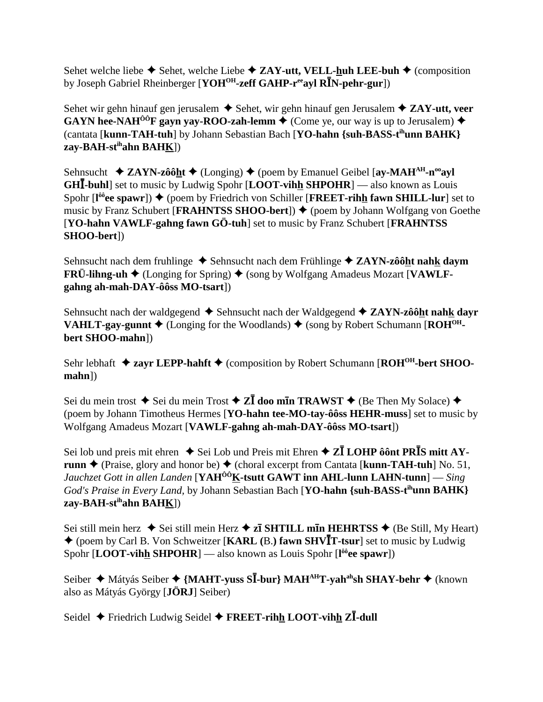Sehet welche liebe  $\triangle$  Sehet, welche Liebe  $\triangle$  **ZAY-utt, VELL-huh LEE-buh**  $\triangle$  (composition by Joseph Gabriel Rheinberger [YOH<sup>OH</sup>-zeff GAHP-r<sup>ee</sup>ayl RIN-pehr-gur])

Sehet wir gehn hinauf gen jerusalem  $\triangle$  Sehet, wir gehn hinauf gen Jerusalem  $\triangle$  **ZAY-utt, veer GAYN hee-NAH<sup>ôô</sup>F gayn yay-ROO-zah-lemm**  $\blacklozenge$  **(Come ye, our way is up to Jerusalem)**  $\blacklozenge$ (cantata [**kunn-TAH-tuh**] by Johann Sebastian Bach [**YO-hahn {suh-BASS-tihunn BAHK} zay-BAH-stihahn BAHK**])

Sehnsucht  $\triangle$  **ZAYN-zôôht**  $\triangle$  (Longing)  $\triangle$  (poem by Emanuel Geibel [ay-MAH<sup>AH</sup>-n<sup>oo</sup>ayl] **GHI-buhl**] set to music by Ludwig Spohr [**LOOT-vihh SHPOHR**] — also known as Louis Spohr [l<sup>ôô</sup>ee spawr])  $\blacklozenge$  (poem by Friedrich von Schiller [FREET-rihh fawn SHILL-lur] set to music by Franz Schubert [**FRAHNTSS SHOO-bert**]) ♦ (poem by Johann Wolfgang von Goethe [**YO-hahn VAWLF-gahng fawn GÖ-tuh**] set to music by Franz Schubert [**FRAHNTSS SHOO-bert**])

Sehnsucht nach dem fruhlinge **→** Sehnsucht nach dem Frühlinge **→ ZAYN-zôôht nahk daym FRÜ-lihng-uh ♦** (Longing for Spring) ♦ (song by Wolfgang Amadeus Mozart [VAWLF**gahng ah-mah-DAY-ôôss MO-tsart**])

Sehnsucht nach der waldgegend **◆** Sehnsucht nach der Waldgegend ◆ **ZAYN-zôôht nahk dayr VAHLT-gay-gunnt**  $\blacklozenge$  (Longing for the Woodlands)  $\blacklozenge$  (song by Robert Schumann [**ROH<sup>OH</sup>bert SHOO-mahn**])

Sehr lebhaft **→ zayr LEPP-hahft** → (composition by Robert Schumann [**ROH<sup>OH</sup>-bert SHOOmahn**])

Sei du mein trost  $\triangle$  Sei du mein Trost  $\triangle$  **ZI** doo m**i**n **TRAWST**  $\triangle$  (Be Then My Solace)  $\triangle$ (poem by Johann Timotheus Hermes [**YO-hahn tee-MO-tay-ôôss HEHR-muss**] set to music by Wolfgang Amadeus Mozart [**VAWLF-gahng ah-mah-DAY-ôôss MO-tsart**])

Sei lob und preis mit ehren  $\rightarrow$  Sei Lob und Preis mit Ehren  $\rightarrow$  **ZĪ LOHP ôônt PRĪS mitt AYrunn**  $\triangle$  (Praise, glory and honor be)  $\triangle$  (choral excerpt from Cantata [**kunn-TAH-tuh**] No. 51, *Jauchzet Gott in allen Landen* [**YAHÔÔK-tsutt GAWT inn AHL-lunn LAHN-tunn**] — *Sing God's Praise in Every Land,* by Johann Sebastian Bach [**YO-hahn {suh-BASS-tihunn BAHK} zay-BAH-stihahn BAHK**])

Sei still mein herz  $\blacklozenge$  Sei still mein Herz  $\blacklozenge$  **zī SHTILL mīn HEHRTSS**  $\blacklozenge$  (Be Still, My Heart) ◆ (poem by Carl B. Von Schweitzer [KARL (B.) fawn SHVIT-tsur] set to music by Ludwig Spohr [**LOOT-vihh SHPOHR**] — also known as Louis Spohr [**l ôôee spawr**])

Seiber ◆ Mátyás Seiber ◆ {MAHT-yuss S**Ī**-bur} MAH<sup>AH</sup>T-yah<sup>ah</sup>sh SHAY-behr ◆ (known also as Mátyás György [**JÖRJ**] Seiber)

Seidel ◆ Friedrich Ludwig Seidel ◆ FREET-rihh LOOT-vihh ZI-dull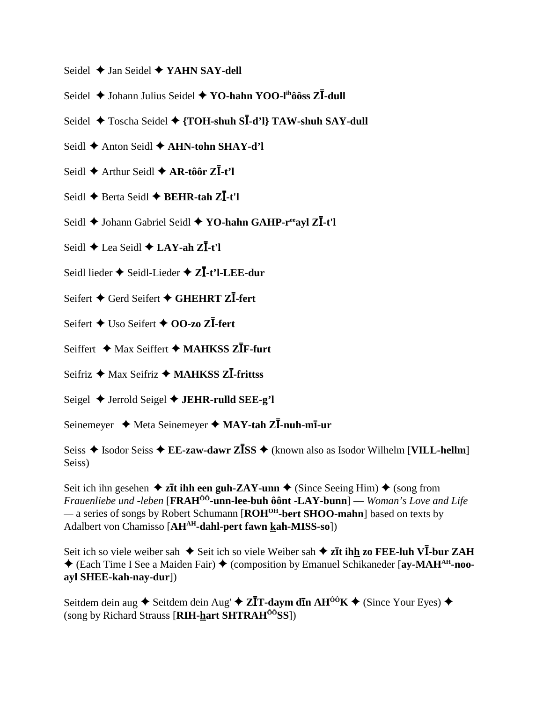- Seidel  $\triangle$  Jan Seidel  $\triangle$  YAHN SAY-dell
- Seidel  $\triangle$  Johann Julius Seidel  $\triangle$  YO-hahn YOO-l<sup>ih</sup>ôôss Z**I**-dull
- Seidel  $\triangle$  Toscha Seidel  $\triangle$  {TOH-shuh SI-d'l} TAW-shuh SAY-dull
- Seidl ← Anton Seidl ← AHN-tohn SHAY-d'l
- Seidl  $\triangle$  Arthur Seidl  $\triangle$  AR-tôôr Z $\overline{I}$ -t'l
- Seidl  $\triangle$  Berta Seidl  $\triangle$  BEHR-tah Z $\overline{I}$ -t'l
- Seidl ◆ Johann Gabriel Seidl ◆ YO-hahn GAHP-reeavl ZĪ-t'l
- Seidl  $\triangle$  Lea Seidl  $\triangle$  LAY-ah Z $\overline{I}$ -t'l
- Seidl lieder ♦ Seidl-Lieder ♦ ZI-t'l-LEE-dur
- Seifert ◆ Gerd Seifert ◆ GHEHRT ZI-fert
- Seifert  $\triangle$  Uso Seifert  $\triangle$  00-zo ZI-fert
- Seiffert ◆ Max Seiffert ◆ MAHKSS ZIF-furt
- Seifriz  $\triangle$  Max Seifriz  $\triangle$  MAHKSS ZI-frittss
- Seigel  $\triangle$  Jerrold Seigel  $\triangle$  JEHR-rulld SEE-g'l
- Seinemeyer  $\triangleleft$  Meta Seinemeyer  $\triangleleft$  MAY-tah ZI-nuh-mI-ur
- Seiss  $\triangle$  Isodor Seiss  $\triangle$  EE-zaw-dawr Z**ISS**  $\triangle$  (known also as Isodor Wilhelm [VILL-hellm] Seiss)

Seit ich ihn gesehen  $\triangle$  zīt ihn een guh-ZAY-unn  $\triangle$  (Since Seeing Him)  $\triangle$  (song from *Frauenliebe und -leben* [**FRAH<sup>ôô</sup>-unn-lee-buh ôônt -LAY-bunn**] — Woman's Love and Life — a series of songs by Robert Schumann [ROH<sup>OH</sup>-bert SHOO-mahn] based on texts by Adalbert von Chamisso [AHAH-dahl-pert fawn kah-MISS-so])

Seit ich so viele weiber sah  $\triangleq$  Seit ich so viele Weiber sah  $\triangleq$  zīt ihh zo FEE-luh VĪ-bur ZAH ◆ (Each Time I See a Maiden Fair) ◆ (composition by Emanuel Schikaneder [av-MAH<sup>AH</sup>-nooayl SHEE-kah-nay-dur])

Seitdem dein aug ◆ Seitdem dein Aug → ZĪT-daym dīn AH<sup>ôô</sup>K ◆ (Since Your Eyes) ◆ (song by Richard Strauss [RIH-hart SHTRAH<sup>00</sup>SS])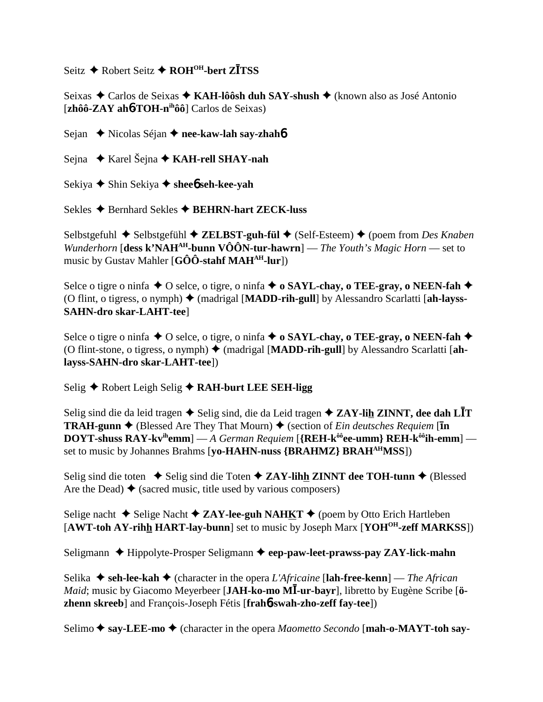$\text{Seitz}$  **↑** Robert Seitz ◆ ROH<sup>OH</sup>-bert ZITSS

Seixas ◆ Carlos de Seixas ◆ KAH-lôôsh duh SAY-shush ◆ (known also as José Antonio [**zhôô-ZAY ah**6**-TOH-nihôô**] Carlos de Seixas)

Sejan **→** Nicolas Séjan **→ nee-kaw-lah say-zhah<sup>6</sup>** 

Sejna Karel Šejna **KAH-rell SHAY-nah**

Sekiya **→** Shin Sekiya **→** shee**6** seh-kee-yah

Sekles **→** Bernhard Sekles **→ BEHRN-hart ZECK-luss** 

Selbstgefuhl ◆ Selbstgefühl ◆ **ZELBST-guh-fül** ◆ (Self-Esteem) ◆ (poem from *Des Knaben Wunderhorn* [**dess k'NAHAH-bunn VÔÔN-tur-hawrn**] — *The Youth's Magic Horn* — set to music by Gustav Mahler [**GÔÔ-stahf MAHAH-lur**])

Selce o tigre o ninfa  $\triangle$  O selce, o tigre, o ninfa  $\triangle$  o SAYL-chay, o TEE-gray, o NEEN-fah  $\triangle$ (O flint, o tigress, o nymph) (madrigal [**MADD-rih-gull**] by Alessandro Scarlatti [**ah-layss-SAHN-dro skar-LAHT-tee**]

Selce o tigre o ninfa  $\triangle$  O selce, o tigre, o ninfa  $\triangle$  o SAYL-chay, o TEE-gray, o NEEN-fah  $\triangle$ (O flint-stone, o tigress, o nymph) (madrigal [**MADD-rih-gull**] by Alessandro Scarlatti [**ahlayss-SAHN-dro skar-LAHT-tee**])

Selig ◆ Robert Leigh Selig **◆ RAH-burt LEE SEH-ligg** 

Selig sind die da leid tragen ♦ Selig sind, die da Leid tragen ♦ ZAY-lih ZINNT, dee dah LĪT **TRAH-gunn**  $\triangle$  (Blessed Are They That Mourn)  $\triangle$  (section of *Ein deutsches Requiem* [**in DOYT-shuss RAY-kvihemm**] — *A German Requiem* [**{REH-kôôee-umm} REH-kôôih-emm**] set to music by Johannes Brahms [**yo-HAHN-nuss {BRAHMZ} BRAHAHMSS**])

Selig sind die toten  $\blacklozenge$  Selig sind die Toten  $\blacklozenge$  **ZAY-lihh ZINNT dee TOH-tunn**  $\blacklozenge$  (Blessed Are the Dead)  $\blacklozenge$  (sacred music, title used by various composers)

Selige nacht  $\triangle$  Selige Nacht  $\triangle$  **ZAY-lee-guh NAHKT**  $\triangle$  (poem by Otto Erich Hartleben [**AWT-toh AY-rihh HART-lay-bunn**] set to music by Joseph Marx [**YOHOH-zeff MARKSS**])

Seligmann **→** Hippolyte-Prosper Seligmann → eep-paw-leet-prawss-pay ZAY-lick-mahn

Selika **seh-lee-kah** (character in the opera *L'Africaine* [**lah-free-kenn**] — *The African* Maid; music by Giacomo Meyerbeer [JAH-ko-mo MI-ur-bayr], libretto by Eugène Scribe [ö**zhenn skreeb**] and François-Joseph Fétis [**frah**6**-swah-zho-zeff fay-tee**])

Selimo ◆ say-LEE-mo ◆ (character in the opera *Maometto Secondo* [mah-o-MAYT-toh say-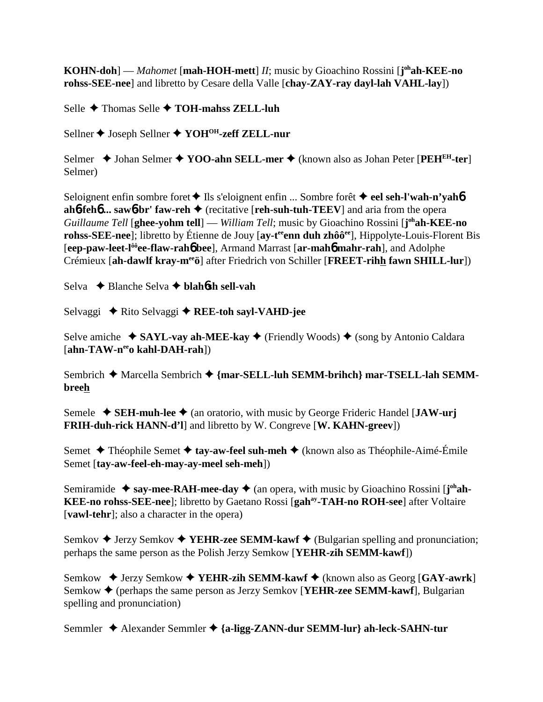**KOHN-doh**] — *Mahomet* [mah-HOH-mett] *II*; music by Gioachino Rossini [j<sup>oh</sup>ah-KEE-no</sub> **rohss-SEE-nee**] and libretto by Cesare della Valle [**chay-ZAY-ray dayl-lah VAHL-lay**])

Selle **→** Thomas Selle **→ TOH-mahss ZELL-luh** 

Sellner ◆ Joseph Sellner ◆ YOH<sup>OH</sup>-zeff ZELL-nur

Selmer ◆ Johan Selmer ◆ YOO-ahn SELL-mer ◆ (known also as Johan Peter [PEH<sup>EH</sup>-ter] Selmer)

Seloignent enfin sombre foret **↓** Ils s'eloignent enfin ... Sombre forêt **↓ eel seh-l'wah-n'yah6 ah**6**-feh**6 **... saw**6**-br' faw-reh** (recitative [**reh-suh-tuh-TEEV**] and aria from the opera *Guillaume Tell* [**ghee-yohm tell**] — *William Tell*; music by Gioachino Rossini [**j ohah-KEE-no rohss-SEE-nee**]; libretto by Étienne de Jouy [av-t<sup>ee</sup>enn duh zhôô<sup>ee</sup>], Hippolyte-Louis-Florent Bis [**eep-paw-leet-lôôee-flaw-rah**6 **bee**], Armand Marrast [**ar-mah**6 **mahr-rah**], and Adolphe Crémieux [**ah-dawlf kray-meeö**] after Friedrich von Schiller [**FREET-rihh fawn SHILL-lur**])

Selva Blanche Selva **blah**6**sh sell-vah**

Selvaggi **→** Rito Selvaggi → REE-toh sayl-VAHD-jee

Selve amiche  $\rightarrow$  **SAYL-vay ah-MEE-kay**  $\rightarrow$  (Friendly Woods)  $\rightarrow$  (song by Antonio Caldara) [**ahn-TAW-neeo kahl-DAH-rah**])

Sembrich ◆ Marcella Sembrich ◆ {mar-SELL-luh SEMM-brihch} mar-TSELL-lah SEMM**breeh**

Semele  $\blacklozenge$  **SEH-muh-lee**  $\blacklozenge$  (an oratorio, with music by George Frideric Handel [**JAW-urj FRIH-duh-rick HANN-d'l**] and libretto by W. Congreve [**W. KAHN-greev**])

Semet **←** Théophile Semet ← tay-aw-feel suh-meh ← (known also as Théophile-Aimé-Émile Semet [**tay-aw-feel-eh-may-ay-meel seh-meh**])

Semiramide ◆ say-mee-RAH-mee-day ◆ (an opera, with music by Gioachino Rossini [j<sup>oh</sup>ah-**KEE-no rohss-SEE-nee**]; libretto by Gaetano Rossi [**gahay-TAH-no ROH-see**] after Voltaire [**vawl-tehr**]; also a character in the opera)

Semkov  $\triangle$  Jerzy Semkov  $\triangle$  **YEHR-zee SEMM-kawf**  $\triangle$  (Bulgarian spelling and pronunciation; perhaps the same person as the Polish Jerzy Semkow [**YEHR-zih SEMM-kawf**])

Semkow ◆ Jerzy Semkow ◆ YEHR-zih SEMM-kawf ◆ (known also as Georg [GAY-awrk] Semkow **→** (perhaps the same person as Jerzy Semkov [**YEHR-zee SEMM-kawf**], Bulgarian spelling and pronunciation)

Semmler Alexander Semmler **{a-ligg-ZANN-dur SEMM-lur} ah-leck-SAHN-tur**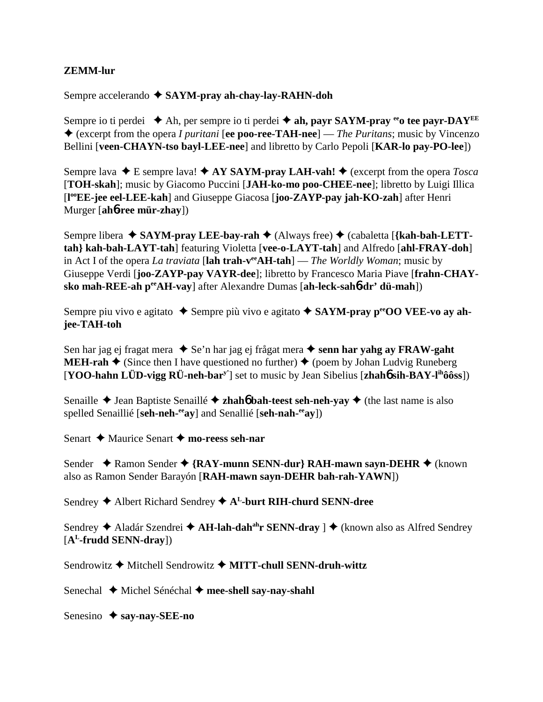## **ZEMM-lur**

Sempre accelerando **SAYM-pray ah-chay-lay-RAHN-doh**

Sempre io ti perdei  $\triangle$  Ah, per sempre io ti perdei  $\triangle$  ah, payr SAYM-pray <sup>ee</sup> tee payr-DAY<sup>EE</sup> (excerpt from the opera *I puritani* [**ee poo-ree-TAH-nee**] — *The Puritans*; music by Vincenzo Bellini [**veen-CHAYN-tso bayl-LEE-nee**] and libretto by Carlo Pepoli [**KAR-lo pay-PO-lee**])

Sempre lava  $\blacklozenge$  E sempre lava!  $\blacklozenge$  AY SAYM-pray LAH-vah!  $\blacklozenge$  (excerpt from the opera *Tosca* [**TOH-skah**]; music by Giacomo Puccini [**JAH-ko-mo poo-CHEE-nee**]; libretto by Luigi Illica [**l ooEE-jee eel-LEE-kah**] and Giuseppe Giacosa [**joo-ZAYP-pay jah-KO-zah**] after Henri Murger [**ah**6**-ree mür-zhay**])

Sempre libera **→ SAYM-pray LEE-bay-rah →** (Always free) → (cabaletta [**{kah-bah-LETTtah} kah-bah-LAYT-tah**] featuring Violetta [**vee-o-LAYT-tah**] and Alfredo [**ahl-FRAY-doh**] in Act I of the opera *La traviata* [**lah trah-veeAH-tah**] — *The Worldly Woman*; music by Giuseppe Verdi [**joo-ZAYP-pay VAYR-dee**]; libretto by Francesco Maria Piave [**frahn-CHAYsko mah-REE-ah peeAH-vay**] after Alexandre Dumas [**ah-leck-sah**6**-dr' dü-mah**])

Sempre piu vivo e agitato ◆ Sempre più vivo e agitato ◆ SAYM-pray p<sup>ee</sup>OO VEE-vo ay ah**jee-TAH-toh**

Sen har jag ej fragat mera ◆ Se'n har jag ej frågat mera ◆ senn har yahg ay FRAW-gaht **MEH-rah**  $\triangle$  (Since then I have questioned no further)  $\triangle$  (poem by Johan Ludvig Runeberg [**YOO-hahn LÜD-vigg RÜ-neh-bary'**] set to music by Jean Sibelius [**zhah**6 **sih-BAY-lihôôss**])

Senaille  $\triangle$  Jean Baptiste Senaillé  $\triangle$  **zhahó bah-teest seh-neh-yay**  $\triangle$  (the last name is also spelled Senaillié [**seh-neh-eeay**] and Senallié [**seh-nah-eeay**])

Senart **→** Maurice Senart ◆ mo-reess seh-nar

Sender ◆ Ramon Sender ◆ {RAY-munn SENN-dur} RAH-mawn sayn-DEHR ◆ (known also as Ramon Sender Barayón [**RAH-mawn sayn-DEHR bah-rah-YAWN**])

Sendrey **→** Albert Richard Sendrey **→** A<sup>L</sup>-burt RIH-churd SENN-dree

Sendrey ◆ Aladár Szendrei ◆ A**H-lah-dah<sup>ah</sup>r SENN-dray** ] ◆ (known also as Alfred Sendrey [**AL-frudd SENN-dray**])

Sendrowitz **←** Mitchell Sendrowitz ← MITT-chull SENN-druh-wittz

Senechal **→** Michel Sénéchal → mee-shell say-nay-shahl

Senesino **→ say-nay-SEE-no**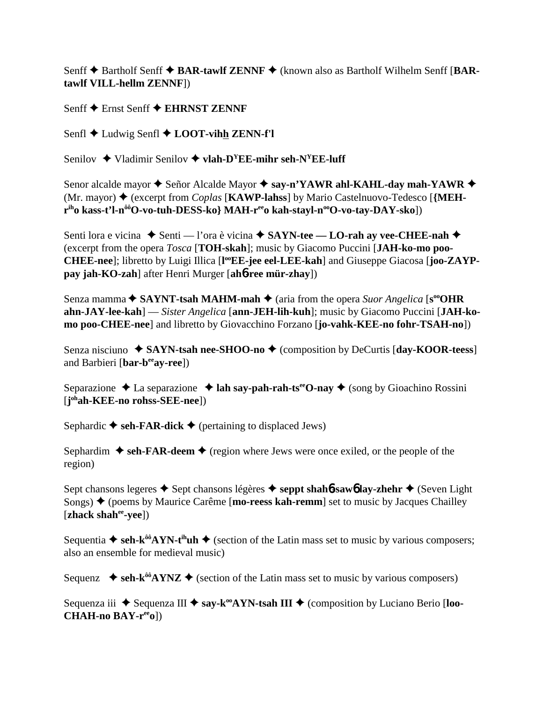Senff **◆** Bartholf Senff ◆ BAR-tawlf ZENNF ◆ (known also as Bartholf Wilhelm Senff [BAR**tawlf VILL-hellm ZENNF**])

Senff **←** Ernst Senff ← EHRNST ZENNF

Senfl **→** Ludwig Senfl **→ LOOT-vihh ZENN-f'l** 

Senilov  $\triangle$  Vladimir Senilov  $\triangle$  **vlah-D<sup>Y</sup>EE-mihr seh-N<sup>Y</sup>EE-luff** 

Senor alcalde mayor  $\triangle$  Señor Alcalde Mayor  $\triangle$  say-n'YAWR ahl-KAHL-day mah-YAWR  $\triangle$ (Mr. mayor) (excerpt from *Coplas* [**KAWP-lahss**] by Mario Castelnuovo-Tedesco [**{MEHr**<sup>ih</sup>o kass-t'l-n<sup>ôô</sup>O-vo-tuh-DESS-ko} MAH-r<sup>ee</sup>o kah-stayl-n<sup>oo</sup>O-vo-tay-DAY-sko])

Senti lora e vicina **→** Senti — l'ora è vicina **→ SAYN-tee — LO-rah av vee-CHEE-nah →** (excerpt from the opera *Tosca* [**TOH-skah**]; music by Giacomo Puccini [**JAH-ko-mo poo-**CHEE-nee]; libretto by Luigi Illica [l<sup>oo</sup>EE-jee eel-LEE-kah] and Giuseppe Giacosa [joo-ZAYP**pay jah-KO-zah**] after Henri Murger [**ah**6**-ree mür-zhay**])

Senza mamma **→ SAYNT-tsah MAHM-mah** → (aria from the opera *Suor Angelica* [s<sup>oo</sup>OHR **ahn-JAY-lee-kah**] — *Sister Angelica* [**ann-JEH-lih-kuh**]; music by Giacomo Puccini [**JAH-komo poo-CHEE-nee**] and libretto by Giovacchino Forzano [**jo-vahk-KEE-no fohr-TSAH-no**])

Senza nisciuno ◆ SAYN-tsah nee-SHOO-no ◆ (composition by DeCurtis [day-KOOR-teess] and Barbieri [**bar-beeay-ree**])

Separazione  $\triangle$  La separazione  $\triangle$  **lah say-pah-rah-ts<sup>ee</sup>O-nay**  $\triangle$  (song by Gioachino Rossini [**j ohah-KEE-no rohss-SEE-nee**])

Sephardic  $\blacklozenge$  seh-FAR-dick  $\blacklozenge$  (pertaining to displaced Jews)

Sephardim  $\triangle$  seh-FAR-deem  $\triangle$  (region where Jews were once exiled, or the people of the region)

Sept chansons legeres **→** Sept chansons légères → seppt shah**6**-saw**6** lay-zhehr → (Seven Light Songs) (poems by Maurice Carême [**mo-reess kah-remm**] set to music by Jacques Chailley [**zhack shahee-yee**])

Sequentia  $\triangleq$  seh-k<sup> $\delta \delta$ </sup>AYN-t<sup>ih</sup>uh  $\triangleq$  (section of the Latin mass set to music by various composers; also an ensemble for medieval music)

Sequenz  $\blacklozenge$  seh-k<sup> $\delta \delta$ </sup>AYNZ  $\blacklozenge$  (section of the Latin mass set to music by various composers)

Sequenza iii ◆ Sequenza III ◆ say-k<sup>oo</sup>AYN-tsah III ◆ (composition by Luciano Berio [loo-**CHAH-no BAY-reeo**])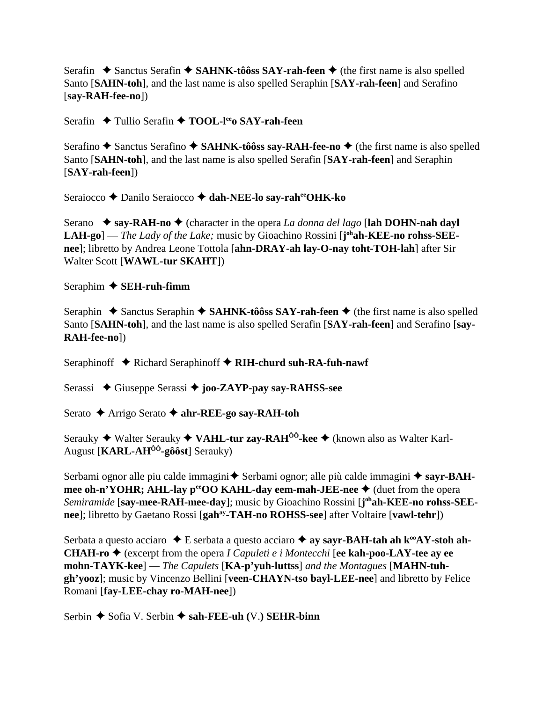Serafin  $\triangle$  Sanctus Serafin  $\triangle$  SAHNK-tôôss SAY-rah-feen  $\triangle$  (the first name is also spelled Santo [**SAHN-toh**], and the last name is also spelled Seraphin [**SAY-rah-feen**] and Serafino [**say-RAH-fee-no**])

Serafin **← Tullio Serafin ← TOOL-l<sup>ee</sup>o SAY-rah-feen** 

Serafino **◆** Sanctus Serafino ◆ SAHNK-tôôss say-RAH-fee-no ◆ (the first name is also spelled Santo [**SAHN-toh**], and the last name is also spelled Serafin [**SAY-rah-feen**] and Seraphin [**SAY-rah-feen**])

Seraiocco **←** Danilo Seraiocco ← dah-NEE-lo say-raheeOHK-ko

Serano  $\rightarrow$  say-RAH-no  $\rightarrow$  (character in the opera *La donna del lago* [lah DOHN-nah dayl LAH-go] — *The Lady of the Lake;* music by Gioachino Rossini [j<sup>oh</sup>ah-KEE-no rohss-SEE**nee**]; libretto by Andrea Leone Tottola [**ahn-DRAY-ah lay-O-nay toht-TOH-lah**] after Sir Walter Scott [**WAWL-tur SKAHT**])

Seraphim **SEH-ruh-fimm**

Seraphin  $\triangle$  Sanctus Seraphin  $\triangle$  SAHNK-tôôss SAY-rah-feen  $\triangle$  (the first name is also spelled Santo [**SAHN-toh**], and the last name is also spelled Serafin [**SAY-rah-feen**] and Serafino [**say-RAH-fee-no**])

Seraphinoff **→** Richard Seraphinoff → RIH-churd suh-RA-fuh-nawf

Serassi Giuseppe Serassi **joo-ZAYP-pay say-RAHSS-see**

Serato **←** Arrigo Serato ← ahr-REE-go say-RAH-toh

Serauky **→** Walter Serauky ◆ VAHL-tur zay-RAH<sup>ÔÔ</sup>-kee ◆ (known also as Walter Karl-August [**KARL-AHÔÔ-gôôst**] Serauky)

Serbami ognor alle piu calde immagini  $\blacklozenge$  Serbami ognor; alle più calde immagini  $\blacklozenge$  sayr-BAH**mee oh-n'YOHR; AHL-lay p<sup>ee</sup>OO KAHL-day eem-mah-JEE-nee**  $\blacklozenge$  (duet from the opera Semiramide [say-mee-RAH-mee-day]; music by Gioachino Rossini [j<sup>oh</sup>ah-KEE-no rohss-SEEnee]; libretto by Gaetano Rossi [gah<sup>ay</sup>-TAH-no ROHSS-see] after Voltaire [vawl-tehr])

Serbata a questo acciaro  $\triangle$  E serbata a questo acciaro  $\triangle$  ay sayr-BAH-tah ah k<sup>oo</sup>AY-stoh ah-**CHAH-ro ♦** (excerpt from the opera *I Capuleti e i Montecchi* [ee kah-poo-LAY-tee ay ee **mohn-TAYK-kee**] — *The Capulets* [**KA-p'yuh-luttss**] *and the Montagues* [**MAHN-tuhgh'yooz**]; music by Vincenzo Bellini [**veen-CHAYN-tso bayl-LEE-nee**] and libretto by Felice Romani [**fay-LEE-chay ro-MAH-nee**])

Serbin **→** Sofia V. Serbin → sah-FEE-uh (V.) SEHR-binn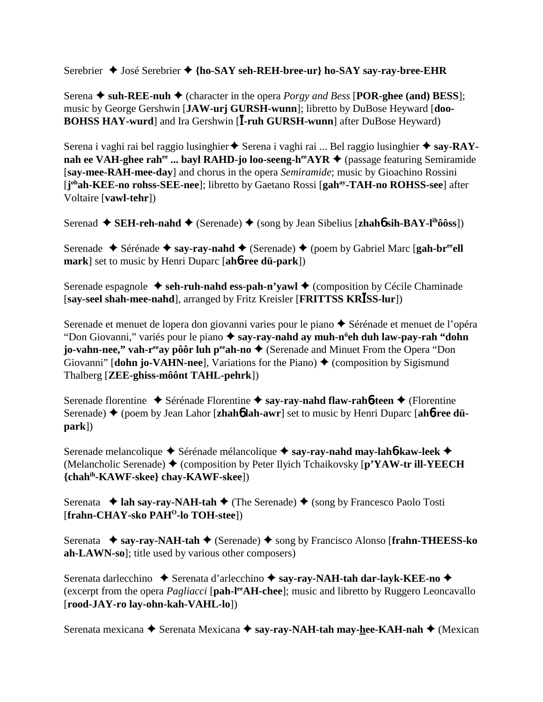Serebrier **→** José Serebrier ◆ {ho-SAY seh-REH-bree-ur} ho-SAY say-ray-bree-EHR

Serena  $\triangle$  suh-REE-nuh  $\triangle$  (character in the opera *Porgy and Bess* [POR-ghee (and) BESS]; music by George Gershwin [**JAW-urj GURSH-wunn**]; libretto by DuBose Heyward [**doo-BOHSS HAY-wurd**] and Ira Gershwin [I-ruh GURSH-wunn] after DuBose Heyward)

Serena i vaghi rai bel raggio lusinghier  $\triangle$  Serena i vaghi rai ... Bel raggio lusinghier  $\triangle$  say-RAYnah ee VAH-ghee rah<sup>ee</sup> ... bayl RAHD-jo loo-seeng-h<sup>ee</sup>AYR ♦ (passage featuring Semiramide [**say-mee-RAH-mee-day**] and chorus in the opera *Semiramide*; music by Gioachino Rossini [**j ohah-KEE-no rohss-SEE-nee**]; libretto by Gaetano Rossi [**gahay-TAH-no ROHSS-see**] after Voltaire [**vawl-tehr**])

Serenad ◆ SEH-reh-nahd ◆ (Serenade) ◆ (song by Jean Sibelius [zhah**6** sih-BAY-l<sup>ih</sup>ôôss])

Serenade **→** Sérénade → say-ray-nahd → (Serenade) → (poem by Gabriel Marc [gah-br<sup>ee</sup>ell **mark**] set to music by Henri Duparc [**ah**6**-ree dü-park**])

Serenade espagnole **→ seh-ruh-nahd ess-pah-n'yawl →** (composition by Cécile Chaminade [say-seel shah-mee-nahd], arranged by Fritz Kreisler [FRITTSS KRISS-lur])

Serenade et menuet de lopera don giovanni varies pour le piano  $\triangle$  Sérénade et menuet de l'opéra "Don Giovanni," variés pour le piano  **say-ray-nahd ay muh-nü eh duh law-pay-rah "dohn jo-vahn-nee," vah-r<sup>ee</sup>ay pôôr luh p<sup>ee</sup>ah-no ♦** (Serenade and Minuet From the Opera "Don Giovanni" **[dohn jo-VAHN-nee]**, Variations for the Piano)  $\triangle$  (composition by Sigismund Thalberg [**ZEE-ghiss-môônt TAHL-pehrk**])

Serenade florentine ◆ Sérénade Florentine ◆ say-ray-nahd flaw-rah**6-teen** ◆ (Florentine Serenade)  $\triangle$  (poem by Jean Lahor [**zhah<sup>6</sup> lah-awr**] set to music by Henri Duparc [**ah<sup>6</sup>-ree düpark**])

Serenade melancolique **←** Sérénade mélancolique ← say-ray-nahd may-lah**6**-kaw-leek ← (Melancholic Serenade) (composition by Peter Ilyich Tchaikovsky [**p'YAW-tr ill-YEECH {chahih-KAWF-skee} chay-KAWF-skee**])

Serenata  $\triangleleft$  **lah say-ray-NAH-tah**  $\triangleleft$  (The Serenade)  $\triangleleft$  (song by Francesco Paolo Tosti [**frahn-CHAY-sko PAHO-lo TOH-stee**])

Serenata **→ say-ray-NAH-tah →** (Serenade) → song by Francisco Alonso [frahn-THEESS-ko **ah-LAWN-so**]; title used by various other composers)

Serenata darlecchino  $\blacklozenge$  Serenata d'arlecchino  $\blacklozenge$  say-ray-NAH-tah dar-layk-KEE-no  $\blacklozenge$ (excerpt from the opera *Pagliacci* [**pah-l<sup>ee</sup>AH-chee**]; music and libretto by Ruggero Leoncavallo [**rood-JAY-ro lay-ohn-kah-VAHL-lo**])

Serenata mexicana **→** Serenata Mexicana → say-ray-NAH-tah may-hee-KAH-nah → (Mexican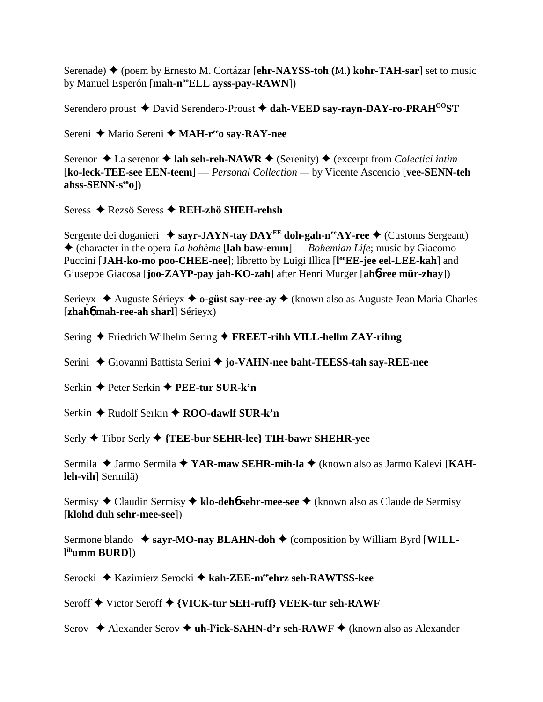Serenade) ♦ (poem by Ernesto M. Cortázar [ehr-NAYSS-toh (M.) kohr-TAH-sar] set to music by Manuel Esperón [mah-n<sup>oo</sup>ELL ayss-pay-RAWN])

Serendero proust ◆ David Serendero-Proust ◆ dah-VEED say-rayn-DAY-ro-PRAH<sup>00</sup>ST

Sereni ← Mario Sereni ← MAH-r<sup>ee</sup>o say-RAY-nee

Serenor  $\triangle$  La serenor  $\triangle$  lah seh-reh-NAWR  $\triangle$  (Serenity)  $\triangle$  (excerpt from Colectici intim [ko-leck-TEE-see EEN-teem] — *Personal Collection* — by Vicente Ascencio [vee-SENN-teh] ahss-SENN- $s^{ee}$ 0])

Seress ◆ Rezsö Seress ◆ REH-zhö SHEH-rehsh

Sergente dei doganieri  $\triangleq$  savr-JAYN-tav DAY<sup>EE</sup> doh-gah-n<sup>ee</sup>AY-ree  $\triangleq$  (Customs Sergeant) • (character in the opera La bohème [lah baw-emm] — Bohemian Life; music by Giacomo Puccini [JAH-ko-mo poo-CHEE-nee]; libretto by Luigi Illica [I<sup>oo</sup>EE-jee eel-LEE-kah] and Giuseppe Giacosa [joo-ZAYP-pay jah-KO-zah] after Henri Murger [ah6-ree mür-zhay])

Serieyx → Auguste Sérieyx → o-güst say-ree-ay → (known also as Auguste Jean Maria Charles [zhahó mah-ree-ah sharl] Sérieyx)

Sering  $\triangle$  Friedrich Wilhelm Sering  $\triangle$  FREET-rihh VILL-hellm ZAY-rihng

Serini ◆ Giovanni Battista Serini ◆ jo-VAHN-nee baht-TEESS-tah say-REE-nee

Serkin  $\triangle$  Peter Serkin  $\triangle$  PEE-tur SUR-k'n

Serkin ♦ Rudolf Serkin ♦ ROO-dawlf SUR-k'n

Serly ♦ Tibor Serly ♦ {TEE-bur SEHR-lee} TIH-bawr SHEHR-yee

Sermila ◆ Jarmo Sermilä ◆ YAR-maw SEHR-mih-la ◆ (known also as Jarmo Kalevi [KAHleh-vih] Sermilä)

Sermisy ◆ Claudin Sermisy ◆ klo-deho sehr-mee-see ◆ (known also as Claude de Sermisy [klohd duh sehr-mee-see])

Sermone blando  $\triangle$  sayr-MO-nay BLAHN-doh  $\triangle$  (composition by William Byrd [WILL $l<sup>ih</sup>umm BURD$ ])

Serocki ◆ Kazimierz Serocki ◆ kah-ZEE-m<sup>ee</sup>ehrz seh-RAWTSS-kee

Seroff ◆ Victor Seroff ◆ {VICK-tur SEH-ruff} VEEK-tur seh-RAWF

Serov ◆ Alexander Serov ◆ uh-l<sup>y</sup>ick-SAHN-d'r seh-RAWF ◆ (known also as Alexander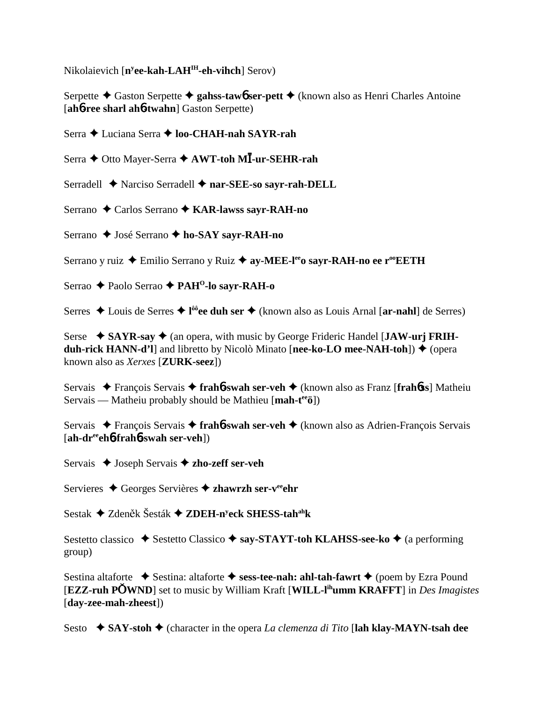Nikolaievich [**ny ee-kah-LAHIH-eh-vihch**] Serov)

Serpette **←** Gaston Serpette ← gahss-taw**6** ser-pett ← (known also as Henri Charles Antoine [**ah**6**-ree sharl ah**6**-twahn**] Gaston Serpette)

Serra **←** Luciana Serra ← loo-CHAH-nah SAYR-rah

Serra ◆ Otto Mayer-Serra ◆ AWT-toh MĪ-ur-SEHR-rah

Serradell **←** Narciso Serradell ← nar-SEE-so sayr-rah-DELL

Serrano ◆ Carlos Serrano ◆ KAR-lawss sayr-RAH-no

Serrano ◆ José Serrano ◆ ho-SAY sayr-RAH-no

Serrano y ruiz ◆ Emilio Serrano y Ruiz ◆ ay-MEE-l<sup>ee</sup>o sayr-RAH-no ee r<sup>oo</sup>EETH

Serrao **← Paolo Serrao ← PAH<sup>O</sup>-lo sayr-RAH-o** 

Serres ◆ Louis de Serres ◆ l<sup>ôô</sup>ee duh ser ◆ (known also as Louis Arnal [ar-nahl] de Serres)

Serse ◆ SAYR-say ◆ (an opera, with music by George Frideric Handel [JAW-urj FRIH**duh-rick HANN-d'l**] and libretto by Nicolò Minato [**nee-ko-LO** mee-NAH-toh]) ♦ (opera known also as *Xerxes* [**ZURK-seez**])

Servais François Servais **frah**6**-swah ser-veh** (known also as Franz [**frah**6**ss**] Matheiu Servais — Matheiu probably should be Mathieu [**mah-teeö**])

Servais François Servais **frah**6**-swah ser-veh** (known also as Adrien-François Servais [**ah-dreeeh**6**-frah**6**-swah ser-veh**])

Servais ◆ Joseph Servais **◆ zho-zeff ser-veh** 

Servieres **→** Georges Servières **→ zhawrzh ser-v<sup>ee</sup>ehr** 

Sestak ◆ Zdeněk Šesták ◆ ZDEH-n<sup>y</sup>eck SHESS-tah<sup>ah</sup>k

Sestetto classico **→** Sestetto Classico → say-STAYT-toh KLAHSS-see-ko → (a performing group)

Sestina altaforte **→** Sestina: altaforte → sess-tee-nah: ahl-tah-fawrt → (poem by Ezra Pound [**EZZ-ruh PWND**] set to music by William Kraft [**WILL-lihumm KRAFFT**] in *Des Imagistes* [**day-zee-mah-zheest**])

Sesto  **◆ SAY-stoh ◆** (character in the opera *La clemenza di Tito* [**lah klay-MAYN-tsah dee**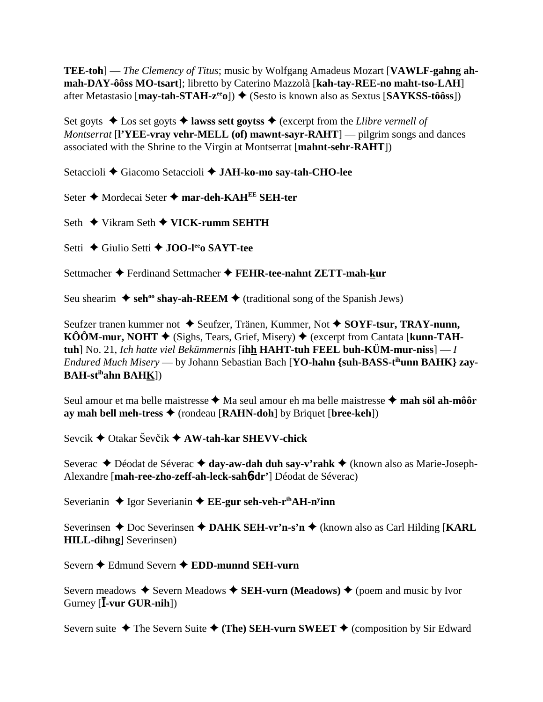**TEE-toh**] — *The Clemency of Titus*; music by Wolfgang Amadeus Mozart [VAWLF-gahng ahmah-DAY-ôôss MO-tsart]; libretto by Caterino Mazzolà [kah-tay-REE-no maht-tso-LAH] after Metastasio [may-tah-STAH- $z^{ee}$ o])  $\blacklozenge$  (Sesto is known also as Sextus [SAYKSS-tôôss])

Set goyts  $\triangle$  Los set goyts  $\triangle$  lawss sett goytss  $\triangle$  (excerpt from the Llibre vermell of *Montserrat* [I'YEE-vray vehr-MELL (of) mawnt-sayr-RAHT] — pilgrim songs and dances associated with the Shrine to the Virgin at Montserrat [mahnt-sehr-RAHT])

Setaccioli ◆ Giacomo Setaccioli ◆ JAH-ko-mo sav-tah-CHO-lee

Seter ♦ Mordecai Seter ♦ mar-deh-KAHEE SEH-ter

Seth  $\blacklozenge$  Vikram Seth  $\blacklozenge$  VICK-rumm SEHTH

Setti ← Giulio Setti ← JOO-lego SAYT-tee

Settmacher ◆ Ferdinand Settmacher ◆ FEHR-tee-nahnt ZETT-mah-kur

Seu shearim  $\triangle$  seh<sup>oo</sup> shay-ah-REEM  $\triangle$  (traditional song of the Spanish Jews)

Seufzer tranen kummer not ◆ Seufzer, Tränen, Kummer, Not ◆ SOYF-tsur, TRAY-nunn,  $K\hat{O}\hat{O}M$ -mur, NOHT  $\blacklozenge$  (Sighs, Tears, Grief, Misery)  $\blacklozenge$  (excerpt from Cantata [kunn-TAHtuh] No. 21, Ich hatte viel Bekümmernis [ihh HAHT-tuh FEEL buh-KÜM-mur-niss]  $-I$ Endured Much Misery — by Johann Sebastian Bach [YO-hahn {suh-BASS-t<sup>ih</sup>unn BAHK} zav- $BAH-st<sup>ih</sup>ahn  $BAHK$ ]$ 

Seul amour et ma belle maistresse ◆ Ma seul amour eh ma belle maistresse ◆ mah söl ah-môôr ay mah bell meh-tress  $\triangle$  (rondeau [RAHN-doh] by Briquet [bree-keh])

Sevcik  $\triangle$  Otakar Ševčik  $\triangle$  AW-tah-kar SHEVV-chick

Severac ◆ Déodat de Séverac ◆ day-aw-dah duh say-v'rahk ◆ (known also as Marie-Joseph-Alexandre [mah-ree-zho-zeff-ah-leck-sah6-dr'] Déodat de Séverac)

Severianin  $\triangle$  Igor Severianin  $\triangle$  EE-gur seh-veh-r<sup>ih</sup>AH-n<sup>y</sup>inn

Severinsen  $\triangle$  Doc Severinsen  $\triangle$  DAHK SEH-vr'n-s'n  $\triangle$  (known also as Carl Hilding [KARL] **HILL-dihng** Severinsen)

Severn ← Edmund Severn ← EDD-munnd SEH-vurn

Severn meadows  $\triangle$  Severn Meadows  $\triangle$  SEH-vurn (Meadows)  $\triangle$  (poem and music by Ivor Gurney  $[\mathbf{\bar{I}}\text{-}\mathbf{vur} \text{ GUR-nih}])$ 

Severn suite  $\triangle$  The Severn Suite  $\triangle$  (The) SEH-vurn SWEET  $\triangle$  (composition by Sir Edward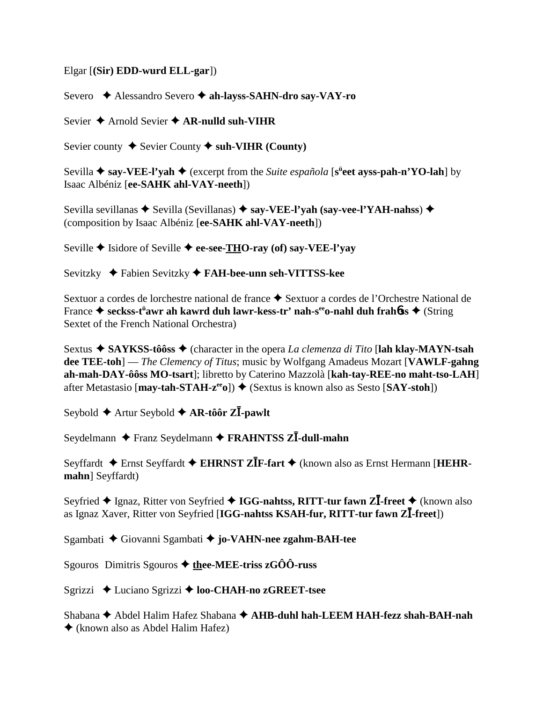## Elgar [**(Sir) EDD-wurd ELL-gar**])

Severo **→** Alessandro Severo → ah-layss-SAHN-dro say-VAY-ro

Sevier **→** Arnold Sevier **→ AR-nulld suh-VIHR** 

Sevier county  $\triangle$  Sevier County  $\triangle$  suh-VIHR (County)

Sevilla ◆ say-VEE-l'yah ◆ (excerpt from the *Suite española* [s<sup>ü</sup>eet ayss-pah-n'YO-lah] by Isaac Albéniz [**ee-SAHK ahl-VAY-neeth**])

Sevilla sevillanas  $\blacklozenge$  Sevilla (Sevillanas)  $\blacklozenge$  say-VEE-l'yah (say-vee-l'YAH-nahss)  $\blacklozenge$ (composition by Isaac Albéniz [**ee-SAHK ahl-VAY-neeth**])

Seville **→** Isidore of Seville **→ ee-see-THO-ray (of) say-VEE-l'yay** 

Sevitzky Fabien Sevitzky **FAH-bee-unn seh-VITTSS-kee**

Sextuor a cordes de lorchestre national de france  $\triangle$  Sextuor a cordes de l'Orchestre National de France ♦ s<mark>eckss-t<sup>ü</sup>awr ah kawrd duh lawr-kess-tr' nah-s<sup>ee</sup>o-nahl duh frah $6$ ss ♦ (String</mark> Sextet of the French National Orchestra)

Sextus ◆ SAYKSS-tôôss ◆ (character in the opera *La clemenza di Tito* [**lah klay-MAYN-tsah dee TEE-toh**] — *The Clemency of Titus*; music by Wolfgang Amadeus Mozart [**VAWLF-gahng ah-mah-DAY-ôôss MO-tsart**]; libretto by Caterino Mazzolà [**kah-tay-REE-no maht-tso-LAH**] after Metastasio  $[\text{may-tah-STAH-z}^{\text{ee}}]$   $\blacklozenge$  (Sextus is known also as Sesto  $[\text{SAT-stoh}]$ )

Seybold ♦ Artur Seybold ♦ AR-tôôr ZĪ-pawlt

Seydelmann ◆ Franz Seydelmann ◆ FRAHNTSS ZI-dull-mahn

Seyffardt  $\triangle$  Ernst Seyffardt  $\triangle$  EHRNST ZIF-fart  $\triangle$  (known also as Ernst Hermann [HEHR**mahn**] Seyffardt)

Seyfried ◆ Ignaz, Ritter von Seyfried ◆ IGG-nahtss, RITT-tur fawn Zll-freet ◆ (known also as Ignaz Xaver, Ritter von Seyfried [IGG-nahtss KSAH-fur, RITT-tur fawn Zll-freet])

Sgambati Giovanni Sgambati **jo-VAHN-nee zgahm-BAH-tee**

Sgouros Dimitris Sgouros **thee-MEE-triss zGÔÔ-russ**

Sgrizzi **←** Luciano Sgrizzi ← **loo-CHAH-no zGREET-tsee** 

Shabana **→** Abdel Halim Hafez Shabana → AHB-duhl hah-LEEM HAH-fezz shah-BAH-nah (known also as Abdel Halim Hafez)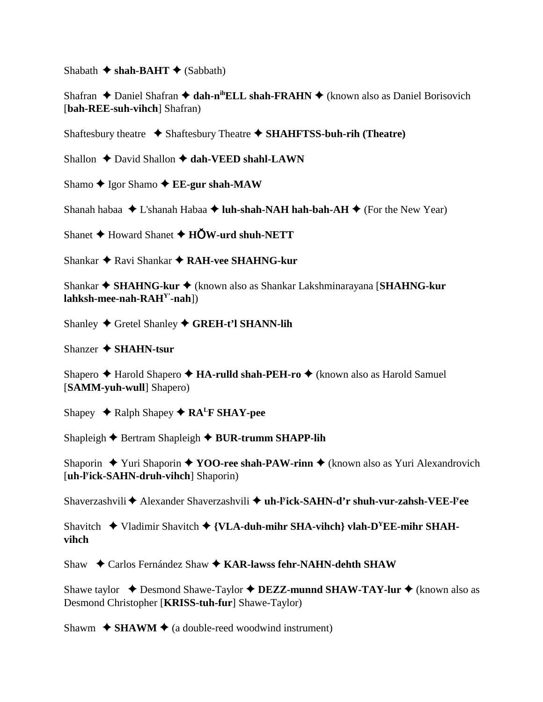Shabath  $\triangle$  shah-BAHT  $\triangle$  (Sabbath)

Shafran ◆ Daniel Shafran ◆ dah-n<sup>ih</sup>ELL shah-FRAHN ◆ (known also as Daniel Borisovich [**bah-REE-suh-vihch**] Shafran)

Shaftesbury theatre  $\triangle$  Shaftesbury Theatre  $\triangle$  **SHAHFTSS-buh-rih (Theatre)** 

Shallon  $\triangle$  David Shallon  $\triangle$  dah-VEED shahl-LAWN

Shamo **→** Igor Shamo **→ EE-gur shah-MAW** 

Shanah habaa  $\triangle$  L'shanah Habaa  $\triangle$  **luh-shah-NAH hah-bah-AH**  $\triangle$  (For the New Year)

Shanet **→** Howard Shanet **→ HOW-urd shuh-NETT** 

Shankar Ravi Shankar **RAH-vee SHAHNG-kur**

Shankar **SHAHNG-kur** (known also as Shankar Lakshminarayana [**SHAHNG-kur lahksh-mee-nah-RAHY'-nah**])

Shanley **←** Gretel Shanley ← GREH-t'l SHANN-lih

Shanzer **SHAHN-tsur**

Shapero **→** Harold Shapero **→ HA-rulld shah-PEH-ro** ◆ (known also as Harold Samuel [**SAMM-yuh-wull**] Shapero)

Shapey  $\triangle$  Ralph Shapey  $\triangle$  RA<sup>L</sup>F SHAY-pee

Shapleigh **←** Bertram Shapleigh ← BUR-trumm SHAPP-lih

Shaporin **→** Yuri Shaporin ◆ **YOO-ree shah-PAW-rinn ◆** (known also as Yuri Alexandrovich [**uh-ly ick-SAHN-druh-vihch**] Shaporin)

Shaverzashvili ◆ Alexander Shaverzashvili ◆ uh-l<sup>y</sup>ick-SAHN-d'r shuh-vur-zahsh-VEE-l<sup>y</sup>ee

Shavitch  $\blacklozenge$  Vladimir Shavitch  $\blacklozenge$  {**VLA-duh-mihr SHA-vihch**} vlah-D<sup>Y</sup>EE-mihr SHAH**vihch**

Shaw ◆ Carlos Fernández Shaw ◆ KAR-lawss fehr-NAHN-dehth SHAW

Shawe taylor  $\triangle$  Desmond Shawe-Taylor  $\triangle$  **DEZZ-munnd SHAW-TAY-lur**  $\triangle$  (known also as Desmond Christopher [**KRISS-tuh-fur**] Shawe-Taylor)

Shawm  $\triangle$  **SHAWM**  $\triangle$  (a double-reed woodwind instrument)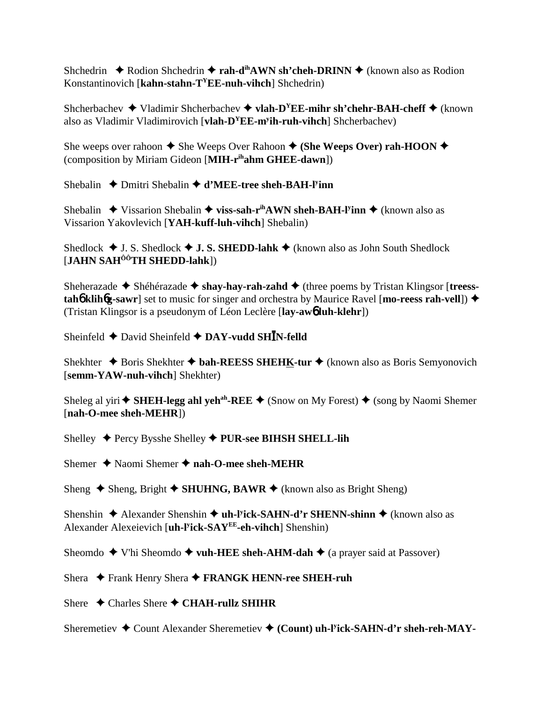Shchedrin  $\triangle$  Rodion Shchedrin  $\triangle$  **rah-d<sup>ih</sup>AWN sh'cheh-DRINN**  $\triangle$  (known also as Rodion Konstantinovich [**kahn-stahn-TYEE-nuh-vihch**] Shchedrin)

Shcherbachev  $\blacklozenge$  Vladimir Shcherbachev  $\blacklozenge$  **vlah-D<sup>Y</sup>EE-mihr sh'chehr-BAH-cheff**  $\blacklozenge$  (known also as Vladimir Vladimirovich [**vlah-DYEE-my ih-ruh-vihch**] Shcherbachev)

She weeps over rahoon  $\triangle$  She Weeps Over Rahoon  $\triangle$  (She Weeps Over) rah-HOON  $\triangle$ (composition by Miriam Gideon [**MIH-rihahm GHEE-dawn**])

Shebalin ◆ Dmitri Shebalin ◆ d'MEE-tree sheh-BAH-l<sup>y</sup>inn

Shebalin ◆ Vissarion Shebalin ◆ **viss-sah-r<sup>ih</sup>AWN sheh-BAH-l<sup>y</sup>inn ◆** (known also as Vissarion Yakovlevich [**YAH-kuff-luh-vihch**] Shebalin)

Shedlock  $\triangle$  J. S. Shedlock  $\triangle$  **J. S. SHEDD-lahk**  $\triangle$  (known also as John South Shedlock [**JAHN SAHÔÔTH SHEDD-lahk**])

Sheherazade ◆ Shéhérazade ◆ shay-hay-rah-zahd ◆ (three poems by Tristan Klingsor [treess**tah≬ klih6g-sawr**] set to music for singer and orchestra by Maurice Ravel [**mo-reess rah-vell**]) ◆ (Tristan Klingsor is a pseudonym of Léon Leclère [**lay-aw**6 **luh-klehr**])

Sheinfeld  $\triangle$  David Sheinfeld  $\triangle$  DAY-vudd SHIN-felld

Shekhter **→** Boris Shekhter **→ bah-REESS SHEHK-tur →** (known also as Boris Semyonovich [**semm-YAW-nuh-vihch**] Shekhter)

Sheleg al yiri  $\blacklozenge$  **SHEH-legg ahl yeh<sup>ah</sup>-REE**  $\blacklozenge$  (Snow on My Forest)  $\blacklozenge$  (song by Naomi Shemer [**nah-O-mee sheh-MEHR**])

Shelley Percy Bysshe Shelley **PUR-see BIHSH SHELL-lih**

Shemer **→** Naomi Shemer **→ nah-O-mee sheh-MEHR** 

Sheng  $\triangle$  Sheng, Bright  $\triangle$  SHUHNG, BAWR  $\triangle$  (known also as Bright Sheng)

Shenshin ◆ Alexander Shenshin ◆ uh-l<sup>y</sup>ick-SAHN-d'r SHENN-shinn ◆ (known also as Alexander Alexeievich [**uh-ly ick-SAYEE-eh-vihch**] Shenshin)

Sheomdo  $\blacklozenge$  V'hi Sheomdo  $\blacklozenge$  **vuh-HEE sheh-AHM-dah**  $\blacklozenge$  (a prayer said at Passover)

Shera ◆ Frank Henry Shera ◆ FRANGK HENN-ree SHEH-ruh

Shere **←** Charles Shere ← CHAH-rullz SHIHR

Sheremetiev ◆ Count Alexander Sheremetiev ◆ (Count) uh-l<sup>y</sup>ick-SAHN-d'r sheh-reh-MAY-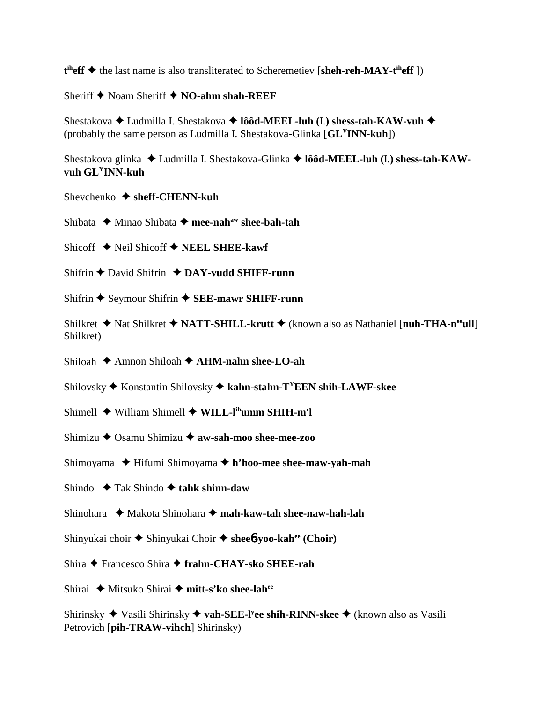t<sup>ih</sup>eff ◆ the last name is also transliterated to Scheremetiev [sheh-reh-MAY-t<sup>ih</sup>eff])

Sheriff **→** Noam Sheriff **→ NO-ahm shah-REEF** 

Shestakova Ludmilla I. Shestakova **lôôd-MEEL-luh (**I.**) shess-tah-KAW-vuh** (probably the same person as Ludmilla I. Shestakova-Glinka [**GLYINN-kuh**])

Shestakova glinka Ludmilla I. Shestakova-Glinka **lôôd-MEEL-luh (**I.**) shess-tah-KAWvuh GLYINN-kuh**

- Shevchenko **sheff-CHENN-kuh**
- Shibata **→** Minao Shibata → mee-nah<sup>aw</sup> shee-bah-tah
- Shicoff  $\triangle$  Neil Shicoff  $\triangle$  **NEEL SHEE-kawf**
- Shifrin David Shifrin **DAY-vudd SHIFF-runn**
- Shifrin **→** Seymour Shifrin **→ SEE-mawr SHIFF-runn**
- Shilkret **→** Nat Shilkret ◆ NATT-SHILL-krutt ◆ (known also as Nathaniel [**nuh-THA-n<sup>ee</sup>ull**] Shilkret)
- Shiloah Amnon Shiloah **AHM-nahn shee-LO-ah**
- Shilovsky Konstantin Shilovsky **kahn-stahn-TYEEN shih-LAWF-skee**
- Shimell **→** William Shimell **→ WILL-l<sup>ih</sup>umm SHIH-m'l**
- Shimizu **→** Osamu Shimizu → **aw-sah-moo shee-mee-zoo**
- Shimoyama Hifumi Shimoyama **h'hoo-mee shee-maw-yah-mah**
- Shindo  $\rightarrow$  Tak Shindo  $\rightarrow$  tahk shinn-daw
- Shinohara **→** Makota Shinohara → mah-kaw-tah shee-naw-hah-lah
- Shinyukai choir Shinyukai Choir **shee**6**-yoo-kahee (Choir)**
- Shira Francesco Shira **frahn-CHAY-sko SHEE-rah**
- Shirai ◆ Mitsuko Shirai ◆ mitt-s'ko shee-lah<sup>ee</sup>

Shirinsky ◆ Vasili Shirinsky ◆ vah-SEE-l<sup>y</sup>ee shih-RINN-skee ◆ (known also as Vasili Petrovich [**pih-TRAW-vihch**] Shirinsky)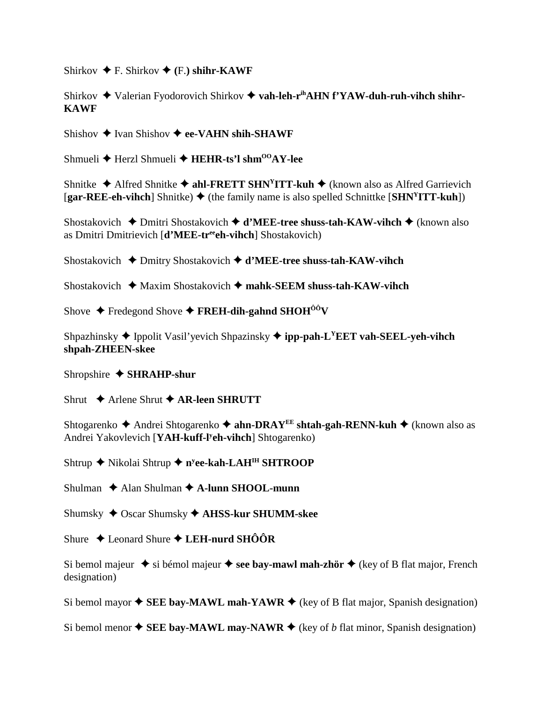Shirkov  $\blacklozenge$  F. Shirkov  $\blacklozenge$  (F.) shihr-KAWF

Shirkov ◆ Valerian Fyodorovich Shirkov ◆ vah-leh-r<sup>ih</sup>AHN f'YAW-duh-ruh-vihch shihr-**KAWF**

Shishov  $\triangle$  Ivan Shishov  $\triangle$  ee-VAHN shih-SHAWF

Shmueli **←** Herzl Shmueli ← HEHR-ts'l shm<sup>00</sup>AY-lee

Shnitke  $\triangle$  Alfred Shnitke  $\triangle$  ahl-FRETT SHN<sup>Y</sup>ITT-kuh  $\triangle$  (known also as Alfred Garrievich  $[gar-REE-eh-vihch]$  Shnitke)  $\blacklozenge$  (the family name is also spelled Schnittke  $[SHN<sup>y</sup>ITT-kuh]$ )

Shostakovich **→** Dmitri Shostakovich **→ d'MEE-tree shuss-tah-KAW-vihch →** (known also as Dmitri Dmitrievich [**d'MEE-treeeh-vihch**] Shostakovich)

Shostakovich Dmitry Shostakovich **d'MEE-tree shuss-tah-KAW-vihch**

Shostakovich Maxim Shostakovich  **mahk-SEEM shuss-tah-KAW-vihch**

Shove  $\triangle$  Fredegond Shove  $\triangle$  **FREH-dih-gahnd SHOH**<sup> $00$ </sup>V

Shpazhinsky  $\blacklozenge$  Ippolit Vasil'yevich Shpazinsky  $\blacklozenge$  ipp-pah-L<sup>Y</sup>EET vah-SEEL-yeh-vihch **shpah-ZHEEN-skee**

Shropshire **SHRAHP-shur**

Shrut **→** Arlene Shrut **→ AR-leen SHRUTT** 

Shtogarenko **→** Andrei Shtogarenko **→ ahn-DRAY<sup>EE</sup> shtah-gah-RENN-kuh →** (known also as Andrei Yakovlevich [**YAH-kuff-ly eh-vihch**] Shtogarenko)

Shtrup ◆ Nikolai Shtrup ◆ n<sup>y</sup>ee-kah-LAH<sup>IH</sup> SHTROOP

Shulman **→** Alan Shulman → **A-lunn SHOOL-munn** 

Shumsky Oscar Shumsky **AHSS-kur SHUMM-skee**

Shure Leonard Shure **LEH-nurd SHÔÔR**

Si bemol majeur  $\triangle$  si bémol majeur  $\triangle$  see bay-mawl mah-zhör  $\triangle$  (key of B flat major, French designation)

Si bemol mayor  $\triangle$  **SEE bay-MAWL mah-YAWR**  $\triangle$  (key of B flat major, Spanish designation)

Si bemol menor  $\triangle$  **SEE bay-MAWL may-NAWR**  $\triangle$  (key of *b* flat minor, Spanish designation)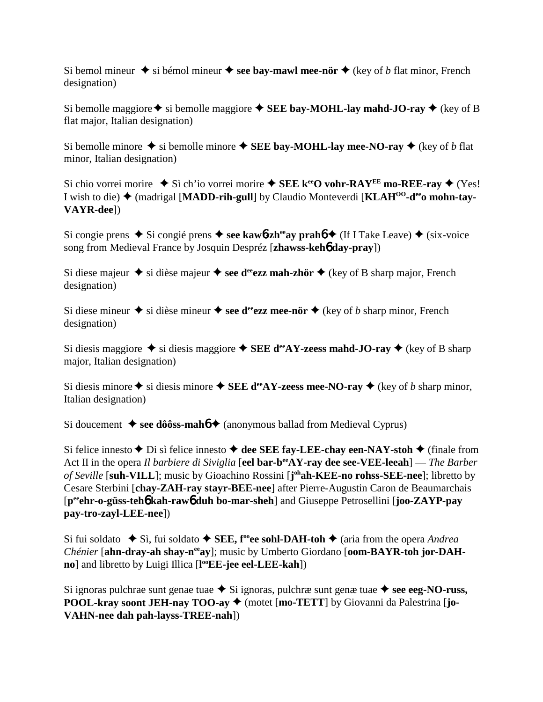Si bemol mineur  $\triangle$  si bémol mineur  $\triangle$  see bay-mawl mee-nör  $\triangle$  (key of *b* flat minor, French designation)

Si bemolle maggiore  $\triangle$  si bemolle maggiore  $\triangle$  **SEE bay-MOHL-lay mahd-JO-ray**  $\triangle$  (key of B flat major, Italian designation)

Si bemolle minore  $\blacklozenge$  si bemolle minore  $\blacklozenge$  **SEE bay-MOHL-lay mee-NO-ray**  $\blacklozenge$  (key of *b* flat minor, Italian designation)

Si chio vorrei morire  $\blacklozenge$  Sì ch'io vorrei morire  $\blacklozenge$  **SEE k<sup>ee</sup>O vohr-RAY<sup>EE</sup> mo-REE-ray**  $\blacklozenge$  (Yes!) I wish to die) (madrigal [**MADD-rih-gull**] by Claudio Monteverdi [**KLAHOO-deeo mohn-tay-VAYR-dee**])

Si congie prens  $\triangle$  Si congié prens  $\triangle$  see kaw**6-zh<sup>ee</sup>ay prahó**  $\triangle$  (If I Take Leave)  $\triangle$  (six-voice song from Medieval France by Josquin Despréz [**zhawss-keh**6 **day-pray**])

Si diese majeur  $\triangle$  si dièse majeur  $\triangle$  see d<sup>ee</sup>ezz mah-zhör  $\triangle$  (key of B sharp major, French designation)

Si diese mineur  $\triangle$  si dièse mineur  $\triangle$  see d<sup>ee</sup>ezz mee-nör  $\triangle$  (key of *b* sharp minor, French designation)

Si diesis maggiore  $\blacklozenge$  si diesis maggiore  $\blacklozenge$  **SEE d<sup>ee</sup>AY-zeess mahd-JO-ray**  $\blacklozenge$  (key of B sharp major, Italian designation)

Si diesis minore  $\triangle$  si diesis minore  $\triangle$  **SEE d<sup>ee</sup>AY-zeess mee-NO-ray**  $\triangle$  (key of *b* sharp minor, Italian designation)

Si doucement  $\triangleleft$  see dôôss-mah<sup>6</sup>  $\triangleleft$  (anonymous ballad from Medieval Cyprus)

Si felice innesto  $\blacklozenge$  Di sì felice innesto  $\blacklozenge$  dee SEE fay-LEE-chay een-NAY-stoh  $\blacklozenge$  (finale from Act II in the opera *Il barbiere di Siviglia* [eel bar-b<sup>ee</sup>AY-ray dee see-VEE-leeah] — *The Barber* of Seville [suh-VILL]; music by Gioachino Rossini [j<sup>oh</sup>ah-KEE-no rohss-SEE-nee]; libretto by Cesare Sterbini [**chay-ZAH-ray stayr-BEE-nee**] after Pierre-Augustin Caron de Beaumarchais [**peeehr-o-güss-teh**6 **kah-raw**6 **duh bo-mar-sheh**] and Giuseppe Petrosellini [**joo-ZAYP-pay pay-tro-zayl-LEE-nee**])

Si fui soldato  $\blacklozenge$  Sì, fui soldato  $\blacklozenge$  **SEE, f<sup>oo</sup>ee sohl-DAH-toh**  $\blacklozenge$  (aria from the opera *Andrea Chénier* [ahn-dray-ah shay-n<sup>ee</sup>ay]; music by Umberto Giordano [oom-BAYR-toh jor-DAH**no**] and libretto by Luigi Illica [**l ooEE-jee eel-LEE-kah**])

Si ignoras pulchrae sunt genae tuae  $\blacklozenge$  Si ignoras, pulchræ sunt genæ tuae  $\blacklozenge$  see eeg-NO-russ, **POOL-kray soont JEH-nay TOO-ay**  $\blacklozenge$  **(motet [mo-TETT] by Giovanni da Palestrina [jo-VAHN-nee dah pah-layss-TREE-nah**])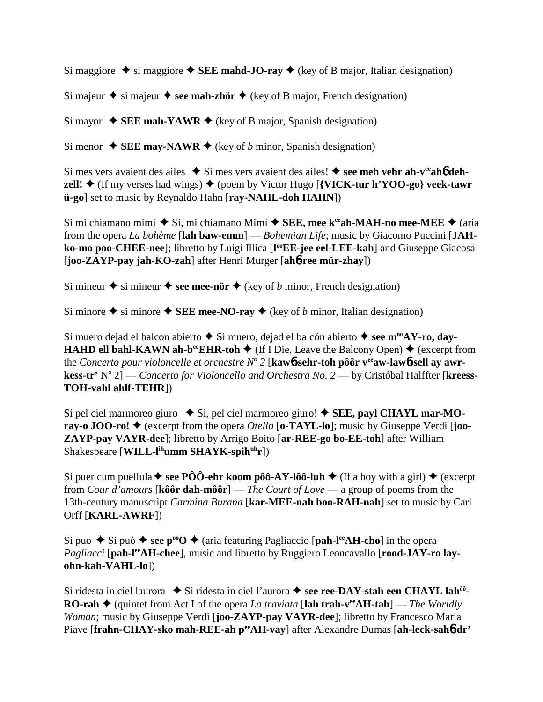Si maggiore  $\triangle$  si maggiore  $\triangle$  **SEE mahd-JO-ray**  $\triangle$  (key of B major, Italian designation)

Si majeur  $\triangle$  si majeur  $\triangle$  see mah-zhör  $\triangle$  (key of B major, French designation)

Si mayor  $\blacklozenge$  **SEE mah-YAWR**  $\blacklozenge$  (key of B major, Spanish designation)

Si menor  $\triangle$  **SEE may-NAWR**  $\triangle$  (key of *b* minor, Spanish designation)

Si mes vers avaient des ailes  $\bullet$  Si mes vers avaient des ailes!  $\bullet$  see meh vehr ah-v<sup>ee</sup>ah**6** deh**zell!**  $\triangle$  (If my verses had wings)  $\triangle$  (poem by Victor Hugo [**{VICK-tur h'YOO-go} veek-tawr ü-go**] set to music by Reynaldo Hahn [**ray-NAHL-doh HAHN**])

Si mi chiamano mimi  $\blacklozenge$  Sì, mi chiamano Mimì  $\blacklozenge$  **SEE, mee k<sup>ee</sup>ah-MAH-no mee-MEE**  $\blacklozenge$  (aria from the opera *La bohème* [**lah baw-emm**] — *Bohemian Life*; music by Giacomo Puccini [**JAH**ko-mo poo-CHEE-nee]; libretto by Luigi Illica [l<sup>oo</sup>EE-jee eel-LEE-kah] and Giuseppe Giacosa [**joo-ZAYP-pay jah-KO-zah**] after Henri Murger [**ah**6**-ree mür-zhay**])

Si mineur  $\triangle$  si mineur  $\triangle$  see mee-nör  $\triangle$  (key of *b* minor, French designation)

Si minore  $\triangle$  si minore  $\triangle$  **SEE mee-NO-ray**  $\triangle$  (key of *b* minor, Italian designation)

Si muero dejad el balcon abierto **→** Si muero, dejad el balcón abierto **→ see m<sup>oo</sup>AY-ro, day-HAHD ell bahl-KAWN ah-b<sup>ee</sup>EHR-toh**  $\blacklozenge$  (If I Die, Leave the Balcony Open)  $\blacklozenge$  (excerpt from the *Concerto pour violoncelle et orchestre N<sup>o</sup> 2* [kawb-sehr-toh pôôr veaw-lawb-sell ay awr**kess-tr'** N° 2] — *Concerto for Violoncello and Orchestra No.* 2 — by Cristóbal Halffter [kreess-**TOH-vahl ahlf-TEHR**])

Si pel ciel marmoreo giuro  $\bullet$  Sì, pel ciel marmoreo giuro!  $\bullet$  **SEE, payl CHAYL mar-MOray-o JOO-ro!**  $\blacklozenge$  (excerpt from the opera *Otello* [**o-TAYL-lo**]; music by Giuseppe Verdi [**joo-ZAYP-pay VAYR-dee**]; libretto by Arrigo Boito [**ar-REE-go bo-EE-toh**] after William Shakespeare [**WILL-l<sup>ih</sup>umm SHAYK-spih<sup>uh</sup>r**])

Si puer cum puellula  $\blacklozenge$  see PÔÔ-ehr koom pôô-AY-lôô-luh  $\blacklozenge$  (If a boy with a girl)  $\blacklozenge$  (excerpt from *Cour d'amours* [**kôôr dah-môôr**] — *The Court of Love* — a group of poems from the 13th-century manuscript *Carmina Burana* [**kar-MEE-nah boo-RAH-nah**] set to music by Carl Orff [**KARL-AWRF**])

Si puo  $\blacklozenge$  Si può  $\blacklozenge$  see p<sup>oo</sup>O  $\blacklozenge$  (aria featuring Pagliaccio [pah-l<sup>ee</sup>AH-cho] in the opera *Pagliacci* [pah-l<sup>ee</sup>AH-chee], music and libretto by Ruggiero Leoncavallo [rood-JAY-ro lay**ohn-kah-VAHL-lo**])

Si ridesta in ciel laurora ◆ Si ridesta in ciel l'aurora ◆ see ree-DAY-stah een CHAYL lah<sup>ôô</sup>-**RO-rah ♦** (quintet from Act I of the opera *La traviata* [lah trah-v<sup>ee</sup>AH-tah] — *The Worldly Woman*; music by Giuseppe Verdi [**joo-ZAYP-pay VAYR-dee**]; libretto by Francesco Maria Piave [frahn-CHAY-sko mah-REE-ah peeAH-vay] after Alexandre Dumas [ah-leck-sah6-dr'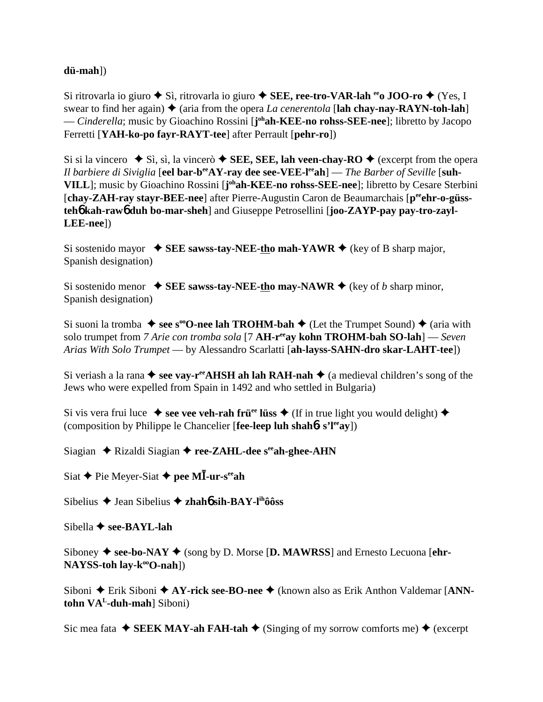## **dü-mah**])

Si ritrovarla io giuro **→** Sì, ritrovarla io giuro → SEE, ree-tro-VAR-lah <sup>ee</sup>o JOO-ro → (Yes, I swear to find her again)  $\triangle$  (aria from the opera *La cenerentola* [**lah chay-nay-RAYN-toh-lah**] — *Cinderella*; music by Gioachino Rossini [**j ohah-KEE-no rohss-SEE-nee**]; libretto by Jacopo Ferretti [**YAH-ko-po fayr-RAYT-tee**] after Perrault [**pehr-ro**])

Si si la vincero  $\blacklozenge$  Sì, sì, la vincerò  $\blacklozenge$  **SEE, SEE, lah veen-chay-RO**  $\blacklozenge$  (excerpt from the opera *Il barbiere di Siviglia* [eel bar-b<sup>ee</sup>AY-ray dee see-VEE-l<sup>ee</sup>ah] — *The Barber of Seville* [suh-**VILL**]; music by Gioachino Rossini [**j ohah-KEE-no rohss-SEE-nee**]; libretto by Cesare Sterbini [chay-ZAH-ray stayr-BEE-nee] after Pierre-Augustin Caron de Beaumarchais [p<sup>ee</sup>ehr-o-güss**teh**6 **kah-raw**6 **duh bo-mar-sheh**] and Giuseppe Petrosellini [**joo-ZAYP-pay pay-tro-zayl-LEE-nee**])

Si sostenido mayor  $\blacklozenge$  **SEE sawss-tay-NEE-tho mah-YAWR**  $\blacklozenge$  (key of B sharp major, Spanish designation)

Si sostenido menor  $\blacklozenge$  **SEE sawss-tay-NEE-tho may-NAWR**  $\blacklozenge$  (key of *b* sharp minor, Spanish designation)

Si suoni la tromba  $\blacklozenge$  see s<sup>oo</sup>O-nee lah **TROHM-bah**  $\blacklozenge$  (Let the Trumpet Sound)  $\blacklozenge$  (aria with solo trumpet from *7 Arie con tromba sola* [7 **AH-reeay kohn TROHM-bah SO-lah**] — *Seven Arias With Solo Trumpet* — by Alessandro Scarlatti [**ah-layss-SAHN-dro skar-LAHT-tee**])

Si veriash a la rana  $\triangle$  see vay-r<sup>ee</sup>AHSH ah lah RAH-nah  $\triangle$  (a medieval children's song of the Jews who were expelled from Spain in 1492 and who settled in Bulgaria)

Si vis vera frui luce  $\bullet$  see vee veh-rah frü<sup>ee</sup> lüss  $\bullet$  (If in true light you would delight)  $\bullet$ (composition by Philippe le Chancelier [**fee-leep luh shah**6**- s'leeay**])

Siagian ◆ Rizaldi Siagian ◆ ree-ZAHL-dee s<sup>ee</sup>ah-ghee-AHN

Siat **→** Pie Meyer-Siat **→ pee MĪ-ur-s<sup>ee</sup>ah** 

Sibelius **→** Jean Sibelius **→ zhahó sih-BAY-l<sup>ih</sup>ôôss** 

Sibella **← see-BAYL-lah** 

Siboney  $\blacklozenge$  see-bo-NAY  $\blacklozenge$  (song by D. Morse [D. MAWRSS] and Ernesto Lecuona [ehr-**NAYSS-toh lay-k<sup>oo</sup>O-nah**])

Siboni ◆ Erik Siboni ◆ AY-rick see-BO-nee ◆ (known also as Erik Anthon Valdemar [ANN**tohn VAL-duh-mah**] Siboni)

Sic mea fata  $\blacklozenge$  **SEEK MAY-ah FAH-tah**  $\blacklozenge$  (Singing of my sorrow comforts me)  $\blacklozenge$  (excerpt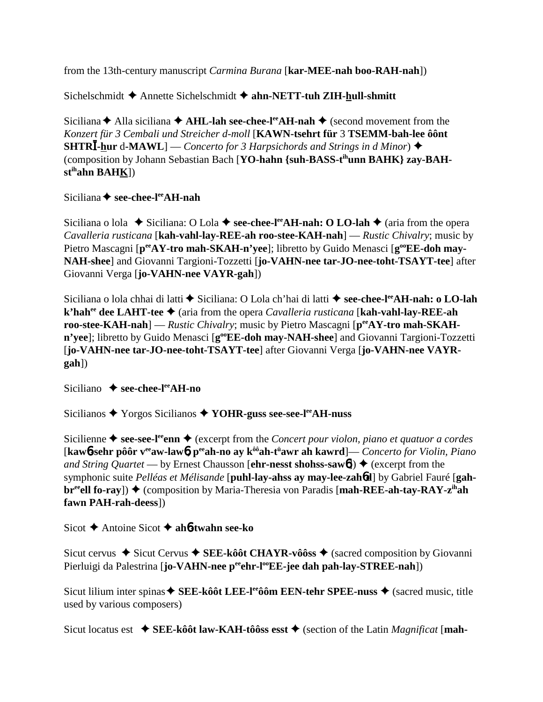from the 13th-century manuscript *Carmina Burana* [**kar-MEE-nah boo-RAH-nah**])

Sichelschmidt **→** Annette Sichelschmidt **→ ahn-NETT-tuh ZIH-hull-shmitt** 

Siciliana  $\triangle$  Alla siciliana  $\triangle$  AHL-lah see-chee-l<sup>ee</sup>AH-nah  $\triangle$  (second movement from the *Konzert für 3 Cembali und Streicher d-moll* [**KAWN-tsehrt für** 3 **TSEMM-bah-lee ôônt SHTRI-hur** d-MAWL] — *Concerto for 3 Harpsichords and Strings in d Minor*)  $\triangleq$ (composition by Johann Sebastian Bach [**YO-hahn {suh-BASS-tihunn BAHK} zay-BAHstihahn BAHK**])

Siciliana **← see-chee-l<sup>ee</sup>AH-nah** 

Siciliana o lola  $\blacklozenge$  Siciliana: O Lola  $\blacklozenge$  see-chee-l<sup>ee</sup>AH-nah: O LO-lah  $\blacklozenge$  (aria from the opera *Cavalleria rusticana* [**kah-vahl-lay-REE-ah roo-stee-KAH-nah**] — *Rustic Chivalry*; music by Pietro Mascagni [peeAY-tro mah-SKAH-n'yee]; libretto by Guido Menasci [g<sup>oo</sup>EE-doh may-**NAH-shee**] and Giovanni Targioni-Tozzetti [**jo-VAHN-nee tar-JO-nee-toht-TSAYT-tee**] after Giovanni Verga [**jo-VAHN-nee VAYR-gah**])

Siciliana o lola chhai di latti ◆ Siciliana: O Lola ch'hai di latti ◆ see-chee-l<sup>ee</sup>AH-nah: o LO-lah **k'hahee dee LAHT-tee**  (aria from the opera *Cavalleria rusticana* [**kah-vahl-lay-REE-ah roo-stee-KAH-nah**] — *Rustic Chivalry*; music by Pietro Mascagni [ $p^{ee}AY$ -tro mah-SKAH**n'yee**]; libretto by Guido Menasci [**g**<sup>oo</sup>**EE-doh may-NAH-shee**] and Giovanni Targioni-Tozzetti [**jo-VAHN-nee tar-JO-nee-toht-TSAYT-tee**] after Giovanni Verga [**jo-VAHN-nee VAYRgah**])

Siciliano **→ see-chee-l<sup>ee</sup>AH-no** 

Sicilianos Yorgos Sicilianos  **YOHR-guss see-see-leeAH-nuss**

Sicilienne  $\triangle$  see-see-l<sup>ee</sup> enn  $\triangle$  (excerpt from the *Concert pour violon, piano et quatuor a cordes* [**kaw**6**-sehr pôôr veeaw-law**6**, peeah-no ay kôôah-tü awr ah kawrd**]— *Concerto for Violin, Piano and String Quartet* — by Ernest Chausson [**ehr-nesst shohss-saw6**])  $\triangle$  (excerpt from the symphonic suite *Pelléas et Mélisande* [**puhl-lay-ahss ay may-lee-zah**6**d**] by Gabriel Fauré [**gahbr<sup>ee</sup>ell fo-ray**]) ◆ (composition by Maria-Theresia von Paradis [**mah-REE-ah-tay-RAY-z<sup>ih</sup>ah fawn PAH-rah-deess**])

Sicot Antoine Sicot **ah**6**-twahn see-ko**

Sicut cervus **→** Sicut Cervus **→ SEE-kôôt CHAYR-vôôss** → (sacred composition by Giovanni Pierluigi da Palestrina [**jo-VAHN-nee** peehr-l<sup>oo</sup>EE-jee dah pah-lay-STREE-nah])

Sicut lilium inter spinas **◆ SEE-kôôt LEE-l<sup>ee</sup>ôôm EEN-tehr SPEE-nuss ◆** (sacred music, title used by various composers)

Sicut locatus est  $\blacklozenge$  **SEE-kôôt law-KAH-tôôss esst**  $\blacklozenge$  (section of the Latin *Magnificat* [**mah**-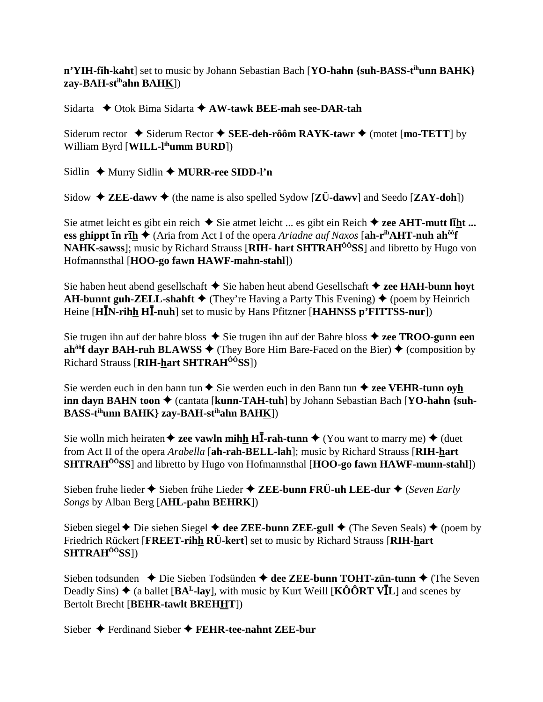n'YIH-fih-kaht] set to music by Johann Sebastian Bach [YO-hahn {suh-BASS-t<sup>ih</sup>unn BAHK}  $zav-BAH-st<sup>ih</sup>ahn BAHK$ ])

Sidarta  $\rightarrow$  Otok Bima Sidarta  $\rightarrow$  AW-tawk BEE-mah see-DAR-tah

Siderum rector  $\triangle$  Siderum Rector  $\triangle$  SEE-deh-rôôm RAYK-tawr  $\triangle$  (motet [mo-TETT] by William Byrd [WILL-l<sup>ih</sup>umm BURD])

Sidlin ← Murry Sidlin ← MURR-ree SIDD-l'n

Sidow  $\triangle$  ZEE-dawy  $\triangle$  (the name is also spelled Sydow [ZÜ-dawy] and Seedo [ZAY-doh])

Sie atmet leicht es gibt ein reich  $\triangle$  Sie atmet leicht ... es gibt ein Reich  $\triangle$  zee AHT-mutt liht ... ess ghippt  $\overline{\text{in r}}$   $\overline{\text{in r}}$   $\overline{\text{in r}}$  (Aria from Act I of the opera *Ariadne auf Naxos* [ah-r<sup>ih</sup>**AHT-nuh ah**<sup> $\delta \hat{\theta}$ **f**</sup> NAHK-sawss]; music by Richard Strauss [RIH- hart SHTRAH<sup>00</sup>SS] and libretto by Hugo von Hofmannsthal [HOO-go fawn HAWF-mahn-stahl])

Sie haben heut abend gesellschaft ◆ Sie haben heut abend Gesellschaft ◆ zee HAH-bunn hoyt **AH-bunnt guh-ZELL-shahft**  $\blacklozenge$  (They're Having a Party This Evening)  $\blacklozenge$  (poem by Heinrich Heine [HIN-rihh HI-nuh] set to music by Hans Pfitzner [HAHNSS p'FITTSS-nur])

Sie trugen ihn auf der bahre bloss  $\triangle$  Sie trugen ihn auf der Bahre bloss  $\triangle$  zee TROO-gunn een ah<sup>ôô</sup>f dayr BAH-ruh BLAWSS  $\blacklozenge$  (They Bore Him Bare-Faced on the Bier)  $\blacklozenge$  (composition by Richard Strauss [RIH-hart SHTRAH<sup>00</sup>SS])

Sie werden euch in den bann tun  $\triangle$  Sie werden euch in den Bann tun  $\triangle$  zee VEHR-tunn oyh inn dayn BAHN toon ♦ (cantata [kunn-TAH-tuh] by Johann Sebastian Bach [YO-hahn {suh-BASS-t<sup>ih</sup>unn BAHK} zay-BAH-st<sup>ih</sup>ahn BAH<u>K</u>])

Sie wolln mich heiraten  $\triangle$  zee vawln mihh HI-rah-tunn  $\triangle$  (You want to marry me)  $\triangle$  (duet from Act II of the opera *Arabella* [ah-rah-BELL-lah]; music by Richard Strauss [RIH-hart] **SHTRAH<sup>ôô</sup>SS**] and libretto by Hugo von Hofmannsthal [HOO-go fawn HAWF-munn-stahl])

Sieben fruhe lieder  $\triangle$  Sieben frühe Lieder  $\triangle$  ZEE-bunn FRÜ-uh LEE-dur  $\triangle$  (Seven Early Songs by Alban Berg [AHL-pahn BEHRK])

Sieben siegel  $\triangle$  Die sieben Siegel  $\triangle$  dee ZEE-bunn ZEE-gull  $\triangle$  (The Seven Seals)  $\triangle$  (poem by Friedrich Rückert [FREET-rihh RÜ-kert] set to music by Richard Strauss [RIH-hart] SHTRAH<sup>ôô</sup>SS])

Sieben todsunden  $\bullet$  Die Sieben Todsünden  $\bullet$  dee ZEE-bunn TOHT-zün-tunn  $\bullet$  (The Seven Deadly Sins)  $\triangle$  (a ballet [BA<sup>L</sup>-lay], with music by Kurt Weill [KÔÔRT V**I**L] and scenes by **Bertolt Brecht [BEHR-tawlt BREHHT])** 

Sieber  $\triangle$  Ferdinand Sieber  $\triangle$  FEHR-tee-nahnt ZEE-bur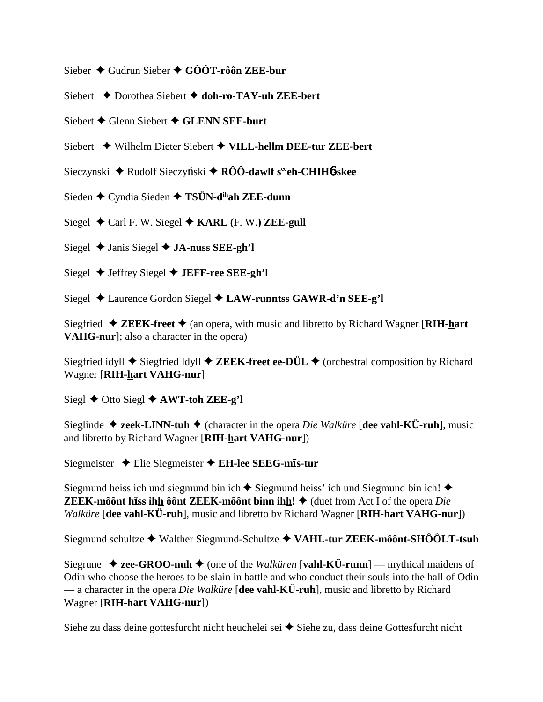- Sieber  $\triangle$  Gudrun Sieber  $\triangle$  GÔÔT-rôôn ZEE-bur
- Siebert ◆ Dorothea Siebert ◆ doh-ro-TAY-uh ZEE-bert
- Siebert  $\blacklozenge$  Glenn Siebert  $\blacklozenge$  GLENN SEE-burt
- Siebert ◆ Wilhelm Dieter Siebert ◆ VILL-hellm DEE-tur ZEE-bert
- Sieczynski  $\triangle$  Rudolf Sieczyński  $\triangle$  RÔÔ-dawlf s<sup>ee</sup>eh-CHIH6-skee
- Sieden  $\triangle$  Cyndia Sieden  $\triangle$  TSÜN-d<sup>ih</sup>ah ZEE-dunn
- Siegel  $\triangleleft$  Carl F. W. Siegel  $\triangleleft$  KARL (F. W.) ZEE-gull
- Siegel  $\triangle$  Janis Siegel  $\triangle$  JA-nuss SEE-gh'l
- Siegel  $\blacklozenge$  Jeffrey Siegel  $\blacklozenge$  JEFF-ree SEE-gh'l
- Siegel ◆ Laurence Gordon Siegel ◆ LAW-runntss GAWR-d'n SEE-g'l

Siegfried  $\triangleleft$  ZEEK-freet  $\triangleleft$  (an opera, with music and libretto by Richard Wagner [RIH-hart] VAHG-nur]; also a character in the opera)

Siegfried idyll  $\triangle$  Siegfried Idyll  $\triangle$  ZEEK-freet ee-DÜL  $\triangle$  (orchestral composition by Richard Wagner [RIH-hart VAHG-nur]

Siegl  $\triangle$  Otto Siegl  $\triangle$  AWT-toh ZEE-g'l

Sieglinde  $\triangleq$  zeek-LINN-tuh  $\triangleq$  (character in the opera *Die Walküre* [dee vahl-KÜ-ruh], music and libretto by Richard Wagner [RIH-hart VAHG-nur])

Siegmeister ◆ Elie Siegmeister ◆ EH-lee SEEG-mis-tur

Siegmund heiss ich und siegmund bin ich  $\blacklozenge$  Siegmund heiss' ich und Siegmund bin ich!  $\blacklozenge$ **ZEEK-môônt hiss ihh ôônt ZEEK-môônt binn ihh!**  $\triangle$  (duet from Act I of the opera *Die Walküre* [dee vahl-KÜ-ruh], music and libretto by Richard Wagner [RIH-hart VAHG-nur])

Siegmund schultze ◆ Walther Siegmund-Schultze ◆ VAHL-tur ZEEK-môônt-SHÔÔLT-tsuh

Siegrune  $\triangleq$  zee-GROO-nuh  $\triangleq$  (one of the *Walküren* [vahl-KÜ-runn] — mythical maidens of Odin who choose the heroes to be slain in battle and who conduct their souls into the hall of Odin — a character in the opera *Die Walküre* [dee vahl-KÜ-ruh], music and libretto by Richard Wagner [RIH-hart VAHG-nur])

Siehe zu dass deine gottesfurcht nicht heuchelei sei  $\triangle$  Siehe zu, dass deine Gottesfurcht nicht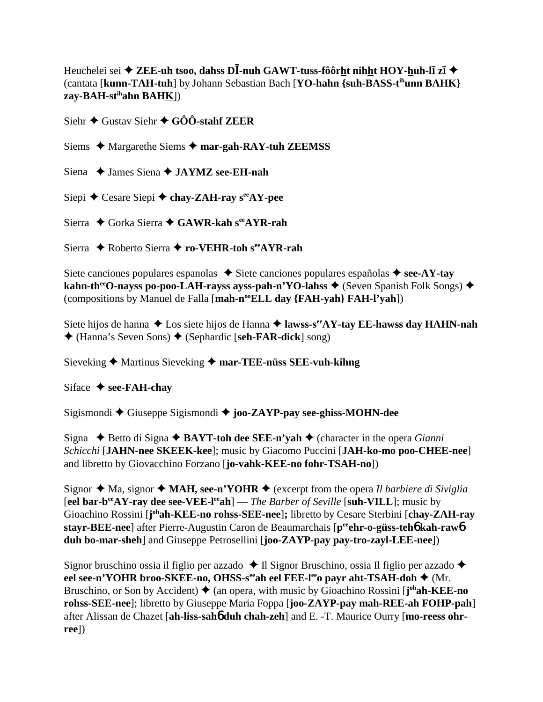Heuchelei sei  $\triangle$  ZEE-uh tsoo, dahss DI-nuh GAWT-tuss-fôôrht nihht HOY-huh-lī zī  $\triangle$ (cantata [kunn-TAH-tuh] by Johann Sebastian Bach [YO-hahn {suh-BASS-t<sup>ih</sup>unn BAHK} zay-BAH-st<sup>ih</sup>ahn BAHK])

Siehr  $\triangle$  Gustav Siehr  $\triangle$  GÔÔ-stahf ZEER

Siems  $\triangle$  Margarethe Siems  $\triangle$  mar-gah-RAY-tuh ZEEMSS

Siena ◆ James Siena ◆ JAYMZ see-EH-nah

Siepi  $\triangle$  Cesare Siepi  $\triangle$  chay-ZAH-ray s<sup>ee</sup>AY-pee

Sierra  $\triangle$  Gorka Sierra  $\triangle$  GAWR-kah s<sup>ee</sup> AYR-rah

Sierra ◆ Roberto Sierra ◆ ro-VEHR-toh see AYR-rah

Siete canciones populares espanolas  $\rightarrow$  Siete canciones populares españolas  $\rightarrow$  see-AY-tay kahn-th<sup>ee</sup>O-nayss po-poo-LAH-rayss ayss-pah-n'YO-lahss  $\triangle$  (Seven Spanish Folk Songs)  $\triangle$ (compositions by Manuel de Falla [mah-n<sup>oo</sup>ELL day {FAH-yah} FAH-l'yah])

Siete hijos de hanna  $\triangle$  Los siete hijos de Hanna  $\triangle$  lawss-s<sup>ee</sup> AY-tay EE-hawss day HAHN-nah ◆ (Hanna's Seven Sons) ◆ (Sephardic [seh-FAR-dick] song)

Sieveking  $\blacklozenge$  Martinus Sieveking  $\blacklozenge$  mar-TEE-nüss SEE-vuh-kihng

Siface  $\triangle$  see-FAH-chav

Sigismondi  $\blacklozenge$  Giuseppe Sigismondi  $\blacklozenge$  joo-ZAYP-pay see-ghiss-MOHN-dee

Signa  $\triangle$  Betto di Signa  $\triangle$  BAYT-toh dee SEE-n'yah  $\triangle$  (character in the opera *Gianni* Schicchi [JAHN-nee SKEEK-kee]; music by Giacomo Puccini [JAH-ko-mo poo-CHEE-nee] and libretto by Giovacchino Forzano [jo-vahk-KEE-no fohr-TSAH-no])

Signor  $\triangleleft$  Ma, signor  $\triangleleft$  MAH, see-n'YOHR  $\triangleleft$  (excerpt from the opera *Il barbiere di Siviglia* [eel bar-b<sup>ee</sup>AY-ray dee see-VEE-l<sup>ee</sup>ah] — *The Barber of Seville* [suh-VILL]; music by Gioachino Rossini [j<sup>oh</sup>ah-KEE-no rohss-SEE-nee]; libretto by Cesare Sterbini [chay-ZAH-ray stavr-BEE-nee] after Pierre-Augustin Caron de Beaumarchais [peehr-o-güss-teho kah-rawo duh bo-mar-sheh] and Giuseppe Petrosellini [joo-ZAYP-pay pay-tro-zayl-LEE-nee])

Signor bruschino ossia il figlio per azzado  $\triangleleft$  Il Signor Bruschino, ossia Il figlio per azzado  $\triangleleft$ eel see-n'YOHR broo-SKEE-no, OHSS-s<sup>ee</sup>ah eel FEE-l<sup>ee</sup>o payr aht-TSAH-doh ◆ (Mr. Bruschino, or Son by Accident)  $\triangleq$  (an opera, with music by Gioachino Rossini [ $j^{oh}ah$ -KEE-no rohss-SEE-nee]; libretto by Giuseppe Maria Foppa [joo-ZAYP-pay mah-REE-ah FOHP-pah] after Alissan de Chazet [ah-liss-saho duh chah-zeh] and E. -T. Maurice Ourry [mo-reess ohr- $^{\rm{ree}}$ ])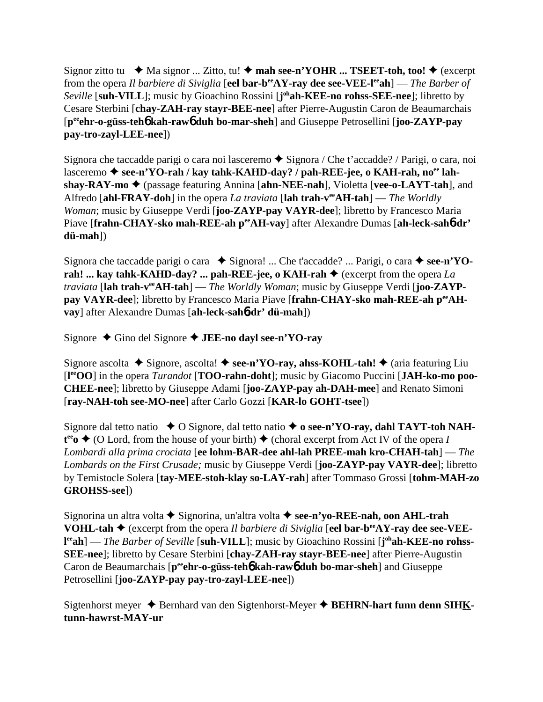Signor zitto tu  $\blacklozenge$  Ma signor ... Zitto, tu!  $\blacklozenge$  mah see-n'YOHR ... TSEET-toh, too!  $\blacklozenge$  (excerpt from the opera *Il barbiere di Siviglia* [**eel bar-beeAY-ray dee see-VEE-leeah**] — *The Barber of Seville* [**suh-VILL**]; music by Gioachino Rossini [**j ohah-KEE-no rohss-SEE-nee**]; libretto by Cesare Sterbini [**chay-ZAH-ray stayr-BEE-nee**] after Pierre-Augustin Caron de Beaumarchais [**peeehr-o-güss-teh**6 **kah-raw**6 **duh bo-mar-sheh**] and Giuseppe Petrosellini [**joo-ZAYP-pay pay-tro-zayl-LEE-nee**])

Signora che taccadde parigi o cara noi lasceremo  $\triangle$  Signora / Che t'accadde? / Parigi, o cara, noi lasceremo **→ see-n'YO-rah / kay tahk-KAHD-day? / pah-REE-jee, o KAH-rah, no<sup>ee</sup> lahshay-RAY-mo ♦** (passage featuring Annina [**ahn-NEE-nah**], Violetta [**vee-o-LAYT-tah**], and Alfredo [**ahl-FRAY-doh**] in the opera *La traviata* [**lah trah-veeAH-tah**] — *The Worldly Woman*; music by Giuseppe Verdi [**joo-ZAYP-pay VAYR-dee**]; libretto by Francesco Maria Piave [frahn-CHAY-sko mah-REE-ah peeAH-vay] after Alexandre Dumas [ah-leck-sah6-dr' **dü-mah**])

Signora che taccadde parigi o cara **→** Signora! ... Che t'accadde? ... Parigi, o cara → see-n'YOrah! ... kay tahk-KAHD-day? ... pah-REE-jee, o KAH-rah  $\triangleq$  (excerpt from the opera *La traviata* [**lah trah-veeAH-tah**] — *The Worldly Woman*; music by Giuseppe Verdi [**joo-ZAYPpay VAYR-dee**]; libretto by Francesco Maria Piave [**frahn-CHAY-sko mah-REE-ah peeAHvay**] after Alexandre Dumas [**ah-leck-sah**6**-dr' dü-mah**])

Signore  $\triangle$  Gino del Signore  $\triangle$  **JEE-no dayl see-n'YO-ray** 

Signore ascolta  $\blacklozenge$  Signore, ascolta!  $\blacklozenge$  **see-n'YO-ray, ahss-KOHL-tah!**  $\blacklozenge$  (aria featuring Liu [**l eeOO**] in the opera *Turandot* [**TOO-rahn-doht**]; music by Giacomo Puccini [**JAH-ko-mo poo-CHEE-nee**]; libretto by Giuseppe Adami [**joo-ZAYP-pay ah-DAH-mee**] and Renato Simoni [**ray-NAH-toh see-MO-nee**] after Carlo Gozzi [**KAR-lo GOHT-tsee**])

Signore dal tetto natio **→** O Signore, dal tetto natio ◆ **o see-n'YO-ray, dahl TAYT-toh NAH** $t^{ee}$   $\bullet$  (O Lord, from the house of your birth)  $\bullet$  (choral excerpt from Act IV of the opera *I Lombardi alla prima crociata* [**ee lohm-BAR-dee ahl-lah PREE-mah kro-CHAH-tah**] — *The Lombards on the First Crusade;* music by Giuseppe Verdi [**joo-ZAYP-pay VAYR-dee**]; libretto by Temistocle Solera [**tay-MEE-stoh-klay so-LAY-rah**] after Tommaso Grossi [**tohm-MAH-zo GROHSS-see**])

Signorina un altra volta Signorina, un'altra volta **see-n'yo-REE-nah, oon AHL-trah VOHL-tah ♦** (excerpt from the opera *Il barbiere di Siviglia* [eel bar-b<sup>ee</sup>AY-ray dee see-VEEl<sup>ee</sup>ah] — *The Barber of Seville* [suh-VILL]; music by Gioachino Rossini [j<sup>oh</sup>ah-KEE-no rohss-**SEE-nee**]; libretto by Cesare Sterbini [**chay-ZAH-ray stayr-BEE-nee**] after Pierre-Augustin Caron de Beaumarchais [p<sup>ee</sup>ehr-o-güss-teh**6** kah-raw**6** duh bo-mar-sheh] and Giuseppe Petrosellini [**joo-ZAYP-pay pay-tro-zayl-LEE-nee**])

Sigtenhorst meyer **→** Bernhard van den Sigtenhorst-Meyer **→ BEHRN-hart funn denn SIHKtunn-hawrst-MAY-ur**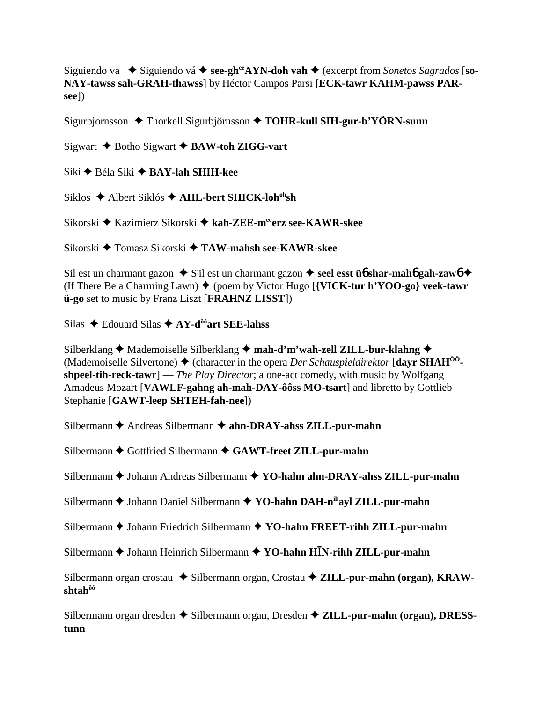Siguiendo va  $\bullet$  Siguiendo vá  $\bullet$  see-gh<sup>ee</sup>AYN-doh vah  $\bullet$  (excerpt from Sonetos Sagrados [so-NAY-tawss sah-GRAH-thawss] by Héctor Campos Parsi [ECK-tawr KAHM-pawss PARsee])

Sigurbjornsson  $\triangle$  Thorkell Sigurbjörnsson  $\triangle$  TOHR-kull SIH-gur-b'YÖRN-sunn

Sigwart  $\triangle$  Botho Sigwart  $\triangle$  BAW-toh ZIGG-vart

Siki ◆ Béla Siki ◆ BAY-lah SHIH-kee

Siklos ◆ Albert Siklós ◆ AHL-bert SHICK-loh<sup>oh</sup>sh

Sikorski ◆ Kazimierz Sikorski ◆ kah-ZEE-meerz see-KAWR-skee

Sikorski ◆ Tomasz Sikorski ◆ TAW-mahsh see-KAWR-skee

Sil est un charmant gazon  $\bullet$  S'il est un charmant gazon  $\bullet$  seel esst  $\mathbf{u}_0$  shar-mahol gah-zawo  $\bullet$ (If There Be a Charming Lawn)  $\blacklozenge$  (poem by Victor Hugo [{VICK-tur h'YOO-go} veek-tawr **ü-go** set to music by Franz Liszt [FRAHNZ LISST])

Silas  $\triangle$  Edouard Silas  $\triangle$  AY-d<sup>ôô</sup> art SEE-lahss

Silberklang ← Mademoiselle Silberklang ← mah-d'm'wah-zell ZILL-bur-klahng ← (Mademoiselle Silvertone)  $\triangleq$  (character in the opera *Der Schauspieldirektor* [dayr SHAH<sup>00</sup>shpeel-tih-reck-tawr] — The Play Director; a one-act comedy, with music by Wolfgang Amadeus Mozart [VAWLF-gahng ah-mah-DAY-ôôss MO-tsart] and libretto by Gottlieb Stephanie [GAWT-leep SHTEH-fah-nee])

Silbermann  $\triangle$  Andreas Silbermann  $\triangle$  ahn-DRAY-ahss ZILL-pur-mahn

Silbermann ♦ Gottfried Silbermann ♦ GAWT-freet ZILL-pur-mahn

Silbermann ♦ Johann Andreas Silbermann ♦ YO-hahn ahn-DRAY-ahss ZILL-pur-mahn

Silbermann  $\blacklozenge$  Johann Daniel Silbermann  $\blacklozenge$  YO-hahn DAH-n<sup>ih</sup>ayl ZILL-pur-mahn

Silbermann  $\blacklozenge$  Johann Friedrich Silbermann  $\blacklozenge$  YO-hahn FREET-rihh ZILL-pur-mahn

Silbermann  $\blacklozenge$  Johann Heinrich Silbermann  $\blacklozenge$  YO-hahn HIN-rihh ZILL-pur-mahn

Silbermann organ crostau  $\triangle$  Silbermann organ, Crostau  $\triangle$  ZILL-pur-mahn (organ), KRAWshtah®

Silbermann organ dresden  $\triangle$  Silbermann organ, Dresden  $\triangle$  ZILL-pur-mahn (organ), DRESS**tunn**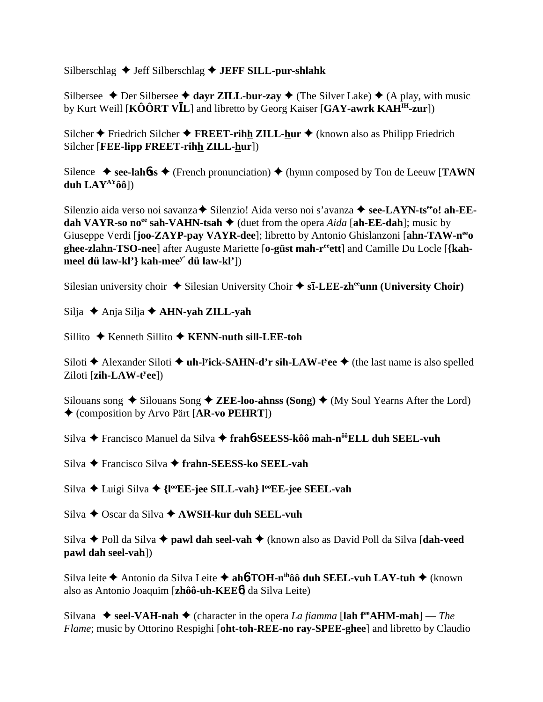Silberschlag **→ Jeff Silberschlag → JEFF SILL-pur-shlahk** 

Silbersee  $\triangle$  Der Silbersee  $\triangle$  dayr ZILL-bur-zay  $\triangle$  (The Silver Lake)  $\triangle$  (A play, with music by Kurt Weill [KÔÔRT VIL] and libretto by Georg Kaiser [GAY-awrk KAH<sup>IH</sup>-zur])

Silcher  $\triangle$  Friedrich Silcher  $\triangle$  **FREET-rihh ZILL-hur**  $\triangle$  (known also as Philipp Friedrich Silcher [**FEE-lipp FREET-rihh ZILL-hur**])

Silence  $\blacklozenge$  see-lahofter  $\blacklozenge$  (French pronunciation)  $\blacklozenge$  (hymn composed by Ton de Leeuw [**TAWN duh LAYAYôô**])

Silenzio aida verso noi savanza **→** Silenzio! Aida verso noi s'avanza → see-LAYN-ts<sup>ee</sup>o! ah-EE**dah VAYR-so no<sup>ee</sup> sah-VAHN-tsah**  $\blacklozenge$  (duet from the opera *Aida* [ah-EE-dah]; music by Giuseppe Verdi [**joo-ZAYP-pay VAYR-dee**]; libretto by Antonio Ghislanzoni [**ahn-TAW-neeo ghee-zlahn-TSO-nee**] after Auguste Mariette [**o-güst mah-reeett**] and Camille Du Locle [**{kahmeel dü law-kl'} kah-meey' dü law-kl'**])

Silesian university choir  $\triangle$  Silesian University Choir  $\triangle$  s**ī**-LEE-zh<sup>ee</sup>unn (University Choir)

Silja Anja Silja **AHN-yah ZILL-yah**

Sillito ◆ Kenneth Sillito **◆ KENN-nuth sill-LEE-toh** 

Siloti **→** Alexander Siloti ◆ **uh-l<sup>y</sup>ick-SAHN-d'r sih-LAW-t<sup>y</sup>ee ◆** (the last name is also spelled Ziloti [zih-LAW-t<sup>y</sup>ee])

Silouans song  $\triangle$  Silouans Song  $\triangle$  **ZEE-loo-ahnss (Song)**  $\triangle$  (My Soul Yearns After the Lord) (composition by Arvo Pärt [**AR-vo PEHRT**])

Silva Francisco Manuel da Silva **frah**6**-SEESS-kôô mah-nôôELL duh SEEL-vuh**

Silva Francisco Silva **frahn-SEESS-ko SEEL-vah**

Silva **→** Luigi Silva → {l<sup>oo</sup>EE-jee SILL-vah} l<sup>oo</sup>EE-jee SEEL-vah

Silva Oscar da Silva **AWSH-kur duh SEEL-vuh**

Silva Poll da Silva **pawl dah seel-vah** (known also as David Poll da Silva [**dah-veed pawl dah seel-vah**])

Silva leite **→** Antonio da Silva Leite → ah**6**-TOH-n<sup>ih</sup>ôô duh SEEL-vuh LAY-tuh → (known also as Antonio Joaquim [**zhôô-uh-KEE**6] da Silva Leite)

Silvana  $\blacklozenge$  seel-VAH-nah  $\blacklozenge$  (character in the opera *La fiamma* [lah f<sup>re</sup>AHM-mah] — *The Flame*; music by Ottorino Respighi [**oht-toh-REE-no ray-SPEE-ghee**] and libretto by Claudio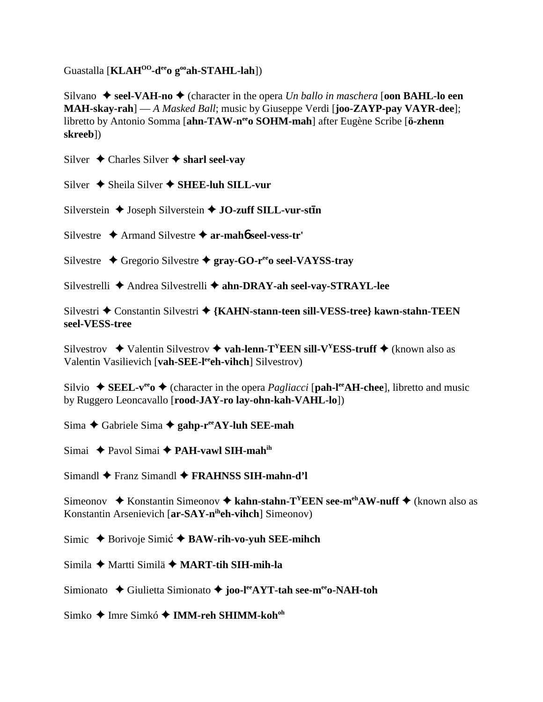Guastalla [**KLAHOO-deeo gooah-STAHL-lah**])

Silvano  $\triangle$  seel-VAH-no  $\triangle$  (character in the opera *Un ballo in maschera* **[oon BAHL-lo een MAH-skay-rah**] — *A Masked Ball*; music by Giuseppe Verdi [**joo-ZAYP-pay VAYR-dee**]; libretto by Antonio Somma [**ahn-TAW-neeo SOHM-mah**] after Eugène Scribe [**ö-zhenn skreeb**])

Silver  $\triangle$  Charles Silver  $\triangle$  sharl seel-vay

Silver  $\triangle$  Sheila Silver  $\triangle$  SHEE-luh SILL-vur

Silverstein  $\triangle$  Joseph Silverstein  $\triangle$  **JO-zuff SILL-vur-stin** 

Silvestre Armand Silvestre **ar-mah**6 **seel-vess-tr'**

Silvestre **→** Gregorio Silvestre → **gray-GO-r<sup>ee</sup>o seel-VAYSS-tray** 

Silvestrelli **←** Andrea Silvestrelli ← ahn-DRAY-ah seel-vay-STRAYL-lee

Silvestri ◆ Constantin Silvestri ◆ {KAHN-stann-teen sill-VESS-tree} kawn-stahn-TEEN **seel-VESS-tree**

Silvestrov  $\blacklozenge$  Valentin Silvestrov  $\blacklozenge$  vah-lenn-T<sup>Y</sup>EEN sill-V<sup>Y</sup>ESS-truff  $\blacklozenge$  (known also as Valentin Vasilievich [vah-SEE-lee<sup>e</sup>h-vihch] Silvestrov)

Silvio  $\rightarrow$  **SEEL-v<sup>ee</sup>**  $\rightarrow$  (character in the opera *Pagliacci* [pah-l<sup>ee</sup>AH-chee], libretto and music by Ruggero Leoncavallo [**rood-JAY-ro lay-ohn-kah-VAHL-lo**])

Sima **←** Gabriele Sima ← gahp-r<sup>ee</sup>AY-luh SEE-mah

Simai **→** Pavol Simai → **PAH-vawl SIH-mah**<sup>ih</sup>

Simandl Franz Simandl **FRAHNSS SIH-mahn-d'l**

Simeonov  $\triangle$  Konstantin Simeonov  $\triangle$  kahn-stahn-T<sup>Y</sup>EEN see-m<sup>eh</sup>AW-nuff  $\triangle$  (known also as Konstantin Arsenievich [**ar-SAY-niheh-vihch**] Simeonov)

Simic ◆ Borivoje Simić **◆ BAW-rih-vo-yuh SEE-mihch** 

Simila Martti Similä **MART-tih SIH-mih-la**

Simionato **→** Giulietta Simionato → joo-l<sup>ee</sup>AYT-tah see-m<sup>ee</sup>o-NAH-toh

Simko ◆ Imre Simkó ◆ **IMM-reh SHIMM-koh**<sup>oh</sup>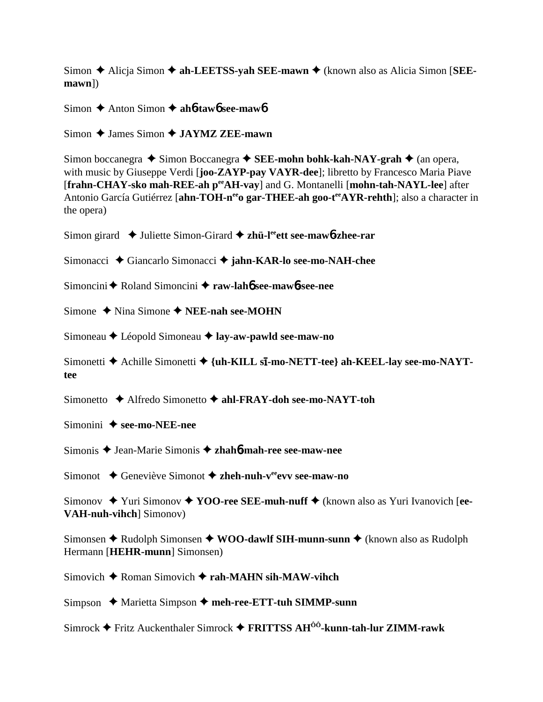Simon **→** Alicja Simon → ah-LEETSS-vah SEE-mawn → (known also as Alicia Simon [SEE**mawn**])

Simon **→** Anton Simon **→ ah6-taw6** see-maw6

Simon **→ James Simon → JAYMZ ZEE-mawn** 

Simon boccanegra **→** Simon Boccanegra → SEE-mohn bohk-kah-NAY-grah → (an opera, with music by Giuseppe Verdi [**joo-ZAYP-pay VAYR-dee**]; libretto by Francesco Maria Piave [**frahn-CHAY-sko mah-REE-ah peeAH-vay**] and G. Montanelli [**mohn-tah-NAYL-lee**] after Antonio García Gutiérrez [ahn-TOH-n<sup>ee</sup>o gar-THEE-ah goo-t<sup>ee</sup>AYR-rehth]; also a character in the opera)

Simon girard ◆ Juliette Simon-Girard ◆ zh**ü-l<sup>ee</sup>ett see-maw6-zhee-rar** 

Simonacci **→** Giancarlo Simonacci → jahn-KAR-lo see-mo-NAH-chee

Simoncini **←** Roland Simoncini ← raw-lah**6** see-maw**6**-see-nee

Simone **→** Nina Simone → **NEE-nah see-MOHN** 

Simoneau Léopold Simoneau **lay-aw-pawld see-maw-no**

Simonetti ◆ Achille Simonetti ◆ {uh-KILL s**ī-mo-NETT-tee} ah-KEEL-lay see-mo-NAYTtee**

Simonetto Alfredo Simonetto **ahl-FRAY-doh see-mo-NAYT-toh**

Simonini **→ see-mo-NEE-nee** 

Simonis Jean-Marie Simonis **zhah**6**-mah-ree see-maw-nee**

Simonot **→** Geneviève Simonot → zheh-nuh-v<sup>ee</sup>evv see-maw-no

Simonov ◆ Yuri Simonov ◆ YOO-ree SEE-muh-nuff ◆ (known also as Yuri Ivanovich [ee-**VAH-nuh-vihch**] Simonov)

Simonsen **→** Rudolph Simonsen ◆ WOO-dawlf SIH-munn-sunn ◆ (known also as Rudolph Hermann [**HEHR-munn**] Simonsen)

Simovich **→** Roman Simovich **→ rah-MAHN sih-MAW-vihch** 

Simpson ◆ Marietta Simpson ◆ meh-ree-ETT-tuh SIMMP-sunn

Simrock Fritz Auckenthaler Simrock **FRITTSS AHÔÔ-kunn-tah-lur ZIMM-rawk**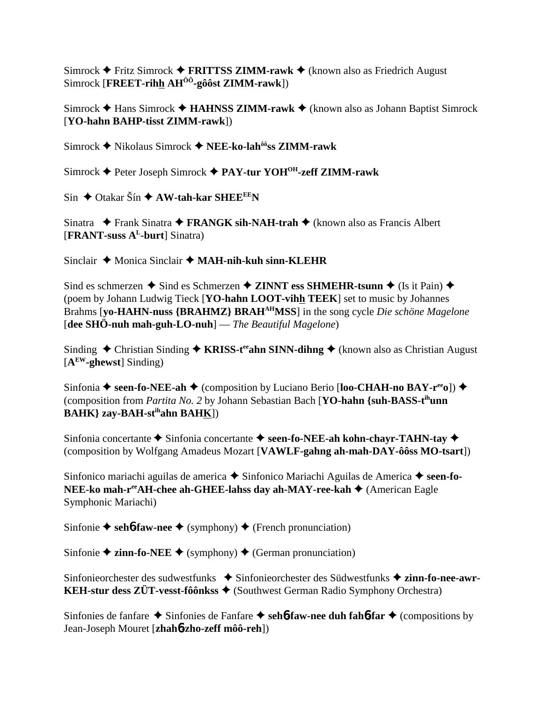Simrock **←** Fritz Simrock ← FRITTSS ZIMM-rawk ← (known also as Friedrich August Simrock [**FREET-rihh AHÔÔ-gôôst ZIMM-rawk**])

Simrock **→** Hans Simrock **→ HAHNSS ZIMM-rawk** → (known also as Johann Baptist Simrock [**YO-hahn BAHP-tisst ZIMM-rawk**])

Simrock Nikolaus Simrock **NEE-ko-lahôôss ZIMM-rawk**

Simrock Peter Joseph Simrock **PAY-tur YOHOH-zeff ZIMM-rawk**

 $\sin \triangleleft$  Otakar Šín  $\triangleleft$  AW-tah-kar SHEE<sup>EE</sup>N

Sinatra **→** Frank Sinatra → FRANGK sih-NAH-trah → (known also as Francis Albert [**FRANT-suss AL-burt**] Sinatra)

Sinclair ◆ Monica Sinclair ◆ MAH-nih-kuh sinn-KLEHR

Sind es schmerzen  $\triangle$  Sind es Schmerzen  $\triangle$  **ZINNT ess SHMEHR-tsunn**  $\triangle$  (Is it Pain)  $\triangle$ (poem by Johann Ludwig Tieck [**YO-hahn LOOT-vihh TEEK**] set to music by Johannes Brahms [**yo-HAHN-nuss {BRAHMZ} BRAHAHMSS**] in the song cycle *Die schöne Magelone* [**dee SHÖ-nuh mah-guh-LO-nuh**] — *The Beautiful Magelone*)

Sinding ◆ Christian Sinding ◆ **KRISS-t<sup>ee</sup>ahn SINN-dihng** ◆ (known also as Christian August [**AEW-ghewst**] Sinding)

Sinfonia ◆ seen-fo-NEE-ah ◆ (composition by Luciano Berio [loo-CHAH-no BAY-r<sup>ee</sup>o]) ◆ (composition from *Partita No. 2* by Johann Sebastian Bach [**YO-hahn {suh-BASS-tihunn BAHK} zay-BAH-stihahn BAHK**])

Sinfonia concertante  $\blacklozenge$  Sinfonia concertante  $\blacklozenge$  seen-fo-NEE-ah kohn-chayr-TAHN-tay  $\blacklozenge$ (composition by Wolfgang Amadeus Mozart [**VAWLF-gahng ah-mah-DAY-ôôss MO-tsart**])

Sinfonico mariachi aguilas de america **→** Sinfonico Mariachi Aguilas de America **→ seen-fo-NEE-ko mah-r<sup>ee</sup>AH-chee ah-GHEE-lahss day ah-MAY-ree-kah ♦** (American Eagle Symphonic Mariachi)

Sinfonie  $\triangle$  seh**6-faw-nee**  $\triangle$  (symphony)  $\triangle$  (French pronunciation)

Sinfonie  $\triangle$  **zinn-fo-NEE**  $\triangle$  (symphony)  $\triangle$  (German pronunciation)

Sinfonieorchester des sudwestfunks  $\bullet$  Sinfonieorchester des Südwestfunks  $\bullet$  zinn-fo-nee-awr-**KEH-stur dess ZÜT-vesst-fôônkss ♦ (Southwest German Radio Symphony Orchestra)** 

Sinfonies de fanfare **★** Sinfonies de Fanfare **✦ sehb-faw-nee duh fahb-far** ◆ (compositions by Jean-Joseph Mouret [**zhah**6**-zho-zeff môô-reh**])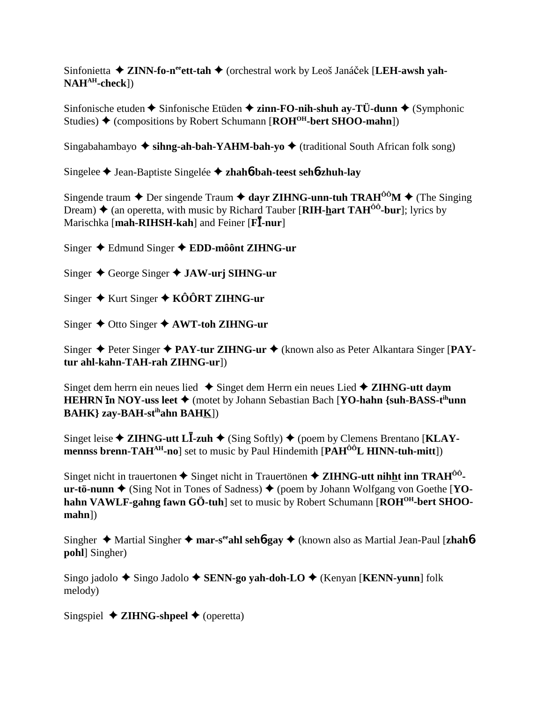Sinfonietta  $\triangle$  **ZINN-fo-n<sup>ee</sup>ett-tah**  $\triangle$  (orchestral work by Leoš Janáček [LEH-awsh yah-**NAHAH-check**])

Sinfonische etuden  $\triangle$  Sinfonische Etüden  $\triangle$  zinn-FO-nih-shuh ay-TÜ-dunn  $\triangle$  (Symphonic Studies) ◆ (compositions by Robert Schumann [**ROH<sup>OH</sup>-bert SHOO-mahn**])

Singabahambayo  $\triangleq$  sihng-ah-bah-YAHM-bah-yo  $\triangleq$  (traditional South African folk song)

Singelee Jean-Baptiste Singelée **zhah**6**-bah-teest seh**6**-zhuh-lay**

Singende traum  $\triangle$  Der singende Traum  $\triangle$  dayr ZIHNG-unn-tuh TRAH<sup>ôÔ</sup>M  $\triangle$  (The Singing Dream)  $\triangle$  (an operetta, with music by Richard Tauber [**RIH-hart TAH<sup>ôô</sup>-bur**]; lyrics by Marischka [mah-RIHSH-kah] and Feiner [FI-nur]

Singer Edmund Singer **EDD-môônt ZIHNG-ur**

Singer George Singer **JAW-urj SIHNG-ur**

Singer **↓** Kurt Singer ◆ KÔÔRT ZIHNG-ur

Singer Otto Singer **AWT-toh ZIHNG-ur**

Singer Peter Singer **PAY-tur ZIHNG-ur** (known also as Peter Alkantara Singer [**PAYtur ahl-kahn-TAH-rah ZIHNG-ur**])

Singet dem herrn ein neues lied Singet dem Herrn ein neues Lied **ZIHNG-utt daym HEHRN <b>in NOY-uss leet** ♦ (motet by Johann Sebastian Bach [**YO-hahn** {suh-BASS-t<sup>ih</sup>unn **BAHK} zay-BAH-stihahn BAHK**])

Singet leise ◆ ZIHNG-utt L**I-zuh** ◆ (Sing Softly) ◆ (poem by Clemens Brentano [KLAY**mennss brenn-TAHAH-no**] set to music by Paul Hindemith [**PAHÔÔL HINN-tuh-mitt**])

Singet nicht in trauertonen  $\triangle$  Singet nicht in Trauertönen  $\triangle$  **ZIHNG-utt nihht inn TRAH<sup>00</sup>**  $ur-t\ddot{\sigma}$ -nunn  $\blacklozenge$  (Sing Not in Tones of Sadness)  $\blacklozenge$  (poem by Johann Wolfgang von Goethe [YOhahn VAWLF-gahng fawn GÖ-tuh] set to music by Robert Schumann [ROH<sup>OH</sup>-bert SHOO**mahn**])

Singher Martial Singher **mar-seeahl seh**6**-gay** (known also as Martial Jean-Paul [**zhah**6 **pohl**] Singher)

Singo jadolo ◆ Singo Jadolo ◆ SENN-go yah-doh-LO ◆ (Kenyan [KENN-yunn] folk melody)

Singspiel  $\triangle$  **ZIHNG-shpeel**  $\triangle$  (operetta)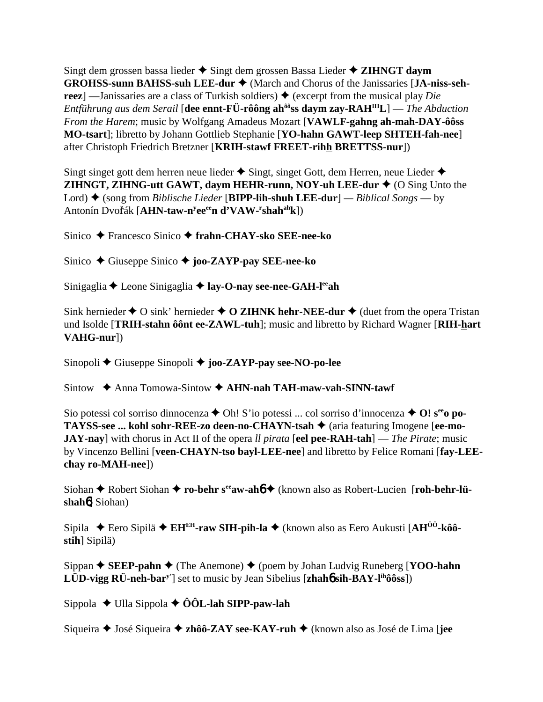Singt dem grossen bassa lieder  $\triangle$  Singt dem grossen Bassa Lieder  $\triangle$  ZIHNGT daym GROHSS-sunn BAHSS-suh LEE-dur ♦ (March and Chorus of the Janissaries [JA-niss-sehreez | — Janissaries are a class of Turkish soldiers)  $\triangle$  (excerpt from the musical play Die Entführung aus dem Serail [dee ennt-FÜ-rôông ah<sup>ôô</sup>ss daym zay- $\text{RAH}^{\text{IH}}L$ ] — The Abduction From the Harem; music by Wolfgang Amadeus Mozart [VAWLF-gahng ah-mah-DAY-ôôss MO-tsart]; libretto by Johann Gottlieb Stephanie [YO-hahn GAWT-leep SHTEH-fah-nee] after Christoph Friedrich Bretzner [KRIH-stawf FREET-rihh BRETTSS-nur])

Singt singet gott dem herren neue lieder  $\triangle$  Singt, singet Gott, dem Herren, neue Lieder  $\triangle$ ZIHNGT, ZIHNG-utt GAWT, daym HEHR-runn, NOY-uh LEE-dur ♦ (O Sing Unto the Lord)  $\blacklozenge$  (song from *Biblische Lieder* [BIPP-lih-shuh LEE-dur] — *Biblical Songs* — by Antonín Dvořák [AHN-taw-n<sup>y</sup>ee<sup>ee</sup>n d'VAW-'shah<sup>ah</sup>k])

Sinico → Francesco Sinico → frahn-CHAY-sko SEE-nee-ko

Sinico  $\triangle$  Giuseppe Sinico  $\triangle$  joo-ZAYP-pay SEE-nee-ko

Sinigaglia ← Leone Sinigaglia ← lay-O-nay see-nee-GAH-l<sup>ee</sup>ah

Sink hernieder  $\triangle$  O sink' hernieder  $\triangle$  O ZIHNK hehr-NEE-dur  $\triangle$  (duet from the opera Tristan und Isolde [TRIH-stahn ôont ee-ZAWL-tuh]; music and libretto by Richard Wagner [RIH-hart]  $VAHG-nur$ ])

Sinopoli  $\blacklozenge$  Giuseppe Sinopoli  $\blacklozenge$  joo-ZAYP-pay see-NO-po-lee

Sintow  $\triangle$  Anna Tomowa-Sintow  $\triangle$  AHN-nah TAH-maw-vah-SINN-tawf

Sio potessi col sorriso dinnocenza  $\triangle$  Oh! S'io potessi ... col sorriso d'innocenza  $\triangle$  O!  $s^{ee}$ o po-TAYSS-see ... kohl sohr-REE-zo deen-no-CHAYN-tsah ♦ (aria featuring Imogene [ee-mo-**JAY-nay**] with chorus in Act II of the opera *ll pirata* [eel pee-RAH-tah] — The Pirate; music by Vincenzo Bellini [veen-CHAYN-tso bayl-LEE-nee] and libretto by Felice Romani [fay-LEEchay ro-MAH-nee])

Siohan  $\triangle$  Robert Siohan  $\triangle$  ro-behr s<sup>ee</sup> aw-aho  $\triangle$  (known also as Robert-Lucien [roh-behr-lü $shah6$ ] Siohan)

Sipila ◆ Eero Sipilä ◆ EH<sup>EH</sup>-raw SIH-pih-la ◆ (known also as Eero Aukusti [AH<sup>00</sup>-kô0stih] Sipilä)

Sippan  $\blacklozenge$  SEEP-pahn  $\blacklozenge$  (The Anemone)  $\blacklozenge$  (poem by Johan Ludvig Runeberg [YOO-hahn LUD-vigg  $\overrightarrow{RU}$ -neh-bar<sup>y'</sup>] set to music by Jean Sibelius [zhaho sih- $\overrightarrow{BAY}$ -l<sup>ih</sup>ôôss])

Sippola  $\triangleleft$  Ulla Sippola  $\triangleleft$  ÔÔL-lah SIPP-paw-lah

Siqueira  $\triangle$  José Siqueira  $\triangle$  zhôô-ZAY see-KAY-ruh  $\triangle$  (known also as José de Lima [jee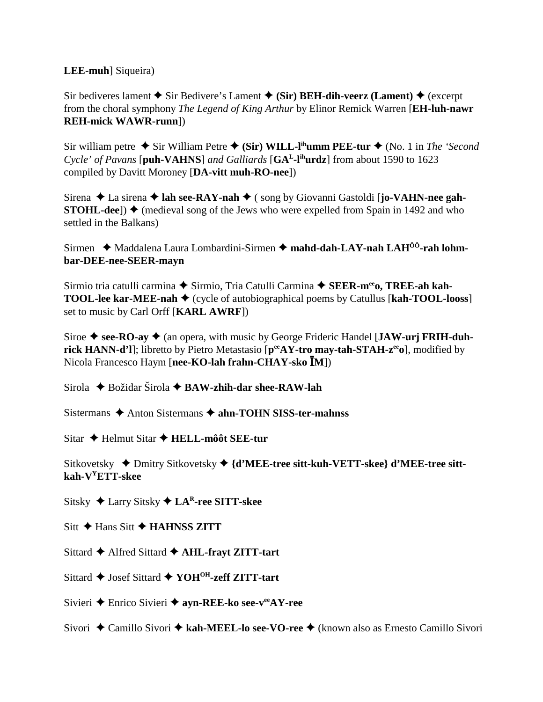## **LEE-muh**] Siqueira)

Sir bediveres lament  $\blacklozenge$  Sir Bedivere's Lament  $\blacklozenge$  (Sir) BEH-dih-veerz (Lament)  $\blacklozenge$  (excerpt from the choral symphony The Legend of King Arthur by Elinor Remick Warren [EH-luh-nawr] **REH-mick WAWR-runn])** 

Sir william petre  $\triangle$  Sir William Petre  $\triangle$  (Sir) WILL-l<sup>ih</sup>umm PEE-tur  $\triangle$  (No. 1 in The 'Second' Cycle' of Pavans [puh-VAHNS] and Galliards [GA<sup>L</sup>-l<sup>ih</sup>urdz] from about 1590 to 1623 compiled by Davitt Moroney [DA-vitt muh-RO-nee])

Sirena  $\triangle$  La sirena  $\triangle$  lah see-RAY-nah  $\triangle$  (song by Giovanni Gastoldi [jo-VAHN-nee gah-**STOHL-dee**])  $\blacklozenge$  (medieval song of the Jews who were expelled from Spain in 1492 and who settled in the Balkans)

Sirmen ◆ Maddalena Laura Lombardini-Sirmen ◆ mahd-dah-LAY-nah LAH<sup>ôô</sup>-rah lohmbar-DEE-nee-SEER-mayn

Sirmio tria catulli carmina ◆ Sirmio, Tria Catulli Carmina ◆ SEER-m<sup>ee</sup>o, TREE-ah kah-**TOOL-lee kar-MEE-nah**  $\blacklozenge$  (cycle of autobiographical poems by Catullus [kah-TOOL-looss] set to music by Carl Orff [KARL AWRF])

Siroe  $\triangle$  see-RO-av  $\triangle$  (an opera, with music by George Frideric Handel [JAW-urj FRIH-duhrick HANN-d'l]; libretto by Pietro Metastasio [peeAY-tro may-tah-STAH-z<sup>ee</sup>o], modified by Nicola Francesco Haym [nee-KO-lah frahn-CHAY-sko IM])

Sirola  $\triangle$  Božidar Širola  $\triangle$  BAW-zhih-dar shee-RAW-lah

Sistermans  $\triangle$  Anton Sistermans  $\triangle$  ahn-TOHN SISS-ter-mahnss

Sitar ← Helmut Sitar ← HELL-môôt SEE-tur

Sitkovetsky  $\triangle$  Dmitry Sitkovetsky  $\triangle$  {d'MEE-tree sitt-kuh-VETT-skee} d'MEE-tree sittkah-V<sup>Y</sup>ETT-skee

Sitsky ◆ Larry Sitsky ◆ LA<sup>R</sup>-ree SITT-skee

 $\text{Sitt} \triangleq \text{Hans Sitt} \triangleq \text{HAHNSS ZITT}$ 

Sittard  $\triangle$  Alfred Sittard  $\triangle$  AHL-frayt ZITT-tart

Sittard ♦ Josef Sittard ♦ YOH<sup>OH</sup>-zeff ZITT-tart

Sivieri ← Enrico Sivieri ← ayn-REE-ko see- $v^{ee}AY$ -ree

Sivori  $\triangle$  Camillo Sivori  $\triangle$  kah-MEEL-lo see-VO-ree  $\triangle$  (known also as Ernesto Camillo Sivori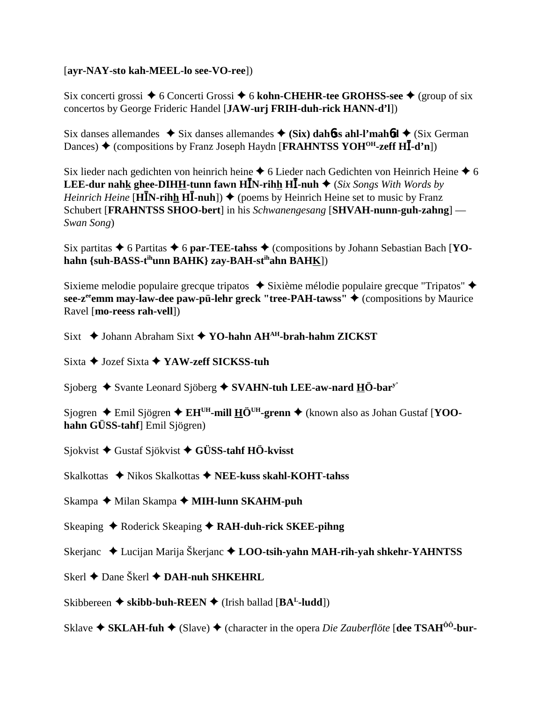## [**ayr-NAY-sto kah-MEEL-lo see-VO-ree**])

Six concerti grossi ◆ 6 Concerti Grossi ◆ 6 kohn-CHEHR-tee GROHSS-see ◆ (group of six concertos by George Frideric Handel [**JAW-urj FRIH-duh-rick HANN-d'l**])

Six danses allemandes  $\rightarrow$  Six danses allemandes  $\rightarrow$  (Six) dahotes ahl-l'mahotes  $\rightarrow$  (Six German Dances) ◆ (compositions by Franz Joseph Haydn [FRAHNTSS YOH<sup>OH</sup>-zeff HI-d'n])

Six lieder nach gedichten von heinrich heine  $\triangle$  6 Lieder nach Gedichten von Heinrich Heine  $\triangle$  6 **LEE-dur nahk ghee-DIHH-tunn fawn HĪN-rihh HĪ-nuh ♦** (*Six Songs With Words by*  $Heinrich$   $Heine$  [**HIN-rihh HI-nuh**])  $\blacklozenge$  (poems by Heinrich Heine set to music by Franz Schubert [**FRAHNTSS SHOO-bert**] in his *Schwanengesang* [**SHVAH-nunn-guh-zahng**] — *Swan Song*)

Six partitas  $\triangle$  6 Partitas  $\triangle$  6 par-TEE-tahss  $\triangle$  (compositions by Johann Sebastian Bach [**YOhahn {suh-BASS-tihunn BAHK} zay-BAH-stihahn BAHK**])

Sixieme melodie populaire grecque tripatos  $\bullet$  Sixième mélodie populaire grecque "Tripatos"  $\bullet$ **see-z<sup>ee</sup>emm may-law-dee paw-pü-lehr greck "tree-PAH-tawss" ♦ (compositions by Maurice**) Ravel [**mo-reess rah-vell**])

Sixt  $\triangle$  Johann Abraham Sixt  $\triangle$  YO-hahn AH<sup>AH</sup>-brah-hahm ZICKST

Sixta **→** Jozef Sixta **→ YAW-zeff SICKSS-tuh** 

Sjoberg  $\triangle$  Svante Leonard Sjöberg  $\triangle$  SVAHN-tuh LEE-aw-nard  $\underline{H}\ddot{O}$ -bar<sup>y</sup>

Sjogren ◆ Emil Sjögren ◆ EH<sup>UH</sup>-mill HÖ<sup>UH</sup>-grenn ◆ (known also as Johan Gustaf [**YOOhahn GÜSS-tahf**] Emil Sjögren)

Sjokvist Gustaf Sjökvist **GÜSS-tahf HÖ-kvisst**

Skalkottas ◆ Nikos Skalkottas ◆ NEE-kuss skahl-KOHT-tahss

- Skampa **→** Milan Skampa → **MIH-lunn SKAHM-puh**
- Skeaping ◆ Roderick Skeaping ◆ RAH-duh-rick SKEE-pihng
- Skerjanc Lucijan Marija Škerjanc **LOO-tsih-yahn MAH-rih-yah shkehr-YAHNTSS**
- Skerl **←** Dane Škerl **← DAH-nuh SHKEHRL**

Skibbereen  $\triangle$  skibb-buh-REEN  $\triangle$  (Irish ballad [BA<sup>L</sup>-ludd])

Sklave ◆ SKLAH-fuh ◆ (Slave) ◆ (character in the opera *Die Zauberflöte* [**dee TSAH<sup>ôô</sup>-bur-**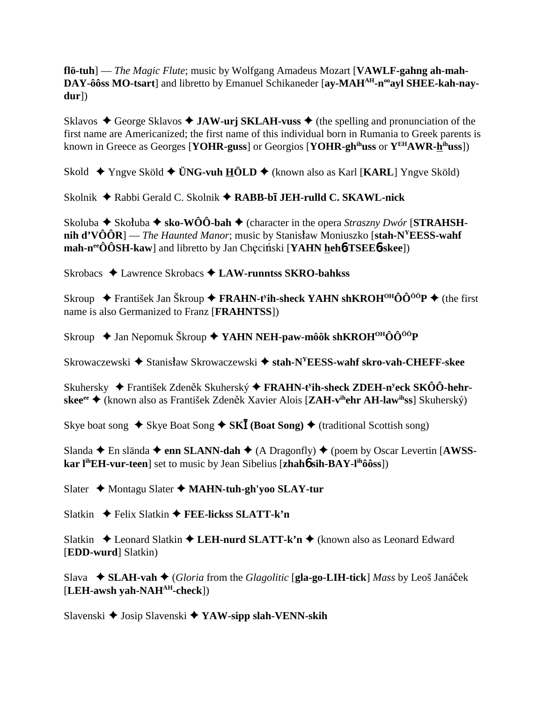flö-tuh] — The Magic Flute; music by Wolfgang Amadeus Mozart [VAWLF-gahng ah-mah-DAY-ôôss MO-tsart] and libretto by Emanuel Schikaneder [ay-MAH<sup>AH</sup>-n<sup>oo</sup>ayl SHEE-kah-nay $dur$ )

Sklavos  $\triangle$  George Sklavos  $\triangle$  JAW-urj SKLAH-vuss  $\triangle$  (the spelling and pronunciation of the first name are Americanized; the first name of this individual born in Rumania to Greek parents is known in Greece as Georges [YOHR-guss] or Georgios [YOHR-gh<sup>ih</sup>uss or  $Y^{EH}AWR-h^{ih}uss$ ])

Skold  $\rightarrow$  Yngve Sköld  $\rightarrow$  ÜNG-vuh HÖLD  $\rightarrow$  (known also as Karl [KARL] Yngve Sköld)

Skolnik ◆ Rabbi Gerald C. Skolnik ◆ RABB-bī JEH-rulld C. SKAWL-nick

Skoluba  $\blacklozenge$  Skoluba  $\blacklozenge$  sko-WÔÔ-bah  $\blacklozenge$  (character in the opera *Straszny Dwór* [STRAHSHnih d'VÔÔR] — The Haunted Manor; music by Stanisław Moniuszko [stah- $N^{\gamma}EESS$ -wahf  $\mathbf{mah-n}^{\text{ee}}\hat{\mathbf{O}}\hat{\mathbf{O}}\hat{\mathbf{S}}\mathbf{H}\text{-}\mathbf{kaw}$  and libretto by Jan Checinski [YAHN hehother TSEE b - skee])

Skrobacs ◆ Lawrence Skrobacs ◆ LAW-runntss SKRO-bahkss

Skroup  $\blacklozenge$  František Jan Škroup  $\blacklozenge$  FRAHN-t<sup>y</sup>ih-sheck YAHN shKROH<sup>OH</sup>ÔÔ<sup>öö</sup>P  $\blacklozenge$  (the first name is also Germanized to Franz [FRAHNTSS])

Skroup  $\triangle$  Jan Nepomuk Škroup  $\triangle$  YAHN NEH-paw-môôk shKROH<sup>OH</sup>ÔÔ<sup>öö</sup>P

Skrowaczewski ◆ Stanisław Skrowaczewski ◆ stah-N<sup>Y</sup>EESS-wahf skro-vah-CHEFF-skee

Skuhersky  $\div$  František Zdeněk Skuherský  $\div$  FRAHN-t<sup>y</sup>ih-sheck ZDEH-n<sup>y</sup>eck SKÔÔ-hehrskee<sup>ee</sup> ◆ (known also as František Zdeněk Xavier Alois [**ZAH-v<sup>ih</sup>ehr AH-law<sup>ih</sup>ss**] Skuherský)

Skye boat song  $\triangle$  Skye Boat Song  $\triangle$  SKI (Boat Song)  $\triangle$  (traditional Scottish song)

Slanda ← En slända ← enn SLANN-dah ← (A Dragonfly) ← (poem by Oscar Levertin [AWSSkar l<sup>ih</sup>EH-vur-teen] set to music by Jean Sibelius [zhah**ó sih-BAY-l<sup>ih</sup>ôôss**])

Slater ◆ Montagu Slater ◆ MAHN-tuh-gh'yoo SLAY-tur

Slatkin  $\rightarrow$  Felix Slatkin  $\rightarrow$  FEE-lickss SLATT-k'n

Slatkin ↓ Leonard Slatkin ♦ LEH-nurd SLATT-k'n ♦ (known also as Leonard Edward [EDD-wurd] Slatkin)

Slava  $\bullet$  SLAH-vah  $\bullet$  (Gloria from the Glagolitic [gla-go-LIH-tick] Mass by Leoš Janáček  $[LEH-awsh vah-NAH<sup>AH</sup>-check]$ 

Slavenski ◆ Josip Slavenski ◆ YAW-sipp slah-VENN-skih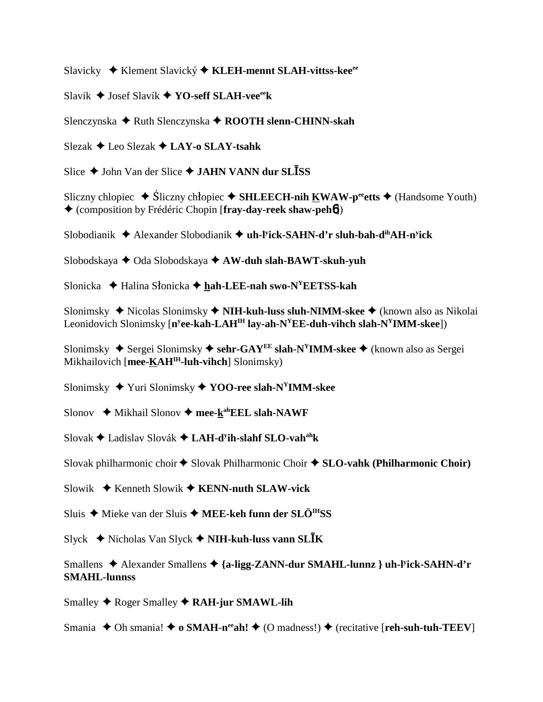Slavicky Klement Slavický **KLEH-mennt SLAH-vittss-keeee**

Slavik Josef Slavík **YO-seff SLAH-veeeek**

Slenczynska ◆ Ruth Slenczynska ◆ ROOTH slenn-CHINN-skah

Slezak Leo Slezak **LAY-o SLAY-tsahk**

Slice  $\triangle$  John Van der Slice  $\triangle$  JAHN VANN dur SLISS

Sliczny chlopiec ◆ Śliczny chłopiec ◆ SHLEECH-nih KWAW-peetts ◆ (Handsome Youth) (composition by Frédéric Chopin [**fray-day-reek shaw-peh**6])

Slobodianik Alexander Slobodianik **uh-ly ick-SAHN-d'r sluh-bah-dihAH-ny ick**

Slobodskaya **→** Oda Slobodskaya **→ AW-duh slah-BAWT-skuh-yuh** 

Slonicka **→** Halina Słonicka → hah-LEE-nah swo-N<sup>Y</sup>EETSS-kah

Slonimsky **→** Nicolas Slonimsky ◆ **NIH-kuh-luss sluh-NIMM-skee** ◆ (known also as Nikolai Leonidovich Slonimsky [**ny ee-kah-LAHIH lay-ah-NYEE-duh-vihch slah-NYIMM-skee**])

Slonimsky ◆ Sergei Slonimsky ◆ sehr-GAY<sup>EE</sup> slah-N<sup>Y</sup>IMM-skee ◆ (known also as Sergei Mikhailovich [**mee-KAHIH-luh-vihch**] Slonimsky)

Slonimsky Yuri Slonimsky **YOO-ree slah-NYIMM-skee**

Slonov ◆ Mikhail Slonov ◆ mee-k<sup>ah</sup>EEL slah-NAWF

Slovak Ladislav Slovák **LAH-dy ih-slahf SLO-vahahk**

Slovak philharmonic choir  $\triangle$  Slovak Philharmonic Choir  $\triangle$  SLO-vahk (Philharmonic Choir)

Slowik **→** Kenneth Slowik ◆ **KENN-nuth SLAW-vick** 

Sluis  $\triangle$  Mieke van der Sluis  $\triangle$  **MEE-keh funn der SLÖ<sup>IH</sup>SS** 

Slyck ◆ Nicholas Van Slyck ◆ NIH-kuh-luss vann SLĪK

Smallens ◆ Alexander Smallens ◆ {a-ligg-ZANN-dur SMAHL-lunnz } uh-l<sup>y</sup>ick-SAHN-d'r **SMAHL-lunnss**

Smalley **↓** Roger Smalley **◆ RAH-jur SMAWL-lih** 

Smania  $\triangle$  Oh smania!  $\triangle$  **o** SMAH-n<sup>ee</sup>ah!  $\triangle$  (O madness!)  $\triangle$  (recitative [**reh-suh-tuh-TEEV**]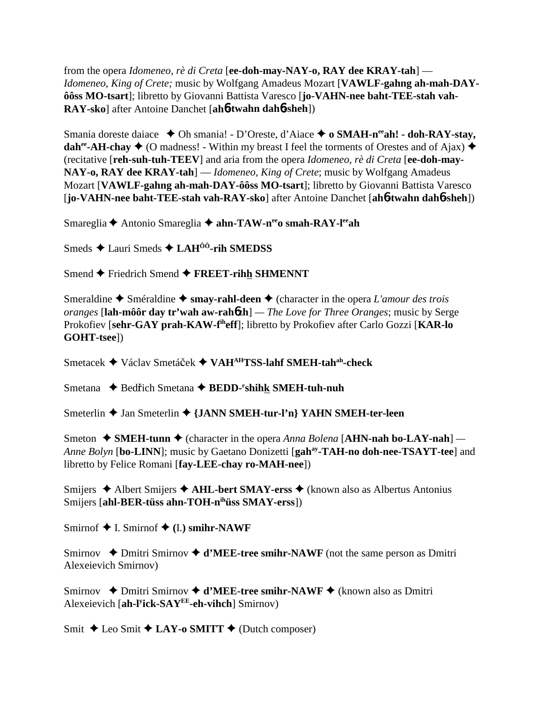from the opera *Idomeneo, rè di Creta* [**ee-doh-may-NAY-o, RAY dee KRAY-tah**] — *Idomeneo, King of Crete;* music by Wolfgang Amadeus Mozart [**VAWLF-gahng ah-mah-DAYôôss MO-tsart**]; libretto by Giovanni Battista Varesco [**jo-VAHN-nee baht-TEE-stah vah-RAY-sko**] after Antoine Danchet [**ah**6**-twahn dah**6**-sheh**])

Smania doreste daiace ◆ Oh smania! - D'Oreste, d'Aiace ◆ o SMAH-n<sup>ee</sup>ah! - doh-RAY-stay, **dah<sup>ee</sup>-AH-chay**  $\blacklozenge$  (O madness! - Within my breast I feel the torments of Orestes and of Ajax)  $\blacklozenge$ (recitative [**reh-suh-tuh-TEEV**] and aria from the opera *Idomeneo, rè di Creta* [**ee-doh-may-NAY-o, RAY dee KRAY-tah**] — *Idomeneo, King of Crete*; music by Wolfgang Amadeus Mozart [**VAWLF-gahng ah-mah-DAY-ôôss MO-tsart**]; libretto by Giovanni Battista Varesco [**jo-VAHN-nee baht-TEE-stah vah-RAY-sko**] after Antoine Danchet [**ah**6**-twahn dah**6**-sheh**])

Smareglia **←** Antonio Smareglia ← ahn-TAW-n<sup>ee</sup>o smah-RAY-l<sup>ee</sup>ah

Smeds **↓** Lauri Smeds **→ LAH<sup>ôô</sup>-rih SMEDSS** 

Smend **←** Friedrich Smend ← FREET-rihh SHMENNT

Smeraldine  $\triangle$  Sméraldine  $\triangle$  smay-rahl-deen  $\triangle$  (character in the opera *L'amour des trois oranges* [**lah-môôr day tr'wah aw-rah**6**zh**] *— The Love for Three Oranges*; music by Serge Prokofiev [**sehr-GAY prah-KAW-fiheff**]; libretto by Prokofiev after Carlo Gozzi [**KAR-lo GOHT-tsee**])

Smetacek ◆ Václav Smetáček ◆ VAH<sup>AH</sup>TSS-lahf SMEH-tah<sup>ah</sup>-check

Smetana ◆ Bedřich Smetana ◆ BEDD-<sup>r</sup>shih<u>k</u> SMEH-tuh-nuh

Smeterlin **→** Jan Smeterlin **→** {JANN SMEH-tur-l'n} YAHN SMEH-ter-leen

Smeton **→ SMEH-tunn →** (character in the opera *Anna Bolena* [**AHN-nah bo-LAY-nah**] — *Anne Bolyn* [bo-LINN]; music by Gaetano Donizetti [gah<sup>ay</sup>-TAH-no doh-nee-TSAYT-tee] and libretto by Felice Romani [**fay-LEE-chay ro-MAH-nee**])

Smijers **→** Albert Smijers **→ AHL-bert SMAY-erss →** (known also as Albertus Antonius Smijers [**ahl-BER-tüss ahn-TOH-nihüss SMAY-erss**])

Smirnof  $\blacklozenge$  I. Smirnof  $\blacklozenge$  (I.) smihr-NAWF

Smirnov  $\triangle$  Dmitri Smirnov  $\triangle$  **d'MEE-tree smihr-NAWF** (not the same person as Dmitri Alexeievich Smirnov)

Smirnov **→** Dmitri Smirnov **→ d'MEE-tree smihr-NAWF →** (known also as Dmitri Alexeievich [**ah-ly ick-SAYEE-eh-vihch**] Smirnov)

Smit  $\triangle$  Leo Smit  $\triangle$  LAY-o SMITT  $\triangle$  (Dutch composer)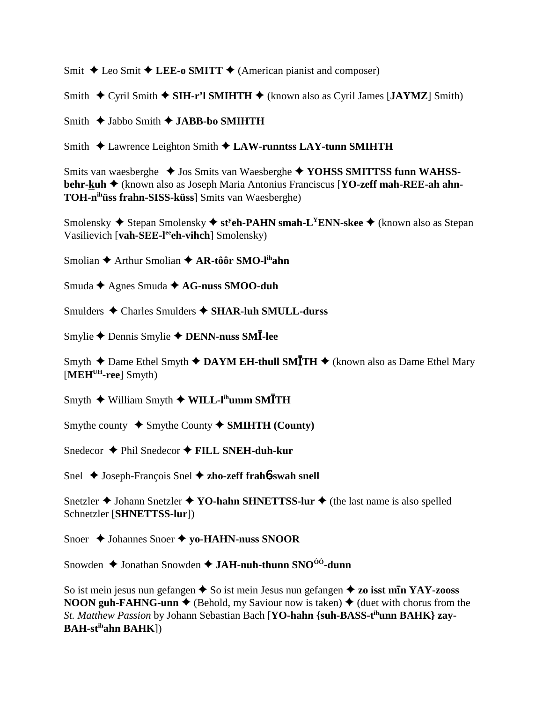Smit  $\triangle$  Leo Smit  $\triangle$  LEE-o SMITT  $\triangle$  (American pianist and composer)

Smith  $\triangle$  Cyril Smith  $\triangle$  SIH-r'l SMIHTH  $\triangle$  (known also as Cyril James [JAYMZ] Smith)

Smith  $\triangle$  Jabbo Smith  $\triangle$  JABB-bo SMIHTH

Smith ◆ Lawrence Leighton Smith ◆ LAW-runntss LAY-tunn SMIHTH

Smits van waesberghe ◆ Jos Smits van Waesberghe ◆ YOHSS SMITTSS funn WAHSSbehr-kuh + (known also as Joseph Maria Antonius Franciscus [YO-zeff mah-REE-ah ahn-TOH-n<sup>ih</sup>üss frahn-SISS-küss] Smits van Waesberghe)

Smolensky  $\triangle$  Stepan Smolensky  $\triangle$  st<sup>y</sup>eh-PAHN smah-L<sup>Y</sup>ENN-skee  $\triangle$  (known also as Stepan Vasilievich [vah-SEE-leeh-vihch] Smolensky)

Smolian  $\triangle$  Arthur Smolian  $\triangle$  AR-tôôr SMO-l<sup>ih</sup>ahn

Smuda ← Agnes Smuda ← AG-nuss SMOO-duh

Smulders  $\triangle$  Charles Smulders  $\triangle$  SHAR-luh SMULL-durss

Smylie  $\triangle$  Dennis Smylie  $\triangle$  DENN-nuss SMI-lee

Smyth  $\triangle$  Dame Ethel Smyth  $\triangle$  DAYM EH-thull SMITH  $\triangle$  (known also as Dame Ethel Mary [MEH<sup>UH</sup>-ree] Smyth)

Smyth  $\blacklozenge$  William Smyth  $\blacklozenge$  WILL-l<sup>ih</sup>umm SMITH

Smythe county  $\triangle$  Smythe County  $\triangle$  SMIHTH (County)

Snedecor  $\triangle$  Phil Snedecor  $\triangle$  FILL SNEH-duh-kur

Snel  $\triangle$  Joseph-François Snel  $\triangle$  zho-zeff frahb-swah snell

Snetzler  $\triangle$  Johann Snetzler  $\triangle$  YO-hahn SHNETTSS-lur  $\triangle$  (the last name is also spelled Schnetzler [SHNETTSS-lur])

Snoer  $\triangle$  Johannes Snoer  $\triangle$  yo-HAHN-nuss SNOOR

Snowden  $\triangle$  Jonathan Snowden  $\triangle$  JAH-nuh-thunn SNO<sup> $00$ </sup>-dunn

So ist mein jesus nun gefangen  $\triangle$  So ist mein Jesus nun gefangen  $\triangle$  zo isst mIn YAY-zooss **NOON guh-FAHNG-unn**  $\triangle$  (Behold, my Saviour now is taken)  $\triangle$  (duet with chorus from the St. Matthew Passion by Johann Sebastian Bach [YO-hahn {suh-BASS-t<sup>ih</sup>unn BAHK} zay-**BAH-st<sup>ih</sup>ahn BAHK**])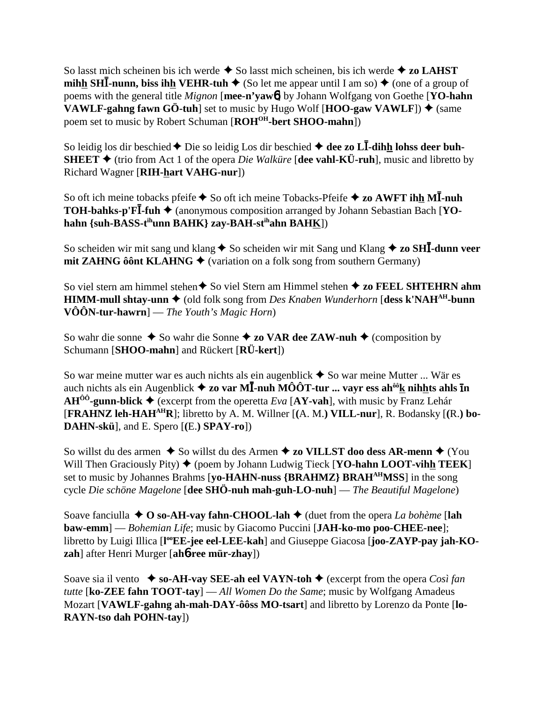So lasst mich scheinen bis ich werde  $\triangle$  So lasst mich scheinen, bis ich werde  $\triangle$  zo LAHST **mihh SHI-nunn, biss ihh VEHR-tuh ♦** (So let me appear until I am so) ♦ (one of a group of poems with the general title *Mignon* [**mee-n'yaw**6] by Johann Wolfgang von Goethe [**YO-hahn VAWLF-gahng fawn GÖ-tuh**] set to music by Hugo Wolf  $[\text{HOO-gaw VAWLF}]$   $\blacklozenge$  (same poem set to music by Robert Schuman [ROH<sup>OH</sup>-bert SHOO-mahn])

So leidig los dir beschied ♦ Die so leidig Los dir beschied ♦ dee zo L**I-dihh lohss deer buh-SHEET**  $\blacklozenge$  (trio from Act 1 of the opera *Die Walküre* [dee vahl-KÜ-ruh], music and libretto by Richard Wagner [**RIH-hart VAHG-nur**])

So oft ich meine tobacks pfeife  $\blacklozenge$  So oft ich meine Tobacks-Pfeife  $\blacklozenge$  zo AWFT ihh MI-nuh **TOH-bahks-p'FI-fuh →** (anonymous composition arranged by Johann Sebastian Bach [**YOhahn {suh-BASS-tihunn BAHK} zay-BAH-stihahn BAHK**])

So scheiden wir mit sang und klang  $\blacklozenge$  So scheiden wir mit Sang und Klang  $\blacklozenge$  zo SHI-dunn veer **mit ZAHNG ôônt KLAHNG**  $\triangle$  (variation on a folk song from southern Germany)

So viel stern am himmel stehen **↑** So viel Stern am Himmel stehen **↑ zo FEEL SHTEHRN ahm HIMM-mull shtay-unn ♦** (old folk song from *Des Knaben Wunderhorn* [**dess k'NAH<sup>AH</sup>-bunn VÔÔN-tur-hawrn**] — *The Youth's Magic Horn*)

So wahr die sonne  $\triangle$  So wahr die Sonne  $\triangle$  zo VAR dee ZAW-nuh  $\triangle$  (composition by Schumann [**SHOO-mahn**] and Rückert [**RÜ-kert**])

So war meine mutter war es auch nichts als ein augenblick  $\triangle$  So war meine Mutter ... Wär es auch nichts als ein Augenblick **zo var M**-**-nuh MÔÔT-tur ... vayr ess ahôôk nihhts ahls n AH<sup>ôô</sup>-gunn-blick**  $\blacklozenge$  (excerpt from the operetta *Eva* [**AY-vah**], with music by Franz Lehár [**FRAHNZ leh-HAHAHR**]; libretto by A. M. Willner [**(**A. M.**) VILL-nur**], R. Bodansky [**(**R.**) bo-DAHN-skü**], and E. Spero [**(**E.**) SPAY-ro**])

So willst du des armen ◆ So willst du des Armen ◆ zo VILLST doo dess AR-menn ◆ (You Will Then Graciously Pity)  $\blacklozenge$  (poem by Johann Ludwig Tieck [**YO-hahn LOOT-vihh TEEK**] set to music by Johannes Brahms [**yo-HAHN-nuss {BRAHMZ} BRAHAHMSS**] in the song cycle *Die schöne Magelone* [**dee SHÖ-nuh mah-guh-LO-nuh**] — *The Beautiful Magelone*)

Soave fanciulla ◆ **O** so-A**H-vay fahn-CHOOL-lah** ◆ (duet from the opera *La bohème* [lah **baw-emm**] — *Bohemian Life*; music by Giacomo Puccini [**JAH-ko-mo poo-CHEE-nee**]; libretto by Luigi Illica [l<sup>oo</sup>EE-jee eel-LEE-kah] and Giuseppe Giacosa [joo-ZAYP-pay jah-KO**zah**] after Henri Murger [**ah**6**-ree mür-zhay**])

Soave sia il vento  $\bullet$  so-AH-vay SEE-ah eel VAYN-toh  $\bullet$  (excerpt from the opera *Così fan tutte* [**ko-ZEE fahn TOOT-tay**] — *All Women Do the Same*; music by Wolfgang Amadeus Mozart [**VAWLF-gahng ah-mah-DAY-ôôss MO-tsart**] and libretto by Lorenzo da Ponte [**lo-RAYN-tso dah POHN-tay**])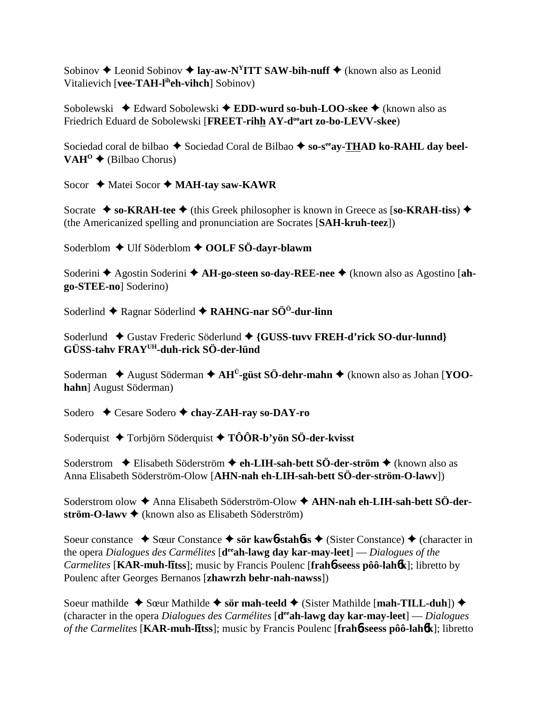Sobinov  $\triangle$  Leonid Sobinov  $\triangle$  **lay-aw-N<sup>Y</sup>ITT SAW-bih-nuff**  $\triangle$  (known also as Leonid Vitalievich [**vee-TAH-liheh-vihch**] Sobinov)

Sobolewski ◆ Edward Sobolewski ◆ **EDD-wurd so-buh-LOO-skee** ◆ (known also as Friedrich Eduard de Sobolewski [**FREET-rihh AY-d<sup>oo</sup>art zo-bo-LEVV-skee**)

Sociedad coral de bilbao  $\blacklozenge$  Sociedad Coral de Bilbao  $\blacklozenge$  so-s<sup>ee</sup>ay-THAD ko-RAHL day beel-VAH<sup>O</sup> ◆ (Bilbao Chorus)

Socor **→** Matei Socor → MAH-tay saw-KAWR

Socrate  $\triangle$  so-KRAH-tee  $\triangle$  (this Greek philosopher is known in Greece as [so-KRAH-tiss)  $\triangle$ (the Americanized spelling and pronunciation are Socrates [**SAH-kruh-teez**])

Soderblom **←** Ulf Söderblom ← OOLF SÖ-dayr-blawm

Soderini ◆ Agostin Soderini ◆ **AH-go-steen so-day-REE-nee** ◆ (known also as Agostino [ah**go-STEE-no**] Soderino)

Soderlind **←** Ragnar Söderlind ← RAHNG-nar SÖ<sup>ö</sup>-dur-linn

Soderlund ◆ Gustav Frederic Söderlund ◆ {GUSS-tuvv FREH-d'rick SO-dur-lunnd} **GÜSS-tahv FRAYUH-duh-rick SÖ-der-lünd**

Soderman ◆ August Söderman ◆ AH<sup>Ü</sup>-güst SÖ-dehr-mahn ◆ (known also as Johan [**YOOhahn**] August Söderman)

Sodero **←** Cesare Sodero ← chay-ZAH-ray so-DAY-ro

Soderquist **→** Torbjörn Söderquist **→ TÔÔR-b'yön SÖ-der-kvisst** 

Soderstrom **←** Elisabeth Söderström ← **eh-LIH-sah-bett SÖ-der-ström** ← (known also as Anna Elisabeth Söderström-Olow [**AHN-nah eh-LIH-sah-bett SÖ-der-ström-O-lawv**])

Soderstrom olow ◆ Anna Elisabeth Söderström-Olow ◆ AHN-nah eh-LIH-sah-bett SÖ-der**ström-O-lawv →** (known also as Elisabeth Söderström)

Soeur constance **→** Sœur Constance **→ sör kaw6-stahbss** → (Sister Constance) → (character in the opera *Dialogues des Carmélites* [**deeah-lawg day kar-may-leet**] — *Dialogues of the Carmelites* [**KAR-muh-ltss**]; music by Francis Poulenc [**frah**6**-seess pôô-lah**6**k**]; libretto by Poulenc after Georges Bernanos [**zhawrzh behr-nah-nawss**])

Soeur mathilde  $\triangle$  Sœur Mathilde  $\triangle$  sör mah-teeld  $\triangle$  (Sister Mathilde [mah-TILL-duh])  $\triangle$ (character in the opera *Dialogues des Carmélites* [**deeah-lawg day kar-may-leet**] — *Dialogues of the Carmelites* [**KAR-muh-ltss**]; music by Francis Poulenc [**frah**6**-seess pôô-lah**6**k**]; libretto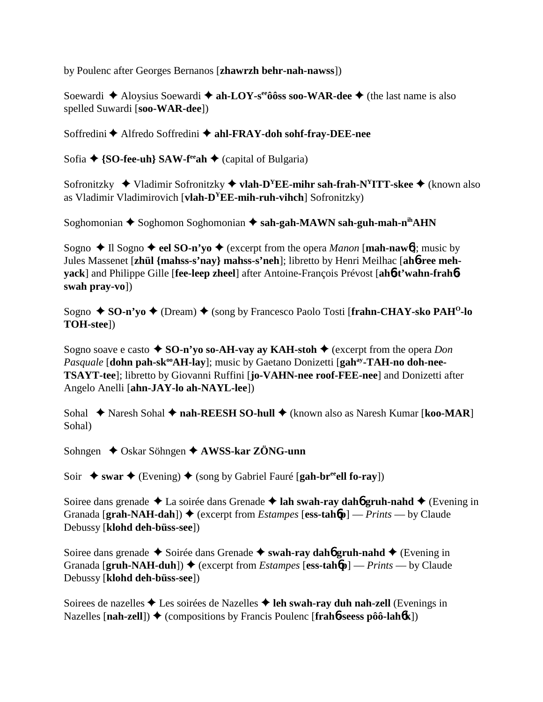by Poulenc after Georges Bernanos [**zhawrzh behr-nah-nawss**])

Soewardi **←** Aloysius Soewardi ← ah-LOY-s<sup>ee</sup>ôôss soo-WAR-dee ← (the last name is also spelled Suwardi [**soo-WAR-dee**])

Soffredini ◆ Alfredo Soffredini ◆ ahl-FRAY-doh sohf-fray-DEE-nee

Sofia **↑ {SO-fee-uh} SAW-f<sup>ee</sup>ah ◆** (capital of Bulgaria)

Sofronitzky ◆ Vladimir Sofronitzky ◆ vlah-D<sup>Y</sup>EE-mihr sah-frah-N<sup>Y</sup>ITT-skee ◆ (known also as Vladimir Vladimirovich [**vlah-DYEE-mih-ruh-vihch**] Sofronitzky)

Soghomonian **←** Soghomon Soghomonian ← sah-gah-MAWN sah-guh-mah-n<sup>ih</sup>AHN

Sogno  $\triangle$  Il Sogno  $\triangle$  eel SO-n'yo  $\triangle$  (excerpt from the opera *Manon* [**mah-naw**6]; music by Jules Massenet [**zhül {mahss-s'nay} mahss-s'neh**]; libretto by Henri Meilhac [**ah**6**-ree mehyack**] and Philippe Gille [**fee-leep zheel**] after Antoine-François Prévost [**ah**6**-t'wahn-frah**6 **swah pray-vo**])

Sogno ◆ SO-n'yo ◆ (Dream) ◆ (song by Francesco Paolo Tosti [frahn-CHAY-sko PAH<sup>O</sup>-lo **TOH-stee**])

Sogno soave e casto  $\triangle$  **SO-n'yo so-AH-vay ay KAH-stoh**  $\triangle$  (excerpt from the opera *Don Pasquale* [dohn pah-sk<sup>oo</sup>AH-lay]; music by Gaetano Donizetti [gah<sup>ay</sup>-TAH-no doh-nee-**TSAYT-tee**]; libretto by Giovanni Ruffini [**jo-VAHN-nee roof-FEE-nee**] and Donizetti after Angelo Anelli [**ahn-JAY-lo ah-NAYL-lee**])

Sohal ◆ Naresh Sohal ◆ nah-REESH SO-hull ◆ (known also as Naresh Kumar [koo-MAR] Sohal)

Sohngen **↓** Oskar Söhngen **✦ AWSS-kar ZÖNG-unn** 

Soir  $\rightarrow$  swar  $\rightarrow$  (Evening)  $\rightarrow$  (song by Gabriel Fauré [**gah-br<sup>ee</sup>ell fo-ray**])

Soiree dans grenade **↓** La soirée dans Grenade **↓ lah swah-ray dahó gruh-nahd ↓** (Evening in Granada  $[\text{graph-NAH-dah}]$   $\rightarrow$  (excerpt from *Estampes*  $[\text{ess-table}]$  — *Prints* — by Claude Debussy [**klohd deh-büss-see**])

Soiree dans grenade **→** Soirée dans Grenade → swah-ray dah**6** gruh-nahd → (Evening in Granada [gruh-NAH-duh])  $\blacklozenge$  (excerpt from *Estampes* [ess-tahbp] — *Prints* — by Claude Debussy [**klohd deh-büss-see**])

Soirees de nazelles **→** Les soirées de Nazelles **→ leh swah-ray duh nah-zell** (Evenings in Nazelles  $[nah-zell]$ )  $\blacklozenge$  (compositions by Francis Poulenc  $[frah 6-sees$  pôô-lah $6k]$ )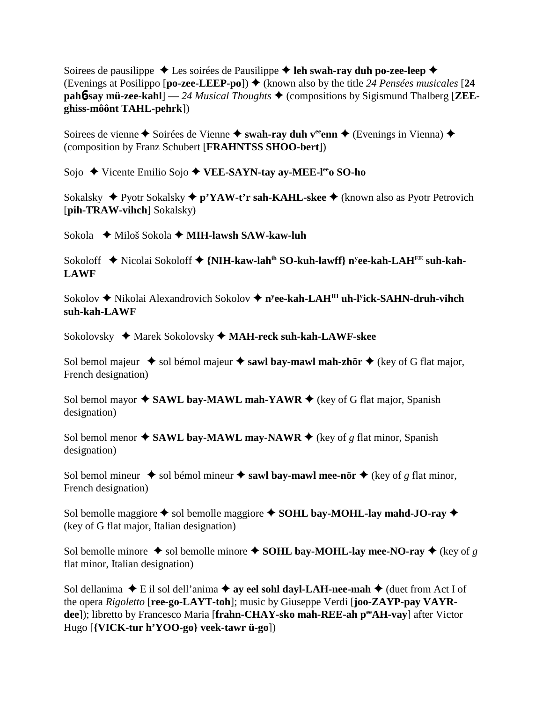Soirees de pausilippe  $\triangle$  Les soirées de Pausilippe  $\triangle$  leh swah-ray duh po-zee-leep  $\triangle$ (Evenings at Posilippo  $[\textbf{po-zee-LEEP-po}]$ )  $\blacklozenge$  (known also by the title 24 Pensées musicales [24] **pah<sup>6</sup>-say mü-zee-kahl**] — 24 *Musical Thoughts* ♦ (compositions by Sigismund Thalberg [**ZEEghiss-môônt TAHL-pehrk**])

Soirees de vienne **←** Soirées de Vienne ← swah-ray duh v<sup>ee</sup>enn ← (Evenings in Vienna) ← (composition by Franz Schubert [**FRAHNTSS SHOO-bert**])

Sojo **→** Vicente Emilio Sojo ◆ VEE-SAYN-tay ay-MEE-l<sup>ee</sup>o SO-ho

Sokalsky **→** Pyotr Sokalsky ◆ p'YAW-t'r sah-KAHL-skee ◆ (known also as Pyotr Petrovich [**pih-TRAW-vihch**] Sokalsky)

Sokola Miloš Sokola **MIH-lawsh SAW-kaw-luh**

Sokoloff ◆ Nicolai Sokoloff ◆ {**NIH-kaw-lah<sup>ih</sup> SO-kuh-lawff**} n<sup>y</sup>ee-kah-LAH<sup>EE</sup> suh-kah-**LAWF**

Sokolov ◆ Nikolai Alexandrovich Sokolov ◆ n<sup>y</sup>ee-kah-LAH<sup>IH</sup> uh-l<sup>y</sup>ick-SAHN-druh-vihch **suh-kah-LAWF**

Sokolovsky Marek Sokolovsky **MAH-reck suh-kah-LAWF-skee**

Sol bemol majeur  $\triangle$  sol bémol majeur  $\triangle$  sawl bay-mawl mah-zhör  $\triangle$  (key of G flat major, French designation)

Sol bemol mayor  $\triangle$  **SAWL bay-MAWL mah-YAWR**  $\triangle$  (key of G flat major, Spanish designation)

Sol bemol menor  $\triangle$  **SAWL bay-MAWL may-NAWR**  $\triangle$  (key of *g* flat minor, Spanish designation)

Sol bemol mineur  $\triangle$  sol bémol mineur  $\triangle$  sawl bay-mawl mee-nör  $\triangle$  (key of *g* flat minor, French designation)

Sol bemolle maggiore  $\triangle$  sol bemolle maggiore  $\triangle$  **SOHL bay-MOHL-lay mahd-JO-ray** (key of G flat major, Italian designation)

Sol bemolle minore  $\triangle$  sol bemolle minore  $\triangle$  **SOHL bay-MOHL-lay mee-NO-ray**  $\triangle$  (key of *g* flat minor, Italian designation)

Sol dellanima  $\blacklozenge$  E il sol dell'anima  $\blacklozenge$  ay eel sohl dayl-LAH-nee-mah  $\blacklozenge$  (duet from Act I of the opera *Rigoletto* [**ree-go-LAYT-toh**]; music by Giuseppe Verdi [**joo-ZAYP-pay VAYRdee**]); libretto by Francesco Maria [**frahn-CHAY-sko mah-REE-ah p<sup>ee</sup>AH-vay**] after Victor Hugo [**{VICK-tur h'YOO-go} veek-tawr ü-go**])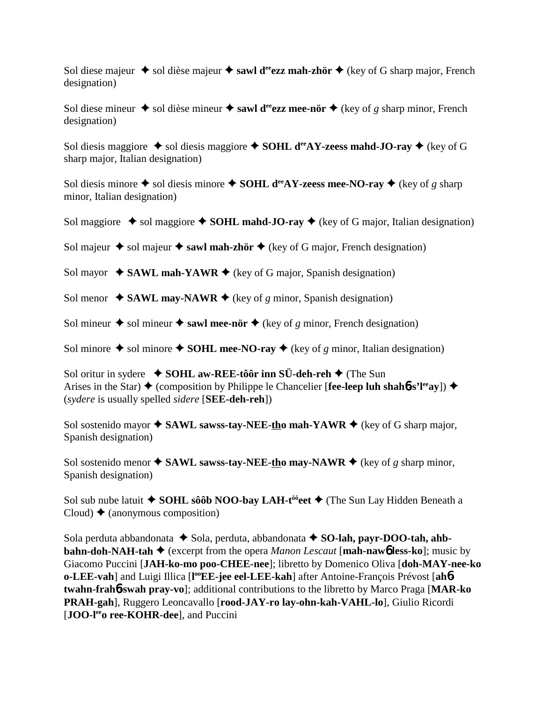Sol diese majeur  $\triangle$  sol dièse majeur  $\triangle$  sawl d<sup>ee</sup>ezz mah-zhör  $\triangle$  (key of G sharp major, French designation)

Sol diese mineur  $\triangle$  sol dièse mineur  $\triangle$  sawl d<sup>ee</sup>ezz mee-nör  $\triangle$  (key of g sharp minor, French designation)

Sol diesis maggiore  $\triangle$  sol diesis maggiore  $\triangle$  **SOHL d<sup>ee</sup>AY-zeess mahd-JO-ray**  $\triangle$  (key of G sharp major, Italian designation)

Sol diesis minore  $\triangle$  sol diesis minore  $\triangle$  **SOHL d<sup>ee</sup>AY-zeess mee-NO-ray**  $\triangle$  (key of *g* sharp minor, Italian designation)

Sol maggiore  $\triangle$  sol maggiore  $\triangle$  **SOHL mahd-JO-ray**  $\triangle$  (key of G major, Italian designation)

Sol majeur  $\triangle$  sol majeur  $\triangle$  sawl mah-zhör  $\triangle$  (key of G major, French designation)

Sol mayor  $\triangle$  **SAWL mah-YAWR**  $\triangle$  (key of G major, Spanish designation)

Sol menor  $\triangle$  **SAWL may-NAWR**  $\triangle$  (key of *g* minor, Spanish designation)

Sol mineur  $\triangle$  sol mineur  $\triangle$  sawl mee-nör  $\triangle$  (key of *g* minor, French designation)

Sol minore  $\triangle$  sol minore  $\triangle$  **SOHL mee-NO-ray**  $\triangle$  (key of g minor, Italian designation)

Sol oritur in sydere **↓ SOHL aw-REE-tôôr inn SÜ-deh-reh ◆** (The Sun Arises in the Star)  $\triangle$  (composition by Philippe le Chancelier [**fee-leep luh shah6-s'l<sup>ee</sup>ay**])  $\triangle$ (*sydere* is usually spelled *sidere* [**SEE-deh-reh**])

Sol sostenido mayor  $\triangle$  **SAWL sawss-tay-NEE-tho mah-YAWR**  $\triangle$  (key of G sharp major, Spanish designation)

Sol sostenido menor  $\triangle$  **SAWL sawss-tay-NEE-tho may-NAWR**  $\triangle$  (key of *g* sharp minor, Spanish designation)

Sol sub nube latuit **◆ SOHL sôôb NOO-bay LAH-t<sup>ôô</sup>eet ◆** (The Sun Lay Hidden Beneath a Cloud)  $\triangle$  (anonymous composition)

Sola perduta abbandonata  $\triangle$  Sola, perduta, abbandonata  $\triangle$  SO-lah, payr-DOO-tah, ahb**bahn-doh-NAH-tah ♦** (excerpt from the opera *Manon Lescaut* [**mah-naw6** less-ko]; music by Giacomo Puccini [**JAH-ko-mo poo-CHEE-nee**]; libretto by Domenico Oliva [**doh-MAY-nee-ko o-LEE-vah**] and Luigi Illica [l<sup>oo</sup>EE-jee eel-LEE-kah] after Antoine-François Prévost [ahb**twahn-frah**6**-swah pray-vo**]; additional contributions to the libretto by Marco Praga [**MAR-ko PRAH-gah**], Ruggero Leoncavallo [**rood-JAY-ro lay-ohn-kah-VAHL-lo**], Giulio Ricordi [**JOO-l<sup>ee</sup>o ree-KOHR-dee**], and Puccini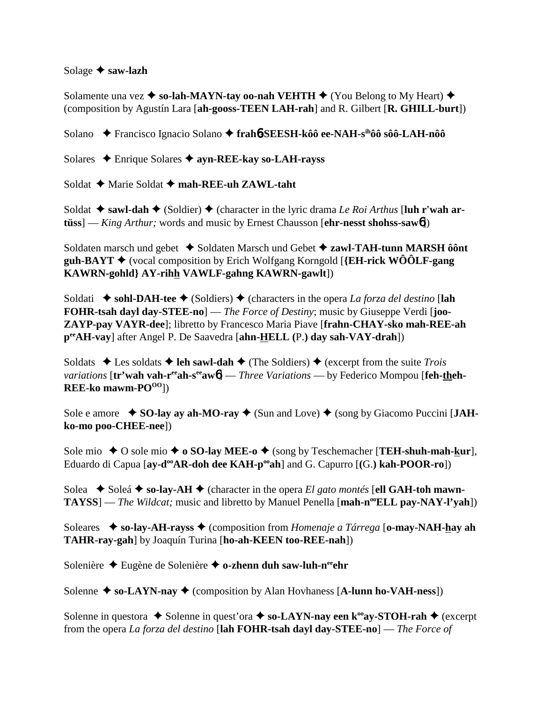#### Solage **saw-lazh**

Solamente una vez  $\triangle$  so-lah-MAYN-tay oo-nah VEHTH  $\triangle$  (You Belong to My Heart)  $\triangle$ (composition by Agustín Lara [**ah-gooss-TEEN LAH-rah**] and R. Gilbert [**R. GHILL-burt**])

Solano Francisco Ignacio Solano **frah**6**-SEESH-kôô ee-NAH-sihôô sôô-LAH-nôô**

Solares Enrique Solares **ayn-REE-kay so-LAH-rayss**

Soldat **→** Marie Soldat → mah-REE-uh ZAWL-taht

Soldat  $\triangle$  sawl-dah  $\triangle$  (Soldier)  $\triangle$  (character in the lyric drama *Le Roi Arthus* [luh r'wah ar**tüss**] — *King Arthur;* words and music by Ernest Chausson [**ehr-nesst shohss-saw**6])

Soldaten marsch und gebet ◆ Soldaten Marsch und Gebet ◆ zawl-TAH-tunn MARSH ôônt **guh-BAYT** (vocal composition by Erich Wolfgang Korngold [**{EH-rick WÔÔLF-gang KAWRN-gohld} AY-rihh VAWLF-gahng KAWRN-gawlt**])

Soldati  $\triangle$  sohl-DAH-tee  $\triangle$  (Soldiers)  $\triangle$  (characters in the opera *La forza del destino* [lah **FOHR-tsah dayl day-STEE-no**] — *The Force of Destiny*; music by Giuseppe Verdi [**joo-ZAYP-pay VAYR-dee**]; libretto by Francesco Maria Piave [**frahn-CHAY-sko mah-REE-ah peeAH-vay**] after Angel P. De Saavedra [**ahn-HELL (**P.**) day sah-VAY-drah**])

Soldats  $\triangle$  Les soldats  $\triangle$  leh sawl-dah  $\triangle$  (The Soldiers)  $\triangle$  (excerpt from the suite *Trois variations* [tr'wah vah-r<sup>ee</sup>ah-s<sup>ee</sup>aw6] — *Three Variations* — by Federico Mompou [feh-theh-**REE-ko mawm-PO<sup>OO</sup>])** 

Sole e amore  $\bullet$  **SO-lay ay ah-MO-ray**  $\bullet$  (Sun and Love)  $\bullet$  (song by Giacomo Puccini [**JAHko-mo poo-CHEE-nee**])

Sole mio  $\triangle$  O sole mio  $\triangle$  **o SO-lay MEE-o**  $\triangle$  (song by Teschemacher [**TEH-shuh-mah-kur**], Eduardo di Capua [**av-d<sup>oo</sup>AR-doh dee KAH-p<sup>oo</sup>ah**] and G. Capurro [(G.) **kah-POOR-ro**])

Solea  $\blacklozenge$  Soleá  $\blacklozenge$  so-lay-AH  $\blacklozenge$  (character in the opera *El gato montés* [ell GAH-toh mawn-**TAYSS**] — *The Wildcat*; music and libretto by Manuel Penella [mah-n<sup>oo</sup>ELL pay-NAY-l'yah])

Soleares **so-lay-AH-rayss** (composition from *Homenaje a Tárrega* [**o-may-NAH-hay ah TAHR-ray-gah**] by Joaquín Turina [**ho-ah-KEEN too-REE-nah**])

Solenière ◆ Eugène de Solenière ◆ o-zhenn duh saw-luh-n<sup>ee</sup>ehr

Solenne  $\triangle$  so-LAYN-nay  $\triangle$  (composition by Alan Hovhaness [A-lunn ho-VAH-ness])

Solenne in questora  $\triangle$  Solenne in quest'ora  $\triangle$  so-LAYN-nay een k<sup>oo</sup>ay-STOH-rah  $\triangle$  (excerpt from the opera *La forza del destino* [**lah FOHR-tsah dayl day-STEE-no**] — *The Force of*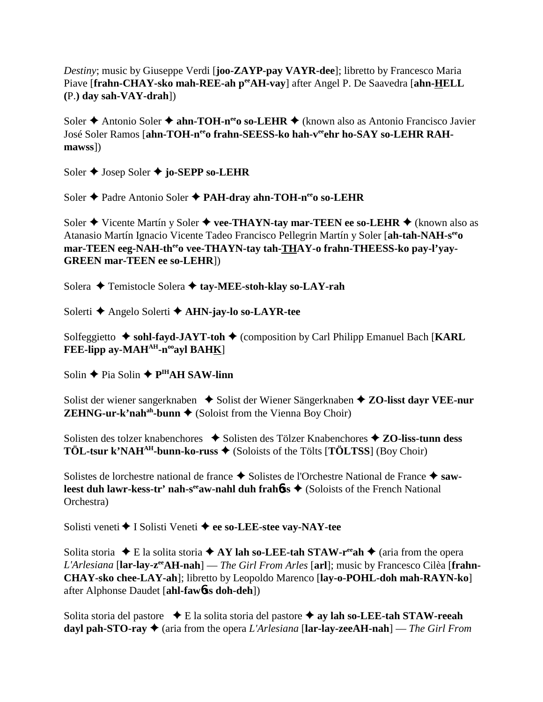*Destiny*; music by Giuseppe Verdi [**joo-ZAYP-pay VAYR-dee**]; libretto by Francesco Maria Piave [frahn-CHAY-sko mah-REE-ah peeAH-vay] after Angel P. De Saavedra [ahn-HELL **(**P.**) day sah-VAY-drah**])

Soler **↑** Antonio Soler **↑ ahn-TOH-n<sup>ee</sup>o so-LEHR ◆** (known also as Antonio Francisco Javier José Soler Ramos [ahn-TOH-n<sup>ee</sup>o frahn-SEESS-ko hah-v<sup>ee</sup>ehr ho-SAY so-LEHR RAH**mawss**])

Soler **←** Josep Soler **← jo-SEPP so-LEHR** 

Soler **←** Padre Antonio Soler ← PAH-dray ahn-TOH-n<sup>ee</sup>o so-LEHR

Soler **→** Vicente Martín y Soler **→ vee-THAYN-tay mar-TEEN ee so-LEHR →** (known also as Atanasio Martín Ignacio Vicente Tadeo Francisco Pellegrin Martín y Soler [**ah-tah-NAH-seeo** mar-TEEN eeg-NAH-th<sup>ee</sup>o vee-THAYN-tay tah-THAY-o frahn-THEESS-ko pay-l'yay-**GREEN mar-TEEN ee so-LEHR**])

Solera **← Temistocle Solera ← tay-MEE-stoh-klay so-LAY-rah** 

Solerti Angelo Solerti **AHN-jay-lo so-LAYR-tee**

Solfeggietto **→ sohl-fayd-JAYT-toh →** (composition by Carl Philipp Emanuel Bach [KARL FEE-lipp ay-MAH<sup>AH</sup>-n<sup>oo</sup>ayl BAHK]

Solin **←** Pia Solin **← P<sup>IH</sup>AH SAW-linn** 

Solist der wiener sangerknaben **→** Solist der Wiener Sängerknaben **→ ZO-lisst dayr VEE-nur ZEHNG-ur-k'nah<sup>ah</sup>-bunn**  $\blacklozenge$  (Soloist from the Vienna Boy Choir)

Solisten des tolzer knabenchores ◆ Solisten des Tölzer Knabenchores ◆ **ZO-liss-tunn dess TÖL-tsur k'NAH<sup>AH</sup>-bunn-ko-russ**  $\blacklozenge$  (Soloists of the Tölts [**TÖLTSS**] (Boy Choir)

Solistes de lorchestre national de france  $\triangle$  Solistes de l'Orchestre National de France  $\triangle$  saw**leest duh lawr-kess-tr' nah-s<sup>ee</sup>aw-nahl duh frah<b>6**ss ♦ (Soloists of the French National Orchestra)

Solisti veneti **→** I Solisti Veneti ◆ ee so-LEE-stee vay-NAY-tee

Solita storia  $\blacklozenge$  E la solita storia  $\blacklozenge$  AY lah so-LEE-tah STAW-r<sup>ee</sup>ah  $\blacklozenge$  (aria from the opera *L'Arlesiana* [**lar-lay-zeeAH-nah**] — *The Girl From Arles* [**arl**]; music by Francesco Cilèa [**frahn-CHAY-sko chee-LAY-ah**]; libretto by Leopoldo Marenco [**lay-o-POHL-doh mah-RAYN-ko**] after Alphonse Daudet [**ahl-faw**6**ss doh-deh**])

Solita storia del pastore E la solita storia del pastore **ay lah so-LEE-tah STAW-reeah dayl pah-STO-ray** (aria from the opera *L'Arlesiana* [**lar-lay-zeeAH-nah**] — *The Girl From*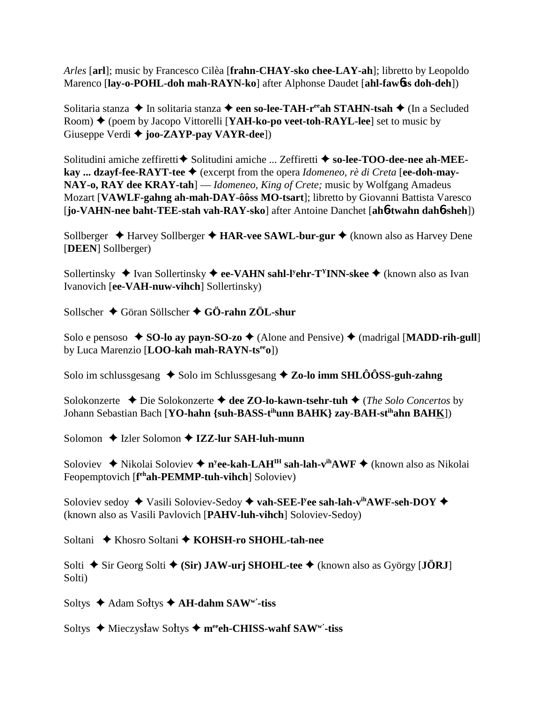*Arles* [**arl**]; music by Francesco Cilèa [**frahn-CHAY-sko chee-LAY-ah**]; libretto by Leopoldo Marenco [**lay-o-POHL-doh mah-RAYN-ko**] after Alphonse Daudet [**ahl-faw**6**ss doh-deh**])

Solitaria stanza **→** In solitaria stanza → een so-lee-TAH-r<sup>ee</sup>ah STAHN-tsah → (In a Secluded Room) (poem by Jacopo Vittorelli [**YAH-ko-po veet-toh-RAYL-lee**] set to music by Giuseppe Verdi **joo-ZAYP-pay VAYR-dee**])

Solitudini amiche zeffiretti **◆** Solitudini amiche ... Zeffiretti ◆ so-lee-TOO-dee-nee ah-MEE**kay ... dzavf-fee-RAYT-tee ♦** (excerpt from the opera *Idomeneo, rè di Creta* [ee-doh-may-**NAY-o, RAY dee KRAY-tah**] — *Idomeneo, King of Crete;* music by Wolfgang Amadeus Mozart [**VAWLF-gahng ah-mah-DAY-ôôss MO-tsart**]; libretto by Giovanni Battista Varesco [**jo-VAHN-nee baht-TEE-stah vah-RAY-sko**] after Antoine Danchet [**ah**6**-twahn dah**6**-sheh**])

Sollberger **→** Harvey Sollberger **→ HAR-vee SAWL-bur-gur →** (known also as Harvey Dene [**DEEN**] Sollberger)

Sollertinsky ◆ Ivan Sollertinsky ◆ ee-VAHN sahl-l<sup>y</sup>ehr-T<sup>Y</sup>INN-skee ◆ (known also as Ivan Ivanovich [**ee-VAH-nuw-vihch**] Sollertinsky)

Sollscher Göran Söllscher **GÖ-rahn ZÖL-shur**

Solo e pensoso  $\triangle$  **SO-lo ay payn-SO-zo**  $\triangle$  (Alone and Pensive)  $\triangle$  (madrigal [**MADD-rih-gull**] by Luca Marenzio [**LOO-kah mah-RAYN-tseeo**])

Solo im schlussgesang ◆ Solo im Schlussgesang ◆ **Zo-lo imm SHLÔÔSS-guh-zahng** 

Solokonzerte Die Solokonzerte **dee ZO-lo-kawn-tsehr-tuh** (*The Solo Concertos* by Johann Sebastian Bach [**YO-hahn {suh-BASS-tihunn BAHK} zay-BAH-stihahn BAHK**])

Solomon **↓** Izler Solomon **✦ IZZ-lur SAH-luh-munn** 

Soloviev ◆ Nikolai Soloviev ◆ n<sup>y</sup>**ee-kah-LAH<sup>IH</sup> sah-lah-v<sup>ih</sup>AWF ◆** (known also as Nikolai Feopemptovich [f<sup>eh</sup>ah-PEMMP-tuh-vihch] Soloviev)

Soloviev sedoy ◆ Vasili Soloviev-Sedoy ◆ vah-SEE-l<sup>y</sup>ee sah-lah-v<sup>ih</sup>AWF-seh-DOY ◆ (known also as Vasili Pavlovich [**PAHV-luh-vihch**] Soloviev-Sedoy)

Soltani ◆ Khosro Soltani ◆ KOHSH-ro SHOHL-tah-nee

Solti  $\blacklozenge$  Sir Georg Solti  $\blacklozenge$  (Sir) JAW-urj SHOHL-tee  $\blacklozenge$  (known also as György [JÖRJ] Solti)

Soltys **→** Adam Soltys **→ AH-dahm SAWw**'-tiss

Soltys ◆ Mieczysław Sołtys ◆ m<sup>ee</sup>eh-CHISS-wahf SAW<sup>w</sup>'-tiss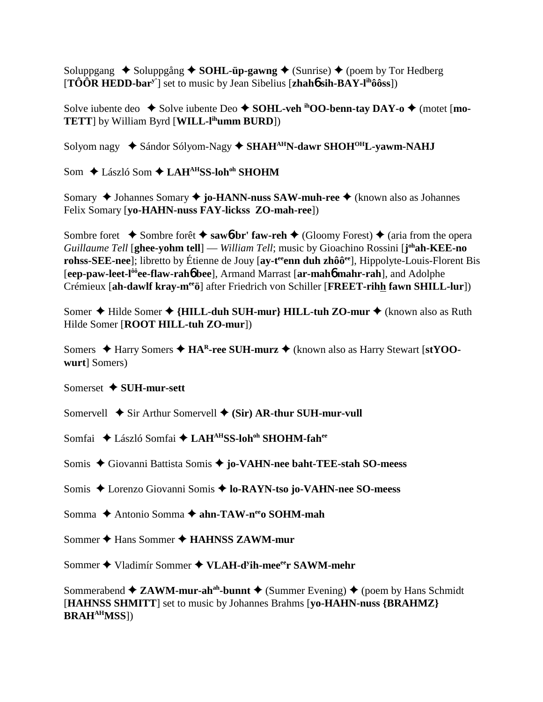Soluppgang  $\triangle$  Soluppgång  $\triangle$  **SOHL-üp-gawng**  $\triangle$  (Sunrise)  $\triangle$  (poem by Tor Hedberg [**TÔÔR HEDD-bary'**] set to music by Jean Sibelius [**zhah**6 **sih-BAY-lihôôss**])

Solve iubente deo  $\blacklozenge$  Solve iubente Deo  $\blacklozenge$  **SOHL-veh** <sup>ih</sup>OO-benn-tay DAY-o  $\blacklozenge$  (motet [mo-**TETT**] by William Byrd [**WILL-lihumm BURD**])

Solyom nagy  **◆** Sándor Sólyom-Nagy ◆ **SHAH<sup>AH</sup>N-dawr SHOH<sup>OH</sup>L-yawm-NAHJ** 

Som ◆ László Som ◆ LAH<sup>AH</sup>SS-loh<sup>oh</sup> SHOHM

Somary ◆ Johannes Somary ◆ **jo-HANN-nuss SAW-muh-ree** ◆ (known also as Johannes Felix Somary [**yo-HAHN-nuss FAY-lickss ZO-mah-ree**])

Sombre foret  $\rightarrow$  Sombre forêt  $\rightarrow$  saw**6**-br' faw-reh  $\rightarrow$  (Gloomy Forest)  $\rightarrow$  (aria from the opera *Guillaume Tell* [**ghee-yohm tell**] — *William Tell*; music by Gioachino Rossini [**j ohah-KEE-no rohss-SEE-nee**]; libretto by Étienne de Jouy [ay-t<sup>ee</sup> enn duh zhôô<sup>ee</sup>], Hippolyte-Louis-Florent Bis [**eep-paw-leet-lôôee-flaw-rah**6 **bee**], Armand Marrast [**ar-mah**6 **mahr-rah**], and Adolphe Crémieux [**ah-dawlf kray-meeö**] after Friedrich von Schiller [**FREET-rihh fawn SHILL-lur**])

Somer **◆** Hilde Somer ◆ {**HILL-duh SUH-mur**} **HILL-tuh ZO-mur ◆** (known also as Ruth Hilde Somer [**ROOT HILL-tuh ZO-mur**])

Somers **→ Harry Somers → HA<sup>R</sup>-ree SUH-murz →** (known also as Harry Stewart [stYOO**wurt**] Somers)

## Somerset **SUH-mur-sett**

Somervell  $\blacklozenge$  Sir Arthur Somervell  $\blacklozenge$  (Sir) AR-thur SUH-mur-vull

Somfai ◆ László Somfai ◆ LAH<sup>AH</sup>SS-loh<sup>oh</sup> SHOHM-fah<sup>ee</sup>

Somis Giovanni Battista Somis **jo-VAHN-nee baht-TEE-stah SO-meess**

Somis Lorenzo Giovanni Somis **lo-RAYN-tso jo-VAHN-nee SO-meess**

Somma **→** Antonio Somma → ahn-TAW-n<sup>ee</sup>o SOHM-mah

Sommer **→** Hans Sommer → **HAHNSS ZAWM-mur** 

Sommer ◆ Vladimír Sommer ◆ VLAH-d<sup>y</sup>ih-mee<sup>ee</sup>r SAWM-mehr

Sommerabend  $\triangleq$  **ZAWM-mur-ah<sup>ah</sup>-bunnt**  $\triangleq$  (Summer Evening)  $\triangleq$  (poem by Hans Schmidt) [**HAHNSS SHMITT**] set to music by Johannes Brahms [**yo-HAHN-nuss {BRAHMZ} BRAHAHMSS**])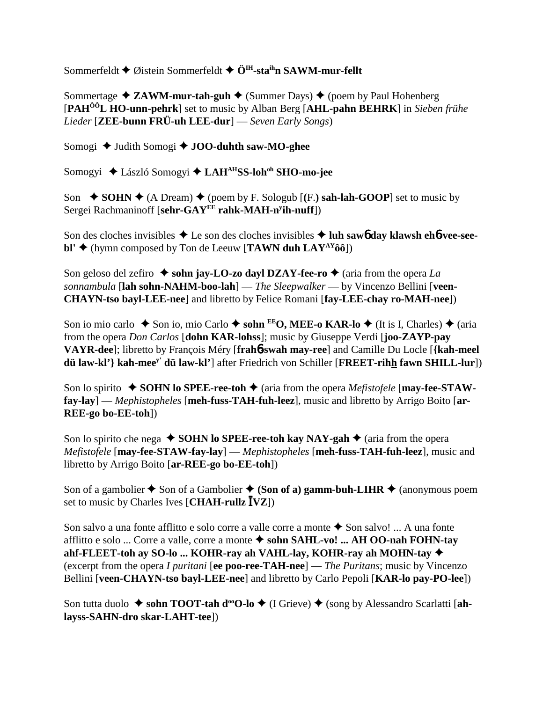Sommerfeldt ♦ Øistein Sommerfeldt ♦ Ö<sup>IH</sup>-sta<sup>ih</sup>n SAWM-mur-fellt

Sommertage **→ ZAWM-mur-tah-guh →** (Summer Days) → (poem by Paul Hohenberg [**PAHÔÔL HO-unn-pehrk**] set to music by Alban Berg [**AHL-pahn BEHRK**] in *Sieben frühe Lieder* [**ZEE-bunn FRÜ-uh LEE-dur**] — *Seven Early Songs*)

Somogi ♦ Judith Somogi ♦ **JOO-duhth saw-MO-ghee** 

Somogyi **→** László Somogyi → LAH<sup>AH</sup>SS-loh<sup>oh</sup> SHO-mo-jee

Son  $\blacklozenge$  **SOHN**  $\blacklozenge$  (A Dream)  $\blacklozenge$  (poem by F. Sologub [(F.) sah-lah-GOOP] set to music by Sergei Rachmaninoff [**sehr-GAYEE rahk-MAH-ny ih-nuff**])

Son des cloches invisibles **→** Le son des cloches invisibles **→ luh saw6 day klawsh eh6-vee-seebl'**  $\blacklozenge$  (hymn composed by Ton de Leeuw [**TAWN duh LAY**<sup>AY</sup> $\hat{0}\hat{0}$ ])

Son geloso del zefiro  $\triangle$  sohn jay-LO-zo dayl DZAY-fee-ro  $\triangle$  (aria from the opera *La sonnambula* [**lah sohn-NAHM-boo-lah**] — *The Sleepwalker* — by Vincenzo Bellini [**veen-CHAYN-tso bayl-LEE-nee**] and libretto by Felice Romani [**fay-LEE-chay ro-MAH-nee**])

Son io mio carlo ◆ Son io, mio Carlo ◆ sohn <sup>EE</sup>O, MEE-o KAR-lo ◆ (It is I, Charles) ◆ (aria from the opera *Don Carlos* [**dohn KAR-lohss**]; music by Giuseppe Verdi [**joo-ZAYP-pay VAYR-dee**]; libretto by François Méry [**frah**6**-swah may-ree**] and Camille Du Locle [**{kah-meel dü law-kl'} kah-meey' dü law-kl'**] after Friedrich von Schiller [**FREET-rihh fawn SHILL-lur**])

Son lo spirito  $\bullet$  **SOHN lo SPEE-ree-toh**  $\bullet$  (aria from the opera *Mefistofele* [**may-fee-STAWfay-lay**] — *Mephistopheles* [**meh-fuss-TAH-fuh-leez**], music and libretto by Arrigo Boito [**ar-REE-go bo-EE-toh**])

Son lo spirito che nega  $\triangle$  **SOHN lo SPEE-ree-toh kay NAY-gah**  $\triangle$  (aria from the opera *Mefistofele* [**may-fee-STAW-fay-lay**] — *Mephistopheles* [**meh-fuss-TAH-fuh-leez**], music and libretto by Arrigo Boito [**ar-REE-go bo-EE-toh**])

Son of a gambolier  $\triangle$  Son of a Gambolier  $\triangle$  (Son of a) gamm-buh-LIHR  $\triangle$  (anonymous poem set to music by Charles Ives [CHAH-rullz  $\bar{I}VZ$ ])

Son salvo a una fonte afflitto e solo corre a valle corre a monte  $\triangle$  Son salvo! ... A una fonte afflitto e solo ... Corre a valle, corre a monte  **sohn SAHL-vo! ... AH OO-nah FOHN-tay ahf-FLEET-toh ay SO-lo ... KOHR-ray ah VAHL-lay, KOHR-ray ah MOHN-tay** (excerpt from the opera *I puritani* [**ee poo-ree-TAH-nee**] — *The Puritans*; music by Vincenzo Bellini [**veen-CHAYN-tso bayl-LEE-nee**] and libretto by Carlo Pepoli [**KAR-lo pay-PO-lee**])

Son tutta duolo ◆ sohn TOOT-tah d<sup>oo</sup>O-lo ◆ (I Grieve) ◆ (song by Alessandro Scarlatti [ah**layss-SAHN-dro skar-LAHT-tee**])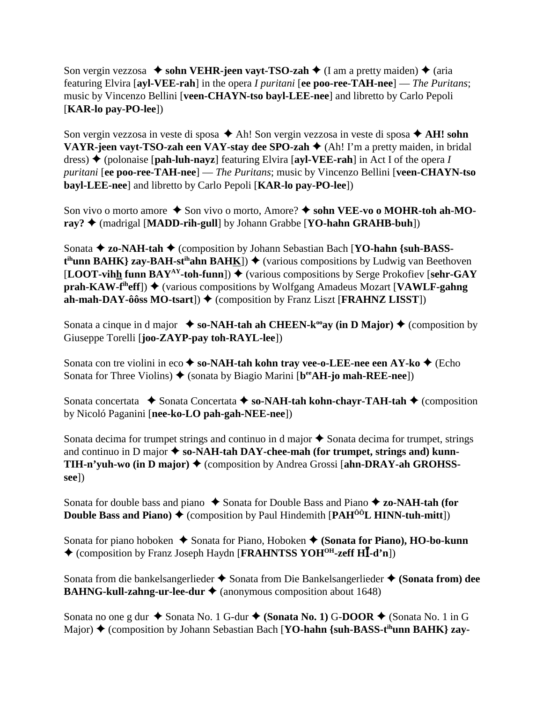Son vergin vezzosa  $\triangle$  sohn VEHR-jeen vayt-TSO-zah  $\triangle$  (I am a pretty maiden)  $\triangle$  (aria featuring Elvira [**ayl-VEE-rah**] in the opera *I puritani* [**ee poo-ree-TAH-nee**] — *The Puritans*; music by Vincenzo Bellini [**veen-CHAYN-tso bayl-LEE-nee**] and libretto by Carlo Pepoli [**KAR-lo pay-PO-lee**])

Son vergin vezzosa in veste di sposa  $\triangle$  Ah! Son vergin vezzosa in veste di sposa  $\triangle$  AH! sohn **VAYR-jeen vayt-TSO-zah een VAY-stay dee SPO-zah ♦** (Ah! I'm a pretty maiden, in bridal dress) (polonaise [**pah-luh-nayz**] featuring Elvira [**ayl-VEE-rah**] in Act I of the opera *I puritani* [**ee poo-ree-TAH-nee**] — *The Puritans*; music by Vincenzo Bellini [**veen-CHAYN-tso bayl-LEE-nee**] and libretto by Carlo Pepoli [**KAR-lo pay-PO-lee**])

Son vivo o morto amore ◆ Son vivo o morto, Amore? ◆ sohn VEE-vo o MOHR-toh ah-MO**ray?** (madrigal [**MADD-rih-gull**] by Johann Grabbe [**YO-hahn GRAHB-buh**])

Sonata **← zo-NAH-tah ←** (composition by Johann Sebastian Bach [**YO-hahn** {suh-BASS- $\mathbf{t}^{\text{ih}}$ **unn BAHK**} zay-BAH-st<sup>ih</sup>ahn BAH<u>K</u>])  $\blacklozenge$  (various compositions by Ludwig van Beethoven **[LOOT-vihh funn BAY<sup>AY</sup>-toh-funn])**  $\blacklozenge$  (various compositions by Serge Prokofiev [sehr-GAY **prah-KAW-f<sup>ih</sup>eff**)  $\blacklozenge$  (various compositions by Wolfgang Amadeus Mozart [VAWLF-gahng] **ah-mah-DAY-ôôss MO-tsart**])  $\blacklozenge$  (composition by Franz Liszt [**FRAHNZ LISST**])

Sonata a cinque in d major  $\bullet$  so-NAH-tah ah CHEEN-k<sup>oo</sup>ay (in D Major)  $\bullet$  (composition by Giuseppe Torelli [**joo-ZAYP-pay toh-RAYL-lee**])

Sonata con tre violini in eco **← so-NAH-tah kohn tray vee-o-LEE-nee een AY-ko ←** (Echo Sonata for Three Violins)  $\blacklozenge$  (sonata by Biagio Marini [b<sup>ee</sup>AH-jo mah-REE-nee])

Sonata concertata **→** Sonata Concertata → so-NAH-tah kohn-chayr-TAH-tah → (composition by Nicoló Paganini [**nee-ko-LO pah-gah-NEE-nee**])

Sonata decima for trumpet strings and continuo in d major  $\triangle$  Sonata decima for trumpet, strings and continuo in D major  $\triangle$  so-NAH-tah DAY-chee-mah (for trumpet, strings and) kunn-**TIH-n'yuh-wo (in D major) ♦ (composition by Andrea Grossi [ahn-DRAY-ah GROHSSsee**])

Sonata for double bass and piano  $\triangle$  Sonata for Double Bass and Piano  $\triangle$  zo-NAH-tah (for **Double Bass and Piano)**  $\stackrel{\rightarrow}{\bullet}$  (composition by Paul Hindemith [PAH<sup> $\stackrel{\leftarrow}{0}$ </sup>L HINN-tuh-mitt])

Sonata for piano hoboken  $\triangle$  Sonata for Piano, Hoboken  $\triangle$  (Sonata for Piano), HO-bo-kunn ◆ (composition by Franz Joseph Haydn [FRAHNTSS YOH<sup>OH</sup>-zeff HI-d'n])

Sonata from die bankelsangerlieder  $\triangle$  Sonata from Die Bankelsangerlieder  $\triangle$  (Sonata from) dee **BAHNG-kull-zahng-ur-lee-dur ♦** (anonymous composition about 1648)

Sonata no one g dur **→** Sonata No. 1 G-dur ◆ (Sonata No. 1) G-DOOR ◆ (Sonata No. 1 in G Major) ♦ (composition by Johann Sebastian Bach [**YO-hahn** {suh-BASS-t<sup>ih</sup>unn BAHK} zay-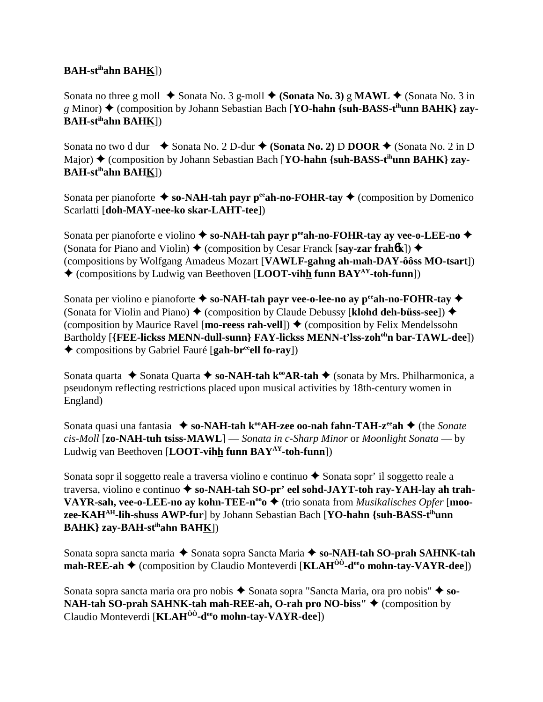# **BAH-stihahn BAHK**])

Sonata no three g moll  $\blacklozenge$  Sonata No. 3 g-moll  $\blacklozenge$  (Sonata No. 3) g **MAWL**  $\blacklozenge$  (Sonata No. 3 in *g* Minor) ♦ (composition by Johann Sebastian Bach [**YO-hahn** {suh-BASS-t<sup>ih</sup>unn BAHK} zay-**BAH-stihahn BAHK**])

Sonata no two d dur  $\bullet$  Sonata No. 2 D-dur  $\bullet$  (Sonata No. 2) D DOOR  $\bullet$  (Sonata No. 2 in D Major) ◆ (composition by Johann Sebastian Bach [**YO-hahn {suh-BASS-t<sup>ih</sup>unn BAHK} zay-BAH-stihahn BAHK**])

Sonata per pianoforte  $\triangleq$  so-NAH-tah payr p<sup>ee</sup>ah-no-FOHR-tay  $\triangleq$  (composition by Domenico Scarlatti [**doh-MAY-nee-ko skar-LAHT-tee**])

Sonata per pianoforte e violino **→ so-NAH-tah payr p<sup>ee</sup>ah-no-FOHR-tay ay vee-o-LEE-no →** (Sonata for Piano and Violin)  $\triangle$  (composition by Cesar Franck [say-zar frahb**k**])  $\triangle$ (compositions by Wolfgang Amadeus Mozart [**VAWLF-gahng ah-mah-DAY-ôôss MO-tsart**]) (compositions by Ludwig van Beethoven [**LOOT-vihh funn BAYAY-toh-funn**])

Sonata per violino e pianoforte  $\triangle$  so-NAH-tah payr vee-o-lee-no ay p<sup>ee</sup>ah-no-FOHR-tay  $\triangle$ (Sonata for Violin and Piano)  $\blacklozenge$  (composition by Claude Debussy [**klohd deh-büss-see**])  $\blacklozenge$ (composition by Maurice Ravel [**mo-reess rah-vell**])  $\triangle$  (composition by Felix Mendelssohn Bartholdy [**{FEE-lickss MENN-dull-sunn} FAY-lickss MENN-t'lss-zoh<sup>oh</sup>n bar-TAWL-dee**]) ◆ compositions by Gabriel Fauré [**gah-br<sup>ee</sup>ell fo-ray**])

Sonata quarta Sonata Quarta **so-NAH-tah kooAR-tah** (sonata by Mrs. Philharmonica, a pseudonym reflecting restrictions placed upon musical activities by 18th-century women in England)

Sonata quasi una fantasia ◆ so-NAH-tah k<sup>oo</sup>AH-zee oo-nah fahn-TAH-z<sup>ee</sup>ah ◆ (the *Sonate cis-Moll* [**zo-NAH-tuh tsiss-MAWL**] — *Sonata in c-Sharp Minor* or *Moonlight Sonata* — by Ludwig van Beethoven [**LOOT-vihh funn BAYAY-toh-funn**])

Sonata sopr il soggetto reale a traversa violino e continuo  $\triangle$  Sonata sopr' il soggetto reale a traversa, violino e continuo  $\triangle$  so-NAH-tah SO-pr' eel sohd-JAYT-toh ray-YAH-lay ah trah-**VAYR-sah, vee-o-LEE-no ay kohn-TEE-n<sup>oo</sup>o ♦** (trio sonata from *Musikalisches Opfer* [**moozee-KAHAH-lih-shuss AWP-fur**] by Johann Sebastian Bach [**YO-hahn {suh-BASS-tihunn BAHK} zay-BAH-stihahn BAHK**])

Sonata sopra sancta maria  $\triangle$  Sonata sopra Sancta Maria  $\triangle$  so-NAH-tah SO-prah SAHNK-tah **mah-REE-ah ♦** (composition by Claudio Monteverdi [**KLAH<sup>ôô</sup>-d<sup>ee</sup>o mohn-tay-VAYR-dee**])

Sonata sopra sancta maria ora pro nobis  $\triangle$  Sonata sopra "Sancta Maria, ora pro nobis"  $\triangle$  so-**NAH-tah SO-prah SAHNK-tah mah-REE-ah, O-rah pro NO-biss'' ♦ (composition by** Claudio Monteverdi [**KLAH<sup>ôô</sup>-d<sup>ee</sup>o mohn-tay-VAYR-dee**])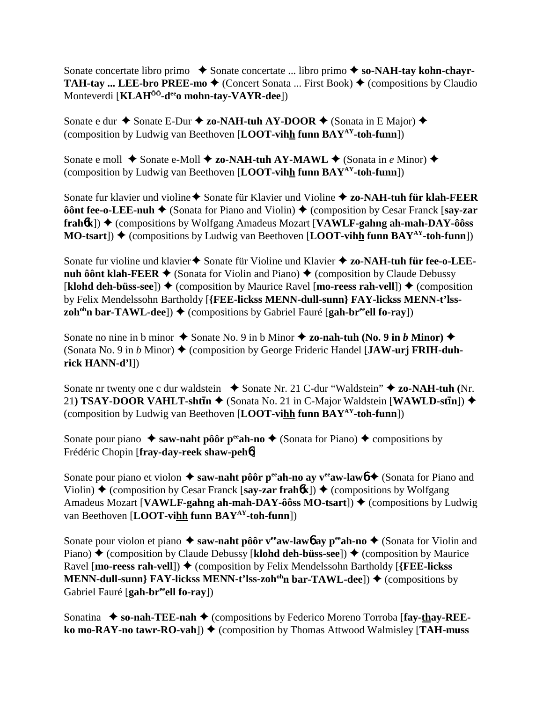Sonate concertate libro primo **→** Sonate concertate ... libro primo → so-NAH-tay kohn-chayr-**TAH-tay ... LEE-bro PREE-mo**  $\triangleleft$  (Concert Sonata ... First Book)  $\triangleleft$  (compositions by Claudio Monteverdi [**KLAHÔÔ-deeo mohn-tay-VAYR-dee**])

Sonate e dur ◆ Sonate E-Dur ◆ zo-NAH-tuh AY-DOOR ◆ (Sonata in E Major) ◆ (composition by Ludwig van Beethoven [**LOOT-vihh funn BAYAY-toh-funn**])

Sonate e moll  $\triangle$  Sonate e-Moll  $\triangle$  zo-NAH-tuh AY-MAWL  $\triangle$  (Sonata in *e* Minor)  $\triangle$ (composition by Ludwig van Beethoven [**LOOT-vihh funn BAYAY-toh-funn**])

Sonate fur klavier und violine **→** Sonate für Klavier und Violine **→ zo-NAH-tuh für klah-FEER ôônt fee-o-LEE-nuh ♦** (Sonata for Piano and Violin) ♦ (composition by Cesar Franck [say-zar **frahók**]) ♦ (compositions by Wolfgang Amadeus Mozart [**VAWLF-gahng ah-mah-DAY-ôôss MO-tsart**])  $\triangle$  (compositions by Ludwig van Beethoven [**LOOT-vihh funn BAY**<sup>AY</sup>-toh-funn])

Sonate fur violine und klavier ♦ Sonate für Violine und Klavier ♦ zo-NAH-tuh für fee-o-LEE**nuh ôônt klah-FEER**  $\blacklozenge$  (Sonata for Violin and Piano)  $\blacklozenge$  (composition by Claude Debussy  $[klohd$  deh-büss-see])  $\blacklozenge$  (composition by Maurice Ravel [**mo-reess rah-vell**])  $\blacklozenge$  (composition by Felix Mendelssohn Bartholdy [**{FEE-lickss MENN-dull-sunn} FAY-lickss MENN-t'lsszoh<sup>oh</sup>n bar-TAWL-dee**])  $\blacklozenge$  (compositions by Gabriel Fauré [gah-br<sup>ee</sup>ell fo-ray])

Sonate no nine in b minor  $\triangle$  Sonate No. 9 in b Minor  $\triangle$  zo-nah-tuh (No. 9 in *b* Minor)  $\triangle$ (Sonata No. 9 in *b* Minor) (composition by George Frideric Handel [**JAW-urj FRIH-duhrick HANN-d'l**])

Sonate nr twenty one c dur waldstein ◆ Sonate Nr. 21 C-dur "Waldstein" ◆ zo-NAH-tuh (Nr. 21) TSAY-DOOR VAHLT-sht**īn →** (Sonata No. 21 in C-Major Waldstein [WAWLD-st**īn**]) → (composition by Ludwig van Beethoven [**LOOT-vihh funn BAYAY-toh-funn**])

Sonate pour piano  $\triangle$  saw-naht pôôr p<sup>ee</sup>ah-no  $\triangle$  (Sonata for Piano)  $\triangle$  compositions by Frédéric Chopin [**fray-day-reek shaw-peh**6]

Sonate pour piano et violon  $\triangleq$  saw-naht pôôr p<sup>ee</sup>ah-no ay v<sup>ee</sup>aw-lawb  $\triangleq$  (Sonata for Piano and Violin)  $\triangle$  (composition by Cesar Franck [say-zar frahb**k**])  $\triangle$  (compositions by Wolfgang Amadeus Mozart [**VAWLF-gahng ah-mah-DAY-ôôss MO-tsart**])  $\triangle$  (compositions by Ludwig van Beethoven [**LOOT-vihh funn BAYAY-toh-funn**])

Sonate pour violon et piano **→ saw-naht pôôr v<sup>ee</sup>aw-lawb ay p<sup>ee</sup>ah-no →** (Sonata for Violin and Piano) ♦ (composition by Claude Debussy [**klohd deh-büss-see**]) ♦ (composition by Maurice Ravel [**mo-reess rah-vell**]) ♦ (composition by Felix Mendelssohn Bartholdy [**{FEE-lickss**] **MENN-dull-sunn**} **FAY-lickss MENN-t'lss-zoh<sup>oh</sup>n bar-TAWL-dee**])  $\blacklozenge$  (compositions by Gabriel Fauré [**gah-br<sup>ee</sup>ell fo-ray**])

Sonatina  $\bullet$  so-nah-TEE-nah  $\bullet$  (compositions by Federico Moreno Torroba [fay-thay-REE**ko mo-RAY-no tawr-RO-vah**])  $\blacklozenge$  (composition by Thomas Attwood Walmisley [TAH-muss]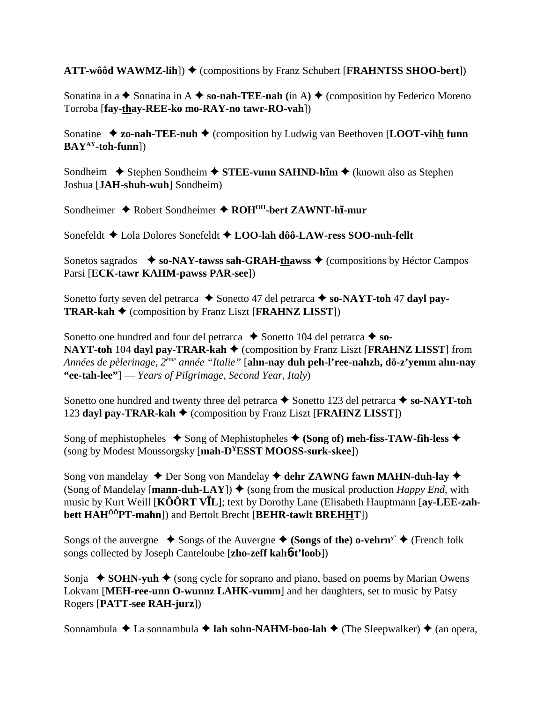**ATT-wôôd WAWMZ-lih**]) ♦ (compositions by Franz Schubert [**FRAHNTSS SHOO-bert**])

Sonatina in  $a \triangleq$  Sonatina in  $A \triangleq$  so-nah-TEE-nah (in A)  $\triangleq$  (composition by Federico Moreno Torroba [**fay-thay-REE-ko mo-RAY-no tawr-RO-vah**])

Sonatine ◆ **zo-nah-TEE-nuh ◆** (composition by Ludwig van Beethoven [**LOOT-vihh funn BAYAY-toh-funn**])

Sondheim **→** Stephen Sondheim **→ STEE-vunn SAHND-hĪm →** (known also as Stephen Joshua [**JAH-shuh-wuh**] Sondheim)

Sondheimer Robert Sondheimer **ROHOH-bert ZAWNT-h-mur**

Sonefeldt Lola Dolores Sonefeldt **LOO-lah dôô-LAW-ress SOO-nuh-fellt**

Sonetos sagrados **↓ so-NAY-tawss sah-GRAH-thawss ♦** (compositions by Héctor Campos Parsi [**ECK-tawr KAHM-pawss PAR-see**])

Sonetto forty seven del petrarca **→** Sonetto 47 del petrarca → so-NAYT-toh 47 dayl pay-**TRAR-kah** (composition by Franz Liszt [**FRAHNZ LISST**])

Sonetto one hundred and four del petrarca  $\triangle$  Sonetto 104 del petrarca  $\triangle$  so-**NAYT-toh 104 dayl pay-TRAR-kah ♦ (composition by Franz Liszt [<b>FRAHNZ LISST**] from *Années de pèlerinage, 2ème année "Italie"* [**ahn-nay duh peh-l'ree-nahzh, dö-z'yemm ahn-nay "ee-tah-lee"**] — *Years of Pilgrimage, Second Year, Italy*)

Sonetto one hundred and twenty three del petrarca  $\blacklozenge$  Sonetto 123 del petrarca  $\blacklozenge$  so-NAYT-toh 123 dayl pay-TRAR-kah  $\blacklozenge$  (composition by Franz Liszt [FRAHNZ LISST])

Song of mephistopheles  $\bullet$  Song of Mephistopheles  $\bullet$  (Song of) meh-fiss-TAW-fih-less  $\bullet$ (song by Modest Moussorgsky [**mah-DYESST MOOSS-surk-skee**])

Song von mandelay ◆ Der Song von Mandelay ◆ dehr ZAWNG fawn MAHN-duh-lay ◆ (Song of Mandelay [**mann-duh-LAY**])  $\blacklozenge$  (song from the musical production *Happy End*, with music by Kurt Weill [KÔÔRT VIL]; text by Dorothy Lane (Elisabeth Hauptmann [ay-LEE-zah**bett HAHÔÔPT-mahn**]) and Bertolt Brecht [**BEHR-tawlt BREHHT**])

Songs of the auvergne  $\bullet$  Songs of the Auvergne  $\bullet$  (Songs of the) o-vehrn<sup>y</sup>  $\bullet$  (French folk songs collected by Joseph Canteloube [**zho-zeff kah**6**-t'loob**])

Sonja  $\bullet$  **SOHN-yuh**  $\bullet$  (song cycle for soprano and piano, based on poems by Marian Owens Lokvam [**MEH-ree-unn O-wunnz LAHK-vumm**] and her daughters, set to music by Patsy Rogers [**PATT-see RAH-jurz**])

Sonnambula  $\triangle$  La sonnambula  $\triangle$  **lah sohn-NAHM-boo-lah**  $\triangle$  (The Sleepwalker)  $\triangle$  (an opera,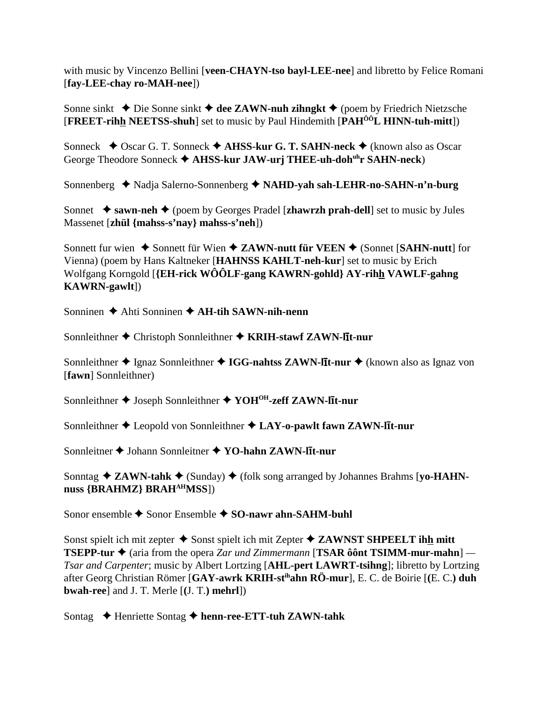with music by Vincenzo Bellini [veen-CHAYN-tso bayl-LEE-nee] and libretto by Felice Romani [fav-LEE-chav ro-MAH-nee])

Sonne sinkt  $\triangle$  Die Sonne sinkt  $\triangle$  dee ZAWN-nuh zihngkt  $\triangle$  (poem by Friedrich Nietzsche **[FREET-rihh NEETSS-shuh]** set to music by Paul Hindemith [PAH<sup>00</sup>L HINN-tuh-mitt])

Sonneck  $\triangle$  Oscar G. T. Sonneck  $\triangle$  AHSS-kur G. T. SAHN-neck  $\triangle$  (known also as Oscar George Theodore Sonneck ♦ AHSS-kur JAW-urj THEE-uh-doh<sup>uh</sup>r SAHN-neck)

Sonnenberg ◆ Nadja Salerno-Sonnenberg ◆ NAHD-yah sah-LEHR-no-SAHN-n'n-burg

Sonnet  $\bullet$  sawn-neh  $\bullet$  (poem by Georges Pradel [zhawrzh prah-dell] set to music by Jules Massenet [zhül {mahss-s'nav} mahss-s'neh])

Sonnett fur wien  $\triangle$  Sonnett für Wien  $\triangle$  ZAWN-nutt für VEEN  $\triangle$  (Sonnet [SAHN-nutt] for Vienna) (poem by Hans Kaltneker [HAHNSS KAHLT-neh-kur] set to music by Erich Wolfgang Korngold [{EH-rick WOOLF-gang KAWRN-gohld} AY-rihh VAWLF-gahng **KAWRN-gawlt**])

Sonninen  $\triangle$  Ahti Sonninen  $\triangle$  AH-tih SAWN-nih-nenn

Sonnleithner ♦ Christoph Sonnleithner ♦ KRIH-stawf ZAWN-lit-nur

Sonnleithner  $\triangle$  Ignaz Sonnleithner  $\triangle$  IGG-nahtss ZAWN-lit-nur  $\triangle$  (known also as Ignaz von [fawn] Sonnleithner)

Sonnleithner ♦ Joseph Sonnleithner ♦ YOH<sup>OH</sup>-zeff ZAWN-lit-nur

Sonnleithner  $\triangle$  Leopold von Sonnleithner  $\triangle$  LAY-o-pawlt fawn ZAWN-lit-nur

Sonnleitner  $\triangle$  Johann Sonnleitner  $\triangle$  YO-hahn ZAWN-lit-nur

Sonntag  $\triangle$  ZAWN-tahk  $\triangle$  (Sunday)  $\triangle$  (folk song arranged by Johannes Brahms [yo-HAHNnuss {BRAHMZ} BRAH<sup>AH</sup>MSS])

Sonor ensemble  $\triangle$  Sonor Ensemble  $\triangle$  SO-nawr ahn-SAHM-buhl

Sonst spielt ich mit zepter  $\triangle$  Sonst spielt ich mit Zepter  $\triangle$  ZAWNST SHPEELT ihh mitt **TSEPP-tur**  $\triangleq$  (aria from the opera Zar und Zimmermann [**TSAR** ô ônt **TSIMM-mur-mahn**] — *Tsar and Carpenter*; music by Albert Lortzing [AHL-pert LAWRT-tsihng]; libretto by Lortzing after Georg Christian Römer [GAY-awrk KRIH-st<sup>ih</sup>ahn RÖ-mur], E. C. de Boirie [(E. C.) duh **bwah-ree**] and J. T. Merle  $[(J, T)$  mehrl $])$ 

Sontag  $\rightarrow$  Henriette Sontag  $\rightarrow$  henn-ree-ETT-tuh ZAWN-tahk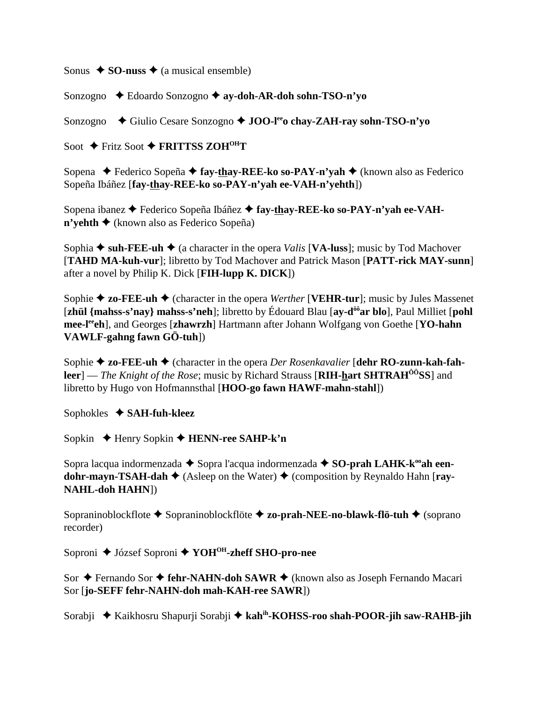Sonus  $\triangle$  **SO-nuss**  $\triangle$  (a musical ensemble)

Sonzogno Edoardo Sonzogno **ay-doh-AR-doh sohn-TSO-n'yo**

Sonzogno **←** Giulio Cesare Sonzogno ← **JOO-l<sup>ee</sup>o chay-ZAH-ray sohn-TSO-n'yo** 

Soot ◆ Fritz Soot ◆ FRITTSS ZOH<sup>OH</sup>T

Sopena ◆ Federico Sopeña ◆ **fay-thay-REE-ko so-PAY-n'yah** ◆ (known also as Federico Sopeña Ibáñez [**fay-thay-REE-ko so-PAY-n'yah ee-VAH-n'yehth**])

Sopena ibanez **←** Federico Sopeña Ibáñez ← fay-thay-REE-ko so-PAY-n'yah ee-VAH- $\mathbf{n}'$ **vehth**  $\blacklozenge$  (known also as Federico Sopeña)

Sophia  $\bullet$  suh-FEE-uh  $\bullet$  (a character in the opera *Valis* [**VA-luss**]; music by Tod Machover [**TAHD MA-kuh-vur**]; libretto by Tod Machover and Patrick Mason [**PATT-rick MAY-sunn**] after a novel by Philip K. Dick [**FIH-lupp K. DICK**])

Sophie  $\triangle$  zo-FEE-uh  $\triangle$  (character in the opera *Werther* [VEHR-tur]; music by Jules Massenet [**zhül {mahss-s'nay} mahss-s'neh**]; libretto by Édouard Blau [**ay-dôôar blo**], Paul Milliet [**pohl mee-leeeh**], and Georges [**zhawrzh**] Hartmann after Johann Wolfgang von Goethe [**YO-hahn VAWLF-gahng fawn GÖ-tuh**])

Sophie **→ zo-FEE-uh →** (character in the opera *Der Rosenkavalier* [**dehr RO-zunn-kah-fahleer**] — *The Knight of the Rose*; music by Richard Strauss [**RIH-hart SHTRAH<sup>00</sup>SS**] and libretto by Hugo von Hofmannsthal [**HOO-go fawn HAWF-mahn-stahl**])

Sophokles **SAH-fuh-kleez**

Sopkin Henry Sopkin **HENN-ree SAHP-k'n**

Sopra lacqua indormenzada  $\triangle$  Sopra l'acqua indormenzada  $\triangle$  SO-prah LAHK-k<sup>oo</sup>ah een**dohr-mayn-TSAH-dah ♦** (Asleep on the Water) ♦ (composition by Reynaldo Hahn [ray-**NAHL-doh HAHN**])

Sopraninoblockflote Sopraninoblockflöte **zo-prah-NEE-no-blawk-flö-tuh** (soprano recorder)

Soproni ◆ József Soproni ◆ YOH<sup>OH</sup>-zheff SHO-pro-nee

Sor **←** Fernando Sor ← fehr-NAHN-doh SAWR ← (known also as Joseph Fernando Macari Sor [**jo-SEFF fehr-NAHN-doh mah-KAH-ree SAWR**])

Sorabji Kaikhosru Shapurji Sorabji **kahih-KOHSS-roo shah-POOR-jih saw-RAHB-jih**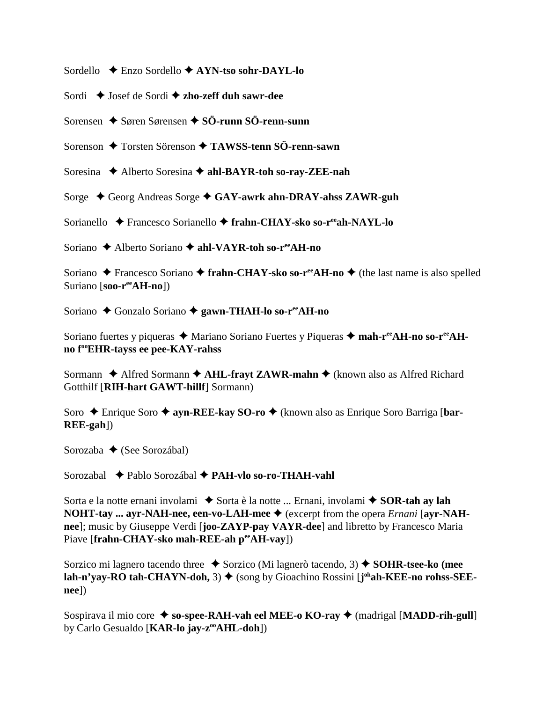Sordello  $\triangle$  Enzo Sordello  $\triangle$  AYN-tso sohr-DAYL-lo

Sordi  $\triangle$  Josef de Sordi  $\triangle$  zho-zeff duh sawr-dee

Sorensen  $\triangle$  Søren Sørensen  $\triangle$  SÖ-runn SÖ-renn-sunn

Sorenson ◆ Torsten Sörenson ◆ TAWSS-tenn SÖ-renn-sawn

Soresina  $\triangle$  Alberto Soresina  $\triangle$  ahl-BAYR-toh so-ray-ZEE-nah

Sorge ◆ Georg Andreas Sorge ◆ GAY-awrk ahn-DRAY-ahss ZAWR-guh

Sorianello → Francesco Sorianello → frahn-CHAY-sko so-r<sup>ee</sup>ah-NAYL-lo

Soriano  $\triangle$  Alberto Soriano  $\triangle$  ahl-VAYR-toh so-r<sup>ee</sup>AH-no

Soriano  $\triangle$  Francesco Soriano  $\triangle$  frahn-CHAY-sko so-r<sup>ee</sup>AH-no  $\triangle$  (the last name is also spelled Suriano  $[soo-r^{\text{ee}}AH-no]$ 

Soriano ◆ Gonzalo Soriano ◆ gawn-THAH-lo so-r<sup>ee</sup>AH-no

Soriano fuertes y piqueras ◆ Mariano Soriano Fuertes y Piqueras ◆ mah-r<sup>ee</sup>AH-no so-r<sup>ee</sup>AHno f<sup>oo</sup>EHR-tayss ee pee-KAY-rahss

Sormann  $\triangle$  Alfred Sormann  $\triangle$  AHL-frayt ZAWR-mahn  $\triangle$  (known also as Alfred Richard Gotthilf [RIH-hart GAWT-hillf] Sormann)

Soro → Enrique Soro → ayn-REE-kay SO-ro → (known also as Enrique Soro Barriga [bar- $REE-gah$ ]

Sorozaba  $\triangle$  (See Sorozábal)

Sorozabal ◆ Pablo Sorozábal ◆ PAH-vlo so-ro-THAH-vahl

Sorta e la notte ernani involami ◆ Sorta è la notte ... Ernani, involami ◆ SOR-tah av lah **NOHT-tay ... ayr-NAH-nee, een-vo-LAH-mee**  $\blacklozenge$  (excerpt from the opera *Ernani* [ayr-NAHnee]; music by Giuseppe Verdi [joo-ZAYP-pay VAYR-dee] and libretto by Francesco Maria Piave [frahn-CHAY-sko mah-REE-ah peeAH-vay])

Sorzico mi lagnero tacendo three  $\bullet$  Sorzico (Mi lagnerò tacendo, 3)  $\bullet$  SOHR-tsee-ko (mee lah-n'yay-RO tah-CHAYN-doh, 3)  $\blacklozenge$  (song by Gioachino Rossini [j<sup>oh</sup>ah-KEE-no rohss-SEE $neel)$ 

Sospirava il mio core ◆ so-spee-RAH-vah eel MEE-o KO-ray ◆ (madrigal [MADD-rih-gull] by Carlo Gesualdo [KAR-lo jay-z<sup>oo</sup>AHL-doh])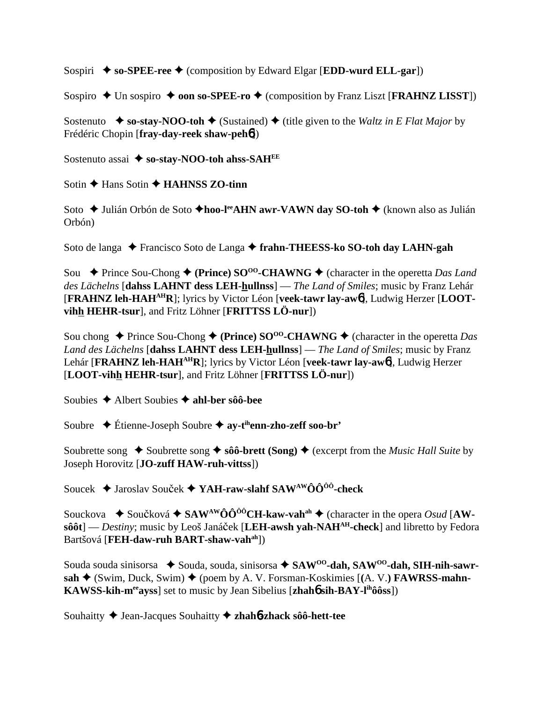Sospiri  $\rightarrow$  so-SPEE-ree  $\rightarrow$  (composition by Edward Elgar [EDD-wurd ELL-gar])

Sospiro  $\triangle$  Un sospiro  $\triangle$  **oon so-SPEE-ro**  $\triangle$  (composition by Franz Liszt [**FRAHNZ LISST**])

Sostenuto  $\bullet$  so-stay-NOO-toh  $\bullet$  (Sustained)  $\bullet$  (title given to the *Waltz in E Flat Major* by Frédéric Chopin [**fray-day-reek shaw-peh**6])

Sostenuto assai  $\triangle$  so-stay-NOO-toh ahss-SAH<sup>EE</sup>

Sotin **← Hans Sotin ← HAHNSS ZO-tinn** 

Soto **→** Julián Orbón de Soto ◆hoo-l<sup>ee</sup>AHN awr-VAWN day SO-toh ◆ (known also as Julián Orbón)

Soto de langa Francisco Soto de Langa **frahn-THEESS-ko SO-toh day LAHN-gah**

Sou **→** Prince Sou-Chong ◆ (Prince) SO<sup>oo</sup>-CHAWNG ◆ (character in the operetta *Das Land des Lächelns* [**dahss LAHNT dess LEH-hullnss**] — *The Land of Smiles*; music by Franz Lehár [**FRAHNZ leh-HAHAHR**]; lyrics by Victor Léon [**veek-tawr lay-aw**6], Ludwig Herzer [**LOOTvihh HEHR-tsur**], and Fritz Löhner [**FRITTSS LÖ-nur**])

Sou chong  $\triangle$  Prince Sou-Chong  $\triangle$  (Prince) SO<sup>00</sup>-CHAWNG  $\triangle$  (character in the operetta *Das Land des Lächelns* [**dahss LAHNT dess LEH-hullnss**] — *The Land of Smiles*; music by Franz Lehár [**FRAHNZ leh-HAHAHR**]; lyrics by Victor Léon [**veek-tawr lay-aw**6], Ludwig Herzer [**LOOT-vihh HEHR-tsur**], and Fritz Löhner [**FRITTSS LÖ-nur**])

Soubies Albert Soubies **ahl-ber sôô-bee**

Soubre Étienne-Joseph Soubre **ay-tihenn-zho-zeff soo-br'**

Soubrette song  $\bullet$  Soubrette song  $\bullet$  sôô-brett (Song)  $\bullet$  (excerpt from the *Music Hall Suite* by Joseph Horovitz [**JO-zuff HAW-ruh-vittss**])

Soucek ◆ Jaroslav Souček **◆ YAH-raw-slahf SAW<sup>AW</sup>ÔÔ<sup>ôô</sup>-check** 

Souckova  $\bullet$  Součková  $\bullet$  SAW<sup>AW</sup>ÔÔ<sup>ôô</sup>CH-kaw-vah<sup>ah</sup>  $\bullet$  (character in the opera *Osud* [AW- $\hat{\textbf{soot}}$ ] — *Destiny*; music by Leoš Janáček [LEH-awsh yah-NAH<sup>AH</sup>-check] and libretto by Fedora Bartšová [**FEH-daw-ruh BART-shaw-vah**<sup>ah</sup>])

Souda souda sinisorsa ◆ Souda, souda, sinisorsa ◆ SAW<sup>oo</sup>-dah, SAW<sup>oo</sup>-dah, SIH-nih-sawr- $\mathbf{s}$ ah  $\blacklozenge$  (Swim, Duck, Swim)  $\blacklozenge$  (poem by A. V. Forsman-Koskimies [(A. V.) **FAWRSS-mahn-KAWSS-kih-m<sup>ee</sup>ayss**] set to music by Jean Sibelius [**zhah**6 sih-BAY-l<sup>ih</sup>ôôss])

Souhaitty Jean-Jacques Souhaitty **zhah**6**-zhack sôô-hett-tee**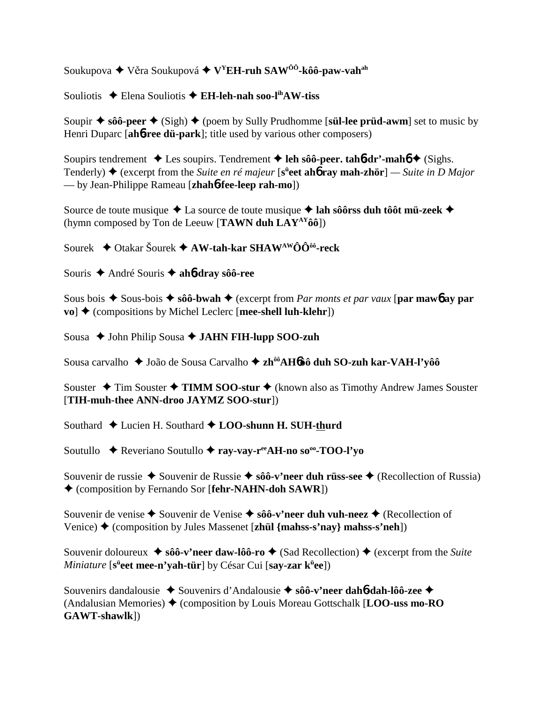Soukupova  $\blacklozenge$  Věra Soukupová  $\blacklozenge$  V<sup>Y</sup>EH-ruh SAW<sup>00</sup>-kôô-paw-vah<sup>ah</sup>

Souliotis → Elena Souliotis → EH-leh-nah soo-l<sup>ih</sup>AW-tiss

Soupir  $\triangle$  sôô-peer  $\triangle$  (Sigh)  $\triangle$  (poem by Sully Prudhomme [sül-lee prüd-awm] set to music by Henri Duparc [ah6-ree dü-park]; title used by various other composers)

Soupirs tendrement  $\triangle$  Les soupirs. Tendrement  $\triangle$  leh sôô-peer. tahot-dr'-mahot  $\triangle$  (Sighs. Tenderly)  $\triangleq$  (excerpt from the *Suite en ré majeur* [s<sup>ü</sup>eet ah**ó ray mah-zhör**] — *Suite in D Major* — by Jean-Philippe Rameau [zhah**6-fee-leep rah-mo**])

Source de toute musique  $\triangle$  La source de toute musique  $\triangle$  lah sôôrss duh tôôt mü-zeek  $\triangle$ (hymn composed by Ton de Leeuw [TAWN duh  $LAY^{AY}\hat{\mathbf{0}}\hat{\mathbf{0}}$ ])

Sourek ◆ Otakar Šourek ◆ AW-tah-kar SHAW<sup>AW</sup>ÔÔ<sup>ôô</sup>-reck

Souris  $\triangle$  André Souris  $\triangle$  ah*b***-dray** sôô-ree

Sous bois  $\triangle$  Sous-bois  $\triangle$  sôô-bwah  $\triangle$  (excerpt from Par monts et par vaux [par maw6 ay par  $\mathbf{vo}$   $\blacklozenge$  (compositions by Michel Leclerc [mee-shell luh-klehr])

Sousa ♦ John Philip Sousa ♦ JAHN FIH-lupp SOO-zuh

Sousa carvalho ◆ João de Sousa Carvalho ◆ zh<sup>ôô</sup>AHo ôô duh SO-zuh kar-VAH-l'vôô

Souster  $\triangle$  Tim Souster  $\triangle$  TIMM SOO-stur  $\triangle$  (known also as Timothy Andrew James Souster [TIH-muh-thee ANN-droo JAYMZ SOO-stur])

Southard ◆ Lucien H. Southard ◆ LOO-shunn H. SUH-thurd

Soutullo ◆ Reveriano Soutullo ◆ ray-vay-r<sup>ee</sup>AH-no so<sup>oo</sup>-TOO-l'yo

Souvenir de russie ◆ Souvenir de Russie ◆ sôô-v'neer duh rüss-see ◆ (Recollection of Russia) ♦ (composition by Fernando Sor [fehr-NAHN-doh SAWR])

Souvenir de venise  $\triangle$  Souvenir de Venise  $\triangle$  sôô-v'neer duh vuh-neez  $\triangle$  (Recollection of Venice)  $\blacklozenge$  (composition by Jules Massenet [zhül {mahss-s'nay} mahss-s'neh])

Souvenir doloureux ◆ sôô-v'neer daw-lôô-ro ◆ (Sad Recollection) ◆ (excerpt from the Suite *Miniature* [s<sup>ii</sup>eet mee-n'yah-tür] by César Cui [say-zar k<sup>ii</sup>ee])

Souvenirs dandalousie ◆ Souvenirs d'Andalousie ◆ sôô-v'neer dah6-dah-lôô-zee ◆ (Andalusian Memories)  $\blacklozenge$  (composition by Louis Moreau Gottschalk [LOO-uss mo-RO GAWT-shawlk])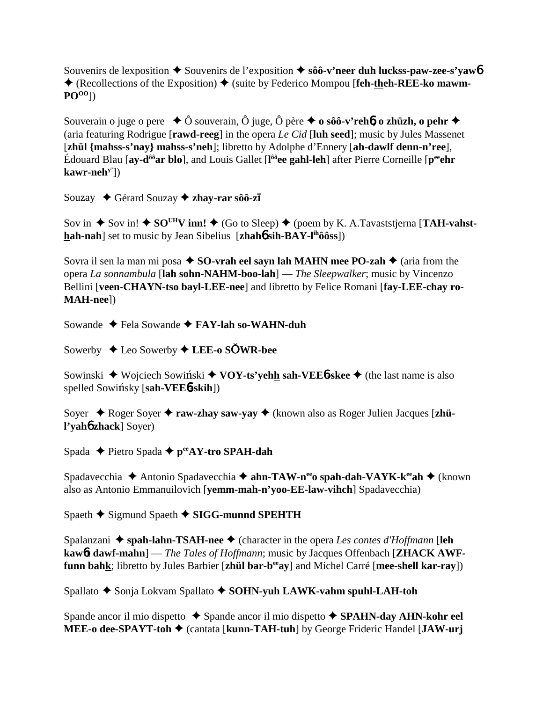Souvenirs de lexposition  $\triangle$  Souvenirs de l'exposition  $\triangle$  sôô-v'neer duh luckss-paw-zee-s'yaw<sup>6</sup> **←** (Recollections of the Exposition) ← (suite by Federico Mompou [**feh-theh-REE-ko mawm-POOO**])

Souverain o juge o pere **→** Ô souverain, Ô juge, Ô père **→ o sôô-v'rehb, o zhüzh, o pehr →** (aria featuring Rodrigue [**rawd-reeg**] in the opera *Le Cid* [**luh seed**]; music by Jules Massenet [**zhül {mahss-s'nay} mahss-s'neh**]; libretto by Adolphe d'Ennery [**ah-dawlf denn-n'ree**], Édouard Blau [**ay-dôôar blo**], and Louis Gallet [**l ôôee gahl-leh**] after Pierre Corneille [**peeehr kawr-nehy'**])

Souzay **←** Gérard Souzay ← zhay-rar sôô-z**ī** 

Sov in  $\triangle$  Sov in!  $\triangle$  SO<sup>UH</sup>V inn!  $\triangle$  (Go to Sleep)  $\triangle$  (poem by K. A.Tavaststjerna [**TAH-vahsthah-nah**] set to music by Jean Sibelius [**zhah6** sih-BAY-l<sup>ih</sup>ôôss])

Sovra il sen la man mi posa  $\triangle$  **SO-vrah eel sayn lah MAHN mee PO-zah**  $\triangle$  (aria from the opera *La sonnambula* [**lah sohn-NAHM-boo-lah**] — *The Sleepwalker*; music by Vincenzo Bellini [**veen-CHAYN-tso bayl-LEE-nee**] and libretto by Felice Romani [**fay-LEE-chay ro-MAH-nee**])

Sowande Fela Sowande **FAY-lah so-WAHN-duh**

Sowerby Leo Sowerby **LEE-o SWR-bee**

Sowinski **→** Wojciech Sowinski ◆ **VOY-ts'yehh sah-VEE6-skee** ◆ (the last name is also spelled Sowinsky [sah-VEE6-skih])

Soyer ◆ Roger Soyer ◆ raw-zhay saw-yay ◆ (known also as Roger Julien Jacques [zhü**l'yah**6 **zhack**] Soyer)

Spada **←** Pietro Spada ← p<sup>ee</sup>AY-tro SPAH-dah

Spadavecchia ◆ Antonio Spadavecchia ◆ ahn-TAW-neeo spah-dah-VAYK-keeah ◆ (known also as Antonio Emmanuilovich [**yemm-mah-n'yoo-EE-law-vihch**] Spadavecchia)

Spaeth **→** Sigmund Spaeth **→ SIGG-munnd SPEHTH** 

Spalanzani  $\triangle$  spah-lahn-TSAH-nee  $\triangle$  (character in the opera *Les contes d'Hoffmann* [leh **kaw**6**t dawf-mahn**] — *The Tales of Hoffmann*; music by Jacques Offenbach [**ZHACK AWFfunn bahk**; libretto by Jules Barbier [zhül bar-b<sup>ee</sup>ay] and Michel Carré [mee-shell kar-ray])

Spallato **←** Sonja Lokvam Spallato ← SOHN-yuh LAWK-yahm spuhl-LAH-toh

Spande ancor il mio dispetto **→** Spande ancor il mio dispetto **→ SPAHN-day AHN-kohr eel MEE-o dee-SPAYT-toh ♦ (cantata [kunn-TAH-tuh]** by George Frideric Handel [JAW-urj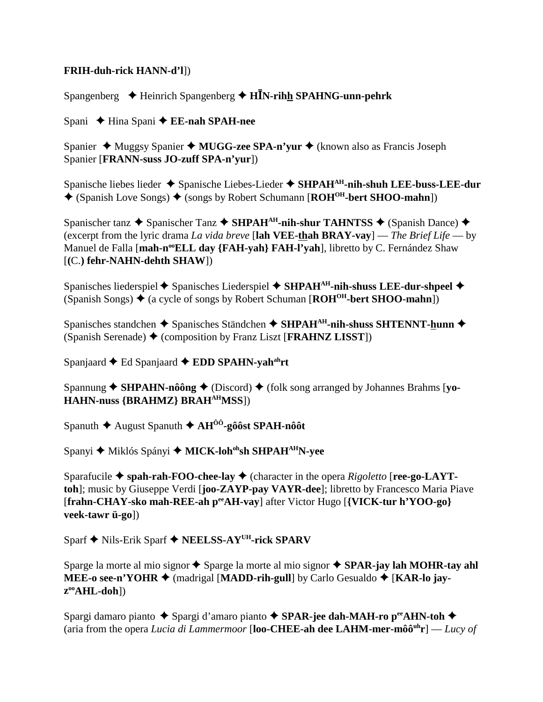## **FRIH-duh-rick HANN-d'll)**

Spangenberg  $\triangleq$  Heinrich Spangenberg  $\triangleq$  HIN-rihh SPAHNG-unn-pehrk

Spani  $\triangle$  Hina Spani  $\triangle$  EE-nah SPAH-nee

Spanier  $\triangle$  Muggsy Spanier  $\triangle$  MUGG-zee SPA-n'yur  $\triangle$  (known also as Francis Joseph Spanier [FRANN-suss JO-zuff SPA-n'yur])

Spanische liebes lieder  $\triangle$  Spanische Liebes-Lieder  $\triangle$  SHPAH<sup>AH</sup>-nih-shuh LEE-buss-LEE-dur  $\bigstar$  (Spanish Love Songs)  $\bigstar$  (songs by Robert Schumann [ROH<sup>OH</sup>-bert SHOO-mahn])

Spanischer tanz  $\triangle$  Spanischer Tanz  $\triangle$  SHPAH<sup>AH</sup>-nih-shur TAHNTSS  $\triangle$  (Spanish Dance)  $\triangle$ (excerpt from the lyric drama La vida breve [lah VEE-thah BRAY-vay] — The Brief Life — by Manuel de Falla [mah-n<sup>oo</sup>ELL day {FAH-yah} FAH-l'yah], libretto by C. Fernández Shaw  $[(C.)$  fehr-NAHN-dehth SHAW])

Spanisches liederspiel  $\blacklozenge$  Spanisches Liederspiel  $\blacklozenge$  SHPAH<sup>AH</sup>-nih-shuss LEE-dur-shpeel  $\blacklozenge$ (Spanish Songs)  $\triangleq$  (a cycle of songs by Robert Schuman [ $ROH^{OH}$ -bert SHOO-mahn])

Spanisches standchen  $\triangle$  Spanisches Ständchen  $\triangle$  SHPAH<sup>AH</sup>-nih-shuss SHTENNT-hunn  $\triangle$ (Spanish Serenade)  $\blacklozenge$  (composition by Franz Liszt [FRAHNZ LISST])

Spaniaard  $\triangle$  Ed Spaniaard  $\triangle$  EDD SPAHN-vah<sup>ah</sup>rt

Spannung  $\blacklozenge$  SHPAHN-nôông  $\blacklozenge$  (Discord)  $\blacklozenge$  (folk song arranged by Johannes Brahms [yo-**HAHN-nuss {BRAHMZ} BRAH<sup>AH</sup>MSS**])

Spanuth  $\blacklozenge$  August Spanuth  $\blacklozenge$  AH<sup>00</sup>-gôôst SPAH-nôôt

Spanyi ◆ Miklós Spányi ◆ MICK-loh<sup>oh</sup>sh SHPAH<sup>AH</sup>N-yee

Sparafucile  $\blacklozenge$  spah-rah-FOO-chee-lay  $\blacklozenge$  (character in the opera *Rigoletto* [ree-go-LAYTtoh]; music by Giuseppe Verdi [joo-ZAYP-pay VAYR-dee]; libretto by Francesco Maria Piave [frahn-CHAY-sko mah-REE-ah per AH-vay] after Victor Hugo [{VICK-tur h'YOO-go} veek-tawr ü-go])

Sparf ◆ Nils-Erik Sparf ◆ NEELSS-AY<sup>UH</sup>-rick SPARV

Sparge la morte al mio signor ◆ Sparge la morte al mio signor ◆ SPAR-jay lah MOHR-tay ahl MEE-o see-n'YOHR  $\blacklozenge$  (madrigal [MADD-rih-gull] by Carlo Gesualdo  $\blacklozenge$  [KAR-lo jay $z^{\text{oo}}\text{AHL-doh}$ ])

Spargi damaro pianto  $\blacklozenge$  Spargi d'amaro pianto  $\blacklozenge$  SPAR-jee dah-MAH-ro p<sup>ee</sup>AHN-toh  $\blacklozenge$ (aria from the opera Lucia di Lammermoor [loo-CHEE-ah dee LAHM-mer-môô<sup>uh</sup>r] — Lucy of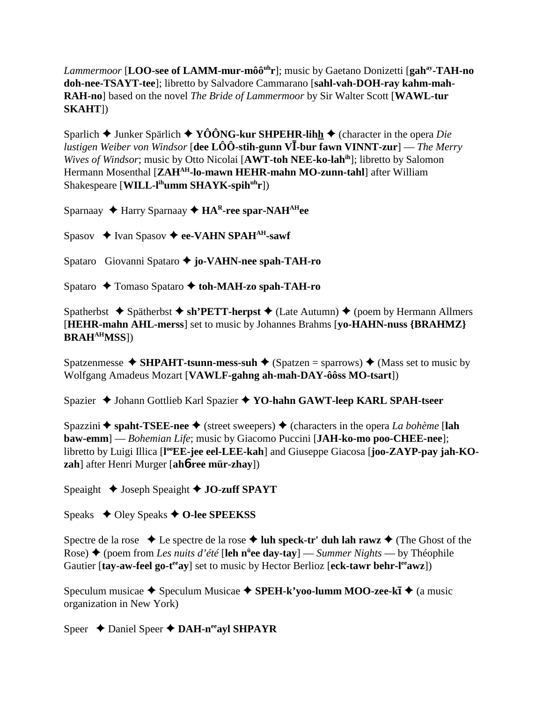*Lammermoor* [LOO-see of LAMM-mur-môô<sup>uh</sup>r]; music by Gaetano Donizetti [gah<sup>ay</sup>-TAH-no] doh-nee-TSAYT-tee]; libretto by Salvadore Cammarano [sahl-vah-DOH-ray kahm-mah-RAH-no] based on the novel The Bride of Lammermoor by Sir Walter Scott [WAWL-tur  $SKAHT$ ])

Sparlich  $\triangle$  Junker Spärlich  $\triangle$  YÔÔNG-kur SHPEHR-lihh  $\triangle$  (character in the opera *Die lustigen Weiber von Windsor* [dee  $\angle$ LOO -stih-gunn VI-bur fawn VINNT-zur] — The Merry Wives of Windsor; music by Otto Nicolai [AWT-toh NEE-ko-lahih]; libretto by Salomon Hermann Mosenthal [ZAH<sup>AH</sup>-lo-mawn HEHR-mahn MO-zunn-tahl] after William Shakespeare [WILL-l<sup>ih</sup>umm SHAYK-spih<sup>uh</sup>r])

Sparnaay  $\triangle$  Harry Sparnaay  $\triangle$  HA<sup>R</sup>-ree spar-NAH<sup>AH</sup>ee

Spasov  $\triangle$  Ivan Spasov  $\triangle$  ee-VAHN SPAH<sup>AH</sup>-sawf

Spataro Giovanni Spataro ♦ jo-VAHN-nee spah-TAH-ro

Spataro ← Tomaso Spataro ← toh-MAH-zo spah-TAH-ro

Spatherbst  $\triangle$  Spätherbst  $\triangle$  sh'PETT-herpst  $\triangle$  (Late Autumn)  $\triangle$  (poem by Hermann Allmers [HEHR-mahn AHL-merss] set to music by Johannes Brahms [vo-HAHN-nuss {BRAHMZ}] **BRAH<sup>AH</sup>MSS**])

Spatzenmesse  $\triangle$  SHPAHT-tsunn-mess-suh  $\triangle$  (Spatzen = sparrows)  $\triangle$  (Mass set to music by Wolfgang Amadeus Mozart [VAWLF-gahng ah-mah-DAY-ôôss MO-tsart])

Spazier ◆ Johann Gottlieb Karl Spazier ◆ YO-hahn GAWT-leep KARL SPAH-tseer

Spazzini  $\triangle$  spaht-TSEE-nee  $\triangle$  (street sweepers)  $\triangle$  (characters in the opera *La bohème* [lah **baw-emm**] — Bohemian Life; music by Giacomo Puccini [JAH-ko-mo poo-CHEE-nee]; libretto by Luigi Illica [l<sup>oo</sup>EE-jee eel-LEE-kah] and Giuseppe Giacosa [joo-ZAYP-pay jah-KOzah] after Henri Murger [ah**ó-ree mür-zhay**])

Speaight ↓ Joseph Speaight ◆ JO-zuff SPAYT

Speaks  $\triangleleft$  Oley Speaks  $\triangleleft$  O-lee SPEEKSS

Spectre de la rose  $\bullet$  Le spectre de la rose  $\bullet$  luh speck-tr' duh lah rawz  $\bullet$  (The Ghost of the Rose)  $\triangle$  (poem from Les nuits d'été [leh n<sup>u</sup>e day-tay] — Summer Nights — by Théophile Gautier [tay-aw-feel go-t<sup>ee</sup>ay] set to music by Hector Berlioz [eck-tawr behr-l<sup>ee</sup>awz])

Speculum musicae  $\triangle$  Speculum Musicae  $\triangle$  SPEH-k'voo-lumm MOO-zee-k $\overline{A}$   $\triangle$  (a music organization in New York)

Speer  $\triangle$  Daniel Speer  $\triangle$  DAH-n<sup>ee</sup>ayl SHPAYR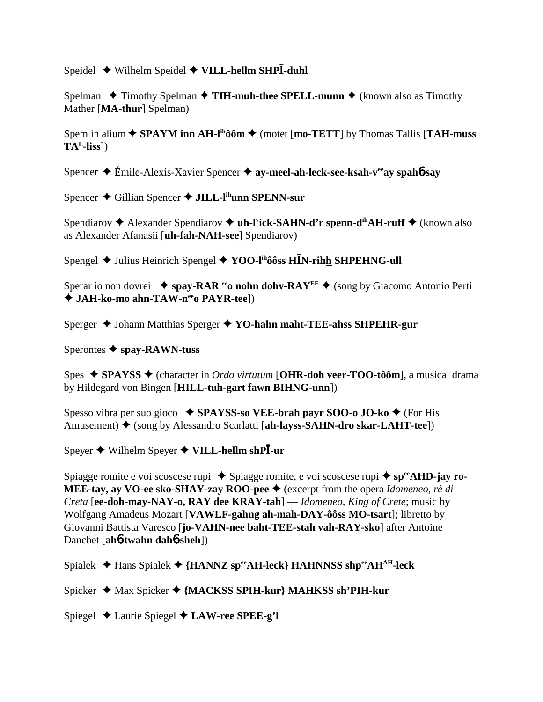Speidel ◆ Wilhelm Speidel ◆ VILL-hellm SHP<sup>T</sup>-duhl

Spelman  $\triangle$  Timothy Spelman  $\triangle$  **TIH-muh-thee SPELL-munn**  $\triangle$  (known also as Timothy Mather [**MA-thur**] Spelman)

Spem in alium  $\triangle$  **SPAYM inn AH-l<sup>ih</sup>ôôm**  $\triangle$  (motet [**mo-TETT**] by Thomas Tallis [**TAH-muss TAL-liss**])

Spencer **→** Émile-Alexis-Xavier Spencer → ay-meel-ah-leck-see-ksah-v<sup>ee</sup>ay spah**6**-say

Spencer ◆ Gillian Spencer ◆ **JILL-l<sup>ih</sup>unn SPENN-sur** 

Spendiarov ◆ Alexander Spendiarov ◆ **uh-l<sup>y</sup>ick-SAHN-d'r spenn-d<sup>ih</sup>AH-ruff** ◆ (known also as Alexander Afanasii [**uh-fah-NAH-see**] Spendiarov)

Spengel  $\blacklozenge$  Julius Heinrich Spengel  $\blacklozenge$  YOO-l<sup>ih</sup>ôôss HĪN-rih<u>h</u> SHPEHNG-ull

Sperar io non dovrei **→ spay-RAR <sup>ee</sup>o nohn dohv-RAY<sup>EE</sup> →** (song by Giacomo Antonio Perti ◆ JAH-ko-mo ahn-TAW-n<sup>ee</sup>o PAYR-tee])

Sperger  $\triangle$  Johann Matthias Sperger  $\triangle$  YO-hahn maht-TEE-ahss SHPEHR-gur

Sperontes **spay-RAWN-tuss**

Spes **SPAYSS** (character in *Ordo virtutum* [**OHR-doh veer-TOO-tôôm**], a musical drama by Hildegard von Bingen [**HILL-tuh-gart fawn BIHNG-unn**])

Spesso vibra per suo gioco **SPAYSS-so VEE-brah payr SOO-o JO-ko** (For His Amusement) ◆ (song by Alessandro Scarlatti [**ah-layss-SAHN-dro skar-LAHT-tee**])

 $S$ peyer ◆ Wilhelm Speyer ◆ VILL-hellm shPl-ur

Spiagge romite e voi scoscese rupi ◆ Spiagge romite, e voi scoscese rupi ◆ sp<sup>ee</sup>AHD-jay ro-**MEE-tay, ay VO-ee sko-SHAY-zay ROO-pee ♦** (excerpt from the opera *Idomeneo, rè di Creta* [**ee-doh-may-NAY-o, RAY dee KRAY-tah**] — *Idomeneo, King of Crete*; music by Wolfgang Amadeus Mozart [**VAWLF-gahng ah-mah-DAY-ôôss MO-tsart**]; libretto by Giovanni Battista Varesco [**jo-VAHN-nee baht-TEE-stah vah-RAY-sko**] after Antoine Danchet [**ah**6**-twahn dah**6**-sheh**])

Spialek Hans Spialek **{HANNZ speeAH-leck} HAHNNSS shpeeAHAH-leck**

Spicker ◆ Max Spicker ◆ {MACKSS SPIH-kur} MAHKSS sh'PIH-kur

Spiegel Laurie Spiegel **LAW-ree SPEE-g'l**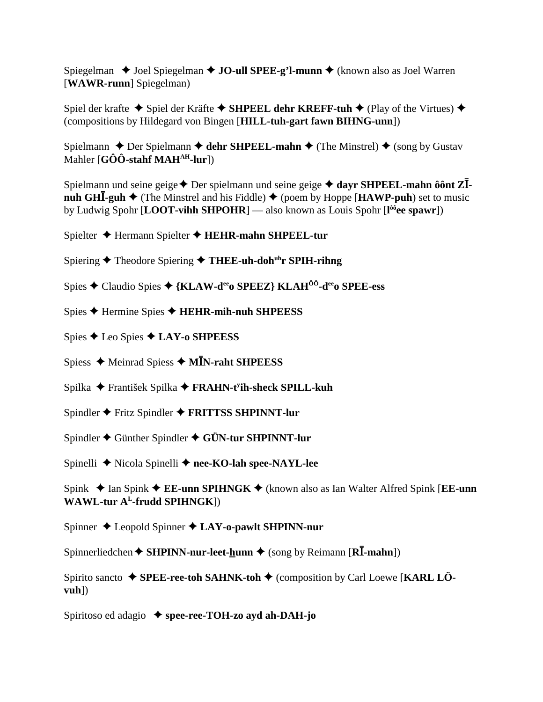Spiegelman  $\triangle$  Joel Spiegelman  $\triangle$  JO-ull SPEE-g'l-munn  $\triangle$  (known also as Joel Warren [WAWR-runn] Spiegelman)

Spiel der krafte  $\triangle$  Spiel der Kräfte  $\triangle$  SHPEEL dehr KREFF-tuh  $\triangle$  (Play of the Virtues)  $\triangle$ (compositions by Hildegard von Bingen [HILL-tuh-gart fawn BIHNG-unn])

Spielmann  $\triangle$  Der Spielmann  $\triangle$  dehr SHPEEL-mahn  $\triangle$  (The Minstrel)  $\triangle$  (song by Gustav Mahler [GÔÔ-stahf MAH<sup>AH</sup>-lur])

Spielmann und seine geige  $\triangle$  Der spielmann und seine geige  $\triangle$  dayr SHPEEL-mahn ôônt Z $\overline{I}$ **nuh GHI-guh**  $\triangleq$  (The Minstrel and his Fiddle)  $\triangleq$  (poem by Hoppe [**HAWP-puh**) set to music by Ludwig Spohr [LOOT-vihh SHPOHR] — also known as Louis Spohr  $[I^{\hat{00}}$ ee spawr])

Spielter ◆ Hermann Spielter ◆ HEHR-mahn SHPEEL-tur

Spiering  $\triangle$  Theodore Spiering  $\triangle$  THEE-uh-doh<sup>th</sup>r SPIH-rihng

Spies ♦ Claudio Spies ♦ {KLAW-d<sup>ee</sup>o SPEEZ} KLAH<sup>ôô</sup>-d<sup>ee</sup>o SPEE-ess

- Spies  $\blacklozenge$  Hermine Spies  $\blacklozenge$  HEHR-mih-nuh SHPEESS
- Spies  $\bigstar$  Leo Spies  $\bigstar$  LAY-o SHPEESS
- Spiess  $\triangleleft$  Meinrad Spiess  $\triangleleft$  MIN-raht SHPEESS
- Spilka ◆ František Spilka ◆ FRAHN-t<sup>y</sup>ih-sheck SPILL-kuh
- Spindler ◆ Fritz Spindler ◆ FRITTSS SHPINNT-lur
- Spindler  $\triangle$  Günther Spindler  $\triangle$  GÜN-tur SHPINNT-lur

Spinelli ◆ Nicola Spinelli ◆ nee-KO-lah spee-NAYL-lee

Spink  $\triangle$  Ian Spink  $\triangle$  EE-unn SPIHNGK  $\triangle$  (known also as Ian Walter Alfred Spink [EE-unn WAWL-tur  $A<sup>L</sup>$ -frudd SPIHNGK])

Spinner  $\triangle$  Leopold Spinner  $\triangle$  LAY-o-pawlt SHPINN-nur

Spinnerliedchen  $\triangle$  SHPINN-nur-leet-hunn  $\triangle$  (song by Reimann [RI-mahn])

Spirito sancto  $\blacklozenge$  SPEE-ree-toh SAHNK-toh  $\blacklozenge$  (composition by Carl Loewe [KARL LÖ $vuh$ )

Spiritoso ed adagio  $\triangle$  spee-ree-TOH-zo avd ah-DAH-jo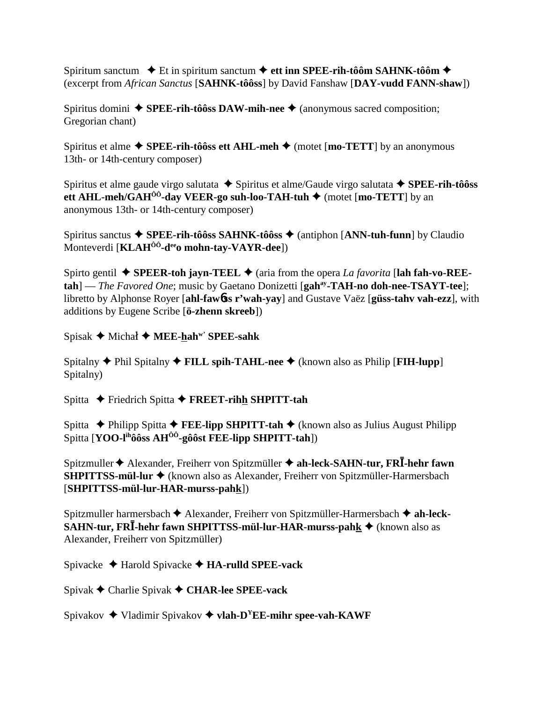Spiritum sanctum **→** Et in spiritum sanctum → ett inn SPEE-rih-tôôm SAHNK-tôôm → (excerpt from *African Sanctus* [**SAHNK-tôôss**] by David Fanshaw [**DAY-vudd FANN-shaw**])

Spiritus domini  $\triangle$  **SPEE-rih-tôôss DAW-mih-nee**  $\triangle$  (anonymous sacred composition; Gregorian chant)

Spiritus et alme  $\triangle$  **SPEE-rih-tôôss ett AHL-meh**  $\triangle$  (motet [**mo-TETT**] by an anonymous 13th- or 14th-century composer)

Spiritus et alme gaude virgo salutata ◆ Spiritus et alme/Gaude virgo salutata ◆ SPEE-rih-tôôss **ett AHL-meh/GAH<sup>ÔÔ</sup>-day VEER-go suh-loo-TAH-tuh ♦ (motet [mo-TETT] by an** anonymous 13th- or 14th-century composer)

Spiritus sanctus **SPEE-rih-tôôss SAHNK-tôôss** (antiphon [**ANN-tuh-funn**] by Claudio Monteverdi [**KLAHÔÔ-deeo mohn-tay-VAYR-dee**])

Spirto gentil  $\blacklozenge$  **SPEER-toh jayn-TEEL**  $\blacklozenge$  (aria from the opera *La favorita* [lah fah-vo-REE**tah**] — *The Favored One*; music by Gaetano Donizetti [**gahay-TAH-no doh-nee-TSAYT-tee**]; libretto by Alphonse Royer [**ahl-faw**6**ss r'wah-yay**] and Gustave Vaëz [**güss-tahv vah-ezz**], with additions by Eugene Scribe [**ö-zhenn skreeb**])

 $Spisak \rightarrow Michal \rightarrow MEE-hah^{w'}$  SPEE-sahk

Spitalny **◆** Phil Spitalny ◆ **FILL spih-TAHL-nee** ◆ (known also as Philip [**FIH-lupp**] Spitalny)

Spitta **←** Friedrich Spitta ← FREET-rihh SHPITT-tah

Spitta **←** Philipp Spitta **←** FEE-lipp SHPITT-tah 
← (known also as Julius August Philipp Spitta [**YOO-lihôôss AHÔÔ-gôôst FEE-lipp SHPITT-tah**])

Spitzmuller  $\blacklozenge$  Alexander, Freiherr von Spitzmüller  $\blacklozenge$  ah-leck-SAHN-tur, FRI-hehr fawn **SHPITTSS-mül-lur** (known also as Alexander, Freiherr von Spitzmüller-Harmersbach [**SHPITTSS-mül-lur-HAR-murss-pahk**])

Spitzmuller harmersbach  $\blacklozenge$  Alexander, Freiherr von Spitzmüller-Harmersbach  $\blacklozenge$  ah-leck-**SAHN-tur, FRĪ-hehr fawn SHPITTSS-mül-lur-HAR-murss-pah<u>k</u> ♦ (known also as** Alexander, Freiherr von Spitzmüller)

Spivacke Harold Spivacke **HA-rulld SPEE-vack**

Spivak Charlie Spivak **CHAR-lee SPEE-vack**

Spivakov  $\triangleq$  Vladimir Spivakov  $\triangleq$  **vlah-D<sup>Y</sup>EE-mihr spee-vah-KAWF**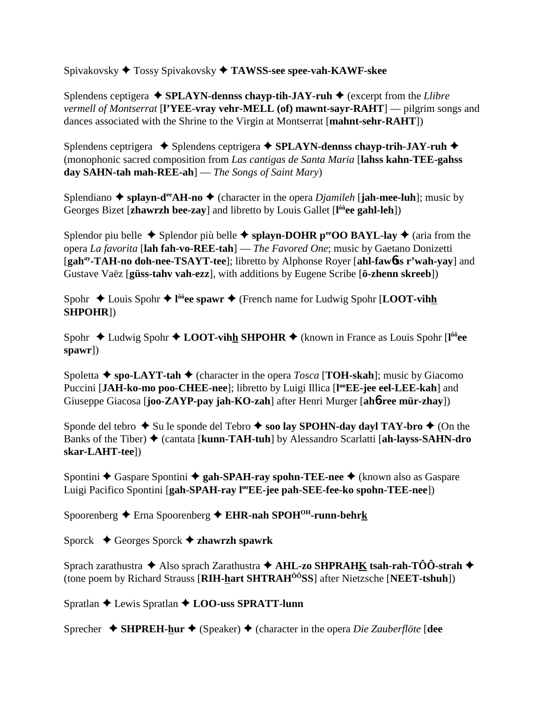Spivakovsky Tossy Spivakovsky **TAWSS-see spee-vah-KAWF-skee** 

Splendens ceptigera  $\triangle$  **SPLAYN-dennss chayp-tih-JAY-ruh**  $\triangle$  (excerpt from the *Llibre vermell of Montserrat* [**l'YEE-vray vehr-MELL (of) mawnt-sayr-RAHT**] — pilgrim songs and dances associated with the Shrine to the Virgin at Montserrat [**mahnt-sehr-RAHT**])

Splendens ceptrigera  $\triangle$  Splendens ceptrigera  $\triangle$  SPLAYN-dennss chayp-trih-JAY-ruh  $\triangle$ (monophonic sacred composition from *Las cantigas de Santa Maria* [**lahss kahn-TEE-gahss day SAHN-tah mah-REE-ah**] — *The Songs of Saint Mary*)

Splendiano  $\triangle$  splayn-d<sup>ee</sup>AH-no  $\triangle$  (character in the opera *Djamileh* [**jah-mee-luh**]; music by Georges Bizet [**zhawrzh bee-zay**] and libretto by Louis Gallet [**l ôôee gahl-leh**])

Splendor piu belle  $\triangle$  Splendor più belle  $\triangle$  splayn-DOHR p<sup>ec</sup>OO BAYL-lay  $\triangle$  (aria from the opera *La favorita* [**lah fah-vo-REE-tah**] — *The Favored One*; music by Gaetano Donizetti [**gahay-TAH-no doh-nee-TSAYT-tee**]; libretto by Alphonse Royer [**ahl-faw**6**ss r'wah-yay**] and Gustave Vaëz [**güss-tahv vah-ezz**], with additions by Eugene Scribe [**ö-zhenn skreeb**])

Spohr ◆ Louis Spohr ◆ l<sup>ôô</sup>ee spawr ◆ (French name for Ludwig Spohr [**LOOT-vihh SHPOHR**])

Spohr ◆ Ludwig Spohr ◆ LOOT-vihh SHPOHR ◆ (known in France as Louis Spohr [l<sup>ôô</sup>ee **spawr**])

Spoletta  $\triangle$  spo-LAYT-tah  $\triangle$  (character in the opera *Tosca* [TOH-skah]; music by Giacomo Puccini [JAH-ko-mo poo-CHEE-nee]; libretto by Luigi Illica [l<sup>oo</sup>EE-jee eel-LEE-kah] and Giuseppe Giacosa [**joo-ZAYP-pay jah-KO-zah**] after Henri Murger [**ah**6**-ree mür-zhay**])

Sponde del tebro  $\triangle$  Su le sponde del Tebro  $\triangle$  soo lay SPOHN-day dayl TAY-bro  $\triangle$  (On the Banks of the Tiber)  $\blacklozenge$  (cantata [**kunn-TAH-tuh**] by Alessandro Scarlatti [**ah-layss-SAHN-dro skar-LAHT-tee**])

Spontini **←** Gaspare Spontini ← gah-SPAH-ray spohn-TEE-nee ← (known also as Gaspare Luigi Pacifico Spontini [**gah-SPAH-ray l<sup>oo</sup>EE-jee pah-SEE-fee-ko spohn-TEE-nee**])

Spoorenberg **←** Erna Spoorenberg ← EHR-nah SPOH<sup>OH</sup>-runn-behrk

Sporck Georges Sporck **zhawrzh spawrk**

Sprach zarathustra **→** Also sprach Zarathustra **→ AHL-zo SHPRAHK tsah-rah-TÔÔ-strah** → (tone poem by Richard Strauss [**RIH-hart SHTRAHÔÔSS**] after Nietzsche [**NEET-tshuh**])

Spratlan Lewis Spratlan **LOO-uss SPRATT-lunn**

Sprecher **→ SHPREH-hur →** (Speaker) ← (character in the opera *Die Zauberflöte* [**dee**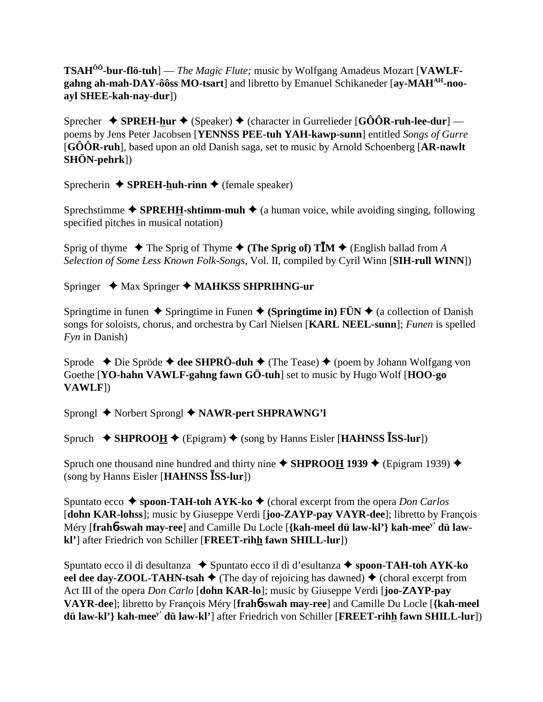**TSAHÔÔ-bur-flö-tuh**] — *The Magic Flute;* music by Wolfgang Amadeus Mozart [**VAWLF**gahng ah-mah-DAY-ôôss MO-tsart] and libretto by Emanuel Schikaneder [ay-MAH<sup>AH</sup>-noo**ayl SHEE-kah-nay-dur**])

Sprecher  $\rightarrow$  **SPREH-hur**  $\rightarrow$  (Speaker)  $\rightarrow$  (character in Gurrelieder [GÔÔR-ruh-lee-dur] poems by Jens Peter Jacobsen [**YENNSS PEE-tuh YAH-kawp-sunn**] entitled *Songs of Gurre* [**GÔÔR-ruh**], based upon an old Danish saga, set to music by Arnold Schoenberg [**AR-nawlt SHÖN-pehrk**])

Sprecherin  $\triangle$  **SPREH-huh-rinn**  $\triangle$  (female speaker)

Sprechstimme  $\triangle$  **SPREHH-shtimm-muh**  $\triangle$  (a human voice, while avoiding singing, following specified pitches in musical notation)

Sprig of thyme  $\blacklozenge$  The Sprig of Thyme  $\blacklozenge$  (The Sprig of) TIM  $\blacklozenge$  (English ballad from *A Selection of Some Less Known Folk-Songs*, Vol. II, compiled by Cyril Winn [**SIH-rull WINN**])

Springer ◆ Max Springer ◆ MAHKSS SHPRIHNG-ur

Springtime in funen  $\triangle$  Springtime in Funen  $\triangle$  (Springtime in) FÜN  $\triangle$  (a collection of Danish songs for soloists, chorus, and orchestra by Carl Nielsen [**KARL NEEL-sunn**]; *Funen* is spelled *Fyn* in Danish)

Sprode **→** Die Spröde **→ dee SHPRÖ-duh →** (The Tease) ◆ (poem by Johann Wolfgang von Goethe [**YO-hahn VAWLF-gahng fawn GÖ-tuh**] set to music by Hugo Wolf [**HOO-go VAWLF**])

Sprongl ◆ Norbert Sprongl ◆ NAWR-pert SHPRAWNG'l

Spruch  $\triangle$  **SHPROO<u>H</u>**  $\triangle$  (Epigram)  $\triangle$  (song by Hanns Eisler [**HAHNSS ISS-lur**])

Spruch one thousand nine hundred and thirty nine  $\blacklozenge$  **SHPROOH 1939**  $\blacklozenge$  (Epigram 1939)  $\blacklozenge$ (song by Hanns Eisler [HAHNSS **ISS-lur**])

Spuntato ecco **→ spoon-TAH-toh AYK-ko →** (choral excerpt from the opera *Don Carlos* [**dohn KAR-lohss**]; music by Giuseppe Verdi [**joo-ZAYP-pay VAYR-dee**]; libretto by François Méry [**frah**6**-swah may-ree**] and Camille Du Locle [**{kah-meel dü law-kl'} kah-meey' dü lawkl'**] after Friedrich von Schiller [**FREET-rihh fawn SHILL-lur**])

Spuntato ecco il di desultanza ◆ Spuntato ecco il dì d'esultanza ◆ spoon-TAH-toh AYK-ko **eel dee day-ZOOL-TAHN-tsah**  $\blacklozenge$  (The day of rejoicing has dawned)  $\blacklozenge$  (choral excerpt from Act III of the opera *Don Carlo* [**dohn KAR-lo**]; music by Giuseppe Verdi [**joo-ZAYP-pay VAYR-dee**]; libretto by François Méry [**frah**6**-swah may-ree**] and Camille Du Locle [**{kah-meel dü law-kl'} kah-meey' dü law-kl'**] after Friedrich von Schiller [**FREET-rihh fawn SHILL-lur**])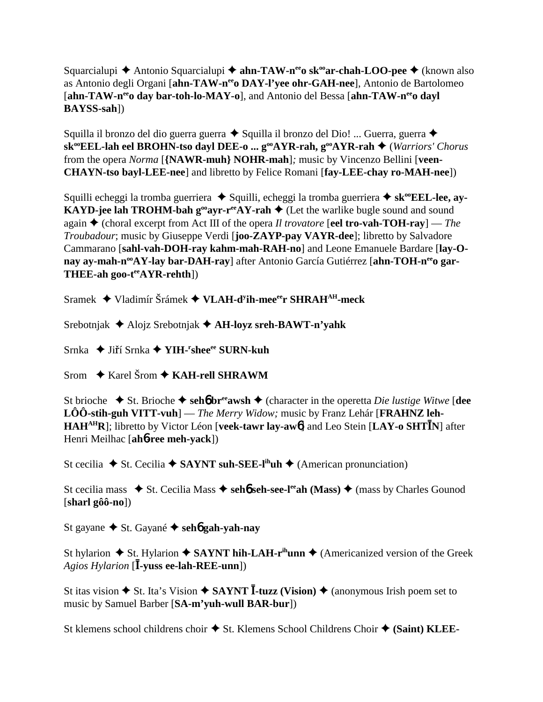Squarcialupi **→** Antonio Squarcialupi → **ahn-TAW-n<sup>ee</sup>o sk<sup>oo</sup>ar-chah-LOO-pee** → (known also as Antonio degli Organi [ahn-TAW-n<sup>ee</sup>o DAY-l'yee ohr-GAH-nee], Antonio de Bartolomeo [ahn-TAW-n<sup>ee</sup>o day bar-toh-lo-MAY-o], and Antonio del Bessa [ahn-TAW-n<sup>ee</sup>o dayl] **BAYSS-sah**])

Squilla il bronzo del dio guerra guerra  $\triangle$  Squilla il bronzo del Dio! ... Guerra, guerra  $\triangle$ sk<sup>oo</sup>EEL-lah eel BROHN-tso dayl DEE-o ... g<sup>oo</sup>AYR-rah, g<sup>oo</sup>AYR-rah ♦ (*Warriors' Chorus* from the opera *Norma* [**{NAWR-muh} NOHR-mah**]*;* music by Vincenzo Bellini [**veen-CHAYN-tso bayl-LEE-nee**] and libretto by Felice Romani [**fay-LEE-chay ro-MAH-nee**])

Squilli echeggi la tromba guerriera ◆ Squilli, echeggi la tromba guerriera ◆ sk<sup>oo</sup>EEL-lee, ay-**KAYD-jee lah TROHM-bah g<sup>oo</sup>ayr-r<sup>ee</sup>AY-rah**  $\triangleq$  (Let the warlike bugle sound and sound again (choral excerpt from Act III of the opera *Il trovatore* [**eel tro-vah-TOH-ray**] — *The Troubadour*; music by Giuseppe Verdi [**joo-ZAYP-pay VAYR-dee**]; libretto by Salvadore Cammarano [**sahl-vah-DOH-ray kahm-mah-RAH-no**] and Leone Emanuele Bardare [**lay-O**nay ay-mah-n<sup>oo</sup>AY-lay bar-DAH-ray] after Antonio García Gutiérrez [ahn-TOH-n<sup>ee</sup>o gar-**THEE-ah goo-teeAYR-rehth**])

Sramek ◆ Vladimír Šrámek ◆ VLAH-d<sup>y</sup>ih-mee<sup>ee</sup>r SHRAH<sup>AH</sup>-meck

Srebotnjak Alojz Srebotnjak **AH-loyz sreh-BAWT-n'yahk**

Srnka ◆ Jiří Srnka ◆ YIH-<sup>r</sup>shee<sup>ee</sup> SURN-kuh

Srom  $\rightarrow$  Karel Šrom  $\rightarrow$  KAH-rell SHRAWM

St brioche  $\blacklozenge$  St. Brioche  $\blacklozenge$  seh**6** br<sup>ee</sup>awsh  $\blacklozenge$  (character in the operetta *Die lustige Witwe* [dee **LÔÔ-stih-guh VITT-vuh**] — *The Merry Widow;* music by Franz Lehár [**FRAHNZ leh-**HAH<sup>AH</sup>R]; libretto by Victor Léon [veek-tawr lay-awo<sup>6</sup>] and Leo Stein [LAY-o SHTIN] after Henri Meilhac [**ah**6**-ree meh-yack**])

St cecilia  $\blacklozenge$  St. Cecilia  $\blacklozenge$  **SAYNT suh-SEE-l<sup>ih</sup>uh**  $\blacklozenge$  (American pronunciation)

St cecilia mass  $\bullet$  St. Cecilia Mass  $\bullet$  seh**6** seh-see-l<sup>ee</sup>ah (Mass)  $\bullet$  (mass by Charles Gounod [**sharl gôô-no**])

St gayane **→** St. Gayané → seh**6** gah-yah-nay

St hylarion  $\triangle$  St. Hylarion  $\triangle$  SAYNT hih-LAH-r<sup>ih</sup>unn  $\triangle$  (Americanized version of the Greek Agios Hylarion [**I-yuss ee-lah-REE-unn**])

St itas vision ◆ St. Ita's Vision ◆ SAYNT **I**-tuzz (Vision) ◆ (anonymous Irish poem set to music by Samuel Barber [**SA-m'yuh-wull BAR-bur**])

St klemens school childrens choir  $\triangle$  St. Klemens School Childrens Choir  $\triangle$  (Saint) KLEE-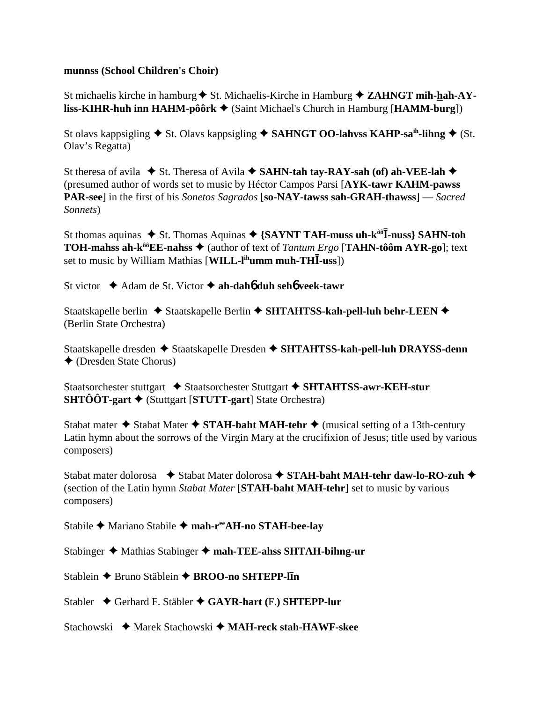## **munnss (School Children's Choir)**

St michaelis kirche in hamburg **→** St. Michaelis-Kirche in Hamburg ◆ ZAHNGT mih-hah-AY**liss-KIHR-huh inn HAHM-pôôrk** (Saint Michael's Church in Hamburg [**HAMM-burg**])

St olavs kappsigling  $\blacklozenge$  St. Olavs kappsigling  $\blacklozenge$  **SAHNGT OO-lahvss KAHP-sa**<sup>ih</sup>-lihng  $\blacklozenge$  (St. Olav's Regatta)

St theresa of avila  $\blacklozenge$  St. Theresa of Avila  $\blacklozenge$  **SAHN-tah tay-RAY-sah (of) ah-VEE-lah**  $\blacklozenge$ (presumed author of words set to music by Héctor Campos Parsi [**AYK-tawr KAHM-pawss PAR-see**] in the first of his *Sonetos Sagrados* [**so-NAY-tawss sah-GRAH-thawss**] — *Sacred Sonnets*)

St thomas aquinas  $\triangle$  St. Thomas Aquinas  $\triangle$  {SAYNT TAH-muss uh-k<sup>ôô</sup>**I**-nuss} SAHN-toh **TOH-mahss ah-k<sup>ôô</sup>EE-nahss ♦ (author of text of** *Tantum Ergo* **[TAHN-tôôm AYR-go]; text** set to music by William Mathias [WILL-l<sup>ih</sup>umm muh-THI-uss])

St victor  $\triangle$  Adam de St. Victor  $\triangle$  ah-dah6 duh seh6 veek-tawr

Staatskapelle berlin ◆ Staatskapelle Berlin ◆ SHTAHTSS-kah-pell-luh behr-LEEN ◆ (Berlin State Orchestra)

Staatskapelle dresden ◆ Staatskapelle Dresden ◆ SHTAHTSS-kah-pell-luh DRAYSS-denn (Dresden State Chorus)

Staatsorchester stuttgart  $\triangle$  Staatsorchester Stuttgart  $\triangle$  SHTAHTSS-awr-KEH-stur **SHTÔÔT-gart** (Stuttgart [**STUTT-gart**] State Orchestra)

Stabat mater  $\triangle$  Stabat Mater  $\triangle$  STAH-baht MAH-tehr  $\triangle$  (musical setting of a 13th-century Latin hymn about the sorrows of the Virgin Mary at the crucifixion of Jesus; title used by various composers)

Stabat mater dolorosa  $\rightarrow$  Stabat Mater dolorosa  $\rightarrow$  STAH-baht MAH-tehr daw-lo-RO-zuh  $\rightarrow$ (section of the Latin hymn *Stabat Mater* [**STAH-baht MAH-tehr**] set to music by various composers)

Stabile **←** Mariano Stabile ← mah-reeAH-no STAH-bee-lay

Stabinger **→** Mathias Stabinger → mah-TEE-ahss SHTAH-bihng-ur

Stablein Bruno Stäblein **BROO-no SHTEPP-ln**

Stabler Gerhard F. Stäbler **GAYR-hart (**F.**) SHTEPP-lur**

Stachowski **→** Marek Stachowski → MAH-reck stah-HAWF-skee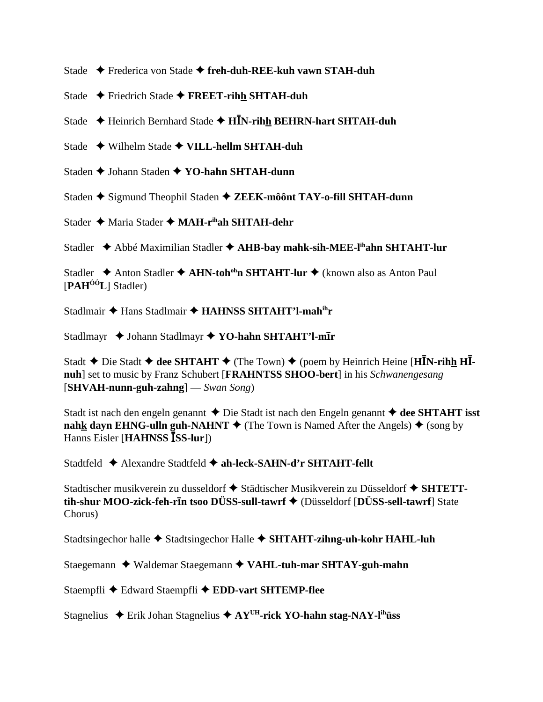Stade Frederica von Stade **freh-duh-REE-kuh vawn STAH-duh**

Stade Friedrich Stade **FREET-rihh SHTAH-duh**

Stade ◆ Heinrich Bernhard Stade ◆ H**I<sub>N</sub>-rihh BEHRN-hart SHTAH-duh** 

Stade Wilhelm Stade **VILL-hellm SHTAH-duh**

Staden **↓** Johann Staden **↓ YO-hahn SHTAH-dunn** 

Staden **→** Sigmund Theophil Staden → ZEEK-môônt TAY-o-fill SHTAH-dunn

Stader **→** Maria Stader ◆ MAH-r<sup>ih</sup>ah SHTAH-dehr

Stadler **→** Abbé Maximilian Stadler → AHB-bay mahk-sih-MEE-l<sup>ih</sup>ahn SHTAHT-lur

Stadler **→** Anton Stadler ◆ AHN-toh<sup>oh</sup>n SHTAHT-lur ◆ (known also as Anton Paul [**PAHÔÔL**] Stadler)

Stadlmair ◆ Hans Stadlmair ◆ **HAHNSS SHTAHT'l-mah<sup>ih</sup>r** 

Stadlmayr  $\triangle$  Johann Stadlmayr  $\triangle$  YO-hahn SHTAHT'l-m**Ir** 

Stadt  $\triangle$  Die Stadt  $\triangle$  dee SHTAHT  $\triangle$  (The Town)  $\triangle$  (poem by Heinrich Heine [HIN-rihh HI**nuh**] set to music by Franz Schubert [**FRAHNTSS SHOO-bert**] in his *Schwanengesang* [**SHVAH-nunn-guh-zahng**] — *Swan Song*)

Stadt ist nach den engeln genannt  $\triangle$  Die Stadt ist nach den Engeln genannt  $\triangle$  dee SHTAHT isst **nahk dayn EHNG-ulln guh-NAHNT**  $\blacklozenge$  (The Town is Named After the Angels)  $\blacklozenge$  (song by Hanns Eisler [**HAHNSS** ISS-lur])

Stadtfeld **←** Alexandre Stadtfeld ← ah-leck-SAHN-d'r SHTAHT-fellt

Stadtischer musikverein zu dusseldorf ◆ Städtischer Musikverein zu Düsseldorf ◆ SHTETT**tih-shur MOO-zick-feh-rn tsoo DÜSS-sull-tawrf** (Düsseldorf [**DÜSS-sell-tawrf**] State Chorus)

Stadtsingechor halle **→** Stadtsingechor Halle ◆ SHTAHT-zihng-uh-kohr HAHL-luh

Staegemann Waldemar Staegemann **VAHL-tuh-mar SHTAY-guh-mahn**

Staempfli ◆ Edward Staempfli ◆ EDD-vart SHTEMP-flee

Stagnelius Erik Johan Stagnelius **AYUH-rick YO-hahn stag-NAY-lihüss**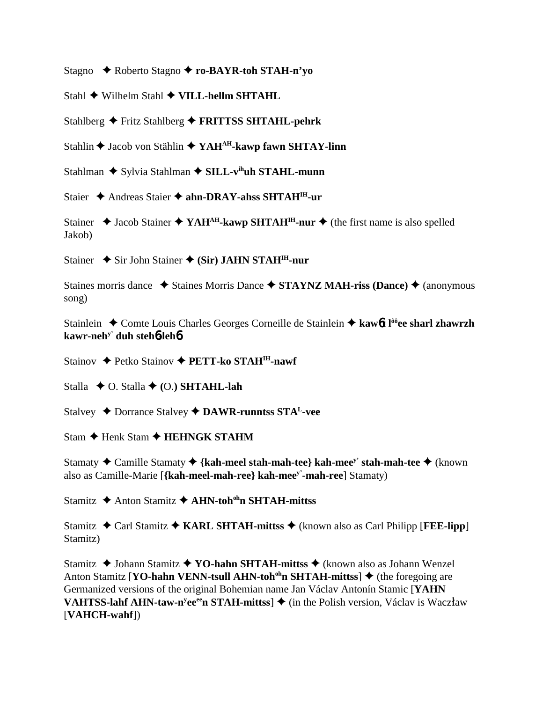Stagno  $\rightarrow$  Roberto Stagno  $\rightarrow$  ro-BAYR-toh STAH-n'vo

Stahl  $\triangle$  Wilhelm Stahl  $\triangle$  VILL-hellm SHTAHL

Stahlberg ◆ Fritz Stahlberg ◆ FRITTSS SHTAHL-pehrk

Stahlin ♦ Jacob von Stählin ♦ YAH<sup>AH</sup>-kawp fawn SHTAY-linn

Stahlman ◆ Sylvia Stahlman ◆ SILL-v<sup>ih</sup>uh STAHL-munn

Staier ◆ Andreas Staier ◆ ahn-DRAY-ahss SHTAH<sup>IH</sup>-ur

Stainer  $\triangle$  Jacob Stainer  $\triangle$  YAH<sup>AH</sup>-kawp SHTAH<sup>IH</sup>-nur  $\triangle$  (the first name is also spelled Jakob)

Stainer ◆ Sir John Stainer ◆ (Sir) JAHN STAH<sup>IH</sup>-nur

Staines morris dance  $\rightarrow$  Staines Morris Dance  $\rightarrow$  STAYNZ MAH-riss (Dance)  $\rightarrow$  (anonymous song)

Stainlein ◆ Comte Louis Charles Georges Corneille de Stainlein ◆ kaw6t l<sup>ôô</sup>ee sharl zhawrzh kawr-neh<sup>y'</sup> duh steh**6-leh6** 

Stainov ← Petko Stainov ← PETT-ko STAH<sup>IH</sup>-nawf

Stalla  $\triangle$  O. Stalla  $\triangle$  (O.) SHTAHL-lah

Stalvey  $\triangle$  Dorrance Stalvey  $\triangle$  DAWR-runntss STA<sup>L</sup>-vee

Stam ← Henk Stam ← HEHNGK STAHM

Stamaty  $\triangle$  Camille Stamaty  $\triangle$  {kah-meel stah-mah-tee} kah-mee<sup>y</sup> stah-mah-tee  $\triangle$  (known also as Camille-Marie [{kah-meel-mah-ree} kah-mee<sup>y'</sup>-mah-ree] Stamaty)

Stamitz **→** Anton Stamitz **→ AHN-toh<sup>oh</sup>n SHTAH-mittss** 

Stamitz  $\triangle$  Carl Stamitz  $\triangle$  KARL SHTAH-mittss  $\triangle$  (known also as Carl Philipp [FEE-lipp] Stamitz)

Stamitz  $\triangle$  Johann Stamitz  $\triangle$  YO-hahn SHTAH-mittss  $\triangle$  (known also as Johann Wenzel) Anton Stamitz [YO-hahn VENN-tsull AHN-toh<sup>oh</sup>n SHTAH-mittss]  $\triangle$  (the foregoing are Germanized versions of the original Bohemian name Jan Václav Antonín Stamic [YAHN] **VAHTSS-lahf AHN-taw-n<sup>y</sup>ee<sup>ee</sup>n STAH-mittss**]  $\triangleq$  (in the Polish version, Václav is Waczław [VAHCH-wahf])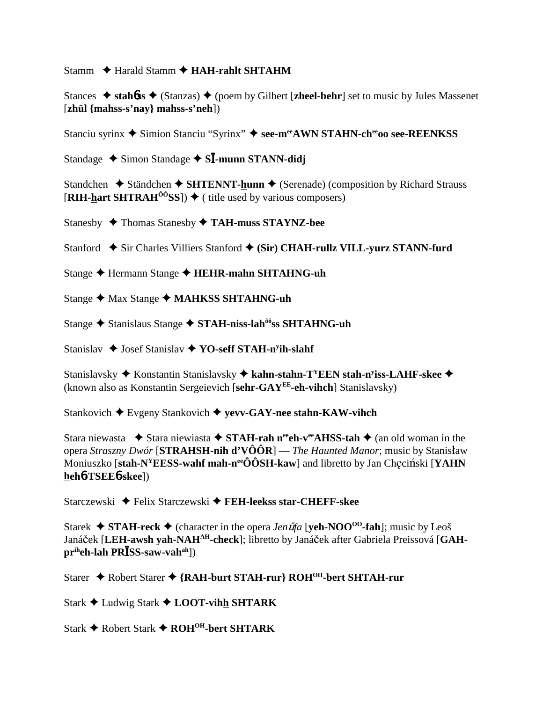Stamm  $\triangle$  Harald Stamm  $\triangle$  HAH-rahlt SHTAHM

Stances  $\triangle$  stahbss  $\triangle$  (Stanzas)  $\triangle$  (poem by Gilbert [zheel-behr] set to music by Jules Massenet [zhül  ${maths-s'ny}$ ] mahss-s'neh])

Stanciu syrinx ◆ Simion Stanciu "Syrinx" ◆ see-meeAWN STAHN-cheeoo see-REENKSS

Standage  $\triangle$  Simon Standage  $\triangle$  SI-munn STANN-didj

Standchen  $\triangle$  Ständchen  $\triangle$  SHTENNT-hunn  $\triangle$  (Serenade) (composition by Richard Strauss [RIH-hart SHTRAH<sup> $\hat{o}$ o<sup>3</sup>SS])  $\blacklozenge$  ( title used by various composers)</sup>

Stanesby ◆ Thomas Stanesby ◆ TAH-muss STAYNZ-bee

Stanford ◆ Sir Charles Villiers Stanford ◆ (Sir) CHAH-rullz VILL-yurz STANN-furd

Stange ← Hermann Stange ← HEHR-mahn SHTAHNG-uh

Stange ◆ Max Stange ◆ MAHKSS SHTAHNG-uh

Stange ◆ Stanislaus Stange ◆ STAH-niss-lah<sup>ôô</sup>ss SHTAHNG-uh

Stanislav  $\blacklozenge$  Josef Stanislav  $\blacklozenge$  YO-seff STAH-n<sup>y</sup>ih-slahf

Stanislavsky ◆ Konstantin Stanislavsky ◆ kahn-stahn-T<sup>Y</sup>EEN stah-n<sup>y</sup>iss-LAHF-skee ◆ (known also as Konstantin Sergeievich [sehr-GAY<sup>EE</sup>-eh-vihch] Stanislavsky)

Stankovich  $\blacklozenge$  Evgeny Stankovich  $\blacklozenge$  yevv-GAY-nee stahn-KAW-vihch

Stara niewasta  $\bullet$  Stara niewiasta  $\bullet$  STAH-rah n<sup>ee</sup>ch-v<sup>ee</sup>AHSS-tah  $\bullet$  (an old woman in the opera Straszny Dwór [STRAHSH-nih d'VÔÔR] — The Haunted Manor; music by Stanisław Moniuszko [stah-N<sup>Y</sup>EESS-wahf mah-n<sup>ee</sup>ÔÔSH-kaw] and libretto by Jan Checiński [YAHN] heh6-TSEE6-skee])

Starczewski ← Felix Starczewski ← FEH-leekss star-CHEFF-skee

Starek  $\triangle$  STAH-reck  $\triangle$  (character in the opera *Jen uta* [yeh-NOO<sup>00</sup>-fah]; music by Leos Janáček [LEH-awsh yah-NAH<sup>AH</sup>-check]; libretto by Janáček after Gabriela Preissová [GAH $pr<sup>ih</sup>eh-lah PR<sup>̄</sup>SS-saw-valh<sup>ah</sup>$ ])

Starer ◆ Robert Starer ◆ {RAH-burt STAH-rur} ROH<sup>OH</sup>-bert SHTAH-rur

Stark ← Ludwig Stark ← LOOT-vihh SHTARK

Stark ◆ Robert Stark ◆ ROH<sup>OH</sup>-bert SHTARK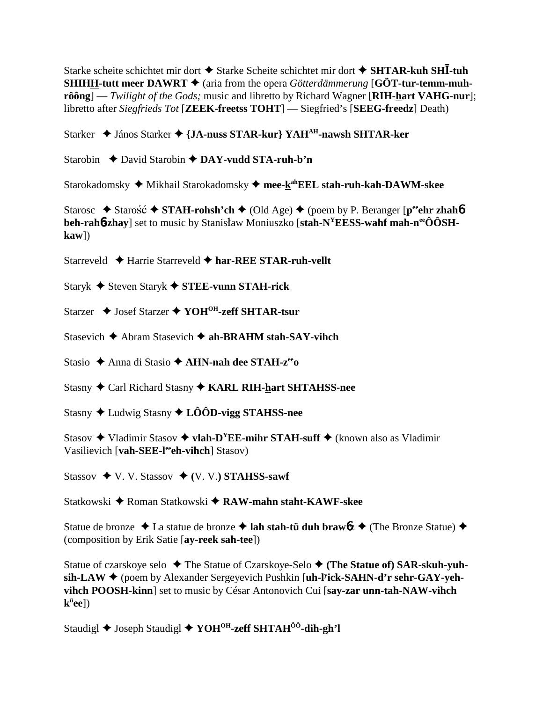Starke scheite schichtet mir dort  $\triangle$  Starke Scheite schichtet mir dort  $\triangle$  SHTAR-kuh SHI-tuh **SHIHH-tutt meer DAWRT**  $\blacklozenge$  (aria from the opera *Götterdämmerung* [GÖT-tur-temm-muh**rôông**] — *Twilight of the Gods;* music and libretto by Richard Wagner [**RIH-hart VAHG-nur**]; libretto after *Siegfrieds Tot* [**ZEEK-freetss TOHT**] — Siegfried's [**SEEG-freedz**] Death)

Starker János Starker **{JA-nuss STAR-kur} YAHAH-nawsh SHTAR-ker**

Starobin **←** David Starobin ← DAY-vudd STA-ruh-b'n

Starokadomsky ◆ Mikhail Starokadomsky ◆ mee-k<sup>ah</sup>EEL stah-ruh-kah-DAWM-skee

Starosc  $\triangle$  Starosc<sup>2</sup>  $\triangle$  STAH-rohsh'ch  $\triangle$  (Old Age)  $\triangle$  (poem by P. Beranger [p<sup>ee</sup>ehr zhah**6**] **beh-rah<sub>0</sub>-zhay**] set to music by Stanisław Moniuszko [stah-N<sup>Y</sup>EESS-wahf mah-n<sup>ee</sup>ÔÔSH**kaw**])

Starreveld **←** Harrie Starreveld ← har-REE STAR-ruh-vellt

Staryk Steven Staryk **STEE-vunn STAH-rick**

Starzer **↓** Josef Starzer **◆ YOH<sup>OH</sup>-zeff SHTAR-tsur** 

Stasevich **→** Abram Stasevich **→ ah-BRAHM stah-SAY-vihch** 

Stasio Anna di Stasio **AHN-nah dee STAH-zeeo**

Stasny Carl Richard Stasny **KARL RIH-hart SHTAHSS-nee**

Stasny Ludwig Stasny **LÔÔD-vigg STAHSS-nee**

Stasov  $\triangle$  Vladimir Stasov  $\triangle$  **vlah-D<sup>Y</sup>EE-mihr STAH-suff**  $\triangle$  (known also as Vladimir Vasilievich [vah-SEE-l<sup>ee</sup>eh-vihch] Stasov)

Stassov  $\blacklozenge$  V. V. Stassov  $\blacklozenge$  (V. V.) **STAHSS-sawf** 

Statkowski ◆ Roman Statkowski ◆ **RAW-mahn staht-KAWF-skee** 

Statue de bronze  $\triangle$  La statue de bronze  $\triangle$  lah stah-tü duh brawbz  $\triangle$  (The Bronze Statue)  $\triangle$ (composition by Erik Satie [**ay-reek sah-tee**])

Statue of czarskoye selo **→** The Statue of Czarskoye-Selo ◆ (The Statue of) SAR-skuh-yuhsih-LAW ♦ (poem by Alexander Sergeyevich Pushkin [**uh-l<sup>y</sup>ick-SAHN-d'r sehr-GAY-yehvihch POOSH-kinn**] set to music by César Antonovich Cui [**say-zar unn-tah-NAW-vihch kü ee**])

Staudigl **→** Joseph Staudigl **→ YOH<sup>OH</sup>-zeff SHTAH<sup>ÔÔ</sup>-dih-gh'l**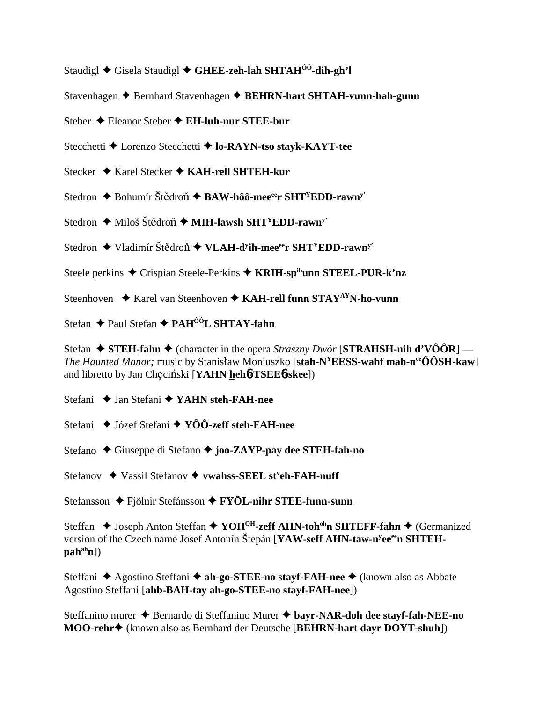Staudigl  $\triangle$  Gisela Staudigl  $\triangle$  GHEE-zeh-lah SHTAH<sup> $\hat{0}$ 0-dih-gh'l</sup>

Stavenhagen ♦ Bernhard Stavenhagen ♦ BEHRN-hart SHTAH-vunn-hah-gunn

Steber  $\triangle$  Eleanor Steber  $\triangle$  EH-luh-nur STEE-bur

Stecchetti ◆ Lorenzo Stecchetti ◆ lo-RAYN-tso stayk-KAYT-tee

Stecker  $\triangle$  Karel Stecker  $\triangle$  KAH-rell SHTEH-kur

Stedron  $\triangle$  Bohumír Štědroň  $\triangle$  BAW-hôô-mee<sup>ee</sup>r SHT<sup>Y</sup>EDD-rawn<sup>y</sup>

Stedron  $\triangleq$  Miloš Štědroň  $\triangleq$  MIH-lawsh SHT<sup>Y</sup>EDD-rawn<sup>y</sup>

Stedron ◆ Vladimír Štědroň ◆ VLAH-d<sup>y</sup>ih-mee<sup>ee</sup>r SHT<sup>Y</sup>EDD-rawn<sup>y</sup>

Steele perkins ◆ Crispian Steele-Perkins ◆ KRIH-spihunn STEEL-PUR-k'nz

Steenhoven  $\triangle$  Karel van Steenhoven  $\triangle$  KAH-rell funn STAY<sup>AY</sup>N-ho-vunn

Stefan ◆ Paul Stefan ◆ PAH<sup>ôô</sup>L SHTAY-fahn

Stefan  $\triangle$  STEH-fahn  $\triangle$  (character in the opera *Straszny Dwór* [STRAHSH-nih d'VÔÔR] — *The Haunted Manor*; music by Stanisław Moniuszko [stah- $N^{\gamma}EESS$ -wahf mah-n<sup>ee</sup>ÔÔSH-kaw] and libretto by Jan Checiński [YAHN hehb-TSEEb-skee])

Stefani ◆ Jan Stefani ◆ YAHN steh-FAH-nee

Stefani  $\rightarrow$  Józef Stefani  $\rightarrow$  YÔÔ-zeff steh-FAH-nee

Stefano ◆ Giuseppe di Stefano ◆ joo-ZAYP-pay dee STEH-fah-no

Stefanov ◆ Vassil Stefanov ◆ vwahss-SEEL st<sup>y</sup>eh-FAH-nuff

Stefansson ◆ Fjölnir Stefánsson ◆ FYÖL-nihr STEE-funn-sunn

Steffan ◆ Joseph Anton Steffan ◆ YOH<sup>OH</sup>-zeff AHN-toh<sup>oh</sup>n SHTEFF-fahn ◆ (Germanized version of the Czech name Josef Antonín Štepán [YAW-seff AHN-taw-n<sup>y</sup>ee<sup>ee</sup>n SHTEH- $\mathbf{pah}^{\text{ah}}\mathbf{n}$ ])

Steffani ◆ Agostino Steffani ◆ ah-go-STEE-no stayf-FAH-nee ◆ (known also as Abbate Agostino Steffani [ahb-BAH-tay ah-go-STEE-no stayf-FAH-nee])

Steffanino murer → Bernardo di Steffanino Murer → bayr-NAR-doh dee stayf-fah-NEE-no MOO-rehr<sup>+</sup> (known also as Bernhard der Deutsche [BEHRN-hart dayr DOYT-shuh])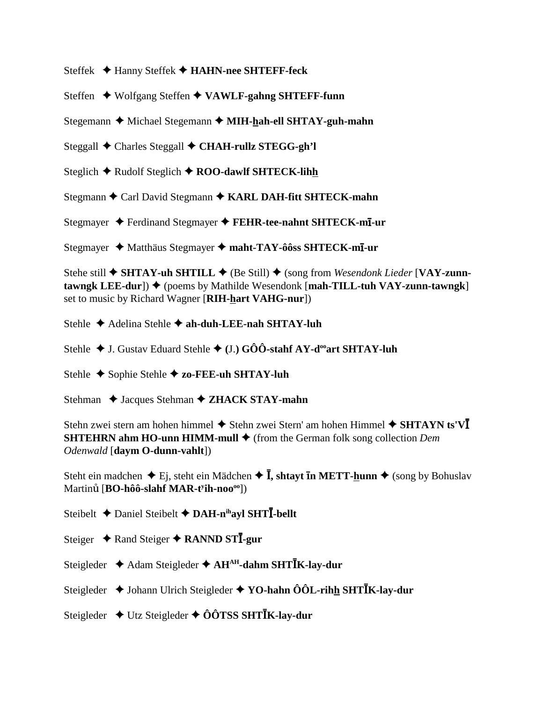Steffek Hanny Steffek **HAHN-nee SHTEFF-feck**

Steffen Wolfgang Steffen **VAWLF-gahng SHTEFF-funn**

Stegemann ◆ Michael Stegemann ◆ MIH-hah-ell SHTAY-guh-mahn

Steggall Charles Steggall **CHAH-rullz STEGG-gh'l**

Steglich **→** Rudolf Steglich **→ ROO-dawlf SHTECK-lihh** 

Stegmann **←** Carl David Stegmann ← KARL DAH-fitt SHTECK-mahn

Stegmayer Ferdinand Stegmayer **FEHR-tee-nahnt SHTECK-m-ur**

Stegmayer Matthäus Stegmayer **maht-TAY-ôôss SHTECK-m-ur**

Stehe still **→ SHTAY-uh SHTILL** → (Be Still) → (song from *Wesendonk Lieder* [VAY-zunn $tawngk LEE-dur$ ])  $\blacklozenge$  (poems by Mathilde Wesendonk [mah-TILL-tuh VAY-zunn-tawngk] set to music by Richard Wagner [**RIH-hart VAHG-nur**])

Stehle **→** Adelina Stehle **→ ah-duh-LEE-nah SHTAY-luh** 

Stehle  $\blacklozenge$  J. Gustav Eduard Stehle  $\blacklozenge$  (J.) GOO-stahf AY-d<sup>oo</sup>art SHTAY-luh

Stehle ◆ Sophie Stehle **◆ zo-FEE-uh SHTAY-luh** 

Stehman  $\triangle$  Jacques Stehman  $\triangle$  **ZHACK STAY-mahn** 

Stehn zwei stern am hohen himmel  $\blacklozenge$  Stehn zwei Stern' am hohen Himmel  $\blacklozenge$  **SHTAYN ts'V SHTEHRN ahm HO-unn HIMM-mull** ♦ (from the German folk song collection *Dem Odenwald* [**daym O-dunn-vahlt**])

Steht ein madchen ◆ Ej, steht ein Mädchen ◆ **Ī, shtayt īn METT-<u>h</u>unn ◆** (song by Bohuslav Martin [**BO-hôô-slahf MAR-ty ih-noooo**])

Steibelt  $\triangle$  Daniel Steibelt  $\triangle$  DAH-n<sup>ih</sup>ayl SHTI-bellt

Steiger ◆ Rand Steiger ◆ RANND STI-gur

Steigleder ◆ Adam Steigleder ◆ AH<sup>AH</sup>-dahm SHT**IK-lay-dur** 

Steigleder ◆ Johann Ulrich Steigleder ◆ YO-hahn ÔÔL-rihh SHT**IK-lay-dur** 

Steigleder ◆ Utz Steigleder ◆ ÔÔTSS SHT**IK-lay-dur**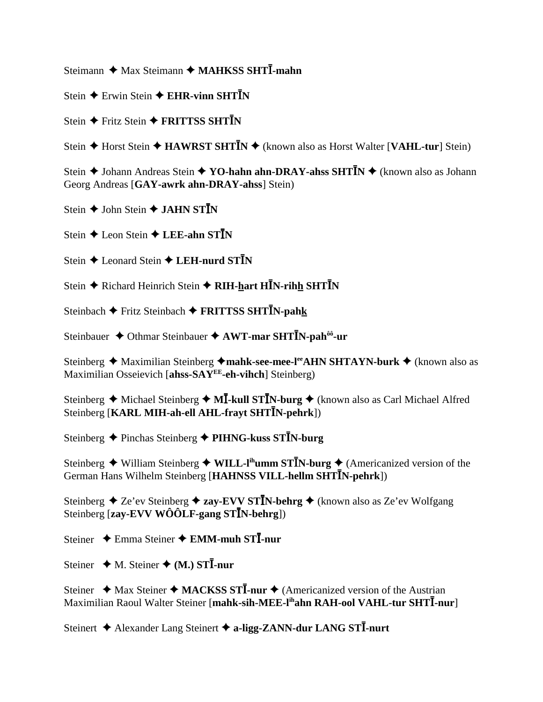Steimann ◆ Max Steimann ◆ MAHKSS SHTI-mahn

Stein  $\triangle$  Erwin Stein  $\triangle$  EHR-vinn SHTIN

Stein  $\triangle$  Fritz Stein  $\triangle$  FRITTSS SHTIN

Stein  $\triangle$  Horst Stein  $\triangle$  HAWRST SHTIN  $\triangle$  (known also as Horst Walter [VAHL-tur] Stein)

Stein  $\triangle$  Johann Andreas Stein  $\triangle$  YO-hahn ahn-DRAY-ahss SHTIN  $\triangle$  (known also as Johann Georg Andreas [GAY-awrk ahn-DRAY-ahss] Stein)

Stein  $\triangle$  John Stein  $\triangle$  JAHN STIN

Stein  $\triangle$  Leon Stein  $\triangle$  LEE-ahn STIN

Stein  $\triangle$  Leonard Stein  $\triangle$  LEH-nurd STIN

Stein ◆ Richard Heinrich Stein ◆ RIH-hart HĪN-rihh SHTĪN

Steinbach ◆ Fritz Steinbach ◆ FRITTSS SHTIN-pahk

Steinbauer ◆ Othmar Steinbauer ◆ AWT-mar SHTIN-pah<sup>ôô</sup>-ur

Steinberg ◆ Maximilian Steinberg ◆mahk-see-mee-leantly SHTAYN-burk ◆ (known also as Maximilian Osseievich [ahss-SAY<sup>EE</sup>-eh-vihch] Steinberg)

Steinberg  $\triangle$  Michael Steinberg  $\triangle$  MI-kull STIN-burg  $\triangle$  (known also as Carl Michael Alfred Steinberg [KARL MIH-ah-ell AHL-frayt SHTIN-pehrk])

Steinberg ◆ Pinchas Steinberg ◆ PIHNG-kuss STIN-burg

Steinberg  $\triangle$  William Steinberg  $\triangle$  WILL-I<sup>ih</sup>umm ST**I**N-burg  $\triangle$  (Americanized version of the German Hans Wilhelm Steinberg [HAHNSS VILL-hellm SHTIN-pehrk])

Steinberg  $\triangle$  Ze'ev Steinberg  $\triangle$  zay-EVV STIN-behrg  $\triangle$  (known also as Ze'ev Wolfgang Steinberg [zay-EVV WÔÔLF-gang STIN-behrg])

Steiner  $\triangle$  Emma Steiner  $\triangle$  EMM-muh STI-nur

Steiner  $\triangleleft$  M. Steiner  $\triangleleft$  (M.) STI-nur

Steiner  $\triangleleft$  Max Steiner  $\triangleleft$  MACKSS STI-nur  $\triangleleft$  (Americanized version of the Austrian Maximilian Raoul Walter Steiner [mahk-sih-MEE-l<sup>ih</sup>ahn RAH-ool VAHL-tur SHTI-nur]

Steinert ← Alexander Lang Steinert ← a-ligg-ZANN-dur LANG STI-nurt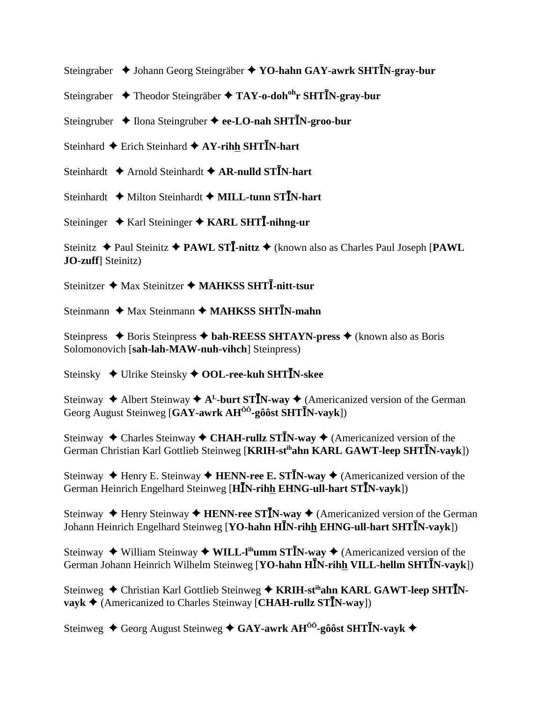Steingraber ◆ Johann Georg Steingräber ◆ YO-hahn GAY-awrk SHT**IN-gray-bur** 

- Steingraber ◆ Theodor Steingräber ◆ TAY-o-doh<sup>oh</sup>r SHT**I**N-gray-bur
- Steingruber  $\triangle$  Ilona Steingruber  $\triangle$  ee-LO-nah SHT**I**N-groo-bur
- Steinhard  $\triangle$  Erich Steinhard  $\triangle$  AY-rihh SHTIN-hart
- Steinhardt  $\triangle$  Arnold Steinhardt  $\triangle$  AR-nulld ST<sup>T</sup>N-hart
- Steinhardt  $\rightarrow$  Milton Steinhardt  $\rightarrow$  **MILL-tunn STIN-hart**
- Steininger ◆ Karl Steininger ◆ KARL SHTI-nihng-ur

Steinitz  $\triangle$  Paul Steinitz  $\triangle$  PAWL STI-nittz  $\triangle$  (known also as Charles Paul Joseph [PAWL **JO-zuff**] Steinitz)

Steinitzer ◆ Max Steinitzer ◆ MAHKSS SHTI-nitt-tsur

Steinmann  $\triangle$  Max Steinmann  $\triangle$  MAHKSS SHTIN-mahn

Steinpress **→** Boris Steinpress **→ bah-REESS SHTAYN-press →** (known also as Boris Solomonovich [**sah-lah-MAW-nuh-vihch**] Steinpress)

Steinsky ◆ Ulrike Steinsky ◆ OOL-ree-kuh SHTIN-skee

Steinway  $\triangle$  Albert Steinway  $\triangle$  A<sup>L</sup>-burt ST**I**N-way  $\triangle$  (Americanized version of the German Georg August Steinweg [GAY-awrk AH<sup>ôô</sup>-gôôst SHTIN-vayk])

Steinway  $\triangle$  Charles Steinway  $\triangle$  CHAH-rullz ST**I**N-way  $\triangle$  (Americanized version of the German Christian Karl Gottlieb Steinweg [KRIH-stihahn KARL GAWT-leep SHTIN-vayk])

Steinway  $\blacklozenge$  Henry E. Steinway  $\blacklozenge$  **HENN-ree E. STIN-way**  $\blacklozenge$  (Americanized version of the German Heinrich Engelhard Steinweg [HIN-rihh EHNG-ull-hart STIN-vayk])

Steinway  $\triangle$  Henry Steinway  $\triangle$  **HENN-ree STIN-way**  $\triangle$  (Americanized version of the German Johann Heinrich Engelhard Steinweg [YO-hahn HIN-rihh EHNG-ull-hart SHTIN-vayk])

Steinway  $\blacklozenge$  William Steinway  $\blacklozenge$  **WILL-I<sup>th</sup>umm STIN-way**  $\blacklozenge$  (Americanized version of the German Johann Heinrich Wilhelm Steinweg [YO-hahn HIN-rihh VILL-hellm SHTIN-vayk])

Steinweg ◆ Christian Karl Gottlieb Steinweg ◆ KRIH-st<sup>ih</sup>ahn KARL GAWT-leep SHT<sup>T</sup>N**vayk**  $\blacklozenge$  (Americanized to Charles Steinway [**CHAH-rullz STIN-way**])

Steinweg ◆ Georg August Steinweg ◆ GAY-awrk AH<sup>ôô</sup>-gôôst SHTĪN-vayk ◆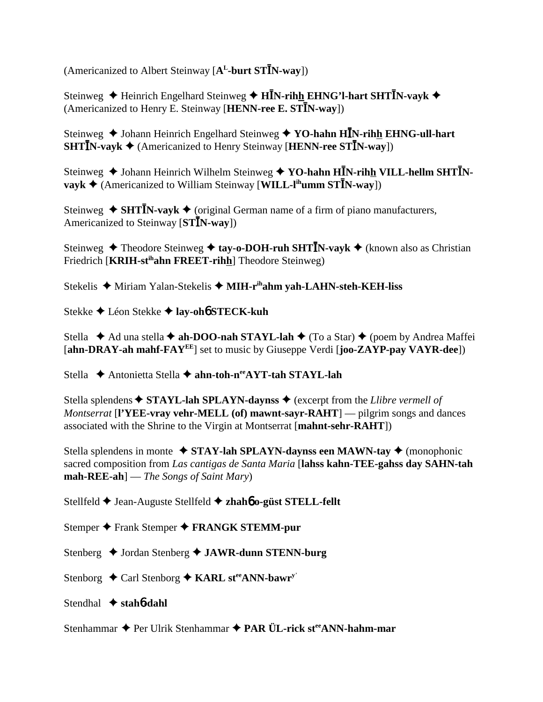(Americanized to Albert Steinway [A<sup>L</sup>-burt ST<sup>I</sup>N-way])

Steinweg ◆ Heinrich Engelhard Steinweg ◆ H**IN-rih<u>h</u> EHNG'l-hart SHTIN-vayk** ◆ (Americanized to Henry E. Steinway [HENN-ree E. STIN-way])

Steinweg  $\blacklozenge$  Johann Heinrich Engelhard Steinweg  $\blacklozenge$  YO-hahn HIN-rihh EHNG-ull-hart **SHTIN-vayk**  $\triangleleft$  (Americanized to Henry Steinway [**HENN-ree STIN-way**])

Steinweg  $\triangle$  Johann Heinrich Wilhelm Steinweg  $\triangle$  YO-hahn HIN-rihh VILL-hellm SHTIN- $\mathbf{v}$ **vayk**  $\blacklozenge$  (Americanized to William Steinway [WILL-l<sup>ih</sup>umm ST**I**N-way])

Steinweg  $\triangle$  **SHTI**N-vayk  $\triangle$  (original German name of a firm of piano manufacturers, Americanized to Steinway [STIN-way])

Steinweg ◆ Theodore Steinweg ◆ tay-o-DOH-ruh SHT**I**N-vayk ◆ (known also as Christian Friedrich [**KRIH-st<sup>ih</sup>ahn FREET-rihh**] Theodore Steinweg)

Stekelis **→** Miriam Yalan-Stekelis → MIH-r<sup>ih</sup>ahm yah-LAHN-steh-KEH-liss

Stekke Léon Stekke **lay-oh**6 **STECK-kuh**

Stella **→** Ad una stella **→ ah-DOO-nah STAYL-lah →** (To a Star) → (poem by Andrea Maffei [**ahn-DRAY-ah mahf-FAYEE**] set to music by Giuseppe Verdi [**joo-ZAYP-pay VAYR-dee**])

Stella **←** Antonietta Stella ← ahn-toh-n<sup>ee</sup>AYT-tah STAYL-lah

Stella splendens  $\triangle$  **STAYL-lah SPLAYN-daynss**  $\triangle$  (excerpt from the *Llibre vermell of Montserrat* [**l'YEE-vray vehr-MELL (of) mawnt-sayr-RAHT**] — pilgrim songs and dances associated with the Shrine to the Virgin at Montserrat [**mahnt-sehr-RAHT**])

Stella splendens in monte  $\triangle$  **STAY-lah SPLAYN-daynss een MAWN-tay**  $\triangle$  (monophonic sacred composition from *Las cantigas de Santa Maria* [**lahss kahn-TEE-gahss day SAHN-tah mah-REE-ah**] — *The Songs of Saint Mary*)

Stellfeld Jean-Auguste Stellfeld **zhah**6 **o-güst STELL-fellt**

Stemper **←** Frank Stemper ← FRANGK STEMM-pur

Stenberg **→** Jordan Stenberg **→ JAWR-dunn STENN-burg** 

Stenborg ◆ Carl Stenborg ◆ KARL st<sup>ee</sup>ANN-bawr<sup>y'</sup>

Stendhal **stah**6**-dahl**

Stenhammar ◆ Per Ulrik Stenhammar ◆ PAR ÜL-rick st<sup>ee</sup>ANN-hahm-mar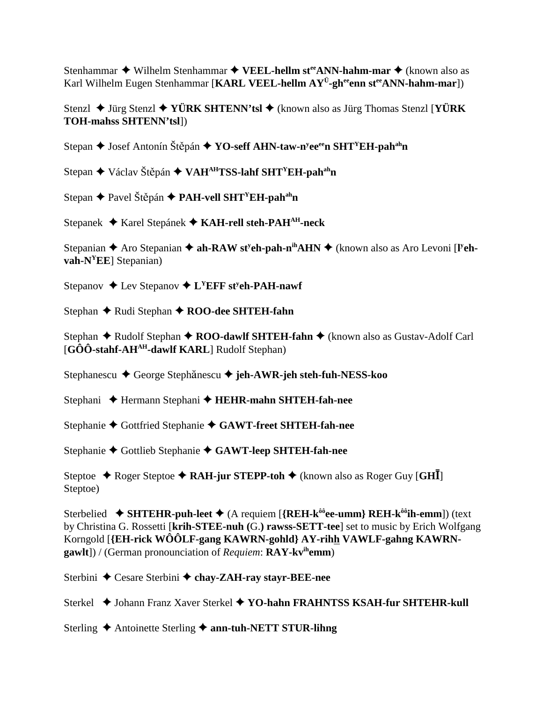Stenhammar ◆ Wilhelm Stenhammar ◆ VEEL-hellm st<sup>ee</sup>ANN-hahm-mar ◆ (known also as Karl Wilhelm Eugen Stenhammar [KARL VEEL-hellm AY<sup>Ü</sup>-gh<sup>ee</sup>enn st<sup>ee</sup>ANN-hahm-mar])

Stenzl **→** Jürg Stenzl ◆ **YÜRK SHTENN'tsl →** (known also as Jürg Thomas Stenzl [**YÜRK TOH-mahss SHTENN'tsl**])

Stepan ◆ Josef Antonín Štěpán ◆ Y**O-seff AHN-taw-n<sup>y</sup>ee<sup>ee</sup>n SHT<sup>Y</sup>EH-pah<sup>ah</sup>n** 

Stepan **→** Václav Štěpán ◆ VAH<sup>AH</sup>TSS-lahf SHT<sup>Y</sup>EH-pah<sup>ah</sup>n

Stepan **→** Pavel Štěpán → PAH-vell SHT<sup>Y</sup>EH-pah<sup>ah</sup>n

Stepanek Karel Stepánek **KAH-rell steh-PAHAH-neck**

Stepanian  $\triangle$  Aro Stepanian  $\triangle$  ah-RAW st<sup>y</sup>eh-pah-n<sup>ih</sup>AHN  $\triangle$  (known also as Aro Levoni [I<sup>y</sup>eh**vah-NYEE**] Stepanian)

Stepanov ◆ Lev Stepanov ◆ L<sup>Y</sup>EFF st<sup>y</sup>eh-PAH-nawf

Stephan ◆ Rudi Stephan ◆ ROO-dee SHTEH-fahn

Stephan ◆ Rudolf Stephan ◆ ROO-dawlf SHTEH-fahn ◆ (known also as Gustav-Adolf Carl [GÔÔ-stahf-AH<sup>AH</sup>-dawlf KARL] Rudolf Stephan)

Stephanescu **→** George Stephănescu → jeh-AWR-jeh steh-fuh-NESS-koo

Stephani **←** Hermann Stephani ← **HEHR-mahn SHTEH-fah-nee** 

Stephanie Gottfried Stephanie **GAWT-freet SHTEH-fah-nee**

Stephanie Gottlieb Stephanie **GAWT-leep SHTEH-fah-nee**

Steptoe ◆ Roger Steptoe ◆ RAH-jur STEPP-toh ◆ (known also as Roger Guy [GH<sup>T</sup>] Steptoe)

Sterbelied **SHTEHR-puh-leet** (A requiem [**{REH-kôôee-umm} REH-kôôih-emm**]) (text by Christina G. Rossetti [**krih-STEE-nuh (**G.**) rawss-SETT-tee**] set to music by Erich Wolfgang Korngold [**{EH-rick WÔÔLF-gang KAWRN-gohld} AY-rihh VAWLF-gahng KAWRNgawlt**]) / (German pronounciation of *Requiem*: **RAY-kvihemm**)

Sterbini **←** Cesare Sterbini ← chay-ZAH-ray stayr-BEE-nee

Sterkel ◆ Johann Franz Xaver Sterkel ◆ YO-hahn FRAHNTSS KSAH-fur SHTEHR-kull

Sterling **→** Antoinette Sterling → **ann-tuh-NETT STUR-lihng**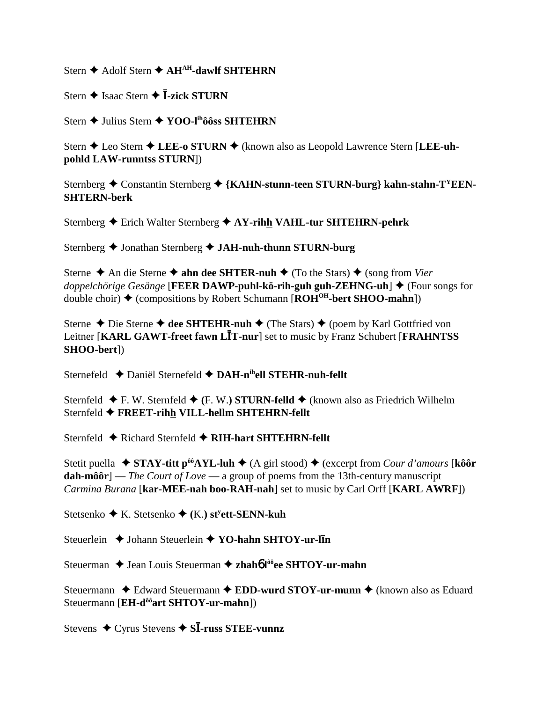Stern  $\triangle$  Adolf Stern  $\triangle$  AH<sup>AH</sup>-dawlf SHTEHRN

Stern  $\triangle$  Isaac Stern  $\triangle$  **Ī-zick STURN** 

Stern ← Julius Stern ← YOO-I<sup>ih</sup>ôôss SHTEHRN

Stern ◆ Leo Stern ◆ LEE-o STURN ◆ (known also as Leopold Lawrence Stern [LEE-uhpohld LAW-runntss STURN])

Sternberg  $\triangle$  Constantin Sternberg  $\triangle$  {KAHN-stunn-teen STURN-burg} kahn-stahn-T<sup>Y</sup>EEN-**SHTERN-berk** 

Sternberg  $\triangle$  Erich Walter Sternberg  $\triangle$  AY-rihh VAHL-tur SHTEHRN-pehrk

Sternberg ◆ Jonathan Sternberg ◆ JAH-nuh-thunn STURN-burg

Sterne  $\triangle$  An die Sterne  $\triangle$  ahn dee SHTER-nuh  $\triangle$  (To the Stars)  $\triangle$  (song from Vier *doppelchörige Gesänge* [FEER DAWP-puhl-kö-rih-guh guh-ZEHNG-uh]  $\blacklozenge$  (Four songs for double choir)  $\triangle$  (compositions by Robert Schumann [ $ROH^{OH}$ -bert SHOO-mahn])

Sterne  $\triangle$  Die Sterne  $\triangle$  dee SHTEHR-nuh  $\triangle$  (The Stars)  $\triangle$  (poem by Karl Gottfried von Leitner [KARL GAWT-freet fawn LIT-nur] set to music by Franz Schubert [FRAHNTSS] SHOO-bert])

Sternefeld ◆ Daniël Sternefeld ◆ DAH-n<sup>ih</sup>ell STEHR-nuh-fellt

Sternfeld  $\blacklozenge$  F. W. Sternfeld  $\blacklozenge$  (F. W.) STURN-felld  $\blacklozenge$  (known also as Friedrich Wilhelm Sternfeld ◆ FREET-rihh VILL-hellm SHTEHRN-fellt

Sternfeld ◆ Richard Sternfeld ◆ RIH-hart SHTEHRN-fellt

Stetit puella  $\bullet$  STAY-titt p<sup>ôô</sup>AYL-luh  $\bullet$  (A girl stood)  $\bullet$  (excerpt from *Cour d'amours* [kôôr dah-môôr] — The Court of Love — a group of poems from the 13th-century manuscript Carmina Burana [kar-MEE-nah boo-RAH-nah] set to music by Carl Orff [KARL AWRF])

Stetsenko  $\blacklozenge$  K. Stetsenko  $\blacklozenge$  (K.) st<sup>y</sup>ett-SENN-kuh

Steuerlein  $\triangle$  Johann Steuerlein  $\triangle$  YO-hahn SHTOY-ur-lin

Steuerman  $\triangle$  Jean Louis Steuerman  $\triangle$  zhahó l<sup>ôô</sup>ee SHTOY-ur-mahn

Steuermann  $\triangle$  Edward Steuermann  $\triangle$  EDD-wurd STOY-ur-munn  $\triangle$  (known also as Eduard Steuermann [EH-d<sup>ôô</sup>art SHTOY-ur-mahn])

Stevens  $\triangle$  Cyrus Stevens  $\triangle$  SI-russ STEE-vunnz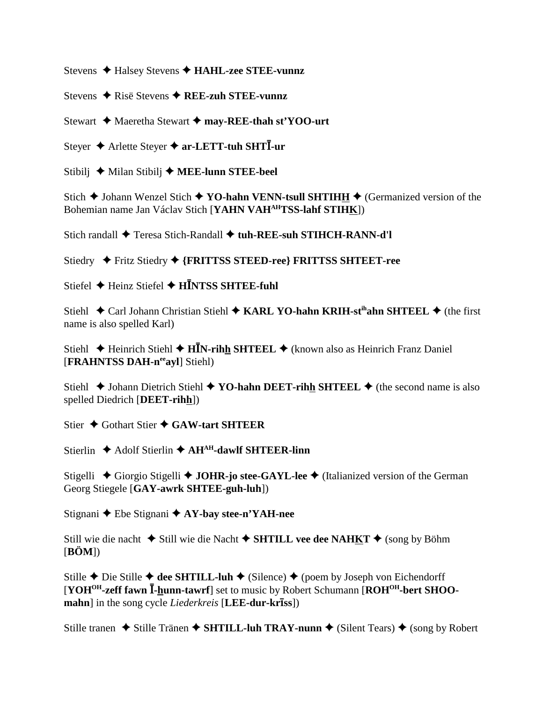Stevens ← Halsey Stevens ← HAHL-zee STEE-vunnz

Stevens  $\triangle$  Risë Stevens  $\triangle$  REE-zuh STEE-vunnz

Stewart ◆ Maeretha Stewart ◆ may-REE-thah st'YOO-urt

Steyer  $\triangle$  Arlette Steyer  $\triangle$  ar-LETT-tuh SHTI-ur

Stibilj  $\blacklozenge$  Milan Stibilj  $\blacklozenge$  MEE-lunn STEE-beel

Stich  $\triangle$  Johann Wenzel Stich  $\triangle$  YO-hahn VENN-tsull SHTIHH  $\triangle$  (Germanized version of the Bohemian name Jan Václav Stich [YAHN VAHAHTSS-lahf STIHK])

Stich randall ◆ Teresa Stich-Randall ◆ tuh-REE-suh STIHCH-RANN-d'l

Stiedry ◆ Fritz Stiedry ◆ {FRITTSS STEED-ree} FRITTSS SHTEET-ree

Stiefel  $\triangle$  Heinz Stiefel  $\triangle$  HINTSS SHTEE-fuhl

Stiehl ◆ Carl Johann Christian Stiehl ◆ KARL YO-hahn KRIH-st<sup>ih</sup>ahn SHTEEL ◆ (the first name is also spelled Karl)

Stiehl  $\triangle$  Heinrich Stiehl  $\triangle$  HIN-rihh SHTEEL  $\triangle$  (known also as Heinrich Franz Daniel [FRAHNTSS DAH-neeavl] Stiehl)

Stiehl  $\blacklozenge$  Johann Dietrich Stiehl  $\blacklozenge$  YO-hahn DEET-rihh SHTEEL  $\blacklozenge$  (the second name is also spelled Diedrich [DEET-rihh])

Stier  $\triangle$  Gothart Stier  $\triangle$  GAW-tart SHTEER

Stierlin  $\triangle$  Adolf Stierlin  $\triangle$  AH<sup>AH</sup>-dawlf SHTEER-linn

Stigelli ◆ Giorgio Stigelli ◆ JOHR-jo stee-GAYL-lee ◆ (Italianized version of the German Georg Stiegele [GAY-awrk SHTEE-guh-luh])

Stignani  $\triangle$  Ebe Stignani  $\triangle$  AY-bay stee-n'YAH-nee

Still wie die nacht ◆ Still wie die Nacht ◆ SHTILL vee dee NAHKT ◆ (song by Böhm  $[\mathbf{B}\ddot{\mathbf{O}}\mathbf{M}$ ])

Stille ♦ Die Stille ♦ dee SHTILL-luh ♦ (Silence) ♦ (poem by Joseph von Eichendorff [YOH<sup>OH</sup>-zeff fawn I-hunn-tawrf] set to music by Robert Schumann [ROH<sup>OH</sup>-bert SHOOmahn] in the song cycle *Liederkreis* [LEE-dur-kr**Iss**])

Stille tranen ◆ Stille Tränen ◆ SHTILL-luh TRAY-nunn ◆ (Silent Tears) ◆ (song by Robert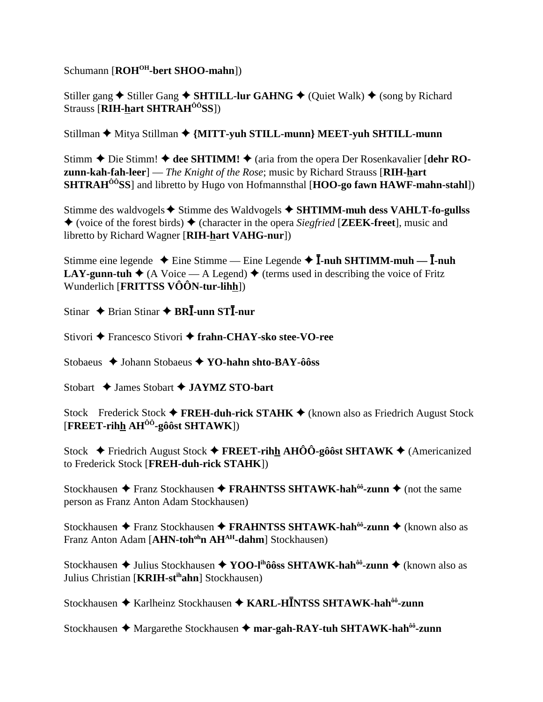Schumann [ROH<sup>OH</sup>-bert SHOO-mahn])

Stiller gang  $\triangle$  Stiller Gang  $\triangle$  SHTILL-lur GAHNG  $\triangle$  (Quiet Walk)  $\triangle$  (song by Richard Strauss [RIH-hart SHTRAH<sup>ôô</sup>SS])

Stillman ◆ Mitya Stillman ◆ {MITT-yuh STILL-munn} MEET-yuh SHTILL-munn

Stimm  $\triangle$  Die Stimm!  $\triangle$  dee SHTIMM!  $\triangle$  (aria from the opera Der Rosenkavalier [dehr RO**zunn-kah-fah-leer**  $\vert$  - *The Knight of the Rose*; music by Richard Strauss [RIH-hart] **SHTRAH<sup>00</sup>SS**] and libretto by Hugo von Hofmannsthal [HOO-go fawn HAWF-mahn-stahl])

Stimme des waldvogels  $\triangle$  Stimme des Waldvogels  $\triangle$  SHTIMM-muh dess VAHLT-fo-gullss  $\blacklozenge$  (voice of the forest birds)  $\blacklozenge$  (character in the opera *Siegfried* [**ZEEK-freet**], music and libretto by Richard Wagner [RIH-hart VAHG-nur])

Stimme eine legende ◆ Eine Stimme — Eine Legende ◆  $\overline{I}$ -nuh SHTIMM-muh —  $\overline{I}$ -nuh **LAY-gunn-tuh**  $\blacklozenge$  (A Voice — A Legend)  $\blacklozenge$  (terms used in describing the voice of Fritz Wunderlich [FRITTSS VÔÔN-tur-lihh])

Stinar  $\triangle$  Brian Stinar  $\triangle$  BRI-unn STI-nur

Stivori → Francesco Stivori → frahn-CHAY-sko stee-VO-ree

Stobaeus ◆ Johann Stobaeus ◆ YO-hahn shto-BAY-ôôss

Stobart  $\triangle$  James Stobart  $\triangle$  JAYMZ STO-bart

Stock Frederick Stock  $\blacklozenge$  FREH-duh-rick STAHK  $\blacklozenge$  (known also as Friedrich August Stock  $[{\rm FREF}\cdot {\rm rihh\,AH}^{00}\cdot {\rm g0}\hat{\rm ost\,SHTAWK}$ 

Stock  $\div$  Friedrich August Stock  $\div$  FREET-rihh AHÔÔ-gôôst SHTAWK  $\div$  (Americanized to Frederick Stock [FREH-duh-rick STAHK])

Stockhausen ◆ Franz Stockhausen ◆ FRAHNTSS SHTAWK-hah<sup>ôô</sup>-zunn ◆ (not the same person as Franz Anton Adam Stockhausen)

Stockhausen ◆ Franz Stockhausen ◆ FRAHNTSS SHTAWK-hah<sup>ôô</sup>-zunn ◆ (known also as Franz Anton Adam [AHN-toh<sup>oh</sup>n AH<sup>AH</sup>-dahm] Stockhausen)

Stockhausen  $\triangle$  Julius Stockhausen  $\triangle$  YOO-l<sup>th</sup>ôôss SHTAWK-hah<sup>ôô</sup>-zunn  $\triangle$  (known also as Julius Christian [KRIH-st<sup>ih</sup>ahn] Stockhausen)

Stockhausen ◆ Karlheinz Stockhausen ◆ KARL-HĪNTSS SHTAWK-hah<sup>ôô</sup>-zunn

Stockhausen ◆ Margarethe Stockhausen ◆ mar-gah-RAY-tuh SHTAWK-hah<sup>ôô</sup>-zunn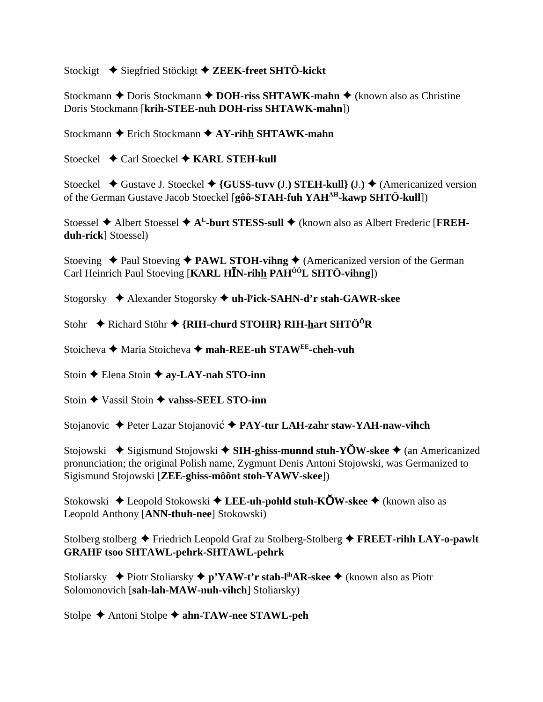Stockigt Siegfried Stöckigt **ZEEK-freet SHTÖ-kickt**

Stockmann **←** Doris Stockmann ← DOH-riss SHTAWK-mahn ← (known also as Christine Doris Stockmann [**krih-STEE-nuh DOH-riss SHTAWK-mahn**])

Stockmann **←** Erich Stockmann **← AY-rihh SHTAWK-mahn** 

Stoeckel **←** Carl Stoeckel ← KARL STEH-kull

Stoeckel  $\blacklozenge$  Gustave J. Stoeckel  $\blacklozenge$  {GUSS-tuvv (J.) STEH-kull} (J.)  $\blacklozenge$  (Americanized version of the German Gustave Jacob Stoeckel [**gôô-STAH-fuh YAHAH-kawp SHTÖ-kull**])

Stoessel ◆ Albert Stoessel ◆ A<sup>L</sup>-burt STESS-sull ◆ (known also as Albert Frederic [FREH**duh-rick**] Stoessel)

Stoeving  $\triangle$  Paul Stoeving  $\triangle$  PAWL STOH-vihng  $\triangle$  (Americanized version of the German Carl Heinrich Paul Stoeving [KARL H**IN-rihh PAH<sup>ôô</sup>L SHTÖ-vihng**])

Stogorsky Alexander Stogorsky **uh-ly ick-SAHN-d'r stah-GAWR-skee**

Stohr **←** Richard Stöhr ← {**RIH-churd STOHR**} **RIH-hart SHTÖ<sup>0</sup>R** 

Stoicheva Maria Stoicheva **mah-REE-uh STAWEE-cheh-vuh**

Stoin **←** Elena Stoin **← ay-LAY-nah STO-inn** 

Stoin  $\triangle$  Vassil Stoin  $\triangle$  vahss-SEEL STO-inn

Stojanovic ◆ Peter Lazar Stojanović ◆ PAY-tur LAH-zahr staw-YAH-naw-vihch

Stojowski **→** Sigismund Stojowski → SIH-ghiss-munnd stuh-YOW-skee → (an Americanized pronunciation; the original Polish name, Zygmunt Denis Antoni Stojowski, was Germanized to Sigismund Stojowski [**ZEE-ghiss-môônt stoh-YAWV-skee**])

Stokowski ◆ Leopold Stokowski ◆ LEE-uh-pohld stuh-KÕW-skee ◆ (known also as Leopold Anthony [**ANN-thuh-nee**] Stokowski)

Stolberg stolberg Friedrich Leopold Graf zu Stolberg-Stolberg **FREET-rihh LAY-o-pawlt GRAHF tsoo SHTAWL-pehrk-SHTAWL-pehrk**

Stoliarsky Piotr Stoliarsky **p'YAW-t'r stah-lihAR-skee** (known also as Piotr Solomonovich [**sah-lah-MAW-nuh-vihch**] Stoliarsky)

Stolpe **→** Antoni Stolpe **→ ahn-TAW-nee STAWL-peh**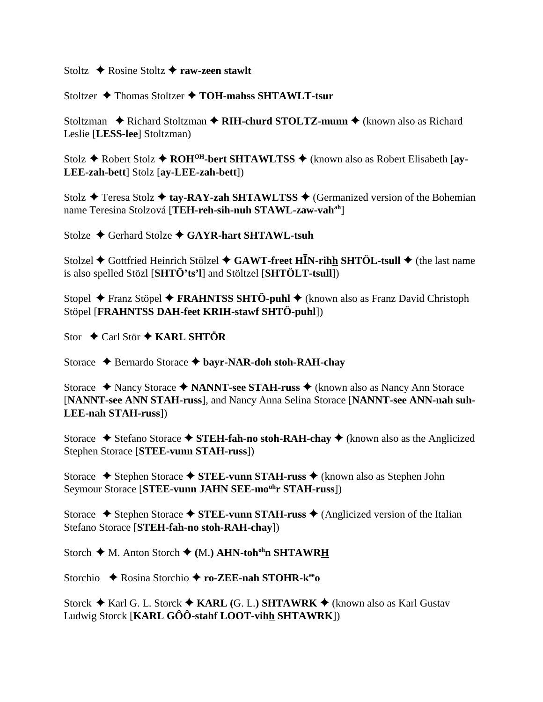Stoltz  $\triangle$  Rosine Stoltz  $\triangle$  raw-zeen stawlt

Stoltzer  $\triangle$  Thomas Stoltzer  $\triangle$  TOH-mahss SHTAWLT-tsur

Stoltzman ◆ Richard Stoltzman ◆ RIH-churd STOLTZ-munn ◆ (known also as Richard Leslie [LESS-lee] Stoltzman)

Stolz  $\triangle$  Robert Stolz  $\triangle$  ROH<sup>OH</sup>-bert SHTAWLTSS  $\triangle$  (known also as Robert Elisabeth [ay-LEE-zah-bett] Stolz [ay-LEE-zah-bett])

Stolz  $\triangle$  Teresa Stolz  $\triangle$  tay-RAY-zah SHTAWLTSS  $\triangle$  (Germanized version of the Bohemian name Teresina Stolzová [TEH-reh-sih-nuh STAWL-zaw-vah<sup>ah</sup>]

Stolze  $\triangle$  Gerhard Stolze  $\triangle$  GAYR-hart SHTAWL-tsuh

Stolzel  $\blacklozenge$  Gottfried Heinrich Stölzel  $\blacklozenge$  GAWT-freet HIN-rihh SHTÖL-tsull  $\blacklozenge$  (the last name is also spelled Stözl [SHTÖ'ts'l] and Stöltzel [SHTÖLT-tsull])

Stopel  $\triangle$  Franz Stöpel  $\triangle$  FRAHNTSS SHTÖ-puhl  $\triangle$  (known also as Franz David Christoph Stöpel [FRAHNTSS DAH-feet KRIH-stawf SHTÖ-puhl])

Stor  $\triangle$  Carl Stör  $\triangle$  KARL SHTÖR

Storace → Bernardo Storace → bayr-NAR-doh stoh-RAH-chay

Storace ◆ Nancy Storace ◆ NANNT-see STAH-russ ◆ (known also as Nancy Ann Storace [NANNT-see ANN STAH-russ], and Nancy Anna Selina Storace [NANNT-see ANN-nah suh-**LEE-nah STAH-russ**])

Storace  $\triangle$  Stefano Storace  $\triangle$  STEH-fah-no stoh-RAH-chay  $\triangle$  (known also as the Anglicized Stephen Storace [STEE-vunn STAH-russ])

Storace  $\triangle$  Stephen Storace  $\triangle$  STEE-vunn STAH-russ  $\triangle$  (known also as Stephen John Seymour Storace [STEE-vunn JAHN SEE-mo<sup>uh</sup>r STAH-russ])

Storace  $\blacklozenge$  Stephen Storace  $\blacklozenge$  STEE-vunn STAH-russ  $\blacklozenge$  (Anglicized version of the Italian Stefano Storace [STEH-fah-no stoh-RAH-chav])

Storch  $\blacklozenge$  M. Anton Storch  $\blacklozenge$  (M.) AHN-toh<sup>oh</sup>n SHTAWRH

Storchio  $\triangle$  Rosina Storchio  $\triangle$  ro-ZEE-nah STOHR-k<sup>ee</sup>

Storck  $\blacklozenge$  Karl G. L. Storck  $\blacklozenge$  KARL (G. L.) SHTAWRK  $\blacklozenge$  (known also as Karl Gustav Ludwig Storck [KARL GÔÔ-stahf LOOT-vihh SHTAWRK])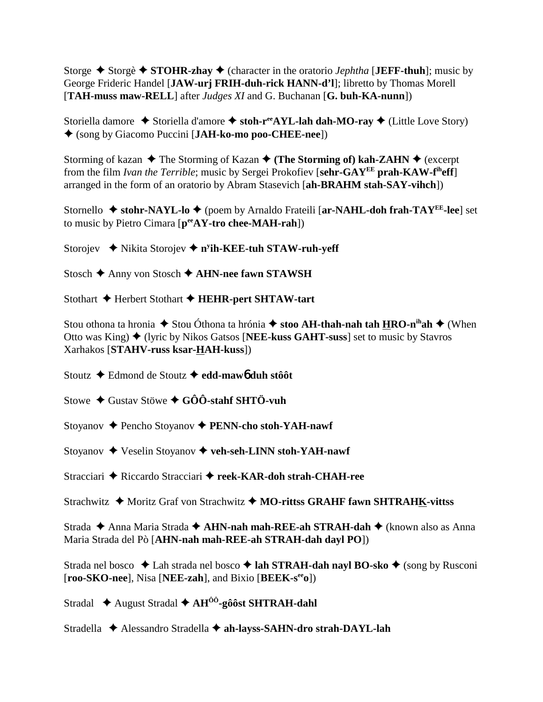Storge  $\triangle$  Storgè  $\triangle$  STOHR-zhay  $\triangle$  (character in the oratorio *Jephtha* [JEFF-thuh]; music by George Frideric Handel [**JAW-urj FRIH-duh-rick HANN-d'l**]; libretto by Thomas Morell [**TAH-muss maw-RELL**] after *Judges XI* and G. Buchanan [**G. buh-KA-nunn**])

Storiella damore ◆ Storiella d'amore ◆ stoh-r<sup>ee</sup>AYL-lah dah-MO-ray ◆ (Little Love Story) (song by Giacomo Puccini [**JAH-ko-mo poo-CHEE-nee**])

Storming of kazan  $\triangle$  The Storming of Kazan  $\triangle$  (The Storming of) kah-ZAHN  $\triangle$  (excerpt from the film *Ivan the Terrible*; music by Sergei Prokofiev [**sehr-GAYEE prah-KAW-fiheff**] arranged in the form of an oratorio by Abram Stasevich [**ah-BRAHM stah-SAY-vihch**])

Stornello **→ stohr-NAYL-lo →** (poem by Arnaldo Frateili [ar-NAHL-doh frah-TAY<sup>EE</sup>-lee] set to music by Pietro Cimara [**peeAY-tro chee-MAH-rah**])

Storojev **→** Nikita Storojev ◆ n<sup>y</sup>ih-KEE-tuh STAW-ruh-yeff

Stosch **→** Anny von Stosch **→ AHN-nee fawn STAWSH** 

Stothart  $\blacklozenge$  Herbert Stothart  $\blacklozenge$  **HEHR-pert SHTAW-tart** 

Stou othona ta hronia  $\triangle$  Stou Óthona ta hrónia  $\triangle$  stoo AH-thah-nah tah HRO-n<sup>ih</sup>ah  $\triangle$  (When Otto was King) (lyric by Nikos Gatsos [**NEE-kuss GAHT-suss**] set to music by Stavros Xarhakos [**STAHV-russ ksar-HAH-kuss**])

Stoutz Edmond de Stoutz **edd-maw**6 **duh stôôt**

Stowe **→** Gustav Stöwe **→ GÔÔ-stahf SHTÖ-vuh** 

Stoyanov Pencho Stoyanov **PENN-cho stoh-YAH-nawf**

Stoyanov  $\blacklozenge$  Veselin Stoyanov  $\blacklozenge$  veh-seh-LINN stoh-YAH-nawf

Stracciari ◆ Riccardo Stracciari ◆ reek-KAR-doh strah-CHAH-ree

Strachwitz ◆ Moritz Graf von Strachwitz ◆ MO-rittss GRAHF fawn SHTRAHK-vittss

Strada ◆ Anna Maria Strada ◆ **AHN-nah mah-REE-ah STRAH-dah** ◆ (known also as Anna Maria Strada del Pò [**AHN-nah mah-REE-ah STRAH-dah dayl PO**])

Strada nel bosco **↓** Lah strada nel bosco **→ lah STRAH-dah nayl BO-sko ◆** (song by Rusconi [**roo-SKO-nee**], Nisa [**NEE-zah**], and Bixio [**BEEK-seeo**])

Stradal ◆ August Stradal ◆ AH<sup>ÔÔ</sup>-gôôst SHTRAH-dahl

Stradella ◆ Alessandro Stradella ◆ ah-layss-SAHN-dro strah-DAYL-lah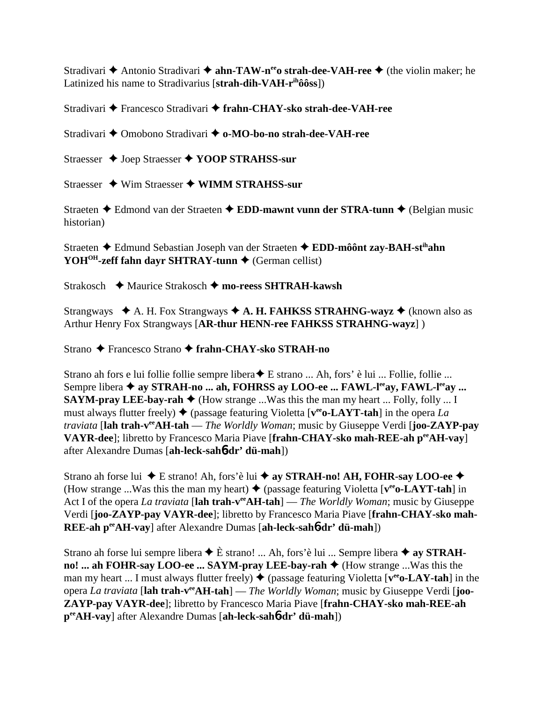Stradivari  $\triangle$  Antonio Stradivari  $\triangle$  ahn-TAW-n<sup>ee</sup> ostrah-dee-VAH-ree  $\triangle$  (the violin maker; he Latinized his name to Stradivarius [strah-dih-VAH-r<sup>ih</sup>ôôss])

Stradivari ♦ Francesco Stradivari ♦ frahn-CHAY-sko strah-dee-VAH-ree

Stradivari ◆ Omobono Stradivari ◆ o-MO-bo-no strah-dee-VAH-ree

Straesser ♦ Joep Straesser ♦ YOOP STRAHSS-sur

Straesser  $\triangleq$  Wim Straesser  $\triangleq$  WIMM STRAHSS-sur

Straeten  $\triangle$  Edmond van der Straeten  $\triangle$  EDD-mawnt vunn der STRA-tunn  $\triangle$  (Belgian music historian)

Straeten ◆ Edmund Sebastian Joseph van der Straeten ◆ EDD-môônt zay-BAH-st<sup>ih</sup>ahn YOH<sup>OH</sup>-zeff fahn dayr SHTRAY-tunn  $\triangle$  (German cellist)

Strakosch  $\leftrightarrow$  Maurice Strakosch  $\leftrightarrow$  mo-reess SHTRAH-kawsh

Strangways  $\triangle$  A. H. Fox Strangways  $\triangle$  A. H. FAHKSS STRAHNG-wayz  $\triangle$  (known also as Arthur Henry Fox Strangways [AR-thur HENN-ree FAHKSS STRAHNG-wayz])

Strano ← Francesco Strano ← frahn-CHAY-sko STRAH-no

Strano ah fors e lui follie follie sempre libera ♦ E strano ... Ah, fors' è lui ... Follie, follie ... Sempre libera ◆ ay STRAH-no ... ah, FOHRSS ay LOO-ee ... FAWL-leay, FAWL-leay ... **SAYM-pray LEE-bay-rah**  $\blacklozenge$  (How strange ... Was this the man my heart ... Folly, folly ... I must always flutter freely)  $\blacklozenge$  (passage featuring Violetta [ $v^{ee}$ o-LAYT-tah] in the opera La *traviata* [lah trah-v<sup>ee</sup>AH-tah — *The Worldly Woman*; music by Giuseppe Verdi [joo-ZAYP-pay VAYR-dee]; libretto by Francesco Maria Piave [frahn-CHAY-sko mah-REE-ah perAH-vay] after Alexandre Dumas [ah-leck-sah6-dr' dü-mah])

Strano ah forse lui ◆ E strano! Ah, fors'è lui ◆ ay STRAH-no! AH, FOHR-say LOO-ee ◆ (How strange ... Was this the man my heart)  $\triangle$  (passage featuring Violetta [ $v^{ee}$ o-LAYT-tah] in Act I of the opera La traviata [lah trah- $v^{ee}AH-tah$ ] — The Worldly Woman; music by Giuseppe Verdi [joo-ZAYP-pay VAYR-dee]; libretto by Francesco Maria Piave [frahn-CHAY-sko mah-REE-ah pee AH-vav] after Alexandre Dumas [ah-leck-sah6-dr' dü-mah])

Strano ah forse lui sempre libera  $\triangle$  È strano! ... Ah, fors'è lui ... Sempre libera  $\triangle$  ay STRAHno! ... ah FOHR-say LOO-ee ... SAYM-pray LEE-bay-rah  $\triangle$  (How strange ... Was this the man my heart ... I must always flutter freely)  $\blacklozenge$  (passage featuring Violetta [ $v^{ee}$ o-LAY-tah] in the opera La traviata [lah trah-veAH-tah] — The Worldly Woman; music by Giuseppe Verdi [joo-**ZAYP-pay VAYR-dee**]; libretto by Francesco Maria Piave [frahn-CHAY-sko mah-REE-ah pee AH-vay] after Alexandre Dumas [ah-leck-saho-dr' dü-mah])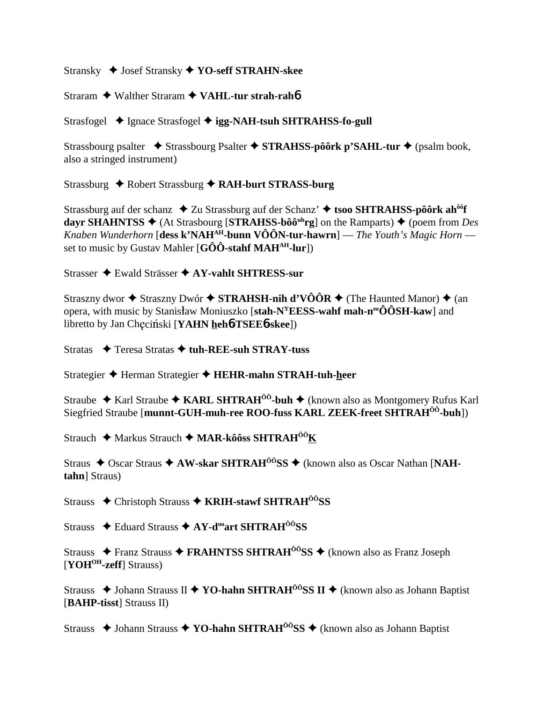Stransky ◆ Josef Stransky ◆ YO-seff STRAHN-skee

Straram  $\triangle$  Walther Straram  $\triangle$  VAHL-tur strah-raho

Strasfogel ◆ Ignace Strasfogel ◆ igg-NAH-tsuh SHTRAHSS-fo-gull

Strassbourg psalter  $\triangle$  Strassbourg Psalter  $\triangle$  STRAHSS-pôôrk p'SAHL-tur  $\triangle$  (psalm book, also a stringed instrument)

Strassburg ◆ Robert Strassburg ◆ RAH-burt STRASS-burg

Strassburg auf der schanz  $\triangle$  Zu Strassburg auf der Schanz'  $\triangle$  tsoo SHTRAHSS-pôôrk ah<sup>ôô</sup>f dayr SHAHNTSS  $\triangleq$  (At Strasbourg [STRAHSS-bôô<sup>uh</sup>rg] on the Ramparts)  $\triangleq$  (poem from Des Knaben Wunderhorn [dess k'NAH<sup>AH</sup>-bunn VÔÔN-tur-hawrn] — The Youth's Magic Horn set to music by Gustav Mahler  $[G\hat{O}\hat{O}$ -stahf MAH<sup>AH</sup>-lur])

Strasser ◆ Ewald Strässer ◆ AY-vahlt SHTRESS-sur

Straszny dwor  $\triangle$  Straszny Dwór  $\triangle$  STRAHSH-nih d'VÔÔR  $\triangle$  (The Haunted Manor)  $\triangle$  (an opera, with music by Stanisław Moniuszko [stah- $N^{\gamma}$ EESS-wahf mah-n<sup>ee</sup>ÔÔSH-kaw] and libretto by Jan Checiński [YAHN hehb-TSEEb-skee])

Stratas  $\rightarrow$  Teresa Stratas  $\rightarrow$  tuh-REE-suh STRAY-tuss

Strategier ← Herman Strategier ← HEHR-mahn STRAH-tuh-heer

Straube ◆ Karl Straube ◆ KARL SHTRAH<sup> $\hat{0}$ °-buh ◆ (known also as Montgomery Rufus Karl</sup> Siegfried Straube [munnt-GUH-muh-ree ROO-fuss KARL ZEEK-freet SHTRAH<sup>00</sup>-buh])

Strauch ◆ Markus Strauch ◆ MAR-kôôss SHTRAH<sup>00</sup>K

Straus  $\triangle$  Oscar Straus  $\triangle$  AW-skar SHTRAH<sup> $\hat{o}$ ôSS  $\triangle$  (known also as Oscar Nathan [NAH-</sup> tahn] Straus)

Strauss  $\triangle$  Christoph Strauss  $\triangle$  KRIH-stawf SHTRAH<sup>00</sup>SS

Strauss  $\triangle$  Eduard Strauss  $\triangle$  AY-d<sup>oo</sup>art SHTRAH<sup>00</sup>SS

Strauss  $\triangle$  Franz Strauss  $\triangle$  FRAHNTSS SHTRAH<sup> $\hat{o}$ </sup>SS  $\triangle$  (known also as Franz Joseph [YOH<sup>OH</sup>-zeff] Strauss)

Strauss  $\triangle$  Johann Strauss II  $\triangle$  YO-hahn SHTRAH<sup> $\hat{O}$ o<sup>3</sup>SS II  $\triangle$  (known also as Johann Baptist)</sup> [BAHP-tisst] Strauss II)

Strauss  $\triangle$  Johann Strauss  $\triangle$  YO-hahn SHTRAH<sup> $\hat{o}$ os  $\triangle$  (known also as Johann Baptist)</sup>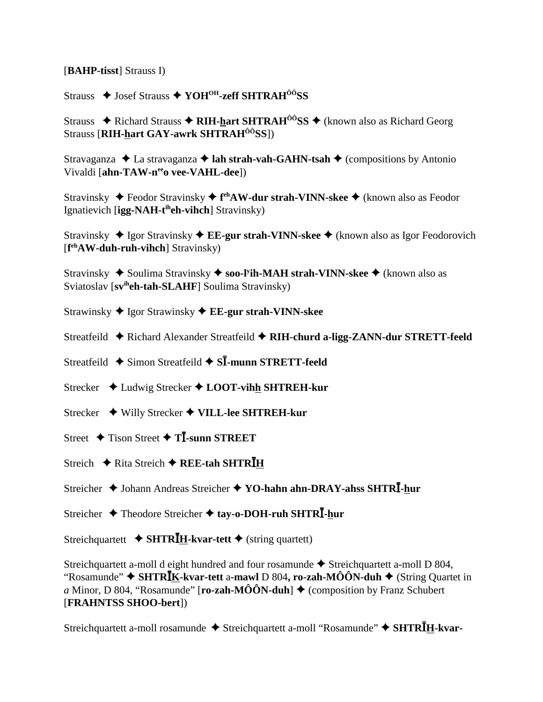[BAHP-tisst] Strauss I)

Strauss ◆ Josef Strauss ◆ YOH<sup>OH</sup>-zeff SHTRAH<sup>ÔÔ</sup>SS

Strauss  $\triangle$  Richard Strauss  $\triangle$  RIH-hart SHTRAH<sup> $\hat{o}$ ôSS  $\triangle$  (known also as Richard Georg</sup> Strauss [RIH-hart GAY-awrk SHTRAH<sup>00</sup>SS])

Stravaganza  $\triangle$  La stravaganza  $\triangle$  lah strah-vah-GAHN-tsah  $\triangle$  (compositions by Antonio Vivaldi [ahn-TAW-nee vee-VAHL-dee])

Stravinsky  $\blacklozenge$  Feodor Stravinsky  $\blacklozenge$  f<sup>eh</sup>AW-dur strah-VINN-skee  $\blacklozenge$  (known also as Feodor Ignatievich [ $ige-NAH-t<sup>ih</sup>eh-vihch$ ] Stravinsky)

Stravinsky  $\triangle$  Igor Stravinsky  $\triangle$  EE-gur strah-VINN-skee  $\triangle$  (known also as Igor Feodorovich  $[$ f<sup>eh</sup>**AW-duh-ruh-vihch**] Stravinsky $)$ 

Stravinsky  $\triangle$  Soulima Stravinsky  $\triangle$  soo-Fih-MAH strah-VINN-skee  $\triangle$  (known also as Sviatoslav [sv<sup>ih</sup>eh-tah-SLAHF] Soulima Stravinsky)

Strawinsky ◆ Igor Strawinsky ◆ EE-gur strah-VINN-skee

Streatfeild ◆ Richard Alexander Streatfeild ◆ RIH-churd a-ligg-ZANN-dur STRETT-feeld

Streatfeild ◆ Simon Streatfeild ◆ SI-munn STRETT-feeld

Strecker  $\triangleleft$  Ludwig Strecker  $\triangleleft$  LOOT-vihh SHTREH-kur

Strecker ◆ Willy Strecker ◆ VILL-lee SHTREH-kur

Street  $\div$  Tison Street  $\div$  T**I**-sunn STREET

Streich  $\triangle$  Rita Streich  $\triangle$  REE-tah SHTRIH

Streicher ♦ Johann Andreas Streicher ♦ YO-hahn ahn-DRAY-ahss SHTRI-hur

Streicher  $\triangle$  Theodore Streicher  $\triangle$  tay-o-DOH-ruh SHTR $\overline{I}$ -hur

Streichquartett ◆ SHTR $I_{H}$ -kvar-tett ◆ (string quartett)

Streichquartett a-moll d eight hundred and four rosamunde ◆ Streichquartett a-moll D 804, "Rosamunde"  $\blacklozenge$  SHTR**I**K-kvar-tett a-mawl D 804, ro-zah-MÔÔN-duh  $\blacklozenge$  (String Quartet in a Minor, D 804, "Rosamunde" [ro-zah-MÔÔN-duh]  $\triangle$  (composition by Franz Schubert [FRAHNTSS SHOO-bert])

Streichquartett a-moll rosamunde ◆ Streichquartett a-moll "Rosamunde" ◆ SHTRĪH-kvar-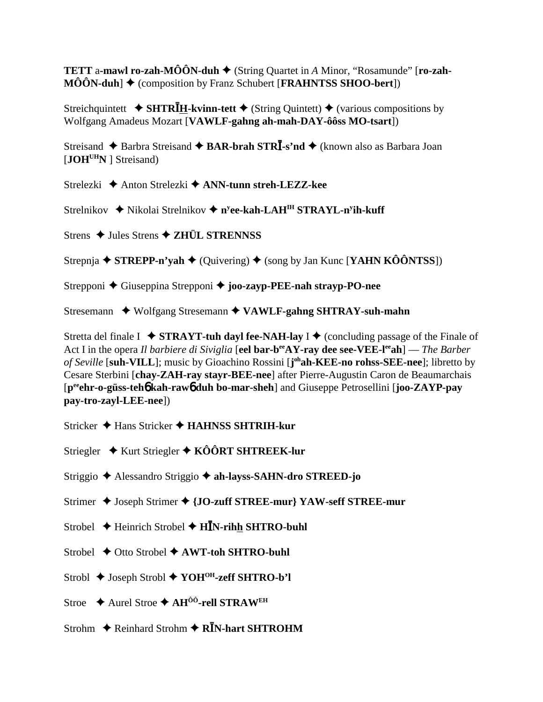**TETT** a-mawl ro-zah-MÔÔN-duh  $\blacklozenge$  (String Quartet in A Minor, "Rosamunde" [ro-zah- $\widehat{\text{MOON-duh}}$   $\blacklozenge$  (composition by Franz Schubert [FRAHNTSS SHOO-bert])

Streichquintett ◆ SHTR $\bar{I}$ H-kvinn-tett ◆ (String Quintett) ◆ (various compositions by Wolfgang Amadeus Mozart [VAWLF-gahng ah-mah-DAY-ôôss MO-tsart])

Streisand  $\triangle$  Barbra Streisand  $\triangle$  BAR-brah STRI-s'nd  $\triangle$  (known also as Barbara Joan  $[JOH<sup>UH</sup>N]$  Streisand)

Strelezki ♦ Anton Strelezki ♦ ANN-tunn streh-LEZZ-kee

Strelnikov ◆ Nikolai Strelnikov ◆ n<sup>y</sup>ee-kah-LAH<sup>IH</sup> STRAYL-n<sup>y</sup>ih-kuff

Strens  $\triangle$  Jules Strens  $\triangle$  ZHÜL STRENNSS

Strepnja  $\triangle$  STREPP-n'yah  $\triangle$  (Quivering)  $\triangle$  (song by Jan Kunc [YAHN KÔÔNTSS])

Strepponi ♦ Giuseppina Strepponi ♦ joo-zayp-PEE-nah strayp-PO-nee

Stresemann ◆ Wolfgang Stresemann ◆ VAWLF-gahng SHTRAY-suh-mahn

Stretta del finale I  $\rightarrow$  **STRAYT-tuh dayl fee-NAH-lay I**  $\rightarrow$  (concluding passage of the Finale of Act I in the opera *Il barbiere di Siviglia* [eel bar-b<sup>ee</sup>AY-ray dee see-VEE-l<sup>ee</sup>ah] — *The Barber* of Seville [suh-VILL]; music by Gioachino Rossini [j<sup>oh</sup>ah-KEE-no rohss-SEE-nee]; libretto by Cesare Sterbini [chay-ZAH-ray stayr-BEE-nee] after Pierre-Augustin Caron de Beaumarchais [p<sup>ee</sup>ehr-o-güss-teho kah-rawo duh bo-mar-sheh] and Giuseppe Petrosellini [joo-ZAYP-pay pay-tro-zayl-LEE-nee])

- Stricker ◆ Hans Stricker ◆ HAHNSS SHTRIH-kur
- Striegler  $\div$  Kurt Striegler  $\div$  KÔÔRT SHTREEK-lur
- Striggio ◆ Alessandro Striggio ◆ ah-layss-SAHN-dro STREED-jo
- Strimer ♦ Joseph Strimer ♦ {JO-zuff STREE-mur} YAW-seff STREE-mur
- Strobel  $\triangle$  Heinrich Strobel  $\triangle$  HIN-rihh SHTRO-buhl
- Strobel  $\triangle$  Otto Strobel  $\triangle$  AWT-toh SHTRO-buhl
- Strobl ◆ Joseph Strobl ◆ YOH<sup>OH</sup>-zeff SHTRO-b'l
- Stroe  $\triangle$  Aurel Stroe  $\triangle$  AH<sup>ÔÔ</sup>-rell STRAW<sup>EH</sup>
- Strohm  $\triangle$  Reinhard Strohm  $\triangle$  R $\overline{I}$ N-hart SHTROHM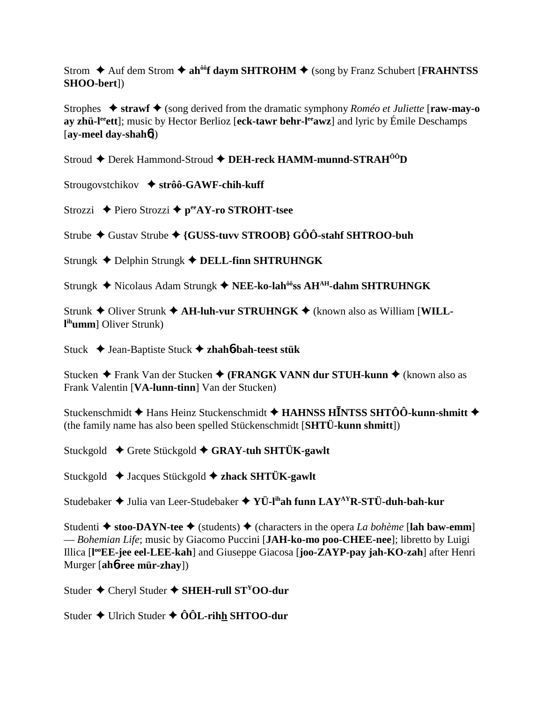Strom  $\triangle$  Auf dem Strom  $\triangle$  ah<sup>ôô</sup>f daym SHTROHM  $\triangle$  (song by Franz Schubert [FRAHNTSS] SHOO-bert])

Strophes  $\rightarrow$  strawf  $\rightarrow$  (song derived from the dramatic symphony *Roméo et Juliette* [raw-may-o ay zhü-l<sup>ee</sup> ett]; music by Hector Berlioz [eck-tawr behr-leaver] and lyric by Émile Deschamps  $[av$ -meel day-shah $b$ ])

Stroud ← Derek Hammond-Stroud ← DEH-reck HAMM-munnd-STRAH<sup>ÔÔ</sup>D

Strougovstchikov  $\triangle$  strôô-GAWF-chih-kuff

Strozzi  $\triangle$  Piero Strozzi  $\triangle$  p<sup>ee</sup>AY-ro STROHT-tsee

Strube ◆ Gustav Strube ◆ {GUSS-tuvy STROOB}  $G\hat{O}\hat{O}$ -stahf SHTROO-buh

Strungk ← Delphin Strungk ← DELL-finn SHTRUHNGK

Strungk ◆ Nicolaus Adam Strungk ◆ NEE-ko-lah<sup>ôô</sup>ss AH<sup>AH</sup>-dahm SHTRUHNGK

Strunk ◆ Oliver Strunk ◆ AH-luh-vur STRUHNGK ◆ (known also as William [WILLl<sup>ih</sup>umm] Oliver Strunk)

Stuck ◆ Jean-Baptiste Stuck ◆ zhahó-bah-teest stük

Stucken  $\triangle$  Frank Van der Stucken  $\triangle$  (FRANGK VANN dur STUH-kunn  $\triangle$  (known also as Frank Valentin [VA-lunn-tinn] Van der Stucken)

Stuckenschmidt  $\blacklozenge$  Hans Heinz Stuckenschmidt  $\blacklozenge$  HAHNSS HINTSS SHTÔÔ-kunn-shmitt  $\blacklozenge$ (the family name has also been spelled Stückenschmidt [SHTÜ-kunn shmitt])

Stuckgold  $\div$  Grete Stückgold  $\div$  GRAY-tuh SHTÜK-gawlt

Stuckgold  $\triangleleft$  Jacques Stückgold  $\triangleleft$  zhack SHTÜK-gawlt

Studebaker  $\triangle$  Julia van Leer-Studebaker  $\triangle$  YÜ-l<sup>ih</sup>ah funn LAY<sup>AY</sup>R-STÜ-duh-bah-kur

Studenti  $\triangle$  stoo-DAYN-tee  $\triangle$  (students)  $\triangle$  (characters in the opera *La bohème* [lah baw-emm] - Bohemian Life; music by Giacomo Puccini [JAH-ko-mo poo-CHEE-nee]; libretto by Luigi Illica [l<sup>oo</sup>EE-jee eel-LEE-kah] and Giuseppe Giacosa [joo-ZAYP-pay jah-KO-zah] after Henri Murger [ah**o-ree mür-zhay**])

Studer  $\triangle$  Cheryl Studer  $\triangle$  SHEH-rull ST<sup>Y</sup>OO-dur

Studer  $\triangle$  Ulrich Studer  $\triangle$  ÔÔL-rihh SHTOO-dur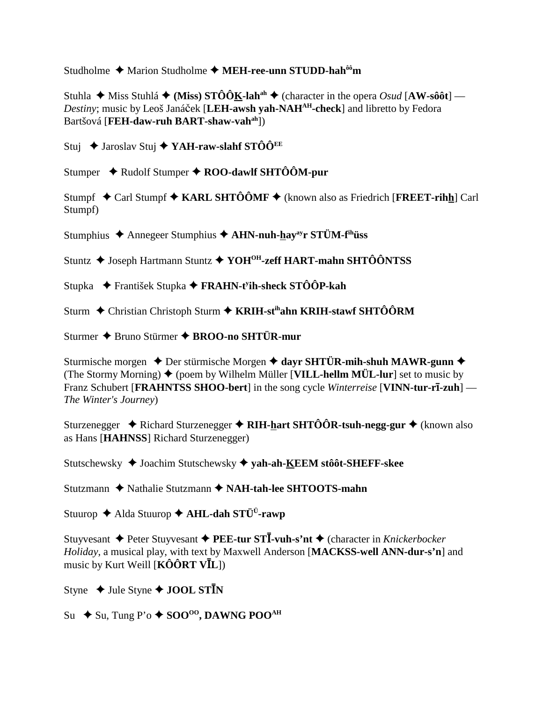Studholme  $\triangle$  Marion Studholme  $\triangle$  MEH-ree-unn STUDD-hah<sup> $\hat{\theta}$ om</sup>

Stuhla  $\triangleq$  Miss Stuhlá  $\triangleq$  (Miss) STÔÔK-lah<sup>ah</sup>  $\triangleq$  (character in the opera *Osud* [AW-sôôt] — Destiny; music by Leoš Janáček [LEH-awsh yah-NAH<sup>AH</sup>-check] and libretto by Fedora Bartšová [FEH-daw-ruh BART-shaw-vah<sup>ah</sup>])

Stuj  $\triangle$  Jaroslav Stuj  $\triangle$  YAH-raw-slahf STÔÔ<sup>EE</sup>

Stumper  $\triangleleft$  Rudolf Stumper  $\triangleleft$  ROO-dawlf SHTÔÔM-pur

Stumpf  $\triangle$  Carl Stumpf  $\triangle$  KARL SHTÔÔMF  $\triangle$  (known also as Friedrich [FREET-rihh] Carl Stumpf)

Stumphius ◆ Annegeer Stumphius ◆ AHN-nuh-hay<sup>ay</sup>r STÜM-f<sup>ih</sup>üss

Stuntz ◆ Joseph Hartmann Stuntz ◆ YOH<sup>OH</sup>-zeff HART-mahn SHTÔÔNTSS

Stupka → František Stupka → FRAHN-t<sup>y</sup>ih-sheck STÔÔP-kah

Sturm ← Christian Christoph Sturm ← KRIH-st<sup>ih</sup>ahn KRIH-stawf SHTÔÔRM

Sturmer ◆ Bruno Stürmer ◆ BROO-no SHTÜR-mur

Sturmische morgen  $\triangle$  Der stürmische Morgen  $\triangle$  davr SHTÜR-mih-shuh MAWR-gunn  $\triangle$ (The Stormy Morning)  $\blacklozenge$  (poem by Wilhelm Müller [VILL-hellm MÜL-lur] set to music by Franz Schubert [FRAHNTSS SHOO-bert] in the song cycle Winterreise [VINN-tur-rī-zuh] — The Winter's Journey)

Sturzenegger  $\triangle$  Richard Sturzenegger  $\triangle$  RIH-hart SHTÔÔR-tsuh-negg-gur  $\triangle$  (known also as Hans [HAHNSS] Richard Sturzenegger)

Stutschewsky ♦ Joachim Stutschewsky ♦ yah-ah-KEEM stôôt-SHEFF-skee

Stutzmann ◆ Nathalie Stutzmann ◆ NAH-tah-lee SHTOOTS-mahn

Stuurop ◆ Alda Stuurop ◆ AHL-dah STÜ<sup>Ü</sup>-rawp

Stuyvesant  $\triangle$  Peter Stuyvesant  $\triangle$  PEE-tur STI-vuh-s'nt  $\triangle$  (character in *Knickerbocker* Holiday, a musical play, with text by Maxwell Anderson [MACKSS-well ANN-dur-s'n] and music by Kurt Weill [ $\angle K\hat{O} \hat{O} R T V \bar{I} L$ ])

Styne  $\triangle$  Jule Styne  $\triangle$  JOOL STIN

Su  $\leftrightarrow$  Su, Tung P'o  $\leftrightarrow$  SOO<sup>oo</sup>, DAWNG POO<sup>AH</sup>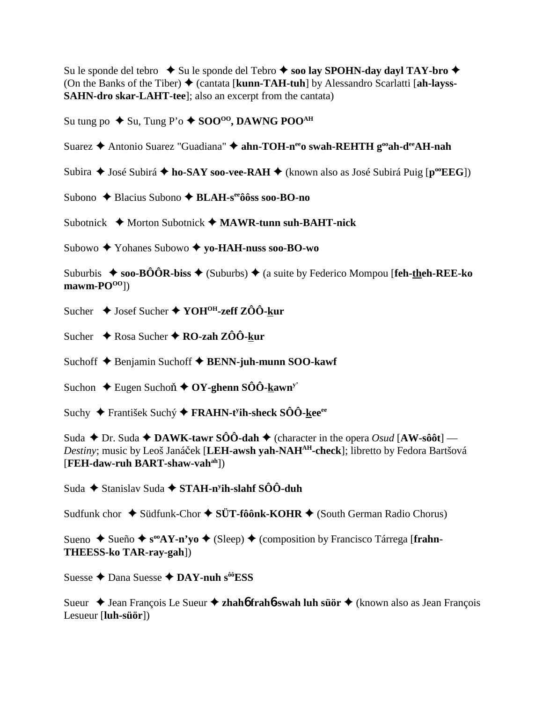Su le sponde del tebro  $\rightarrow$  Su le sponde del Tebro  $\rightarrow$  soo lay SPOHN-day dayl TAY-bro  $\rightarrow$ (On the Banks of the Tiber) (cantata [**kunn-TAH-tuh**] by Alessandro Scarlatti [**ah-layss-SAHN-dro skar-LAHT-tee**]; also an excerpt from the cantata)

Su tung po  $\blacklozenge$  Su, Tung P'o  $\blacklozenge$  SOO<sup>00</sup>, DAWNG POO<sup>AH</sup>

Suarez  **↑** Antonio Suarez "Guadiana" **↑ ahn-TOH-n<sup>ee</sup>o swah-REHTH g<sup>oo</sup>ah-d<sup>ee</sup>AH-nah** 

Subira ◆ José Subirá ◆ ho-SAY soo-vee-RAH ◆ (known also as José Subirá Puig [p<sup>oo</sup>EEG])

Subono ◆ Blacius Subono ◆ **BLAH-s<sup>ee</sup>ôôss soo-BO-no** 

Subotnick **→** Morton Subotnick → MAWR-tunn suh-BAHT-nick

Subowo Yohanes Subowo  **yo-HAH-nuss soo-BO-wo**

Suburbis  $\rightarrow$  soo-BÔÔR-biss  $\rightarrow$  (Suburbs)  $\rightarrow$  (a suite by Federico Mompou [feh-theh-REE-ko  $\text{mawn-PO}^{OO}$ ])

- Sucher **→** Josef Sucher ◆ YOH<sup>OH</sup>-zeff ZÔÔ-kur
- Sucher **→** Rosa Sucher **→ RO-zah ZÔÔ-kur**

Suchoff **→** Benjamin Suchoff **→ BENN-juh-munn SOO-kawf** 

Suchon  $\rightarrow$  Eugen Suchon  $\rightarrow$  OY-ghenn SÔÔ-kawn<sup>y</sup>

Suchy František Suchý **FRAHN-ty ih-sheck SÔÔ-keeee**

Suda  $\blacklozenge$  Dr. Suda  $\blacklozenge$  **DAWK-tawr SÔÔ-dah**  $\blacklozenge$  (character in the opera *Osud* [AW-sôôt] — Destiny; music by Leoš Janáček [**LEH-awsh yah-NAH<sup>AH</sup>-check**]; libretto by Fedora Bartšová [**FEH-daw-ruh BART-shaw-vahah**])

Suda ◆ Stanislav Suda ◆ STAH-n<sup>y</sup>ih-slahf SÔÔ-duh

Sudfunk chor ◆ Südfunk-Chor ◆ SÜT-fôônk-KOHR ◆ (South German Radio Chorus)

Sueno ◆ Sueño ◆ s<sup>oo</sup>AY-n'yo ◆ (Sleep) ◆ (composition by Francisco Tárrega [frahn-**THEESS-ko TAR-ray-gah**])

Suesse **←** Dana Suesse ← DAY-nuh s<sup>ôô</sup>ESS

Sueur ◆ Jean François Le Sueur ◆ zhah**6** frah**6-swah luh süör** ◆ (known also as Jean François Lesueur [**luh-süör**])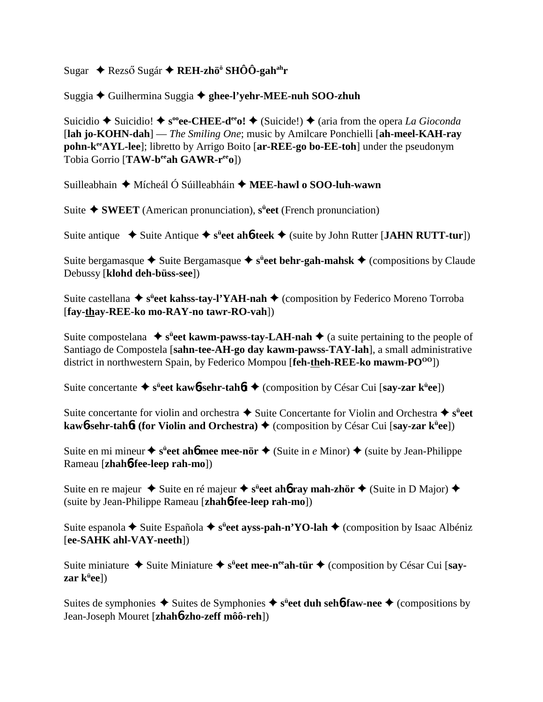## Sugar ◆ Rezső Sugár ◆ REH-zhö<sup>ö</sup> SHÔÔ-gah<sup>ah</sup>r

## Suggia Guilhermina Suggia **ghee-l'yehr-MEE-nuh SOO-zhuh**

Suicidio  $\blacklozenge$  Suicidio!  $\blacklozenge$  s<sup>oo</sup>ee-CHEE-d<sup>ee</sup>o!  $\blacklozenge$  (Suicide!)  $\blacklozenge$  (aria from the opera *La Gioconda* [**lah jo-KOHN-dah**] — *The Smiling One*; music by Amilcare Ponchielli [**ah-meel-KAH-ray pohn-k<sup>ee</sup>AYL-lee**]; libretto by Arrigo Boito [ar-REE-go bo-EE-toh] under the pseudonym Tobia Gorrio [**TAW-beeah GAWR-reeo**])

Suilleabhain **→** Mícheál Ó Súilleabháin → **MEE-hawl o SOO-luh-wawn** 

Suite **SWEET** (American pronunciation), **sü eet** (French pronunciation)

Suite antique ◆ Suite Antique ◆ s<sup>ü</sup>eet ah**6-teek** ◆ (suite by John Rutter [JAHN RUTT-tur])

Suite bergamasque ◆ Suite Bergamasque ◆ s<sup>ü</sup>eet behr-gah-mahsk ◆ (compositions by Claude Debussy [**klohd deh-büss-see**])

Suite castellana ◆ s<sup>ü</sup>eet kahss-tay-l'YAH-nah ◆ (composition by Federico Moreno Torroba [**fay-thay-REE-ko mo-RAY-no tawr-RO-vah**])

Suite compostelana ◆ s<sup>ü</sup>eet kawm-pawss-tay-LAH-nah ◆ (a suite pertaining to the people of Santiago de Compostela [**sahn-tee-AH-go day kawm-pawss-TAY-lah**], a small administrative district in northwestern Spain, by Federico Mompou [**feh-theh-REE-ko mawm-PO**<sup>00</sup>])

Suite concertante  $\triangleq$  s<sup>ü</sup>eet kaw<sup>6</sup>-sehr-tahôt  $\triangleq$  (composition by César Cui [say-zar k<sup>ü</sup>ee])

Suite concertante for violin and orchestra  $\triangle$  Suite Concertante for Violin and Orchestra  $\triangle$  s<sup>ü</sup>eet **kaw<sup>6</sup>-sehr-tah** $6$ **t (for Violin and Orchestra)**  $\blacklozenge$  **(composition by César Cui [say-zar k<sup>ü</sup>ee])** 

Suite en mi mineur ◆ s<sup>ü</sup>eet ah**6** mee mee-nör ◆ (Suite in *e* Minor) ◆ (suite by Jean-Philippe Rameau [**zhah**6**-fee-leep rah-mo**])

Suite en re majeur  $\triangleq$  Suite en ré majeur  $\triangleq$  s<sup>ii</sup>eet ah**ó ray mah-zhör**  $\triangleq$  (Suite in D Major)  $\triangleq$ (suite by Jean-Philippe Rameau [**zhah**6**-fee-leep rah-mo**])

Suite espanola ◆ Suite Española ◆ s<sup>ü</sup>eet ayss-pah-n'YO-lah ◆ (composition by Isaac Albéniz [**ee-SAHK ahl-VAY-neeth**])

Suite miniature ◆ Suite Miniature ◆ s<sup>ü</sup>eet mee-n<sup>ee</sup>ah-tür ◆ (composition by César Cui [say**zar kü ee**])

Suites de symphonies ◆ Suites de Symphonies ◆ s<sup>ü</sup>eet duh seh6-faw-nee ◆ (compositions by Jean-Joseph Mouret [**zhah**6**-zho-zeff môô-reh**])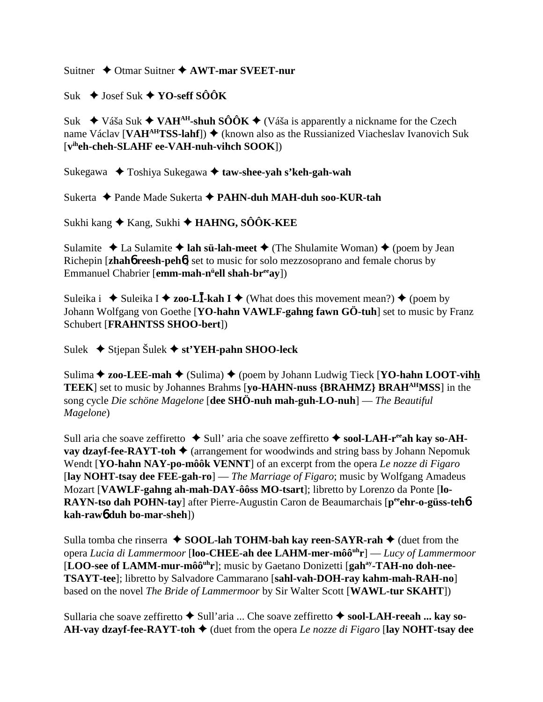Suitner Otmar Suitner **AWT-mar SVEET-nur**

 $Suk \triangleleft$  Josef Suk  $\triangleleft$  **YO-seff SÔÔK** 

Suk  $\leftrightarrow$  Váša Suk  $\leftrightarrow$  VAH<sup>AH</sup>-shuh SÔÔK  $\leftrightarrow$  (Váša is apparently a nickname for the Czech name Václav [**VAH<sup>AH</sup>TSS-lahf**])  $\blacklozenge$  (known also as the Russianized Viacheslav Ivanovich Suk [**viheh-cheh-SLAHF ee-VAH-nuh-vihch SOOK**])

Sukegawa Toshiya Sukegawa **taw-shee-yah s'keh-gah-wah**

Sukerta Pande Made Sukerta **PAHN-duh MAH-duh soo-KUR-tah**

Sukhi kang Kang, Sukhi **HAHNG, SÔÔK-KEE**

Sulamite  $\triangle$  La Sulamite  $\triangle$  **lah sü-lah-meet**  $\triangle$  (The Shulamite Woman)  $\triangle$  (poem by Jean Richepin [**zhah**6 **reesh-peh**6] set to music for solo mezzosoprano and female chorus by Emmanuel Chabrier [**emm-mah-nü ell shah-breeay**])

Suleika i  $\rightarrow$  Suleika I  $\rightarrow$  zoo-L**I**-kah I  $\rightarrow$  (What does this movement mean?)  $\rightarrow$  (poem by Johann Wolfgang von Goethe [**YO-hahn VAWLF-gahng fawn GÖ-tuh**] set to music by Franz Schubert [**FRAHNTSS SHOO-bert**])

Sulek Stjepan Šulek **st'YEH-pahn SHOO-leck**

Sulima **→ zoo-LEE-mah** → (Sulima) → (poem by Johann Ludwig Tieck [**YO-hahn LOOT-vihh TEEK**] set to music by Johannes Brahms [**yo-HAHN-nuss {BRAHMZ} BRAHAHMSS**] in the song cycle *Die schöne Magelone* [**dee SHÖ-nuh mah-guh-LO-nuh**] — *The Beautiful Magelone*)

Sull aria che soave zeffiretto  $\blacklozenge$  Sull' aria che soave zeffiretto  $\blacklozenge$  **sool-LAH-r<sup>ee</sup>ah kay so-AHvay dzayf-fee-RAYT-toh**  $\blacklozenge$  (arrangement for woodwinds and string bass by Johann Nepomuk Wendt [**YO-hahn NAY-po-môôk VENNT**] of an excerpt from the opera *Le nozze di Figaro* [**lay NOHT-tsay dee FEE-gah-ro**] — *The Marriage of Figaro*; music by Wolfgang Amadeus Mozart [**VAWLF-gahng ah-mah-DAY-ôôss MO-tsart**]; libretto by Lorenzo da Ponte [**lo-RAYN-tso dah POHN-tay**] after Pierre-Augustin Caron de Beaumarchais [p<sup>ee</sup>ehr-o-güss-teh**6 kah-raw**6 **duh bo-mar-sheh**])

Sulla tomba che rinserra **↓ SOOL-lah TOHM-bah kay reen-SAYR-rah ◆** (duet from the opera *Lucia di Lammermoor* [**loo-CHEE-ah dee LAHM-mer-môôuhr**] — *Lucy of Lammermoor* [LOO-see of LAMM-mur-môô<sup>uh</sup>r]; music by Gaetano Donizetti [gah<sup>ay</sup>-TAH-no doh-nee-**TSAYT-tee**]; libretto by Salvadore Cammarano [**sahl-vah-DOH-ray kahm-mah-RAH-no**] based on the novel *The Bride of Lammermoor* by Sir Walter Scott [**WAWL-tur SKAHT**])

Sullaria che soave zeffiretto ◆ Sull'aria ... Che soave zeffiretto ◆ sool-LAH-reeah ... kay so-**AH-vay dzayf-fee-RAYT-toh**  $\blacklozenge$  (duet from the opera *Le nozze di Figaro* [lay NOHT-tsay dee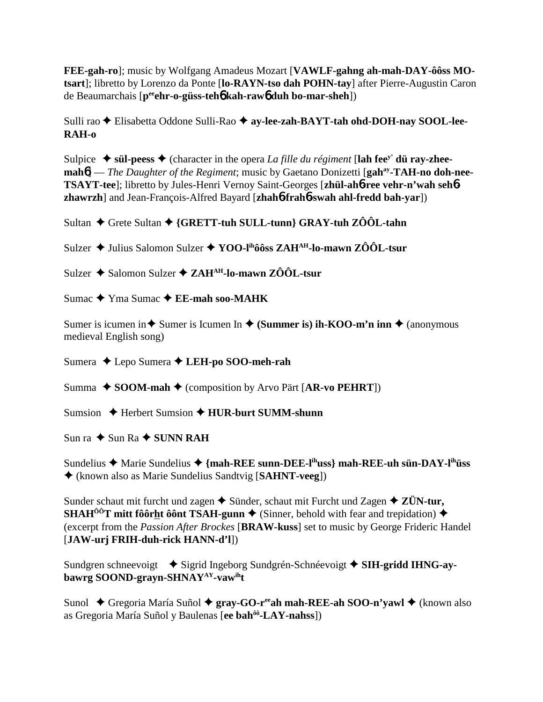FEE-gah-ro]; music by Wolfgang Amadeus Mozart [VAWLF-gahng ah-mah-DAY-ôôss MOtsart]; libretto by Lorenzo da Ponte [lo-RAYN-tso dah POHN-tay] after Pierre-Augustin Caron de Beaumarchais [p<sup>ee</sup>ehr-o-güss-teho kah-rawo duh bo-mar-sheh])

Sulli rao ◆ Elisabetta Oddone Sulli-Rao ◆ ay-lee-zah-BAYT-tah ohd-DOH-nay SOOL-lee- $RAH-<sub>0</sub>$ 

Sulpice  $\blacklozenge$  sül-peess  $\blacklozenge$  (character in the opera *La fille du régiment* [lah fee<sup>y'</sup> dü ray-zhee- $\mathbf{mah6}$  – The Daughter of the Regiment; music by Gaetano Donizetti [ $\mathbf{gah}^{ay}\text{-}TAH\text{-}no\text{ }\mathbf{doh}\text{-}nee\text{-}$ TSAYT-tee]; libretto by Jules-Henri Vernoy Saint-Georges [zhül-ahb-ree vehr-n'wah sehbzhawrzh] and Jean-François-Alfred Bayard [zhah6-frah6-swah ahl-fredd bah-var])

Sultan ♦ Grete Sultan ♦ {GRETT-tuh SULL-tunn} GRAY-tuh ZÔÔL-tahn

Sulzer ◆ Julius Salomon Sulzer ◆ YOO-lihôôss ZAH<sup>AH</sup>-lo-mawn ZÔÔL-tsur

Sulzer  $\triangle$  Salomon Sulzer  $\triangle$  ZAH<sup>AH</sup>-lo-mawn ZÔÔL-tsur

Sumac  $\blacklozenge$  Yma Sumac  $\blacklozenge$  EE-mah soo-MAHK

Sumer is icumen in  $\triangle$  Sumer is Icumen In  $\triangle$  (Summer is) ih-KOO-m'n inn  $\triangle$  (anonymous medieval English song)

Sumera ◆ Lepo Sumera ◆ LEH-po SOO-meh-rah

Summa  $\triangle$  SOOM-mah  $\triangle$  (composition by Arvo Pärt [AR-vo PEHRT])

Sumsion  $\bigstar$  Herbert Sumsion  $\bigstar$  HUR-burt SUMM-shunn

Sun ra  $\triangle$  Sun Ra  $\triangle$  SUNN RAH

Sundelius ← Marie Sundelius ← {mah-REE sunn-DEE-l<sup>ih</sup>uss} mah-REE-uh sün-DAY-l<sup>ih</sup>uss ◆ (known also as Marie Sundelius Sandtvig [SAHNT-veeg])

Sunder schaut mit furcht und zagen  $\triangle$  Sünder, schaut mit Furcht und Zagen  $\triangle$  ZÜN-tur, **SHAH<sup>** $\hat{0}$ **<sup>o</sup>T** mitt foorht of **SAH-gunn**  $\blacklozenge$  (Sinner, behold with fear and trepidation)  $\blacklozenge$ </sup> (excerpt from the *Passion After Brockes* [BRAW-kuss] set to music by George Frideric Handel [JAW-urj FRIH-duh-rick HANN-d'l])

Sundgren schneevoigt → Sigrid Ingeborg Sundgrén-Schnéevoigt → SIH-gridd IHNG-aybawrg SOOND-grayn-SHNAY<sup>AY</sup>-vawiht

Sunol  $\leftrightarrow$  Gregoria María Suñol  $\leftrightarrow$  gray-GO-r<sup>ee</sup> ah mah-REE-ah SOO-n'vawl  $\leftrightarrow$  (known also as Gregoria María Suñol y Baulenas [ee bah<sup>ôô</sup>-LAY-nahss])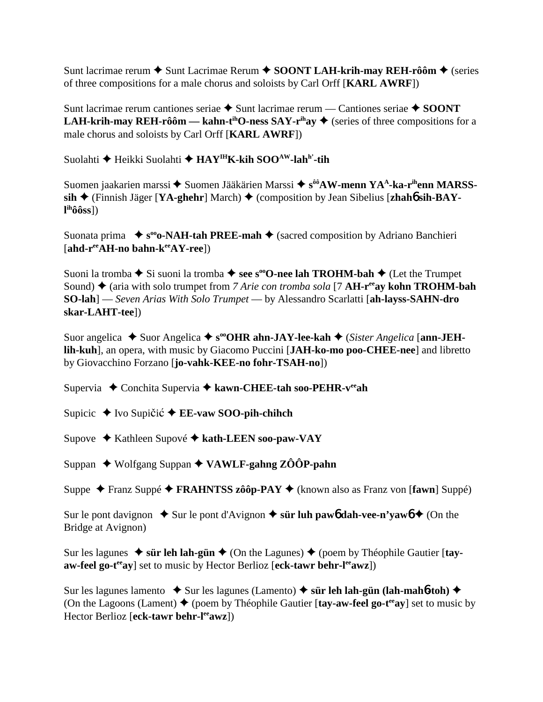Sunt lacrimae rerum **→** Sunt Lacrimae Rerum ◆ SOONT LAH-krih-may REH-rôôm ◆ (series of three compositions for a male chorus and soloists by Carl Orff [**KARL AWRF**])

Sunt lacrimae rerum cantiones seriae **→** Sunt lacrimae rerum — Cantiones seriae ◆ SOONT **LAH-krih-may REH-rôôm — kahn-t<sup>ih</sup>O-ness SAY-r<sup>ih</sup>ay**  $\blacklozenge$  **(series of three compositions for a** male chorus and soloists by Carl Orff [**KARL AWRF**])

Suolahti **←** Heikki Suolahti ← HAY<sup>IH</sup>K-kih SOO<sup>AW</sup>-lah<sup>h'</sup>-tih

Suomen jaakarien marssi **→** Suomen Jääkärien Marssi → s<sup>ôô</sup>AW-menn YA<sup>A</sup>-ka-r<sup>ih</sup>enn MARSSsih ♦ (Finnish Jäger [YA-ghehr] March) ♦ (composition by Jean Sibelius [zhah**6** sih-BAY**l ihôôss**])

Suonata prima  $\bullet$  s<sup>oo</sup>o-NAH-tah PREE-mah  $\bullet$  (sacred composition by Adriano Banchieri [**ahd-reeAH-no bahn-keeAY-ree**])

Suoni la tromba **→** Si suoni la tromba → see s<sup>oo</sup>O-nee lah TROHM-bah → (Let the Trumpet Sound) ◆ (aria with solo trumpet from *7 Arie con tromba sola* [7 **AH-r<sup>ee</sup>ay kohn TROHM-bah SO-lah**] — *Seven Arias With Solo Trumpet* — by Alessandro Scarlatti [**ah-layss-SAHN-dro skar-LAHT-tee**])

Suor angelica ◆ Suor Angelica ◆ s<sup>oo</sup>OHR ahn-JAY-lee-kah ◆ (*Sister Angelica* [ann-JEH**lih-kuh**], an opera, with music by Giacomo Puccini [**JAH-ko-mo poo-CHEE-nee**] and libretto by Giovacchino Forzano [**jo-vahk-KEE-no fohr-TSAH-no**])

Supervia ◆ Conchita Supervia ◆ kawn-CHEE-tah soo-PEHR-v<sup>ee</sup>ah

Supicic ◆ Ivo Supičić ◆ **EE-vaw SOO-pih-chihch** 

Supove Kathleen Supové **kath-LEEN soo-paw-VAY**

Suppan Wolfgang Suppan **VAWLF-gahng ZÔÔP-pahn**

Suppe Franz Suppé **FRAHNTSS zôôp-PAY** (known also as Franz von [**fawn**] Suppé)

Sur le pont davignon  $\triangle$  Sur le pont d'Avignon  $\triangle$  s**ür luh paw6 dah-vee-n'yaw6**  $\triangle$  (On the Bridge at Avignon)

Sur les lagunes  $\triangleq$  s**ür leh lah-gün**  $\triangleq$  (On the Lagunes)  $\triangleq$  (poem by Théophile Gautier [tayaw-feel go-t<sup>ee</sup>ay] set to music by Hector Berlioz [eck-tawr behr-l<sup>ee</sup>awz])

Sur les lagunes lamento  $\bullet$  Sur les lagunes (Lamento)  $\bullet$  s**ür leh lah-gün (lah-mahb-toh)** (On the Lagoons (Lament)  $\blacklozenge$  (poem by Théophile Gautier [tay-aw-feel go-t<sup>ee</sup>ay] set to music by Hector Berlioz [eck-tawr behr-l<sup>ee</sup>awz])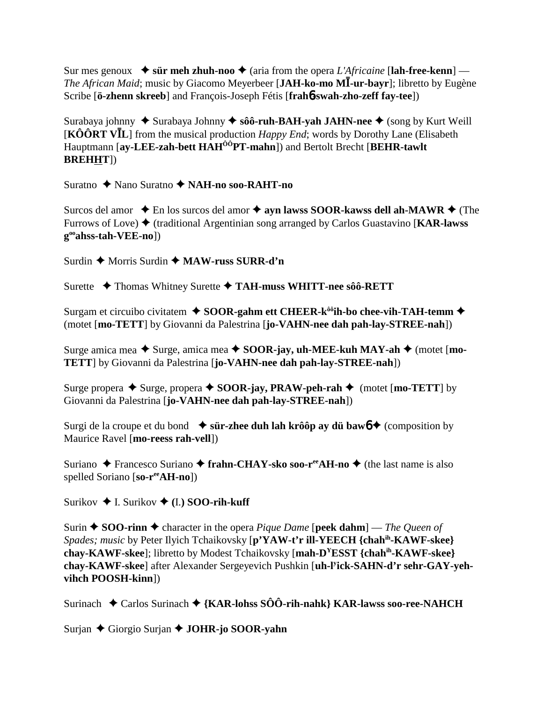Sur mes genoux  $\bullet$  s**ür meh zhuh-noo**  $\bullet$  (aria from the opera *L'Africaine* [**lah-free-kenn**] — *The African Maid*; music by Giacomo Meyerbeer [JAH-ko-mo MI-ur-bayr]; libretto by Eugène Scribe [**ö-zhenn skreeb**] and François-Joseph Fétis [**frah**6**-swah-zho-zeff fay-tee**])

Surabaya johnny ◆ Surabaya Johnny ◆ sôô-ruh-BAH-yah JAHN-nee ◆ (song by Kurt Weill [KÔÔRT VIL] from the musical production *Happy End*; words by Dorothy Lane (Elisabeth Hauptmann [**ay-LEE-zah-bett HAHÔÔPT-mahn**]) and Bertolt Brecht [**BEHR-tawlt BREHHT**])

Suratno ◆ Nano Suratno ◆ NAH-no soo-RAHT-no

Surcos del amor  $\triangle$  En los surcos del amor  $\triangle$  ayn lawss SOOR-kawss dell ah-MAWR  $\triangle$  (The Furrows of Love)  $\blacklozenge$  (traditional Argentinian song arranged by Carlos Guastavino [**KAR-lawss gooahss-tah-VEE-no**])

Surdin **←** Morris Surdin ← **MAW-russ SURR-d'n** 

Surette **← Thomas Whitney Surette ← TAH-muss WHITT-nee sôô-RETT** 

Surgam et circuibo civitatem **↓ SOOR-gahm ett CHEER-k<sup>ôô</sup>ih-bo chee-vih-TAH-temm ◆** (motet [**mo-TETT**] by Giovanni da Palestrina [**jo-VAHN-nee dah pah-lay-STREE-nah**])

Surge amica mea ◆ Surge, amica mea ◆ SOOR-jay, uh-MEE-kuh MAY-ah ◆ (motet [mo-**TETT**] by Giovanni da Palestrina [**jo-VAHN-nee dah pah-lay-STREE-nah**])

Surge propera  $\triangle$  Surge, propera  $\triangle$  **SOOR-jay, PRAW-peh-rah**  $\triangle$  (motet [**mo-TETT**] by Giovanni da Palestrina [**jo-VAHN-nee dah pah-lay-STREE-nah**])

Surgi de la croupe et du bond  $\bullet$  s**ür-zhee duh lah krôôp ay dü baw6**  $\bullet$  (composition by Maurice Ravel [**mo-reess rah-vell**])

Suriano **←** Francesco Suriano ← frahn-CHAY-sko soo-r<sup>ee</sup>AH-no ← (the last name is also spelled Soriano [**so-reeAH-no**])

Surikov  $\triangle$  I. Surikov  $\triangle$  (I.) **SOO-rih-kuff** 

Surin  $\triangle$  **SOO-rinn**  $\triangle$  character in the opera *Pique Dame* [**peek dahm**] — *The Queen of Spades; music* by Peter Ilyich Tchaikovsky [**p'YAW-t'r ill-YEECH {chahih-KAWF-skee} chay-KAWF-skee**]; libretto by Modest Tchaikovsky [**mah-DYESST {chahih-KAWF-skee} chay-KAWF-skee**] after Alexander Sergeyevich Pushkin [**uh-ly ick-SAHN-d'r sehr-GAY-yehvihch POOSH-kinn**])

Surinach **→** Carlos Surinach ◆ {KAR-lohss SÔÔ-rih-nahk} KAR-lawss soo-ree-NAHCH

Surjan Giorgio Surjan **JOHR-jo SOOR-yahn**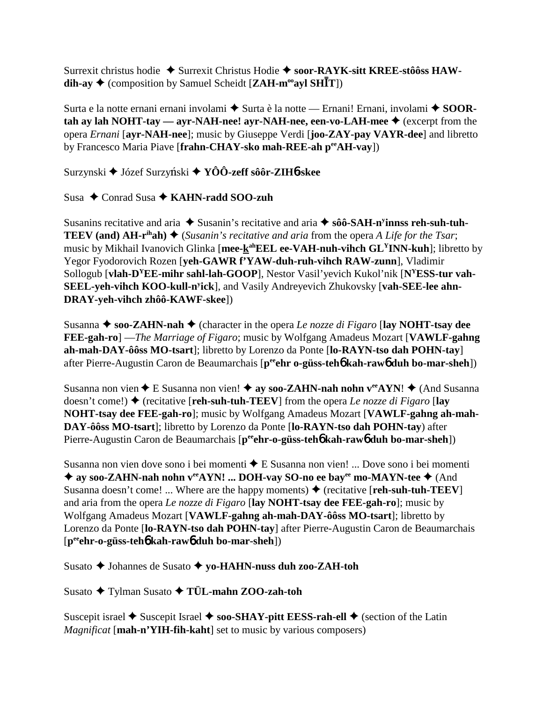Surrexit christus hodie  $\triangleq$  Surrexit Christus Hodie  $\triangleq$  soor-RAYK-sitt KREE-stôôss HAW- $\text{dih-av}$   $\blacklozenge$  (composition by Samuel Scheidt [ZAH-m<sup>oo</sup>avl SHIT])

Surta e la notte ernani ernani involami ◆ Surta è la notte — Ernani! Ernani, involami ◆ SOORtah ay lah NOHT-tay — ayr-NAH-nee! ayr-NAH-nee, een-vo-LAH-mee  $\blacklozenge$  (excerpt from the opera *Ernani* [avr-NAH-nee]; music by Giuseppe Verdi [joo-ZAY-pay VAYR-dee] and libretto by Francesco Maria Piave [frahn-CHAY-sko mah-REE-ah peeAH-vay])

Surzynski ◆ Józef Surzyński ◆ YÔÔ-zeff sôôr-ZIH6-skee

Susa  $\triangle$  Conrad Susa  $\triangle$  KAHN-radd SOO-zuh

Susanins recitative and aria  $\triangle$  Susanin's recitative and aria  $\triangle$  sô SAH-n<sup>y</sup>innss reh-suh-tuh-**TEEV** (and) AH-r<sup>ih</sup>ah)  $\triangleq$  (Susanin's recitative and aria from the opera A Life for the Tsar; music by Mikhail Ivanovich Glinka [mee-kahEEL ee-VAH-nuh-vihch GL<sup>Y</sup>INN-kuh]; libretto by Yegor Fyodorovich Rozen [veh-GAWR f'YAW-duh-ruh-vihch RAW-zunn], Vladimir Sollogub [vlah- $D^YEE$ -mihr sahl-lah-GOOP], Nestor Vasil' vevich Kukol'nik [ $N^YESS$ -tur vah-SEEL-yeh-vihch KOO-kull-n<sup>y</sup>ick], and Vasily Andreyevich Zhukovsky [vah-SEE-lee ahn-DRAY-yeh-vihch zhôô-KAWF-skee])

Susanna  $\triangle$  soo-ZAHN-nah  $\triangle$  (character in the opera Le nozze di Figaro [lay NOHT-tsay dee **FEE-gah-ro**] — *The Marriage of Figaro*; music by Wolfgang Amadeus Mozart [VAWLF-gahng] ah-mah-DAY-ôôss MO-tsart]; libretto by Lorenzo da Ponte [lo-RAYN-tso dah POHN-tay] after Pierre-Augustin Caron de Beaumarchais [peehr o-güss-teho kah-rawo duh bo-mar-sheh])

Susanna non vien  $\triangle$  E Susanna non vien!  $\triangle$  ay soo-ZAHN-nah nohn v<sup>ee</sup>AYN!  $\triangle$  (And Susanna doesn't come!)  $\blacklozenge$  (recitative [reh-suh-tuh-TEEV] from the opera Le nozze di Figaro [lay NOHT-tsay dee FEE-gah-ro]; music by Wolfgang Amadeus Mozart [VAWLF-gahng ah-mah-DAY-ôôss MO-tsart]; libretto by Lorenzo da Ponte [lo-RAYN-tso dah POHN-tay) after Pierre-Augustin Caron de Beaumarchais [p<sup>ee</sup>ehr-o-güss-teho kah-rawo duh bo-mar-sheh])

Susanna non vien dove sono i bei momenti ◆ E Susanna non vien! ... Dove sono i bei momenti ◆ ay soo-ZAHN-nah nohn ver AYN! ... DOH-vay SO-no ee bayer mo-MAYN-tee ◆ (And Susanna doesn't come! ... Where are the happy moments  $\bullet$  (recitative [reh-suh-tuh-TEEV] and aria from the opera Le nozze di Figaro [lay NOHT-tsay dee FEE-gah-ro]; music by Wolfgang Amadeus Mozart [VAWLF-gahng ah-mah-DAY-ôôss MO-tsart]; libretto by Lorenzo da Ponte [lo-RAYN-tso dah POHN-tay] after Pierre-Augustin Caron de Beaumarchais [p<sup>ee</sup>ehr-o-güss-teh**6** kah-raw6 duh bo-mar-sheh])

Susato  $\triangle$  Johannes de Susato  $\triangle$  vo-HAHN-nuss duh zoo-ZAH-toh

Susato → Tylman Susato → TÜL-mahn ZOO-zah-toh

Suscepit israel  $\triangle$  Suscepit Israel  $\triangle$  soo-SHAY-pitt EESS-rah-ell  $\triangle$  (section of the Latin *Magnificat* [mah-n'YIH-fih-kaht] set to music by various composers)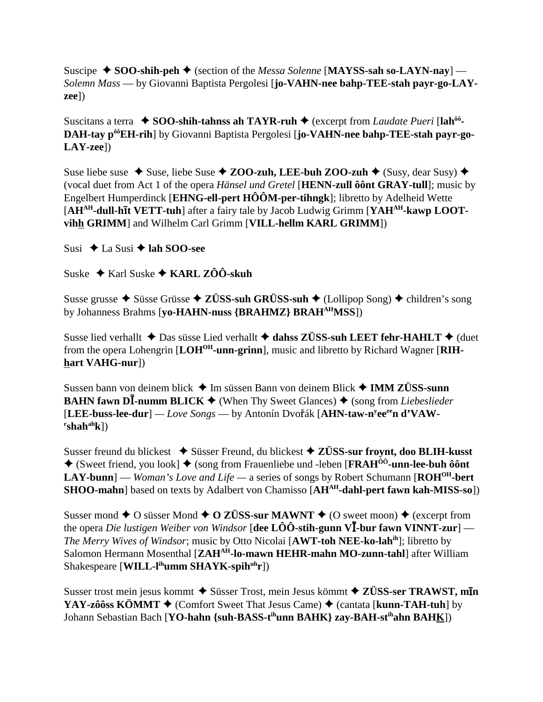Suscipe  $\bullet$  SOO-shih-peh  $\bullet$  (section of the *Messa Solenne* [MAYSS-sah so-LAYN-nay] — Solemn Mass — by Giovanni Baptista Pergolesi [jo-VAHN-nee bahp-TEE-stah payr-go-LAY- $\{{zee}\})$ 

Suscitans a terra  $\bullet$  SOO-shih-tahnss ah TAYR-ruh  $\bullet$  (excerpt from *Laudate Pueri* [lah<sup>ôô</sup>-DAH-tay p<sup>ôô</sup>EH-rih] by Giovanni Baptista Pergolesi [jo-VAHN-nee bahp-TEE-stah payr-go- $LAY\text{-}zee$ ])

Suse liebe suse  $\triangle$  Suse, liebe Suse  $\triangle$  ZOO-zuh, LEE-buh ZOO-zuh  $\triangle$  (Susy, dear Susy)  $\triangle$ (vocal duet from Act 1 of the opera *Hänsel und Gretel* [HENN-zull ôont GRAY-tull]; music by Engelbert Humperdinck [EHNG-ell-pert  $H\hat{O}\hat{O}M$ -per-tihngk]; libretto by Adelheid Wette [AH<sup>AH</sup>-dull-hit VETT-tuh] after a fairy tale by Jacob Ludwig Grimm [YAH<sup>AH</sup>-kawp LOOTvihh GRIMM] and Wilhelm Carl Grimm [VILL-hellm KARL GRIMM])

Susi  $\triangle$  La Susi  $\triangle$  lah SOO-see

Suske  $\triangle$  Karl Suske  $\triangle$  KARL ZÔÔ-skuh

Susse grusse  $\triangle$  Süsse Grüsse  $\triangle$  ZÜSS-suh GRÜSS-suh  $\triangle$  (Lollipop Song)  $\triangle$  children's song by Johanness Brahms [yo-HAHN-nuss {BRAHMZ} BRAH<sup>AH</sup>MSS])

Susse lied verhallt  $\triangle$  Das süsse Lied verhallt  $\triangle$  dahss ZÜSS-suh LEET fehr-HAHLT  $\triangle$  (duet from the opera Lohengrin [LOH<sup>OH</sup>-unn-grinn], music and libretto by Richard Wagner [RIHhart VAHG-nurl)

Sussen bann von deinem blick  $\triangleq$  Im süssen Bann von deinem Blick  $\triangleq$  IMM ZÜSS-sunn **BAHN fawn DI-numm BLICK**  $\blacklozenge$  (When Thy Sweet Glances)  $\blacklozenge$  (song from *Liebeslieder* [LEE-buss-lee-dur] — Love Songs — by Antonín Dvořák [AHN-taw-n<sup>y</sup>ee<sup>ee</sup>n d'VAW $rshah<sup>ah</sup>k$ ])

Susser freund du blickest  $\bullet$  Süsser Freund, du blickest  $\bullet$  ZÜSS-sur frownt, doo BLIH-kusst ◆ (Sweet friend, you look] ◆ (song from Frauenliebe und -leben [FRAH<sup> $\ddot{\text{o}}$ o<sup>2</sup>-unn-lee-buh  $\ddot{\text{o}}$ ont</sup> LAY-bunn] — Woman's Love and Life — a series of songs by Robert Schumann [ $ROH^{OH}$ -bert SHOO-mahn] based on texts by Adalbert von Chamisso [AHAH-dahl-pert fawn kah-MISS-so])

Susser mond  $\triangle$  O süsser Mond  $\triangle$  O ZÜSS-sur MAWNT  $\triangle$  (O sweet moon)  $\triangle$  (excerpt from the opera *Die lustigen Weiber von Windsor* [dee LÔÔ-stih-gunn  $V\bar{I}$ -bur fawn VINNT-zur] — *The Merry Wives of Windsor*; music by Otto Nicolai [AWT-toh NEE-ko-lah<sup>ih</sup>]; libretto by Salomon Hermann Mosenthal [ZAH<sup>AH</sup>-lo-mawn HEHR-mahn MO-zunn-tahl] after William Shakespeare [WILL-l<sup>ih</sup>umm SHAYK-spih<sup>uh</sup>r])

Susser trost mein jesus kommt  $\triangle$  Süsser Trost, mein Jesus kömmt  $\triangle$  ZÜSS-ser TRAWST, min YAY-zôôss KÖMMT  $\blacklozenge$  (Comfort Sweet That Jesus Came)  $\blacklozenge$  (cantata [kunn-TAH-tuh] by Johann Sebastian Bach [YO-hahn {suh-BASS-t<sup>ih</sup>unn BAHK} zay-BAH-st<sup>ih</sup>ahn BAHK])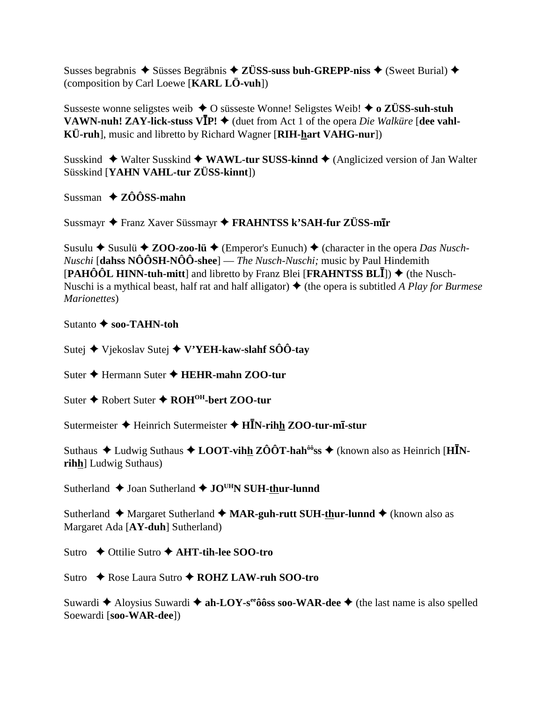Susses begrabnis  $\triangle$  Süsses Begräbnis  $\triangle$  ZÜSS-suss buh-GREPP-niss  $\triangle$  (Sweet Burial)  $\triangle$ (composition by Carl Loewe [KARL LÖ-vuh])

Susseste wonne seligstes weib  $\triangle$  O susseste Wonne! Seligstes Weib!  $\triangle$  o ZÜSS-suh-stuh **VAWN-nuh! ZAY-lick-stuss VIP!**  $\blacklozenge$  (duet from Act 1 of the opera *Die Walküre* [dee vahl-KÜ-ruh], music and libretto by Richard Wagner [RIH-hart VAHG-nur])

Susskind  $\blacklozenge$  Walter Susskind  $\blacklozenge$  WAWL-tur SUSS-kinnd  $\blacklozenge$  (Anglicized version of Jan Walter Süsskind [YAHN VAHL-tur ZÜSS-kinnt])

Sussman  $\triangle$  ZÔÔSS-mahn

Sussmayr ◆ Franz Xaver Süssmayr ◆ FRAHNTSS k'SAH-fur ZÜSS-mIr

Susulu ◆ Susulü ◆ ZOO-zoo-lü ◆ (Emperor's Eunuch) ◆ (character in the opera Das Nusch-*Nuschi* [dahss  $N\hat{O}\hat{O}SH-N\hat{O}\hat{O}$ -shee] — *The Nusch-Nuschi*; music by Paul Hindemith [PAHÔÔL HINN-tuh-mitt] and libretto by Franz Blei [FRAHNTSS BL $\overline{I}$ ])  $\blacklozenge$  (the Nusch-Nuschi is a mythical beast, half rat and half alligator)  $\triangle$  (the opera is subtitled A Play for Burmese Marionettes)

Sutanto  $\blacklozenge$  soo-TAHN-toh

Sutej ◆ Vjekoslav Sutej ◆ V'YEH-kaw-slahf SÔÔ-tay

Suter  $\triangle$  Hermann Suter  $\triangle$  HEHR-mahn ZOO-tur

Suter ♦ Robert Suter ♦ ROH<sup>OH</sup>-bert ZOO-tur

Sutermeister ♦ Heinrich Sutermeister ♦  $H\bar{I}N$ -rihh ZOO-tur-m<del>I</del>-stur

Suthaus  $\triangle$  Ludwig Suthaus  $\triangle$  LOOT-vihh ZÔÔT-hah<sup>ôô</sup>ss  $\triangle$  (known also as Heinrich [HINrihh] Ludwig Suthaus)

Sutherland  $\triangle$  Joan Sutherland  $\triangle$  JO<sup>UH</sup>N SUH-thur-lunnd

Sutherland ◆ Margaret Sutherland ◆ MAR-guh-rutt SUH-thur-lunnd ◆ (known also as Margaret Ada [AY-duh] Sutherland)

Sutro  $\rightarrow$  Ottilie Sutro  $\rightarrow$  AHT-tih-lee SOO-tro

Sutro  $\rightarrow$  Rose Laura Sutro  $\rightarrow$  ROHZ LAW-ruh SOO-tro

Suwardi  $\triangle$  Aloysius Suwardi  $\triangle$  ah-LOY-s<sup>ee</sup> ô 6ss soo-WAR-dee  $\triangle$  (the last name is also spelled Soewardi [soo-WAR-dee])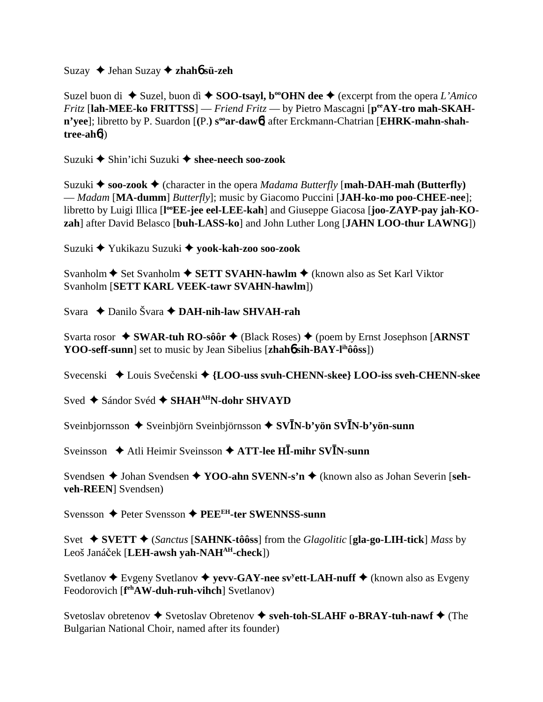Suzay Jehan Suzay **zhah**6 **sü-zeh**

Suzel buon di  $\blacklozenge$  Suzel, buon dì  $\blacklozenge$  **SOO-tsayl, b<sup>oo</sup>OHN dee**  $\blacklozenge$  (excerpt from the opera *L'Amico Fritz* [**lah-MEE-ko FRITTSS**] — *Friend Fritz* — by Pietro Mascagni [**peeAY-tro mah-SKAH**n'yee]; libretto by P. Suardon [(P.) s<sup>oo</sup>ar-daw<sup>6</sup>] after Erckmann-Chatrian [EHRK-mahn-shah**tree-ah**6])

Suzuki ◆ Shin'ichi Suzuki ◆ shee-neech soo-zook

Suzuki  $\triangle$  soo-zook  $\triangle$  (character in the opera *Madama Butterfly* [mah-DAH-mah (Butterfly) — *Madam* [**MA-dumm**] *Butterfly*]; music by Giacomo Puccini [**JAH-ko-mo poo-CHEE-nee**]; libretto by Luigi Illica [l<sup>oo</sup>EE-jee eel-LEE-kah] and Giuseppe Giacosa [joo-ZAYP-pay jah-KO**zah**] after David Belasco [**buh-LASS-ko**] and John Luther Long [**JAHN LOO-thur LAWNG**])

Suzuki Yukikazu Suzuki **yook-kah-zoo soo-zook**

Svanholm **←** Set Svanholm ← SETT SVAHN-hawlm ← (known also as Set Karl Viktor Svanholm [**SETT KARL VEEK-tawr SVAHN-hawlm**])

Svara Danilo Švara **DAH-nih-law SHVAH-rah**

Svarta rosor ◆ SWAR-tuh RO-sôôr ◆ (Black Roses) ◆ (poem by Ernst Josephson [ARNST **YOO-seff-sunn**] set to music by Jean Sibelius [**zhah6** sih-BAY-l<sup>ih</sup>ôôss])

Svecenski ◆ Louis Svečenski ◆ {LOO-uss svuh-CHENN-skee} LOO-iss sveh-CHENN-skee

Sved ◆ Sándor Svéd ◆ SHAH<sup>AH</sup>N-dohr SHVAYD

Sveinbjornsson ◆ Sveinbjörn Sveinbjörnsson ◆ SV**ĪN-b'yön SVĪN-b'yön-sunn** 

 $\triangle$  Sveinsson **→** Atli Heimir Sveinsson → ATT-lee HI-mihr SVIN-sunn

Svendsen  $\triangle$  Johan Svendsen  $\triangle$  YOO-ahn SVENN-s'n  $\triangle$  (known also as Johan Severin [seh**veh-REEN**] Svendsen)

Svensson ◆ Peter Svensson **◆ PEE<sup>EH</sup>-ter SWENNSS-sunn** 

Svet  $\blacklozenge$  **SVETT**  $\blacklozenge$  (*Sanctus* [**SAHNK-tôôss**] from the *Glagolitic* [**gla-go-LIH-tick**] *Mass* by Leoš Janáček [LEH-awsh yah-NAH<sup>AH</sup>-check])

Svetlanov ◆ Evgeny Svetlanov ◆ yevv-GAY-nee sv<sup>y</sup>ett-LAH-nuff ◆ (known also as Evgeny Feodorovich [f<sup>eh</sup>AW-duh-ruh-vihch] Svetlanov)

Svetoslav obretenov  $\blacklozenge$  Svetoslav Obretenov  $\blacklozenge$  sveh-toh-SLAHF o-BRAY-tuh-nawf  $\blacklozenge$  (The Bulgarian National Choir, named after its founder)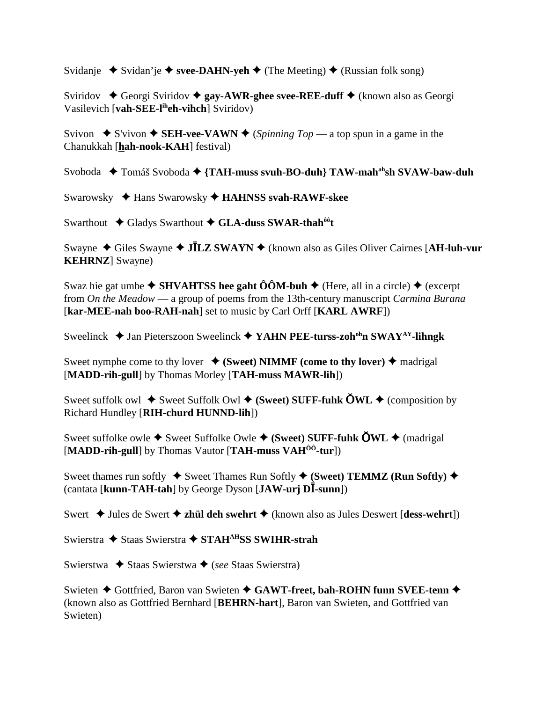Svidanie  $\rightarrow$  Svidan'ie  $\rightarrow$  svee-DAHN-yeh  $\rightarrow$  (The Meeting)  $\rightarrow$  (Russian folk song)

Sviridov **←** Georgi Sviridov ← gay-AWR-ghee svee-REE-duff ← (known also as Georgi Vasilevich [**vah-SEE-liheh-vihch**] Sviridov)

Svivon  $\bullet$  S'vivon  $\bullet$  **SEH-vee-VAWN**  $\bullet$  (*Spinning Top* — a top spun in a game in the Chanukkah [**hah-nook-KAH**] festival)

Svoboda ◆ Tomáš Svoboda ◆ {TAH-muss svuh-BO-duh} TAW-mah<sup>ah</sup>sh SVAW-baw-duh

Swarowsky Hans Swarowsky **HAHNSS svah-RAWF-skee**

Swarthout ◆ Gladys Swarthout ◆ GLA-duss SWAR-thah<sup>ôô</sup>t

Swayne ◆ Giles Swayne ◆ **JĪLZ SWAYN** ◆ (known also as Giles Oliver Cairnes [**AH-luh-vur KEHRNZ**] Swayne)

Swaz hie gat umbe  $\blacklozenge$  **SHVAHTSS hee gaht ÔÔM-buh**  $\blacklozenge$  (Here, all in a circle)  $\blacklozenge$  (excerpt from *On the Meadow* — a group of poems from the 13th-century manuscript *Carmina Burana* [**kar-MEE-nah boo-RAH-nah**] set to music by Carl Orff [**KARL AWRF**])

Sweelinck **→** Jan Pieterszoon Sweelinck ◆ YAHN PEE-turss-zoh<sup>oh</sup>n SWAY<sup>AY</sup>-lihngk

Sweet nymphe come to thy lover  $\triangleq$  (Sweet) NIMMF (come to thy lover)  $\triangleq$  madrigal [**MADD-rih-gull**] by Thomas Morley [**TAH-muss MAWR-lih**])

Sweet suffolk owl  $\blacklozenge$  Sweet Suffolk Owl  $\blacklozenge$  (Sweet) SUFF-fuhk  $\text{OWL} \blacklozenge$  (composition by Richard Hundley [**RIH-churd HUNND-lih**])

Sweet suffolke owle  $\blacklozenge$  Sweet Suffolke Owle  $\blacklozenge$  (Sweet) SUFF-fuhk  $\text{OWL}$   $\blacklozenge$  (madrigal) [**MADD-rih-gull**] by Thomas Vautor [**TAH-muss VAHÔÔ-tur**])

Sweet thames run softly  $\blacklozenge$  Sweet Thames Run Softly  $\blacklozenge$  (Sweet) TEMMZ (Run Softly)  $\blacklozenge$ (cantata [kunn-TAH-tah] by George Dyson [JAW-urj DĪ-sunn])

Swert  $\triangleleft$  Jules de Swert  $\triangleleft$  **zhül deh swehrt**  $\triangleleft$  (known also as Jules Deswert [**dess-wehrt**])

Swierstra **→** Staas Swierstra → STAH<sup>AH</sup>SS SWIHR-strah

Swierstwa ◆ Staas Swierstwa ◆ (*see* Staas Swierstra)

Swieten ◆ Gottfried, Baron van Swieten ◆ GAWT-freet, bah-ROHN funn SVEE-tenn ◆ (known also as Gottfried Bernhard [**BEHRN-hart**], Baron van Swieten, and Gottfried van Swieten)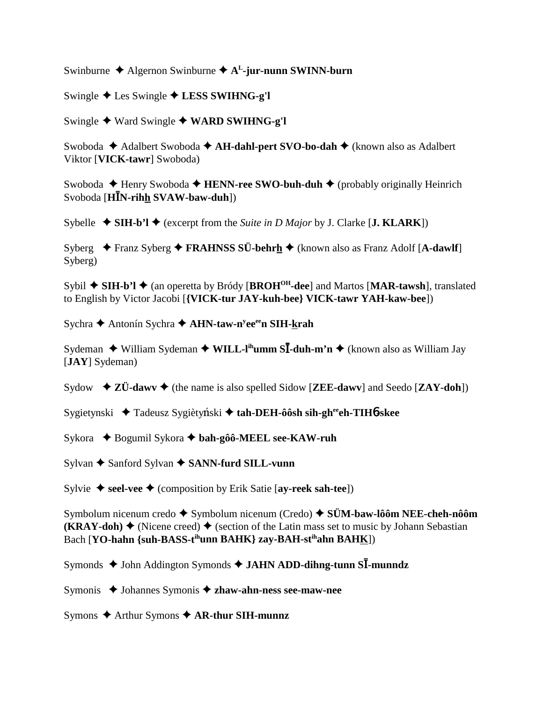Swinburne  $\triangle$  Algernon Swinburne  $\triangle$  A<sup>L</sup>-jur-nunn SWINN-burn

Swingle Les Swingle **LESS SWIHNG-g'l**

Swingle ◆ Ward Swingle ◆ WARD SWIHNG-g'l

Swoboda ◆ Adalbert Swoboda ◆ AH-dahl-pert SVO-bo-dah ◆ (known also as Adalbert Viktor [**VICK-tawr**] Swoboda)

Swoboda **← Henry Swoboda ← HENN-ree SWO-buh-duh ←** (probably originally Heinrich  $S$ voboda [**HĪN-rih<u>h</u> SVAW-baw-duh**])

Sybelle  $\blacklozenge$  **SIH-b'l**  $\blacklozenge$  (excerpt from the *Suite in D Major* by J. Clarke [**J. KLARK**])

Syberg **→** Franz Syberg → FRAHNSS SÜ-behrh → (known also as Franz Adolf [A-dawlf] Syberg)

Sybil **→ SIH-b'l** ◆ (an operetta by Bródy [BROH<sup>OH</sup>-dee] and Martos [MAR-tawsh], translated to English by Victor Jacobi [**{VICK-tur JAY-kuh-bee} VICK-tawr YAH-kaw-bee**])

Sychra ◆ Antonín Sychra ◆ **AHN-taw-n<sup>y</sup>ee<sup>ee</sup>n SIH-<u>k</u>rah** 

Sydeman ◆ William Sydeman ◆ WILL-I<sup>ih</sup>umm S**I-duh-m'n** ◆ (known also as William Jay [**JAY**] Sydeman)

Sydow  $\blacklozenge$  **ZÜ-dawv**  $\blacklozenge$  (the name is also spelled Sidow [**ZEE-dawv**] and Seedo [**ZAY-doh**])

Sygietynski ◆ Tadeusz Sygiètyński ◆ tah-DEH-ôôsh sih-gh<sup>ee</sup>eh-TIH6-skee

Sykora ◆ Bogumil Sykora ◆ bah-gôô-MEEL see-KAW-ruh

Sylvan ◆ Sanford Sylvan **◆ SANN-furd SILL-vunn** 

Sylvie **→ seel-vee** → (composition by Erik Satie [**ay-reek sah-tee**])

Symbolum nicenum credo Symbolum nicenum (Credo) **SÜM-baw-lôôm NEE-cheh-nôôm (KRAY-doh)**  $\blacklozenge$  (Nicene creed)  $\blacklozenge$  (section of the Latin mass set to music by Johann Sebastian Bach [**YO-hahn** {suh-BASS-t<sup>ih</sup>unn BAHK} zay-BAH-st<sup>ih</sup>ahn BAHK])

Symonds  $\triangle$  John Addington Symonds  $\triangle$  JAHN ADD-dihng-tunn SI-munndz

Symonis ◆ Johannes Symonis **◆ zhaw-ahn-ness see-maw-nee** 

Symons **↑** Arthur Symons **↑ AR-thur SIH-munnz**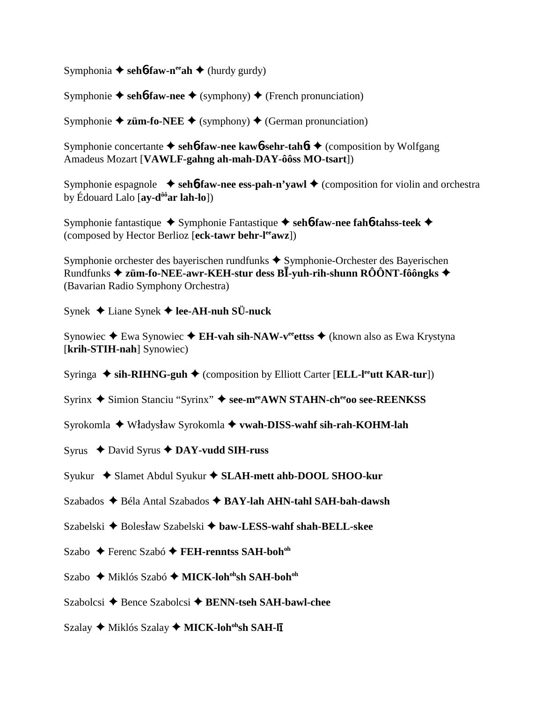Symphonia  $\triangle$  seh**6-faw-n<sup>ee</sup>ah**  $\triangle$  (hurdy gurdy)

Symphonie  $\blacklozenge$  seh**6**-faw-nee  $\blacklozenge$  (symphony)  $\blacklozenge$  (French pronunciation)

Symphonie  $\triangle$  **züm-fo-NEE**  $\triangle$  (symphony)  $\triangle$  (German pronunciation)

Symphonie concertante **↓ seh6-faw-nee kaw6-sehr-tah6t →** (composition by Wolfgang Amadeus Mozart [**VAWLF-gahng ah-mah-DAY-ôôss MO-tsart**])

Symphonie espagnole  $\rightarrow$  seh**6**-faw-nee ess-pah-n'yawl  $\rightarrow$  (composition for violin and orchestra by Édouard Lalo [**ay-dôôar lah-lo**])

Symphonie fantastique ◆ Symphonie Fantastique ◆ seh**6**-faw-nee fah**6**-tahss-teek ◆ (composed by Hector Berlioz [**eck-tawr behr-leeawz**])

Symphonie orchester des bayerischen rundfunks  $\triangle$  Symphonie-Orchester des Bayerischen **Rundfunks → züm-fo-NEE-awr-KEH-stur dess BĪ-yuh-rih-shunn RÔÔNT-fôôngks →** (Bavarian Radio Symphony Orchestra)

Synek Liane Synek  **lee-AH-nuh SÜ-nuck**

Synowiec **→** Ewa Synowiec **→ EH-vah sih-NAW-v<sup>ee</sup>ettss →** (known also as Ewa Krystyna [**krih-STIH-nah**] Synowiec)

Syringa ◆ sih-RIHNG-guh ◆ (composition by Elliott Carter [**ELL-l<sup>ee</sup>utt KAR-tur**])

Syrinx ◆ Simion Stanciu "Syrinx" ◆ see-meeAWN STAHN-cheeoo see-REENKSS

Syrokomla ◆ Władysław Syrokomla ◆ vwah-DISS-wahf sih-rah-KOHM-lah

Syrus David Syrus **DAY-vudd SIH-russ**

Syukur ◆ Slamet Abdul Syukur ◆ SLAH-mett ahb-DOOL SHOO-kur

Szabados **→** Béla Antal Szabados **→ BAY-lah AHN-tahl SAH-bah-dawsh** 

Szabelski **→** Bolesław Szabelski → baw-LESS-wahf shah-BELL-skee

Szabo ◆ Ferenc Szabó **◆ FEH-renntss SAH-boh**<sup>oh</sup>

Szabo ◆ Miklós Szabó ◆ MICK-loh<sup>oh</sup>sh SAH-boh<sup>oh</sup>

Szabolcsi **→** Bence Szabolcsi **→ BENN-tseh SAH-bawl-chee** 

Szalay ◆ Miklós Szalay ◆ MICK-loh<sup>oh</sup>sh SAH-l**ī**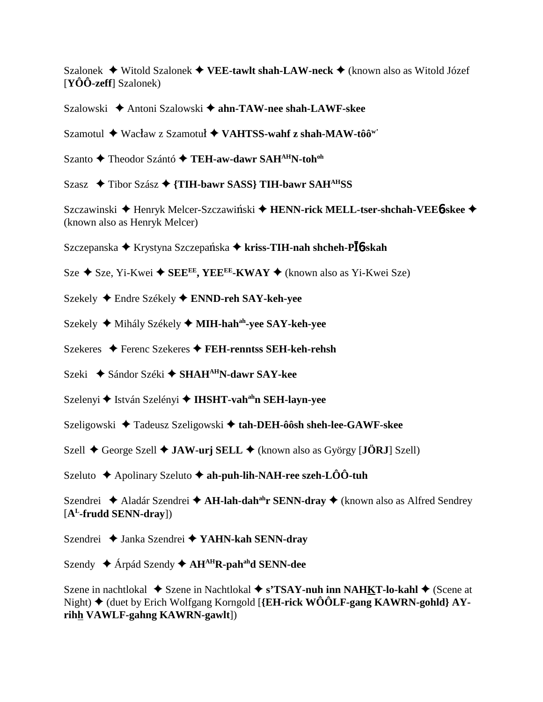Szalonek Witold Szalonek **VEE-tawlt shah-LAW-neck** (known also as Witold Józef [**YÔÔ-zeff**] Szalonek)

Szalowski **→** Antoni Szalowski → ahn-TAW-nee shah-LAWF-skee

Szamotul ◆ Wacław z Szamotuł ◆ VAHTSS-wahf z shah-MAW-tôô<sup>w'</sup>

Szanto ◆ Theodor Szántó ◆ TEH-aw-dawr SAH<sup>AH</sup>N-toh<sup>oh</sup>

Szasz **→** Tibor Szász → {TIH-bawr SASS} TIH-bawr SAH<sup>AH</sup>SS

Szczawinski ◆ Henryk Melcer-Szczawiński ◆ HENN-rick MELL-tser-shchah-VEE6-skee ◆ (known also as Henryk Melcer)

 $S$ zczepanska ◆ Krystyna Szczepańska ◆ **kriss-TIH-nah shcheh-PĪó-skah** 

 $S$ ze  $\blacklozenge$  Sze, Yi-Kwei  $\blacklozenge$  SEE<sup>EE</sup>, YEE<sup>EE</sup>-KWAY  $\blacklozenge$  (known also as Yi-Kwei Sze)

Szekely Endre Székely **ENND-reh SAY-keh-yee**

Szekely ◆ Mihály Székely ◆ MIH-hah<sup>ah</sup>-yee SAY-keh-yee

Szekeres Ferenc Szekeres **FEH-renntss SEH-keh-rehsh**

Szeki **→** Sándor Széki **→ SHAH<sup>AH</sup>N-dawr SAY-kee** 

Szelenyi **←** István Szelényi ← **IHSHT-vah<sup>ah</sup>n SEH-layn-yee** 

Szeligowski Tadeusz Szeligowski **tah-DEH-ôôsh sheh-lee-GAWF-skee**

Szell **→** George Szell **→ JAW-urj SELL** → (known also as György [**JÖRJ**] Szell)

Szeluto **←** Apolinary Szeluto ← ah-puh-lih-NAH-ree szeh-LÔÔ-tuh

Szendrei ◆ Aladár Szendrei ◆ **AH-lah-dah<sup>ah</sup>r SENN-dray** ◆ (known also as Alfred Sendrey [**AL-frudd SENN-dray**])

Szendrei Janka Szendrei **YAHN-kah SENN-dray**

Szendy Árpád Szendy **AHAHR-pahahd SENN-dee**

Szene in nachtlokal ◆ Szene in Nachtlokal ◆ s'TSAY-nuh inn NAHKT-lo-kahl ◆ (Scene at Night) (duet by Erich Wolfgang Korngold [**{EH-rick WÔÔLF-gang KAWRN-gohld} AYrihh VAWLF-gahng KAWRN-gawlt**])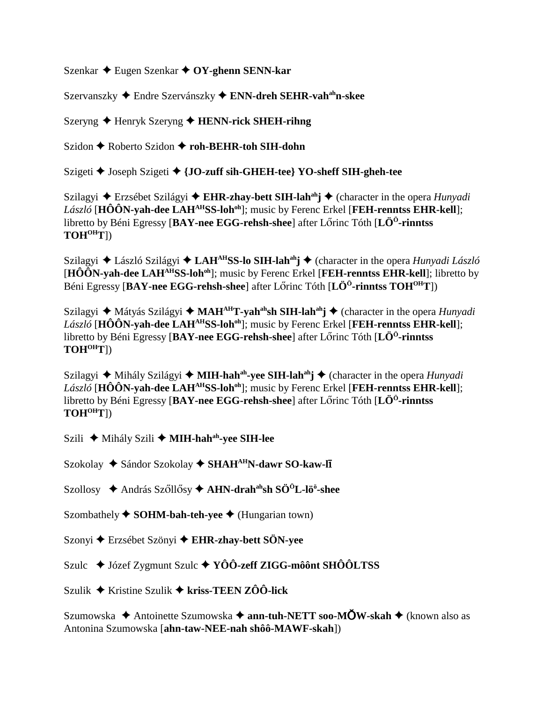Szenkar Eugen Szenkar **OY-ghenn SENN-kar**

Szervanszky Endre Szervánszky **ENN-dreh SEHR-vahahn-skee**

Szeryng Henryk Szeryng **HENN-rick SHEH-rihng**

Szidon **←** Roberto Szidon ← roh-BEHR-toh SIH-dohn

Szigeti Joseph Szigeti **{JO-zuff sih-GHEH-tee} YO-sheff SIH-gheh-tee**

Szilagyi ◆ Erzsébet Szilágyi ◆ **EHR-zhay-bett SIH-lah<sup>ah</sup>j ◆** (character in the opera *Hunyadi László* [HÔÔN-yah-dee LAH<sup>AH</sup>SS-loh<sup>oh</sup>]; music by Ferenc Erkel [FEH-renntss EHR-kell]; libretto by Béni Egressy [**BAY-nee EGG-rehsh-shee**] after Lőrinc Tóth [**LÖ<sup>Ö</sup>-rinntss TOHOHT**])

Szilagyi ◆ László Szilágyi ◆ LAH<sup>AH</sup>SS-lo SIH-lah<sup>ah</sup>j ◆ (character in the opera *Hunyadi László* [**HÔÔN-yah-dee LAHAHSS-lohoh**]; music by Ferenc Erkel [**FEH-renntss EHR-kell**]; libretto by Béni Egressy [**BAY-nee EGG-rehsh-shee**] after Lőrinc Tóth [**LÖ<sup>Ö</sup>-rinntss TOH<sup>OH</sup>T**])

Szilagyi ◆ Mátyás Szilágyi ◆ MAH<sup>AH</sup>T-yah<sup>ah</sup>sh SIH-lah<sup>ah</sup>j ◆ (character in the opera *Hunyadi László* [HÔÔN-yah-dee LAH<sup>AH</sup>SS-loh<sup>oh</sup>]; music by Ferenc Erkel [FEH-renntss EHR-kell]; libretto by Béni Egressy [**BAY-nee EGG-rehsh-shee**] after Lőrinc Tóth [**LÖ<sup>Ö</sup>-rinntss TOHOHT**])

Szilagyi ◆ Mihály Szilágyi ◆ **MIH-hah<sup>ah</sup>-yee SIH-lah<sup>ah</sup>j ◆** (character in the opera *Hunyadi László* [HÔÔN-yah-dee LAH<sup>AH</sup>SS-loh<sup>oh</sup>]; music by Ferenc Erkel [FEH-renntss EHR-kell]; libretto by Béni Egressy [**BAY-nee EGG-rehsh-shee**] after Lőrinc Tóth [LÖ<sup>Ö</sup>-rinntss] **TOHOHT**])

Szili ◆ Mihály Szili ◆ **MIH-hah<sup>ah</sup>-yee SIH-lee** 

Szokolay ◆ Sándor Szokolay ◆ SHAH<sup>AH</sup>N-dawr SO-kaw-l**ī** 

Szollosy ◆ András Szőllősy ◆ AHN-drah<sup>ah</sup>sh SÖ<sup>ö</sup>L-lö<sup>ö</sup>-shee

Szombathely  $\blacklozenge$  **SOHM-bah-teh-yee**  $\blacklozenge$  (Hungarian town)

Szonyi Erzsébet Szönyi **EHR-zhay-bett SÖN-yee**

Szulc ◆ Józef Zygmunt Szulc ◆ YÔÔ-zeff ZIGG-môônt SHÔÔLTSS

Szulik Kristine Szulik **kriss-TEEN ZÔÔ-lick**

Szumowska ◆ Antoinette Szumowska ◆ ann-tuh-NETT soo-MÕW-skah ◆ (known also as Antonina Szumowska [**ahn-taw-NEE-nah shôô-MAWF-skah**])